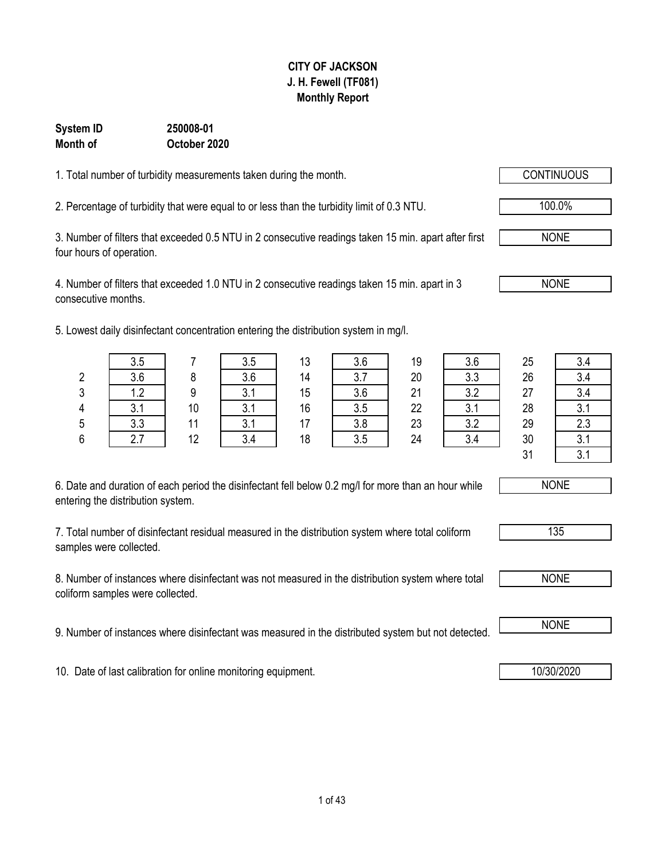#### **CITY OF JACKSON J. H. Fewell (TF081) Monthly Report**

#### **October 2020 System ID 250008-01 Month of**

1. Total number of turbidity measurements taken during the month.

2. Percentage of turbidity that were equal to or less than the turbidity limit of 0.3 NTU.  $\sqrt{100.0\%}$ 

3. Number of filters that exceeded 0.5 NTU in 2 consecutive readings taken 15 min. apart after first four hours of operation.

4. Number of filters that exceeded 1.0 NTU in 2 consecutive readings taken 15 min. apart in 3 consecutive months.

5. Lowest daily disinfectant concentration entering the distribution system in mg/l.

| 6. Date and duration of each period the disinfectant fell below 0.2 mg/l for more than an hour while |  |
|------------------------------------------------------------------------------------------------------|--|
| entering the distribution system.                                                                    |  |

7. Total number of disinfectant residual measured in the distribution system where total coliform samples were collected.

8. Number of instances where disinfectant was not measured in the distribution system where total coliform samples were collected.

9. Number of instances where disinfectant was measured in the distributed system but not detected. NONE

10. Date of last calibration for online monitoring equipment. 10. 10/30/2020 10/30/2020

3.5 | 7 | 3.5 | 13 | 3.6 | 19 | 3.6 | 25 | 3.4 2 3.6 8 3.6 14 3.7 20 3.3 26 3.4 3 1.2 9 3.1 15 3.6 21 3.2 27 3.4 4 | 3.1 | 10 | 3.1 | 16 | 3.5 | 22 | 3.1 | 28 | 3.1 5 | 3.3 | 11 | 3.1 | 17 | 3.8 | 23 | 3.2 | 29 | 2.3 6 | 2.7 | 12 | 3.4 | 18 | 3.5 | 24 | 3.4 | 30 | 3.1 31 3.1

NONE





NONE

NONE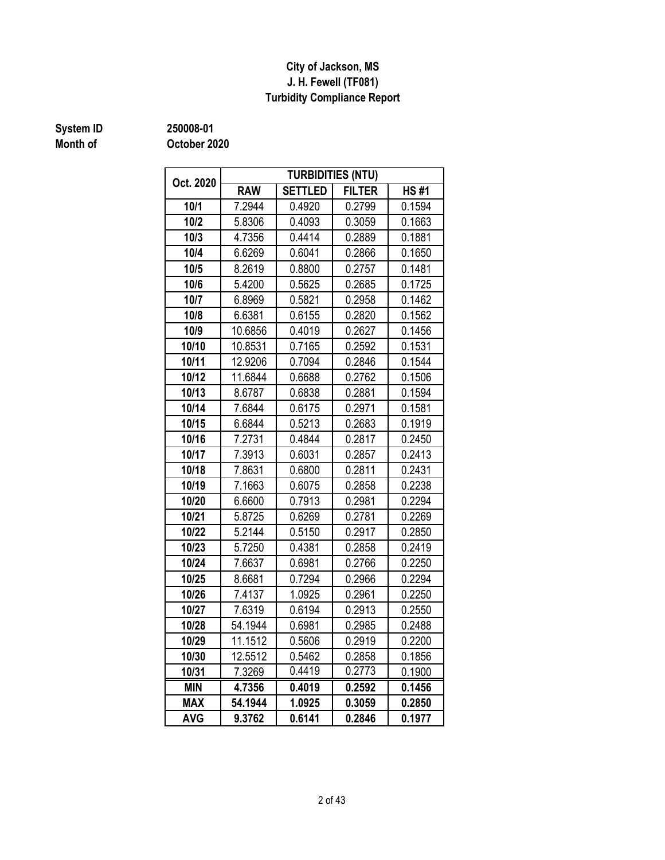#### **J. H. Fewell (TF081) Turbidity Compliance Report City of Jackson, MS**

## **Month of**

**System ID 250008-01**

| Oct. 2020  | <b>TURBIDITIES (NTU)</b> |                |               |             |  |  |  |  |  |  |
|------------|--------------------------|----------------|---------------|-------------|--|--|--|--|--|--|
|            | <b>RAW</b>               | <b>SETTLED</b> | <b>FILTER</b> | <b>HS#1</b> |  |  |  |  |  |  |
| 10/1       | 7.2944                   | 0.4920         | 0.2799        | 0.1594      |  |  |  |  |  |  |
| 10/2       | 5.8306                   | 0.4093         | 0.3059        | 0.1663      |  |  |  |  |  |  |
| 10/3       | 4.7356                   | 0.4414         | 0.2889        | 0.1881      |  |  |  |  |  |  |
| 10/4       | 6.6269                   | 0.6041         | 0.2866        | 0.1650      |  |  |  |  |  |  |
| 10/5       | 8.2619                   | 0.8800         | 0.2757        | 0.1481      |  |  |  |  |  |  |
| 10/6       | 5.4200                   | 0.5625         | 0.2685        | 0.1725      |  |  |  |  |  |  |
| 10/7       | 6.8969                   | 0.5821         | 0.2958        | 0.1462      |  |  |  |  |  |  |
| 10/8       | 6.6381                   | 0.6155         | 0.2820        | 0.1562      |  |  |  |  |  |  |
| 10/9       | 10.6856                  | 0.4019         | 0.2627        | 0.1456      |  |  |  |  |  |  |
| 10/10      | 10.8531                  | 0.7165         | 0.2592        | 0.1531      |  |  |  |  |  |  |
| 10/11      | 12.9206                  | 0.7094         | 0.2846        | 0.1544      |  |  |  |  |  |  |
| 10/12      | 11.6844                  | 0.6688         | 0.2762        | 0.1506      |  |  |  |  |  |  |
| 10/13      | 8.6787                   | 0.6838         | 0.2881        | 0.1594      |  |  |  |  |  |  |
| 10/14      | 7.6844                   | 0.6175         | 0.2971        | 0.1581      |  |  |  |  |  |  |
| 10/15      | 6.6844                   | 0.5213         | 0.2683        | 0.1919      |  |  |  |  |  |  |
| 10/16      | 7.2731                   | 0.4844         | 0.2817        | 0.2450      |  |  |  |  |  |  |
| 10/17      | 7.3913                   | 0.6031         | 0.2857        | 0.2413      |  |  |  |  |  |  |
| 10/18      | 7.8631                   | 0.6800         | 0.2811        | 0.2431      |  |  |  |  |  |  |
| 10/19      | 7.1663                   | 0.6075         | 0.2858        | 0.2238      |  |  |  |  |  |  |
| 10/20      | 6.6600                   | 0.7913         | 0.2981        | 0.2294      |  |  |  |  |  |  |
| 10/21      | 5.8725                   | 0.6269         | 0.2781        | 0.2269      |  |  |  |  |  |  |
| 10/22      | 5.2144                   | 0.5150         | 0.2917        | 0.2850      |  |  |  |  |  |  |
| 10/23      | 5.7250                   | 0.4381         | 0.2858        | 0.2419      |  |  |  |  |  |  |
| 10/24      | 7.6637                   | 0.6981         | 0.2766        | 0.2250      |  |  |  |  |  |  |
| 10/25      | 8.6681                   | 0.7294         | 0.2966        | 0.2294      |  |  |  |  |  |  |
| 10/26      | 7.4137                   | 1.0925         | 0.2961        | 0.2250      |  |  |  |  |  |  |
| 10/27      | 7.6319                   | 0.6194         | 0.2913        | 0.2550      |  |  |  |  |  |  |
| 10/28      | 54.1944                  | 0.6981         | 0.2985        | 0.2488      |  |  |  |  |  |  |
| 10/29      | 11.1512                  | 0.5606         | 0.2919        | 0.2200      |  |  |  |  |  |  |
| 10/30      | 12.5512                  | 0.5462         | 0.2858        | 0.1856      |  |  |  |  |  |  |
| 10/31      | 7.3269                   | 0.4419         | 0.2773        | 0.1900      |  |  |  |  |  |  |
| <b>MIN</b> | 4.7356                   | 0.4019         | 0.2592        | 0.1456      |  |  |  |  |  |  |
| <b>MAX</b> | 54.1944                  | 1.0925         | 0.3059        | 0.2850      |  |  |  |  |  |  |
| <b>AVG</b> | 9.3762                   | 0.6141         | 0.2846        | 0.1977      |  |  |  |  |  |  |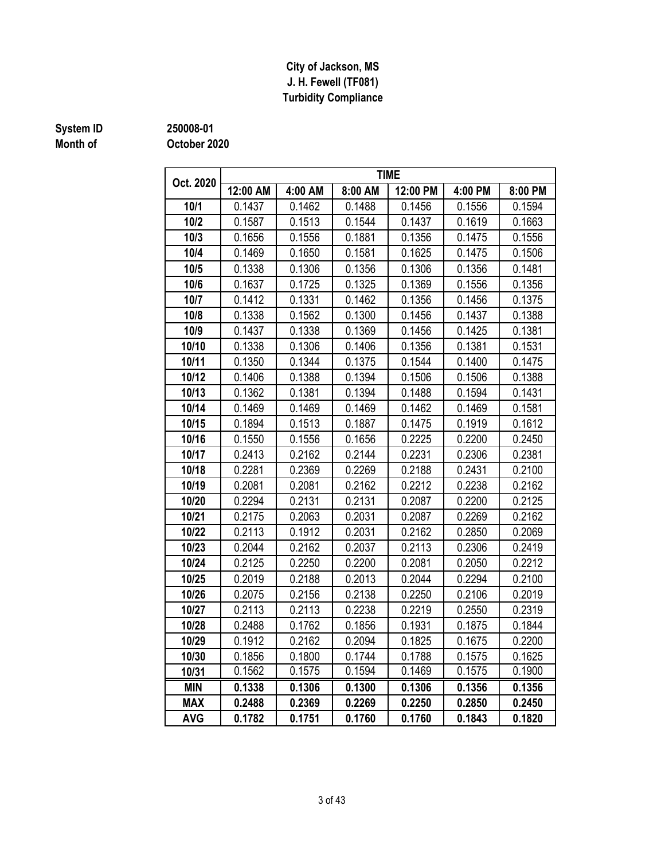#### **J. H. Fewell (TF081) Turbidity Compliance City of Jackson, MS**

## **Month of**

#### **October 2020 System ID 250008-01**

|            |          |         |         | <b>TIME</b> |         |         |
|------------|----------|---------|---------|-------------|---------|---------|
| Oct. 2020  | 12:00 AM | 4:00 AM | 8:00 AM | 12:00 PM    | 4:00 PM | 8:00 PM |
| 10/1       | 0.1437   | 0.1462  | 0.1488  | 0.1456      | 0.1556  | 0.1594  |
| 10/2       | 0.1587   | 0.1513  | 0.1544  | 0.1437      | 0.1619  | 0.1663  |
| 10/3       | 0.1656   | 0.1556  | 0.1881  | 0.1356      | 0.1475  | 0.1556  |
| 10/4       | 0.1469   | 0.1650  | 0.1581  | 0.1625      | 0.1475  | 0.1506  |
| 10/5       | 0.1338   | 0.1306  | 0.1356  | 0.1306      | 0.1356  | 0.1481  |
| 10/6       | 0.1637   | 0.1725  | 0.1325  | 0.1369      | 0.1556  | 0.1356  |
| 10/7       | 0.1412   | 0.1331  | 0.1462  | 0.1356      | 0.1456  | 0.1375  |
| 10/8       | 0.1338   | 0.1562  | 0.1300  | 0.1456      | 0.1437  | 0.1388  |
| 10/9       | 0.1437   | 0.1338  | 0.1369  | 0.1456      | 0.1425  | 0.1381  |
| 10/10      | 0.1338   | 0.1306  | 0.1406  | 0.1356      | 0.1381  | 0.1531  |
| 10/11      | 0.1350   | 0.1344  | 0.1375  | 0.1544      | 0.1400  | 0.1475  |
| 10/12      | 0.1406   | 0.1388  | 0.1394  | 0.1506      | 0.1506  | 0.1388  |
| 10/13      | 0.1362   | 0.1381  | 0.1394  | 0.1488      | 0.1594  | 0.1431  |
| 10/14      | 0.1469   | 0.1469  | 0.1469  | 0.1462      | 0.1469  | 0.1581  |
| 10/15      | 0.1894   | 0.1513  | 0.1887  | 0.1475      | 0.1919  | 0.1612  |
| 10/16      | 0.1550   | 0.1556  | 0.1656  | 0.2225      | 0.2200  | 0.2450  |
| 10/17      | 0.2413   | 0.2162  | 0.2144  | 0.2231      | 0.2306  | 0.2381  |
| 10/18      | 0.2281   | 0.2369  | 0.2269  | 0.2188      | 0.2431  | 0.2100  |
| 10/19      | 0.2081   | 0.2081  | 0.2162  | 0.2212      | 0.2238  | 0.2162  |
| 10/20      | 0.2294   | 0.2131  | 0.2131  | 0.2087      | 0.2200  | 0.2125  |
| 10/21      | 0.2175   | 0.2063  | 0.2031  | 0.2087      | 0.2269  | 0.2162  |
| 10/22      | 0.2113   | 0.1912  | 0.2031  | 0.2162      | 0.2850  | 0.2069  |
| 10/23      | 0.2044   | 0.2162  | 0.2037  | 0.2113      | 0.2306  | 0.2419  |
| 10/24      | 0.2125   | 0.2250  | 0.2200  | 0.2081      | 0.2050  | 0.2212  |
| 10/25      | 0.2019   | 0.2188  | 0.2013  | 0.2044      | 0.2294  | 0.2100  |
| 10/26      | 0.2075   | 0.2156  | 0.2138  | 0.2250      | 0.2106  | 0.2019  |
| 10/27      | 0.2113   | 0.2113  | 0.2238  | 0.2219      | 0.2550  | 0.2319  |
| 10/28      | 0.2488   | 0.1762  | 0.1856  | 0.1931      | 0.1875  | 0.1844  |
| 10/29      | 0.1912   | 0.2162  | 0.2094  | 0.1825      | 0.1675  | 0.2200  |
| 10/30      | 0.1856   | 0.1800  | 0.1744  | 0.1788      | 0.1575  | 0.1625  |
| 10/31      | 0.1562   | 0.1575  | 0.1594  | 0.1469      | 0.1575  | 0.1900  |
| <b>MIN</b> | 0.1338   | 0.1306  | 0.1300  | 0.1306      | 0.1356  | 0.1356  |
| <b>MAX</b> | 0.2488   | 0.2369  | 0.2269  | 0.2250      | 0.2850  | 0.2450  |
| <b>AVG</b> | 0.1782   | 0.1751  | 0.1760  | 0.1760      | 0.1843  | 0.1820  |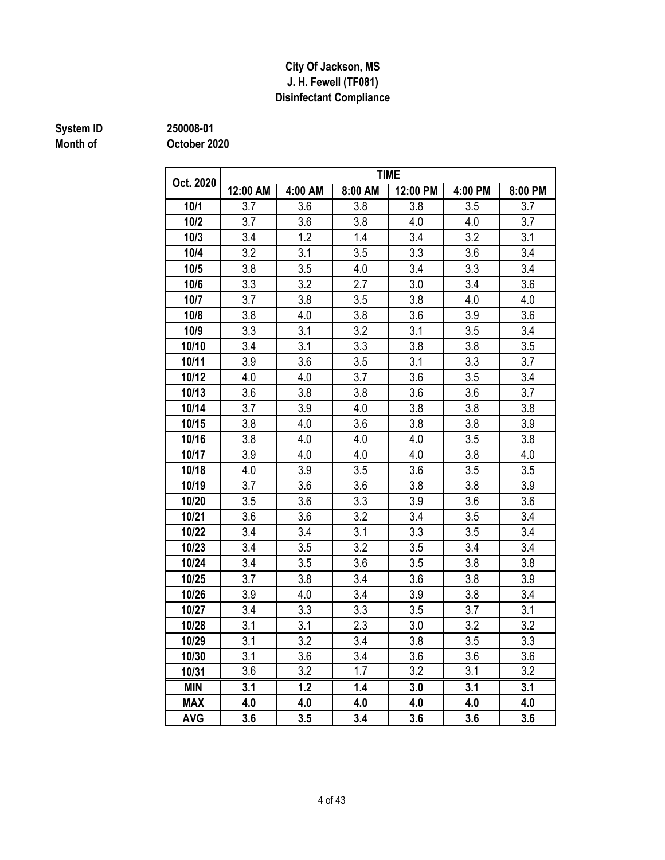#### **Disinfectant Compliance City Of Jackson, MS J. H. Fewell (TF081)**

## **Month of**

**System ID 250008-01**

| Oct. 2020  |          |                  |         | <b>TIME</b>      |         |                  |
|------------|----------|------------------|---------|------------------|---------|------------------|
|            | 12:00 AM | 4:00 AM          | 8:00 AM | 12:00 PM         | 4:00 PM | 8:00 PM          |
| 10/1       | 3.7      | 3.6              | 3.8     | 3.8              | 3.5     | 3.7              |
| 10/2       | 3.7      | 3.6              | 3.8     | 4.0              | 4.0     | 3.7              |
| 10/3       | 3.4      | 1.2              | 1.4     | 3.4              | 3.2     | 3.1              |
| 10/4       | 3.2      | 3.1              | 3.5     | 3.3              | 3.6     | 3.4              |
| 10/5       | 3.8      | 3.5              | 4.0     | 3.4              | 3.3     | 3.4              |
| 10/6       | 3.3      | 3.2              | 2.7     | 3.0              | 3.4     | 3.6              |
| 10/7       | 3.7      | 3.8              | 3.5     | 3.8              | 4.0     | 4.0              |
| 10/8       | 3.8      | 4.0              | 3.8     | 3.6              | 3.9     | 3.6              |
| 10/9       | 3.3      | 3.1              | 3.2     | 3.1              | 3.5     | 3.4              |
| 10/10      | 3.4      | 3.1              | 3.3     | 3.8              | 3.8     | 3.5              |
| 10/11      | 3.9      | 3.6              | 3.5     | 3.1              | 3.3     | 3.7              |
| 10/12      | 4.0      | 4.0              | 3.7     | 3.6              | 3.5     | 3.4              |
| 10/13      | 3.6      | 3.8              | 3.8     | 3.6              | 3.6     | 3.7              |
| 10/14      | 3.7      | 3.9              | 4.0     | 3.8              | 3.8     | 3.8              |
| 10/15      | 3.8      | 4.0              | 3.6     | 3.8              | 3.8     | 3.9              |
| 10/16      | 3.8      | 4.0              | 4.0     | 4.0              | 3.5     | 3.8              |
| 10/17      | 3.9      | 4.0              | 4.0     | 4.0              | 3.8     | 4.0              |
| 10/18      | 4.0      | 3.9              | 3.5     | 3.6              | 3.5     | 3.5              |
| 10/19      | 3.7      | 3.6              | 3.6     | 3.8              | 3.8     | 3.9              |
| 10/20      | 3.5      | 3.6              | 3.3     | 3.9              | 3.6     | 3.6              |
| 10/21      | 3.6      | 3.6              | 3.2     | 3.4              | 3.5     | 3.4              |
| 10/22      | 3.4      | 3.4              | 3.1     | 3.3              | 3.5     | 3.4              |
| 10/23      | 3.4      | 3.5              | 3.2     | 3.5              | 3.4     | 3.4              |
| 10/24      | 3.4      | 3.5              | 3.6     | 3.5              | 3.8     | 3.8              |
| 10/25      | 3.7      | 3.8              | 3.4     | 3.6              | 3.8     | 3.9              |
| 10/26      | 3.9      | 4.0              | 3.4     | 3.9              | 3.8     | 3.4              |
| 10/27      | 3.4      | 3.3              | 3.3     | 3.5              | 3.7     | 3.1              |
| 10/28      | 3.1      | 3.1              | 2.3     | 3.0              | 3.2     | 3.2              |
| 10/29      | 3.1      | 3.2              | 3.4     | 3.8              | 3.5     | 3.3              |
| 10/30      | 3.1      | 3.6              | 3.4     | 3.6              | 3.6     | 3.6              |
| 10/31      | 3.6      | $\overline{3.2}$ | 1.7     | $\overline{3.2}$ | 3.1     | $\overline{3.2}$ |
| <b>MIN</b> | 3.1      | 1.2              | 1.4     | 3.0              | 3.1     | 3.1              |
| <b>MAX</b> | 4.0      | 4.0              | 4.0     | 4.0              | 4.0     | 4.0              |
| <b>AVG</b> | 3.6      | 3.5              | 3.4     | 3.6              | 3.6     | 3.6              |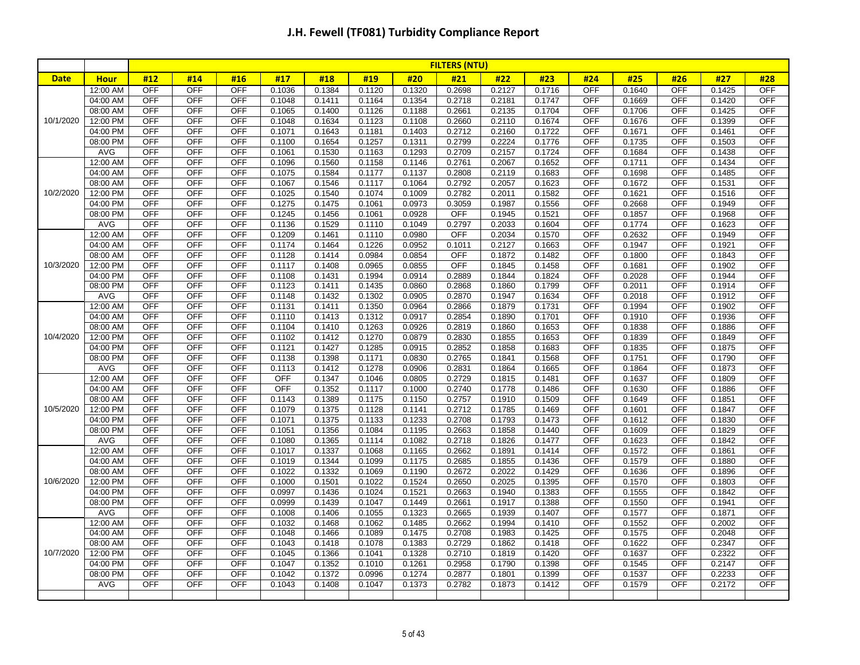|             |                      |                          |                          |                          |                  |                  |                  |                  | <b>FILTERS (NTU)</b> |                  |                  |                   |                  |                          |                  |                          |
|-------------|----------------------|--------------------------|--------------------------|--------------------------|------------------|------------------|------------------|------------------|----------------------|------------------|------------------|-------------------|------------------|--------------------------|------------------|--------------------------|
| <b>Date</b> | <b>Hour</b>          | #12                      | #14                      | #16                      | #17              | #18              | #19              | #20              | #21                  | #22              | #23              | #24               | #25              | #26                      | #27              | #28                      |
|             | 12:00 AM             | <b>OFF</b>               | <b>OFF</b>               | OFF                      | 0.1036           | 0.1384           | 0.1120           | 0.1320           | 0.2698               | 0.2127           | 0.1716           | <b>OFF</b>        | 0.1640           | <b>OFF</b>               | 0.1425           | <b>OFF</b>               |
|             | 04:00 AM             | <b>OFF</b>               | <b>OFF</b>               | <b>OFF</b>               | 0.1048           | 0.1411           | 0.1164           | 0.1354           | 0.2718               | 0.2181           | 0.1747           | <b>OFF</b>        | 0.1669           | <b>OFF</b>               | 0.1420           | <b>OFF</b>               |
|             | 08:00 AM             | <b>OFF</b>               | <b>OFF</b>               | <b>OFF</b>               | 0.1065           | 0.1400           | 0.1126           | 0.1188           | 0.2661               | 0.2135           | 0.1704           | OFF               | 0.1706           | <b>OFF</b>               | 0.1425           | <b>OFF</b>               |
| 10/1/2020   | 12:00 PM             | <b>OFF</b>               | <b>OFF</b>               | <b>OFF</b>               | 0.1048           | 0.1634           | 0.1123           | 0.1108           | 0.2660               | 0.2110           | 0.1674           | <b>OFF</b>        | 0.1676           | <b>OFF</b>               | 0.1399           | <b>OFF</b>               |
|             | 04:00 PM             | <b>OFF</b>               | <b>OFF</b>               | <b>OFF</b>               | 0.1071           | 0.1643           | 0.1181           | 0.1403           | 0.2712               | 0.2160           | 0.1722           | <b>OFF</b>        | 0.1671           | <b>OFF</b>               | 0.1461           | <b>OFF</b>               |
|             | 08:00 PM             | OFF                      | OFF                      | <b>OFF</b>               | 0.1100           | 0.1654           | 0.1257           | 0.1311           | 0.2799               | 0.2224           | 0.1776           | <b>OFF</b>        | 0.1735           | <b>OFF</b>               | 0.1503           | <b>OFF</b>               |
|             | <b>AVG</b>           | <b>OFF</b>               | <b>OFF</b>               | <b>OFF</b>               | 0.1061           | 0.1530           | 0.1163           | 0.1293           | 0.2709               | 0.2157           | 0.1724           | <b>OFF</b>        | 0.1684           | <b>OFF</b>               | 0.1438           | <b>OFF</b>               |
|             | 12:00 AM             | <b>OFF</b>               | <b>OFF</b>               | <b>OFF</b>               | 0.1096           | 0.1560           | 0.1158           | 0.1146           | 0.2761               | 0.2067           | 0.1652           | OFF               | 0.1711           | <b>OFF</b>               | 0.1434           | <b>OFF</b>               |
|             | 04:00 AM             | <b>OFF</b>               | OFF                      | <b>OFF</b>               | 0.1075           | 0.1584           | 0.1177           | 0.1137           | 0.2808               | 0.2119           | 0.1683           | <b>OFF</b>        | 0.1698           | <b>OFF</b>               | 0.1485           | <b>OFF</b>               |
|             | 08:00 AM             | <b>OFF</b>               | OFF                      | <b>OFF</b>               | 0.1067           | 0.1546           | 0.1117           | 0.1064           | 0.2792               | 0.2057           | 0.1623           | <b>OFF</b>        | 0.1672           | <b>OFF</b>               | 0.1531           | <b>OFF</b>               |
| 10/2/2020   | 12:00 PM             | <b>OFF</b>               | <b>OFF</b>               | OFF                      | 0.1025           | 0.1540           | 0.1074           | 0.1009           | 0.2782               | 0.2011           | 0.1582           | OFF               | 0.1621           | <b>OFF</b>               | 0.1516           | <b>OFF</b>               |
|             | 04:00 PM             | <b>OFF</b>               | <b>OFF</b>               | OFF                      | 0.1275           | 0.1475           | 0.1061           | 0.0973           | 0.3059               | 0.1987           | 0.1556           | <b>OFF</b>        | 0.2668           | OFF                      | 0.1949           | <b>OFF</b>               |
|             | 08:00 PM             | <b>OFF</b>               | <b>OFF</b>               | <b>OFF</b>               | 0.1245           | 0.1456           | 0.1061           | 0.0928           | OFF                  | 0.1945           | 0.1521           | <b>OFF</b>        | 0.1857           | <b>OFF</b>               | 0.1968           | <b>OFF</b>               |
|             | <b>AVG</b>           | <b>OFF</b>               | <b>OFF</b>               | OFF                      | 0.1136           | 0.1529           | 0.1110           | 0.1049           | 0.2797               | 0.2033           | 0.1604           | OFF               | 0.1774           | <b>OFF</b>               | 0.1623           | <b>OFF</b>               |
|             | 12:00 AM             | <b>OFF</b>               | <b>OFF</b>               | OFF                      | 0.1209           | 0.1461           | 0.1110           | 0.0980           | <b>OFF</b>           | 0.2034           | 0.1570           | OFF               | 0.2632           | <b>OFF</b>               | 0.1949           | <b>OFF</b>               |
|             | 04:00 AM             | <b>OFF</b>               | <b>OFF</b>               | <b>OFF</b>               | 0.1174           | 0.1464           | 0.1226           | 0.0952           | 0.1011               | 0.2127           | 0.1663           | <b>OFF</b>        | 0.1947           | <b>OFF</b>               | 0.1921           | <b>OFF</b>               |
|             | 08:00 AM             | <b>OFF</b>               | <b>OFF</b>               | <b>OFF</b>               | 0.1128           | 0.1414           | 0.0984           | 0.0854           | <b>OFF</b>           | 0.1872           | 0.1482           | <b>OFF</b>        | 0.1800           | <b>OFF</b>               | 0.1843           | OFF                      |
| 10/3/2020   | 12:00 PM             | <b>OFF</b>               | <b>OFF</b>               | <b>OFF</b>               | 0.1117           | 0.1408           | 0.0965           | 0.0855           | <b>OFF</b>           | 0.1845           | 0.1458           | <b>OFF</b>        | 0.1681           | <b>OFF</b>               | 0.1902           | <b>OFF</b>               |
|             | 04:00 PM             | <b>OFF</b>               | <b>OFF</b>               | OFF                      | 0.1108           | 0.1431           | 0.1994           | 0.0914           | 0.2889               | 0.1844           | 0.1824           | OFF               | 0.2028           | <b>OFF</b>               | 0.1944           | <b>OFF</b>               |
|             | 08:00 PM             | <b>OFF</b><br><b>OFF</b> | <b>OFF</b><br>OFF        | <b>OFF</b>               | 0.1123           | 0.1411           | 0.1435           | 0.0860           | 0.2868               | 0.1860           | 0.1799           | <b>OFF</b>        | 0.2011           | OFF                      | 0.1914           | <b>OFF</b><br><b>OFF</b> |
|             | <b>AVG</b>           |                          |                          | <b>OFF</b>               | 0.1148           | 0.1432           | 0.1302           | 0.0905           | 0.2870               | 0.1947           | 0.1634           | <b>OFF</b>        | 0.2018           | <b>OFF</b>               | 0.1912           | <b>OFF</b>               |
|             | 12:00 AM<br>04:00 AM | <b>OFF</b><br><b>OFF</b> | <b>OFF</b><br><b>OFF</b> | <b>OFF</b><br><b>OFF</b> | 0.1131           | 0.1411           | 0.1350<br>0.1312 | 0.0964<br>0.0917 | 0.2866               | 0.1879           | 0.1731           | OFF<br><b>OFF</b> | 0.1994<br>0.1910 | <b>OFF</b><br><b>OFF</b> | 0.1902           | <b>OFF</b>               |
|             | 08:00 AM             | <b>OFF</b>               | <b>OFF</b>               | <b>OFF</b>               | 0.1110<br>0.1104 | 0.1413<br>0.1410 | 0.1263           | 0.0926           | 0.2854<br>0.2819     | 0.1890<br>0.1860 | 0.1701<br>0.1653 | OFF               | 0.1838           | <b>OFF</b>               | 0.1936<br>0.1886 | <b>OFF</b>               |
| 10/4/2020   | 12:00 PM             | <b>OFF</b>               | OFF                      | <b>OFF</b>               | 0.1102           | 0.1412           | 0.1270           | 0.0879           | 0.2830               | 0.1855           | 0.1653           | OFF               | 0.1839           | <b>OFF</b>               | 0.1849           | <b>OFF</b>               |
|             | 04:00 PM             | <b>OFF</b>               | <b>OFF</b>               | <b>OFF</b>               | 0.1121           | 0.1427           | 0.1285           | 0.0915           | 0.2852               | 0.1858           | 0.1683           | OFF               | 0.1835           | <b>OFF</b>               | 0.1875           | <b>OFF</b>               |
|             | 08:00 PM             | <b>OFF</b>               | <b>OFF</b>               | <b>OFF</b>               | 0.1138           | 0.1398           | 0.1171           | 0.0830           | 0.2765               | 0.1841           | 0.1568           | OFF               | 0.1751           | <b>OFF</b>               | 0.1790           | <b>OFF</b>               |
|             | AVG                  | OFF                      | <b>OFF</b>               | <b>OFF</b>               | 0.1113           | 0.1412           | 0.1278           | 0.0906           | 0.2831               | 0.1864           | 0.1665           | <b>OFF</b>        | 0.1864           | <b>OFF</b>               | 0.1873           | <b>OFF</b>               |
|             | 12:00 AM             | <b>OFF</b>               | <b>OFF</b>               | <b>OFF</b>               | OFF              | 0.1347           | 0.1046           | 0.0805           | 0.2729               | 0.1815           | 0.1481           | <b>OFF</b>        | 0.1637           | <b>OFF</b>               | 0.1809           | <b>OFF</b>               |
|             | 04:00 AM             | <b>OFF</b>               | <b>OFF</b>               | <b>OFF</b>               | <b>OFF</b>       | 0.1352           | 0.1117           | 0.1000           | 0.2740               | 0.1778           | 0.1486           | OFF               | 0.1630           | <b>OFF</b>               | 0.1886           | <b>OFF</b>               |
|             | 08:00 AM             | <b>OFF</b>               | OFF                      | <b>OFF</b>               | 0.1143           | 0.1389           | 0.1175           | 0.1150           | 0.2757               | 0.1910           | 0.1509           | <b>OFF</b>        | 0.1649           | OFF                      | 0.1851           | <b>OFF</b>               |
| 10/5/2020   | 12:00 PM             | <b>OFF</b>               | <b>OFF</b>               | <b>OFF</b>               | 0.1079           | 0.1375           | 0.1128           | 0.1141           | 0.2712               | 0.1785           | 0.1469           | <b>OFF</b>        | 0.1601           | <b>OFF</b>               | 0.1847           | <b>OFF</b>               |
|             | 04:00 PM             | <b>OFF</b>               | <b>OFF</b>               | <b>OFF</b>               | 0.1071           | 0.1375           | 0.1133           | 0.1233           | 0.2708               | 0.1793           | 0.1473           | OFF               | 0.1612           | <b>OFF</b>               | 0.1830           | <b>OFF</b>               |
|             | 08:00 PM             | <b>OFF</b>               | OFF                      | <b>OFF</b>               | 0.1051           | 0.1356           | 0.1084           | 0.1195           | 0.2663               | 0.1858           | 0.1440           | OFF               | 0.1609           | OFF                      | 0.1829           | OFF                      |
|             | <b>AVG</b>           | <b>OFF</b>               | OFF                      | <b>OFF</b>               | 0.1080           | 0.1365           | 0.1114           | 0.1082           | 0.2718               | 0.1826           | 0.1477           | OFF               | 0.1623           | <b>OFF</b>               | 0.1842           | <b>OFF</b>               |
|             | 12:00 AM             | <b>OFF</b>               | <b>OFF</b>               | <b>OFF</b>               | 0.1017           | 0.1337           | 0.1068           | 0.1165           | 0.2662               | 0.1891           | 0.1414           | OFF               | 0.1572           | <b>OFF</b>               | 0.1861           | <b>OFF</b>               |
|             | 04:00 AM             | <b>OFF</b>               | <b>OFF</b>               | <b>OFF</b>               | 0.1019           | 0.1344           | 0.1099           | 0.1175           | 0.2685               | 0.1855           | 0.1436           | OFF               | 0.1579           | <b>OFF</b>               | 0.1880           | <b>OFF</b>               |
|             | 08:00 AM             | <b>OFF</b>               | <b>OFF</b>               | <b>OFF</b>               | 0.1022           | 0.1332           | 0.1069           | 0.1190           | 0.2672               | 0.2022           | 0.1429           | OFF               | 0.1636           | <b>OFF</b>               | 0.1896           | <b>OFF</b>               |
| 10/6/2020   | 12:00 PM             | <b>OFF</b>               | <b>OFF</b>               | <b>OFF</b>               | 0.1000           | 0.1501           | 0.1022           | 0.1524           | 0.2650               | 0.2025           | 0.1395           | OFF               | 0.1570           | <b>OFF</b>               | 0.1803           | <b>OFF</b>               |
|             | 04:00 PM             | <b>OFF</b>               | <b>OFF</b>               | <b>OFF</b>               | 0.0997           | 0.1436           | 0.1024           | 0.1521           | 0.2663               | 0.1940           | 0.1383           | <b>OFF</b>        | 0.1555           | <b>OFF</b>               | 0.1842           | <b>OFF</b>               |
|             | 08:00 PM             | <b>OFF</b>               | <b>OFF</b>               | <b>OFF</b>               | 0.0999           | 0.1439           | 0.1047           | 0.1449           | 0.2661               | 0.1917           | 0.1388           | <b>OFF</b>        | 0.1550           | <b>OFF</b>               | 0.1941           | <b>OFF</b>               |
|             | <b>AVG</b>           | OFF                      | OFF                      | <b>OFF</b>               | 0.1008           | 0.1406           | 0.1055           | 0.1323           | 0.2665               | 0.1939           | 0.1407           | <b>OFF</b>        | 0.1577           | <b>OFF</b>               | 0.1871           | <b>OFF</b>               |
|             | 12:00 AM             | <b>OFF</b>               | OFF                      | <b>OFF</b>               | 0.1032           | 0.1468           | 0.1062           | 0.1485           | 0.2662               | 0.1994           | 0.1410           | <b>OFF</b>        | 0.1552           | <b>OFF</b>               | 0.2002           | <b>OFF</b>               |
|             | 04:00 AM             | <b>OFF</b>               | <b>OFF</b>               | <b>OFF</b>               | 0.1048           | 0.1466           | 0.1089           | 0.1475           | 0.2708               | 0.1983           | 0.1425           | OFF               | 0.1575           | <b>OFF</b>               | 0.2048           | <b>OFF</b>               |
|             | 08:00 AM             | <b>OFF</b>               | <b>OFF</b>               | OFF                      | 0.1043           | 0.1418           | 0.1078           | 0.1383           | 0.2729               | 0.1862           | 0.1418           | <b>OFF</b>        | 0.1622           | <b>OFF</b>               | 0.2347           | <b>OFF</b>               |
| 10/7/2020   | 12:00 PM             | <b>OFF</b>               | OFF                      | <b>OFF</b>               | 0.1045           | 0.1366           | 0.1041           | 0.1328           | 0.2710               | 0.1819           | 0.1420           | <b>OFF</b>        | 0.1637           | <b>OFF</b>               | 0.2322           | <b>OFF</b>               |
|             | 04:00 PM             | <b>OFF</b>               | <b>OFF</b>               | <b>OFF</b>               | 0.1047           | 0.1352           | 0.1010           | 0.1261           | 0.2958               | 0.1790           | 0.1398           | OFF               | 0.1545           | <b>OFF</b>               | 0.2147           | <b>OFF</b>               |
|             | 08:00 PM             | <b>OFF</b>               | OFF                      | <b>OFF</b>               | 0.1042           | 0.1372           | 0.0996           | 0.1274           | 0.2877               | 0.1801           | 0.1399           | OFF               | 0.1537           | OFF                      | 0.2233           | <b>OFF</b>               |
|             | <b>AVG</b>           | <b>OFF</b>               | <b>OFF</b>               | <b>OFF</b>               | 0.1043           | 0.1408           | 0.1047           | 0.1373           | 0.2782               | 0.1873           | 0.1412           | <b>OFF</b>        | 0.1579           | <b>OFF</b>               | 0.2172           | OFF                      |
|             |                      |                          |                          |                          |                  |                  |                  |                  |                      |                  |                  |                   |                  |                          |                  |                          |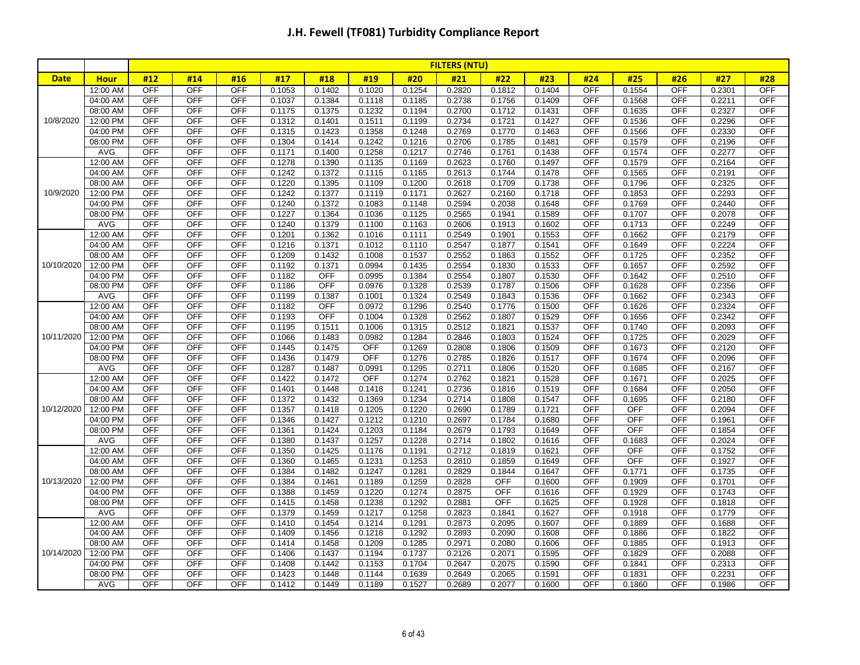|             |             |            |            |            |        |            |            |        | <b>FILTERS (NTU)</b> |            |        |            |            |            |        |            |
|-------------|-------------|------------|------------|------------|--------|------------|------------|--------|----------------------|------------|--------|------------|------------|------------|--------|------------|
| <b>Date</b> | <b>Hour</b> | #12        | #14        | #16        | #17    | #18        | #19        | #20    | #21                  | #22        | #23    | #24        | #25        | #26        | #27    | #28        |
|             | 12:00 AM    | OFF        | <b>OFF</b> | <b>OFF</b> | 0.1053 | 0.1402     | 0.1020     | 0.1254 | 0.2820               | 0.1812     | 0.1404 | <b>OFF</b> | 0.1554     | <b>OFF</b> | 0.2301 | <b>OFF</b> |
|             | 04:00 AM    | <b>OFF</b> | <b>OFF</b> | OFF        | 0.1037 | 0.1384     | 0.1118     | 0.1185 | 0.2738               | 0.1756     | 0.1409 | <b>OFF</b> | 0.1568     | <b>OFF</b> | 0.2211 | <b>OFF</b> |
|             | 08:00 AM    | OFF        | OFF        | OFF        | 0.1175 | 0.1375     | 0.1232     | 0.1194 | 0.2700               | 0.1712     | 0.1431 | <b>OFF</b> | 0.1635     | <b>OFF</b> | 0.2327 | <b>OFF</b> |
| 10/8/2020   | 12:00 PM    | OFF        | OFF        | <b>OFF</b> | 0.1312 | 0.1401     | 0.1511     | 0.1199 | 0.2734               | 0.1721     | 0.1427 | <b>OFF</b> | 0.1536     | OFF        | 0.2296 | <b>OFF</b> |
|             | 04:00 PM    | <b>OFF</b> | <b>OFF</b> | <b>OFF</b> | 0.1315 | 0.1423     | 0.1358     | 0.1248 | 0.2769               | 0.1770     | 0.1463 | OFF        | 0.1566     | <b>OFF</b> | 0.2330 | <b>OFF</b> |
|             | 08:00 PM    | <b>OFF</b> | OFF        | <b>OFF</b> | 0.1304 | 0.1414     | 0.1242     | 0.1216 | 0.2706               | 0.1785     | 0.1481 | <b>OFF</b> | 0.1579     | <b>OFF</b> | 0.2196 | <b>OFF</b> |
|             | <b>AVG</b>  | <b>OFF</b> | OFF        | <b>OFF</b> | 0.1171 | 0.1400     | 0.1258     | 0.1217 | 0.2746               | 0.1761     | 0.1438 | <b>OFF</b> | 0.1574     | OFF        | 0.2277 | OFF        |
|             | 12:00 AM    | <b>OFF</b> | <b>OFF</b> | <b>OFF</b> | 0.1278 | 0.1390     | 0.1135     | 0.1169 | 0.2623               | 0.1760     | 0.1497 | <b>OFF</b> | 0.1579     | <b>OFF</b> | 0.2164 | OFF        |
|             | 04:00 AM    | <b>OFF</b> | <b>OFF</b> | <b>OFF</b> | 0.1242 | 0.1372     | 0.1115     | 0.1165 | 0.2613               | 0.1744     | 0.1478 | <b>OFF</b> | 0.1565     | <b>OFF</b> | 0.2191 | <b>OFF</b> |
|             | 08:00 AM    | <b>OFF</b> | OFF        | <b>OFF</b> | 0.1220 | 0.1395     | 0.1109     | 0.1200 | 0.2618               | 0.1709     | 0.1738 | <b>OFF</b> | 0.1796     | <b>OFF</b> | 0.2325 | <b>OFF</b> |
| 10/9/2020   | 12:00 PM    | <b>OFF</b> | OFF        | <b>OFF</b> | 0.1242 | 0.1377     | 0.1119     | 0.1171 | 0.2627               | 0.2160     | 0.1718 | OFF        | 0.1853     | <b>OFF</b> | 0.2293 | <b>OFF</b> |
|             | 04:00 PM    | <b>OFF</b> | <b>OFF</b> | <b>OFF</b> | 0.1240 | 0.1372     | 0.1083     | 0.1148 | 0.2594               | 0.2038     | 0.1648 | OFF        | 0.1769     | <b>OFF</b> | 0.2440 | <b>OFF</b> |
|             | 08:00 PM    | <b>OFF</b> | <b>OFF</b> | <b>OFF</b> | 0.1227 | 0.1364     | 0.1036     | 0.1125 | 0.2565               | 0.1941     | 0.1589 | OFF        | 0.1707     | <b>OFF</b> | 0.2078 | <b>OFF</b> |
|             | AVG         | <b>OFF</b> | <b>OFF</b> | OFF        | 0.1240 | 0.1379     | 0.1100     | 0.1163 | 0.2606               | 0.1913     | 0.1602 | <b>OFF</b> | 0.1713     | <b>OFF</b> | 0.2249 | <b>OFF</b> |
|             | 12:00 AM    | <b>OFF</b> | <b>OFF</b> | <b>OFF</b> | 0.1201 | 0.1362     | 0.1016     | 0.1111 | 0.2549               | 0.1901     | 0.1553 | OFF        | 0.1662     | <b>OFF</b> | 0.2179 | <b>OFF</b> |
|             | 04:00 AM    | <b>OFF</b> | <b>OFF</b> | <b>OFF</b> | 0.1216 | 0.1371     | 0.1012     | 0.1110 | 0.2547               | 0.1877     | 0.1541 | OFF        | 0.1649     | <b>OFF</b> | 0.2224 | <b>OFF</b> |
|             | 08:00 AM    | <b>OFF</b> | OFF        | <b>OFF</b> | 0.1209 | 0.1432     | 0.1008     | 0.1537 | 0.2552               | 0.1863     | 0.1552 | OFF        | 0.1725     | <b>OFF</b> | 0.2352 | OFF        |
| 10/10/2020  | 12:00 PM    | <b>OFF</b> | <b>OFF</b> | <b>OFF</b> | 0.1192 | 0.1371     | 0.0994     | 0.1435 | 0.2554               | 0.1830     | 0.1533 | <b>OFF</b> | 0.1657     | <b>OFF</b> | 0.2592 | <b>OFF</b> |
|             | 04:00 PM    | <b>OFF</b> | <b>OFF</b> | OFF        | 0.1182 | <b>OFF</b> | 0.0995     | 0.1384 | 0.2554               | 0.1807     | 0.1530 | OFF        | 0.1642     | <b>OFF</b> | 0.2510 | <b>OFF</b> |
|             | 08:00 PM    | <b>OFF</b> | <b>OFF</b> | <b>OFF</b> | 0.1186 | <b>OFF</b> | 0.0976     | 0.1328 | 0.2539               | 0.1787     | 0.1506 | OFF        | 0.1628     | <b>OFF</b> | 0.2356 | <b>OFF</b> |
|             | <b>AVG</b>  | OFF        | <b>OFF</b> | <b>OFF</b> | 0.1199 | 0.1387     | 0.1001     | 0.1324 | 0.2549               | 0.1843     | 0.1536 | <b>OFF</b> | 0.1662     | <b>OFF</b> | 0.2343 | OFF        |
|             | 12:00 AM    | <b>OFF</b> | <b>OFF</b> | OFF        | 0.1182 | <b>OFF</b> | 0.0972     | 0.1296 | 0.2540               | 0.1776     | 0.1500 | OFF        | 0.1626     | <b>OFF</b> | 0.2324 | <b>OFF</b> |
|             | 04:00 AM    | <b>OFF</b> | <b>OFF</b> | <b>OFF</b> | 0.1193 | <b>OFF</b> | 0.1004     | 0.1328 | 0.2562               | 0.1807     | 0.1529 | <b>OFF</b> | 0.1656     | <b>OFF</b> | 0.2342 | <b>OFF</b> |
|             | 08:00 AM    | <b>OFF</b> | <b>OFF</b> | <b>OFF</b> | 0.1195 | 0.1511     | 0.1006     | 0.1315 | 0.2512               | 0.1821     | 0.1537 | OFF        | 0.1740     | <b>OFF</b> | 0.2093 | <b>OFF</b> |
| 10/11/2020  | 12:00 PM    | <b>OFF</b> | <b>OFF</b> | <b>OFF</b> | 0.1066 | 0.1483     | 0.0982     | 0.1284 | 0.2846               | 0.1803     | 0.1524 | OFF        | 0.1725     | <b>OFF</b> | 0.2029 | <b>OFF</b> |
|             | 04:00 PM    | <b>OFF</b> | <b>OFF</b> | <b>OFF</b> | 0.1445 | 0.1475     | <b>OFF</b> | 0.1269 | 0.2808               | 0.1806     | 0.1509 | OFF        | 0.1673     | <b>OFF</b> | 0.2120 | OFF        |
|             | 08:00 PM    | <b>OFF</b> | OFF        | <b>OFF</b> | 0.1436 | 0.1479     | OFF        | 0.1276 | 0.2785               | 0.1826     | 0.1517 | <b>OFF</b> | 0.1674     | <b>OFF</b> | 0.2096 | <b>OFF</b> |
|             | AVG         | <b>OFF</b> | <b>OFF</b> | <b>OFF</b> | 0.1287 | 0.1487     | 0.0991     | 0.1295 | 0.2711               | 0.1806     | 0.1520 | OFF        | 0.1685     | <b>OFF</b> | 0.2167 | <b>OFF</b> |
|             | 12:00 AM    | <b>OFF</b> | OFF        | OFF        | 0.1422 | 0.1472     | OFF        | 0.1274 | 0.2762               | 0.1821     | 0.1528 | OFF        | 0.1671     | OFF        | 0.2025 | <b>OFF</b> |
|             | 04:00 AM    | <b>OFF</b> | <b>OFF</b> | <b>OFF</b> | 0.1401 | 0.1448     | 0.1418     | 0.1241 | 0.2736               | 0.1816     | 0.1519 | <b>OFF</b> | 0.1684     | <b>OFF</b> | 0.2050 | <b>OFF</b> |
|             | 08:00 AM    | <b>OFF</b> | OFF        | <b>OFF</b> | 0.1372 | 0.1432     | 0.1369     | 0.1234 | 0.2714               | 0.1808     | 0.1547 | OFF        | 0.1695     | <b>OFF</b> | 0.2180 | OFF        |
| 10/12/2020  | 12:00 PM    | <b>OFF</b> | OFF        | <b>OFF</b> | 0.1357 | 0.1418     | 0.1205     | 0.1220 | 0.2690               | 0.1789     | 0.1721 | <b>OFF</b> | <b>OFF</b> | <b>OFF</b> | 0.2094 | <b>OFF</b> |
|             | 04:00 PM    | <b>OFF</b> | OFF        | <b>OFF</b> | 0.1346 | 0.1427     | 0.1212     | 0.1210 | 0.2697               | 0.1784     | 0.1680 | OFF        | OFF        | OFF        | 0.1961 | <b>OFF</b> |
|             | 08:00 PM    | <b>OFF</b> | <b>OFF</b> | <b>OFF</b> | 0.1361 | 0.1424     | 0.1203     | 0.1184 | 0.2679               | 0.1793     | 0.1649 | <b>OFF</b> | OFF        | <b>OFF</b> | 0.1854 | <b>OFF</b> |
|             | <b>AVG</b>  | <b>OFF</b> | <b>OFF</b> | <b>OFF</b> | 0.1380 | 0.1437     | 0.1257     | 0.1228 | 0.2714               | 0.1802     | 0.1616 | <b>OFF</b> | 0.1683     | <b>OFF</b> | 0.2024 | <b>OFF</b> |
|             | 12:00 AM    | <b>OFF</b> | <b>OFF</b> | <b>OFF</b> | 0.1350 | 0.1425     | 0.1176     | 0.1191 | 0.2712               | 0.1819     | 0.1621 | <b>OFF</b> | <b>OFF</b> | <b>OFF</b> | 0.1752 | OFF        |
|             | 04:00 AM    | OFF        | <b>OFF</b> | <b>OFF</b> | 0.1360 | 0.1465     | 0.1231     | 0.1253 | 0.2810               | 0.1859     | 0.1649 | <b>OFF</b> | <b>OFF</b> | <b>OFF</b> | 0.1927 | <b>OFF</b> |
|             | 08:00 AM    | <b>OFF</b> | <b>OFF</b> | OFF        | 0.1384 | 0.1482     | 0.1247     | 0.1281 | 0.2829               | 0.1844     | 0.1647 | <b>OFF</b> | 0.1771     | <b>OFF</b> | 0.1735 | <b>OFF</b> |
| 10/13/2020  | 12:00 PM    | <b>OFF</b> | <b>OFF</b> | <b>OFF</b> | 0.1384 | 0.1461     | 0.1189     | 0.1259 | 0.2828               | <b>OFF</b> | 0.1600 | <b>OFF</b> | 0.1909     | <b>OFF</b> | 0.1701 | <b>OFF</b> |
|             | 04:00 PM    | <b>OFF</b> | <b>OFF</b> | <b>OFF</b> | 0.1388 | 0.1459     | 0.1220     | 0.1274 | 0.2875               | <b>OFF</b> | 0.1616 | <b>OFF</b> | 0.1929     | <b>OFF</b> | 0.1743 | <b>OFF</b> |
|             | 08:00 PM    | OFF        | OFF        | <b>OFF</b> | 0.1415 | 0.1458     | 0.1238     | 0.1292 | 0.2881               | <b>OFF</b> | 0.1625 | <b>OFF</b> | 0.1928     | <b>OFF</b> | 0.1818 | <b>OFF</b> |
|             | AVG         | <b>OFF</b> | OFF        | <b>OFF</b> | 0.1379 | 0.1459     | 0.1217     | 0.1258 | 0.2823               | 0.1841     | 0.1627 | <b>OFF</b> | 0.1918     | OFF        | 0.1779 | <b>OFF</b> |
|             | 12:00 AM    | <b>OFF</b> | <b>OFF</b> | <b>OFF</b> | 0.1410 | 0.1454     | 0.1214     | 0.1291 | 0.2873               | 0.2095     | 0.1607 | OFF        | 0.1889     | <b>OFF</b> | 0.1688 | <b>OFF</b> |
|             | 04:00 AM    | <b>OFF</b> | <b>OFF</b> | <b>OFF</b> | 0.1409 | 0.1456     | 0.1218     | 0.1292 | 0.2893               | 0.2090     | 0.1608 | <b>OFF</b> | 0.1886     | <b>OFF</b> | 0.1822 | <b>OFF</b> |
|             | 08:00 AM    | <b>OFF</b> | <b>OFF</b> | <b>OFF</b> | 0.1414 | 0.1458     | 0.1209     | 0.1285 | 0.2971               | 0.2080     | 0.1606 | OFF        | 0.1885     | <b>OFF</b> | 0.1913 | OFF        |
| 10/14/2020  | 12:00 PM    | OFF        | <b>OFF</b> | <b>OFF</b> | 0.1406 | 0.1437     | 0.1194     | 0.1737 | 0.2126               | 0.2071     | 0.1595 | <b>OFF</b> | 0.1829     | <b>OFF</b> | 0.2088 | <b>OFF</b> |
|             | 04:00 PM    | OFF        | OFF        | <b>OFF</b> | 0.1408 | 0.1442     | 0.1153     | 0.1704 | 0.2647               | 0.2075     | 0.1590 | <b>OFF</b> | 0.1841     | OFF        | 0.2313 | <b>OFF</b> |
|             | 08:00 PM    | <b>OFF</b> | <b>OFF</b> | <b>OFF</b> | 0.1423 | 0.1448     | 0.1144     | 0.1639 | 0.2649               | 0.2065     | 0.1591 | <b>OFF</b> | 0.1831     | <b>OFF</b> | 0.2231 | <b>OFF</b> |
|             | AVG         | <b>OFF</b> | <b>OFF</b> | <b>OFF</b> | 0.1412 | 0.1449     | 0.1189     | 0.1527 | 0.2689               | 0.2077     | 0.1600 | <b>OFF</b> | 0.1860     | <b>OFF</b> | 0.1986 | <b>OFF</b> |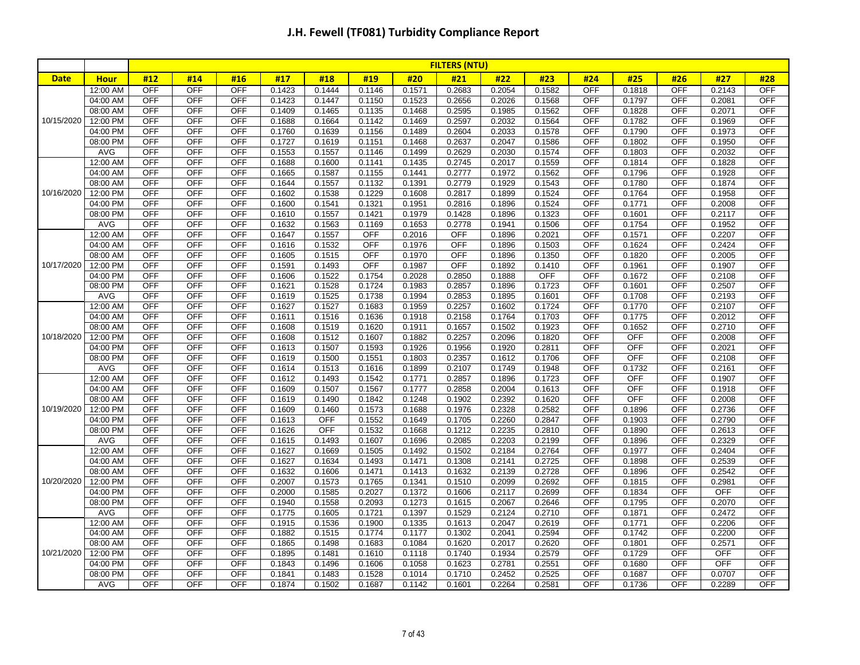|             |                      |                   |                          |                          |                  |                  |                  |                  | <b>FILTERS (NTU)</b> |                  |                  |            |                  |                          |                  |                          |
|-------------|----------------------|-------------------|--------------------------|--------------------------|------------------|------------------|------------------|------------------|----------------------|------------------|------------------|------------|------------------|--------------------------|------------------|--------------------------|
| <b>Date</b> | <b>Hour</b>          | #12               | #14                      | #16                      | #17              | #18              | #19              | #20              | #21                  | #22              | #23              | #24        | #25              | #26                      | #27              | #28                      |
|             | 12:00 AM             | <b>OFF</b>        | <b>OFF</b>               | <b>OFF</b>               | 0.1423           | 0.1444           | 0.1146           | 0.1571           | 0.2683               | 0.2054           | 0.1582           | <b>OFF</b> | 0.1818           | <b>OFF</b>               | 0.2143           | <b>OFF</b>               |
|             | 04:00 AM             | OFF               | <b>OFF</b>               | <b>OFF</b>               | 0.1423           | 0.1447           | 0.1150           | 0.1523           | 0.2656               | 0.2026           | 0.1568           | <b>OFF</b> | 0.1797           | <b>OFF</b>               | 0.2081           | <b>OFF</b>               |
|             | 08:00 AM             | <b>OFF</b>        | <b>OFF</b>               | OFF                      | 0.1409           | 0.1465           | 0.1135           | 0.1468           | 0.2595               | 0.1985           | 0.1562           | <b>OFF</b> | 0.1828           | <b>OFF</b>               | 0.2071           | OFF                      |
| 10/15/2020  | 12:00 PM             | <b>OFF</b>        | <b>OFF</b>               | <b>OFF</b>               | 0.1688           | 0.1664           | 0.1142           | 0.1469           | 0.2597               | 0.2032           | 0.1564           | <b>OFF</b> | 0.1782           | <b>OFF</b>               | 0.1969           | OFF                      |
|             | 04:00 PM             | OFF               | <b>OFF</b>               | OFF                      | 0.1760           | 0.1639           | 0.1156           | 0.1489           | 0.2604               | 0.2033           | 0.1578           | <b>OFF</b> | 0.1790           | <b>OFF</b>               | 0.1973           | <b>OFF</b>               |
|             | 08:00 PM             | <b>OFF</b>        | <b>OFF</b>               | <b>OFF</b>               | 0.1727           | 0.1619           | 0.1151           | 0.1468           | 0.2637               | 0.2047           | 0.1586           | OFF        | 0.1802           | <b>OFF</b>               | 0.1950           | <b>OFF</b>               |
|             | <b>AVG</b>           | <b>OFF</b>        | <b>OFF</b>               | <b>OFF</b>               | 0.1553           | 0.1557           | 0.1146           | 0.1499           | 0.2629               | 0.2030           | 0.1574           | <b>OFF</b> | 0.1803           | <b>OFF</b>               | 0.2032           | <b>OFF</b>               |
|             | 12:00 AM             | <b>OFF</b>        | <b>OFF</b>               | <b>OFF</b>               | 0.1688           | 0.1600           | 0.1141           | 0.1435           | 0.2745               | 0.2017           | 0.1559           | <b>OFF</b> | 0.1814           | <b>OFF</b>               | 0.1828           | OFF                      |
|             | 04:00 AM             | <b>OFF</b>        | <b>OFF</b>               | <b>OFF</b>               | 0.1665           | 0.1587           | 0.1155           | 0.1441           | 0.2777               | 0.1972           | 0.1562           | <b>OFF</b> | 0.1796           | <b>OFF</b>               | 0.1928           | <b>OFF</b>               |
|             | 08:00 AM             | <b>OFF</b>        | <b>OFF</b>               | <b>OFF</b>               | 0.1644           | 0.1557           | 0.1132           | 0.1391           | 0.2779               | 0.1929           | 0.1543           | OFF        | 0.1780           | <b>OFF</b>               | 0.1874           | <b>OFF</b>               |
| 10/16/2020  | 12:00 PM             | <b>OFF</b>        | <b>OFF</b>               | OFF                      | 0.1602           | 0.1538           | 0.1229           | 0.1608           | 0.2817               | 0.1899           | 0.1524           | <b>OFF</b> | 0.1764           | <b>OFF</b>               | 0.1958           | OFF                      |
|             | 04:00 PM             | <b>OFF</b>        | <b>OFF</b>               | <b>OFF</b>               | 0.1600           | 0.1541           | 0.1321           | 0.1951           | 0.2816               | 0.1896           | 0.1524           | <b>OFF</b> | 0.1771           | <b>OFF</b>               | 0.2008           | <b>OFF</b>               |
|             | 08:00 PM             | <b>OFF</b>        | OFF                      | <b>OFF</b>               | 0.1610           | 0.1557           | 0.1421           | 0.1979           | 0.1428               | 0.1896           | 0.1323           | <b>OFF</b> | 0.1601           | <b>OFF</b>               | 0.2117           | <b>OFF</b>               |
|             | AVG                  | <b>OFF</b>        | <b>OFF</b>               | OFF                      | 0.1632           | 0.1563           | 0.1169           | 0.1653           | 0.2778               | 0.1941           | 0.1506           | <b>OFF</b> | 0.1754           | <b>OFF</b>               | 0.1952           | <b>OFF</b>               |
|             | 12:00 AM             | <b>OFF</b>        | <b>OFF</b>               | OFF                      | 0.1647           | 0.1557           | OFF              | 0.2016           | <b>OFF</b>           | 0.1896           | 0.2021           | <b>OFF</b> | 0.1571           | <b>OFF</b>               | 0.2207           | OFF                      |
|             | 04:00 AM             | <b>OFF</b>        | <b>OFF</b>               | <b>OFF</b>               | 0.1616           | 0.1532           | <b>OFF</b>       | 0.1976           | <b>OFF</b>           | 0.1896           | 0.1503           | <b>OFF</b> | 0.1624           | <b>OFF</b>               | 0.2424           | <b>OFF</b>               |
|             | 08:00 AM             | OFF               | <b>OFF</b>               | <b>OFF</b>               | 0.1605           | 0.1515           | <b>OFF</b>       | 0.1970           | <b>OFF</b>           | 0.1896           | 0.1350           | <b>OFF</b> | 0.1820           | <b>OFF</b>               | 0.2005           | <b>OFF</b>               |
| 10/17/2020  | 12:00 PM             | <b>OFF</b>        | <b>OFF</b>               | <b>OFF</b>               | 0.1591           | 0.1493           | OFF              | 0.1987           | <b>OFF</b>           | 0.1892           | 0.1410           | OFF        | 0.1961           | <b>OFF</b>               | 0.1907           | <b>OFF</b>               |
|             | 04:00 PM             | <b>OFF</b>        | <b>OFF</b>               | OFF                      | 0.1606           | 0.1522           | 0.1754           | 0.2028           | 0.2850               | 0.1888           | <b>OFF</b>       | <b>OFF</b> | 0.1672           | <b>OFF</b>               | 0.2108           | <b>OFF</b>               |
|             | 08:00 PM             | <b>OFF</b>        | <b>OFF</b>               | OFF                      | 0.1621           | 0.1528           | 0.1724           | 0.1983           | 0.2857               | 0.1896           | 0.1723           | <b>OFF</b> | 0.1601           | <b>OFF</b>               | 0.2507           | OFF                      |
|             | AVG                  | <b>OFF</b>        | <b>OFF</b>               | OFF                      | 0.1619           | 0.1525           | 0.1738           | 0.1994           | 0.2853               | 0.1895           | 0.1601           | OFF        | 0.1708           | <b>OFF</b>               | 0.2193           | <b>OFF</b>               |
|             | 12:00 AM             | <b>OFF</b>        | <b>OFF</b>               | <b>OFF</b>               | 0.1627           | 0.1527           | 0.1683           | 0.1959           | 0.2257               | 0.1602           | 0.1724           | <b>OFF</b> | 0.1770           | <b>OFF</b>               | 0.2107           | OFF                      |
|             | 04:00 AM             | <b>OFF</b>        | <b>OFF</b>               | <b>OFF</b>               | 0.1611           | 0.1516           | 0.1636           | 0.1918           | 0.2158               | 0.1764           | 0.1703           | <b>OFF</b> | 0.1775           | <b>OFF</b>               | 0.2012           | <b>OFF</b>               |
|             | 08:00 AM             | <b>OFF</b>        | <b>OFF</b>               | OFF                      | 0.1608           | 0.1519           | 0.1620           | 0.1911           | 0.1657               | 0.1502           | 0.1923           | <b>OFF</b> | 0.1652           | <b>OFF</b>               | 0.2710           | OFF                      |
| 10/18/2020  | 12:00 PM             | OFF               | OFF                      | <b>OFF</b>               | 0.1608           | 0.1512           | 0.1607           | 0.1882           | 0.2257               | 0.2096           | 0.1820           | <b>OFF</b> | <b>OFF</b>       | OFF                      | 0.2008           | OFF                      |
|             | 04:00 PM             | <b>OFF</b>        | <b>OFF</b>               | <b>OFF</b>               | 0.1613           | 0.1507           | 0.1593           | 0.1926           | 0.1956               | 0.1920           | 0.2811           | OFF        | <b>OFF</b>       | <b>OFF</b>               | 0.2021           | <b>OFF</b>               |
|             | 08:00 PM             | <b>OFF</b>        | <b>OFF</b>               | <b>OFF</b>               | 0.1619           | 0.1500           | 0.1551           | 0.1803           | 0.2357               | 0.1612           | 0.1706           | <b>OFF</b> | <b>OFF</b>       | <b>OFF</b>               | 0.2108           | <b>OFF</b>               |
|             | <b>AVG</b>           | OFF               | OFF                      | OFF                      | 0.1614           | 0.1513           | 0.1616           | 0.1899           | 0.2107               | 0.1749           | 0.1948           | <b>OFF</b> | 0.1732           | <b>OFF</b>               | 0.2161           | OFF                      |
|             | 12:00 AM             | OFF               | OFF                      | <b>OFF</b>               | 0.1612           | 0.1493           | 0.1542           | 0.1771           | 0.2857               | 0.1896           | 0.1723           | OFF        | OFF              | OFF                      | 0.1907           | <b>OFF</b>               |
|             | 04:00 AM             | <b>OFF</b>        | <b>OFF</b>               | OFF                      | 0.1609           | 0.1507           | 0.1567           | 0.1777           | 0.2858               | 0.2004           | 0.1613           | <b>OFF</b> | <b>OFF</b>       | <b>OFF</b>               | 0.1918           | <b>OFF</b>               |
|             | 08:00 AM             | <b>OFF</b>        | <b>OFF</b>               | <b>OFF</b>               | 0.1619           | 0.1490           | 0.1842           | 0.1248           | 0.1902               | 0.2392           | 0.1620           | OFF        | OFF              | <b>OFF</b>               | 0.2008           | OFF                      |
| 10/19/2020  | 12:00 PM             | <b>OFF</b>        | <b>OFF</b>               | OFF                      | 0.1609           | 0.1460           | 0.1573           | 0.1688           | 0.1976               | 0.2328           | 0.2582           | OFF        | 0.1896           | <b>OFF</b>               | 0.2736           | <b>OFF</b>               |
|             | 04:00 PM             | <b>OFF</b>        | OFF                      | OFF                      | 0.1613           | OFF              | 0.1552           | 0.1649           | 0.1705               | 0.2260           | 0.2847           | OFF        | 0.1903           | OFF                      | 0.2790           | <b>OFF</b>               |
|             | 08:00 PM             | <b>OFF</b><br>OFF | <b>OFF</b><br><b>OFF</b> | <b>OFF</b><br><b>OFF</b> | 0.1626           | <b>OFF</b>       | 0.1532           | 0.1668           | 0.1212               | 0.2235           | 0.2810           | OFF<br>OFF | 0.1890           | <b>OFF</b><br><b>OFF</b> | 0.2613<br>0.2329 | <b>OFF</b><br><b>OFF</b> |
|             | AVG                  | <b>OFF</b>        | <b>OFF</b>               | OFF                      | 0.1615           | 0.1493           | 0.1607           | 0.1696           | 0.2085               | 0.2203           | 0.2199           | <b>OFF</b> | 0.1896           | <b>OFF</b>               |                  | <b>OFF</b>               |
|             | 12:00 AM<br>04:00 AM | <b>OFF</b>        | <b>OFF</b>               | <b>OFF</b>               | 0.1627<br>0.1627 | 0.1669<br>0.1634 | 0.1505<br>0.1493 | 0.1492<br>0.1471 | 0.1502               | 0.2184<br>0.2141 | 0.2764<br>0.2725 | <b>OFF</b> | 0.1977<br>0.1898 | <b>OFF</b>               | 0.2404<br>0.2539 | OFF                      |
|             | 08:00 AM             | <b>OFF</b>        | <b>OFF</b>               | <b>OFF</b>               | 0.1632           |                  | 0.1471           | 0.1413           | 0.1308<br>0.1632     | 0.2139           | 0.2728           | <b>OFF</b> | 0.1896           | <b>OFF</b>               | 0.2542           | OFF                      |
| 10/20/2020  | 12:00 PM             | OFF               | <b>OFF</b>               | <b>OFF</b>               | 0.2007           | 0.1606<br>0.1573 | 0.1765           | 0.1341           | 0.1510               | 0.2099           | 0.2692           | OFF        | 0.1815           | <b>OFF</b>               | 0.2981           | <b>OFF</b>               |
|             | 04:00 PM             | <b>OFF</b>        | <b>OFF</b>               | OFF                      | 0.2000           | 0.1585           | 0.2027           | 0.1372           | 0.1606               | 0.2117           | 0.2699           | OFF        | 0.1834           | <b>OFF</b>               | OFF              | <b>OFF</b>               |
|             | 08:00 PM             | <b>OFF</b>        | OFF                      | <b>OFF</b>               | 0.1940           | 0.1558           | 0.2093           | 0.1273           | 0.1615               | 0.2067           | 0.2646           | OFF        | 0.1795           | OFF                      | 0.2070           | OFF                      |
|             | <b>AVG</b>           | <b>OFF</b>        | <b>OFF</b>               | <b>OFF</b>               | 0.1775           | 0.1605           | 0.1721           | 0.1397           | 0.1529               | 0.2124           | 0.2710           | <b>OFF</b> | 0.1871           | <b>OFF</b>               | 0.2472           | <b>OFF</b>               |
|             | 12:00 AM             | <b>OFF</b>        | <b>OFF</b>               | <b>OFF</b>               | 0.1915           | 0.1536           | 0.1900           | 0.1335           | 0.1613               | 0.2047           | 0.2619           | <b>OFF</b> | 0.1771           | <b>OFF</b>               | 0.2206           | <b>OFF</b>               |
|             |                      | OFF               | <b>OFF</b>               | OFF                      |                  |                  |                  |                  |                      |                  |                  | OFF        | 0.1742           | <b>OFF</b>               |                  | OFF                      |
|             | 04:00 AM<br>08:00 AM | <b>OFF</b>        | <b>OFF</b>               | OFF                      | 0.1882           | 0.1515           | 0.1774<br>0.1683 | 0.1177<br>0.1084 | 0.1302               | 0.2041           | 0.2594<br>0.2620 | <b>OFF</b> | 0.1801           | <b>OFF</b>               | 0.2200<br>0.2571 | OFF                      |
| 10/21/2020  | 12:00 PM             | <b>OFF</b>        | <b>OFF</b>               | <b>OFF</b>               | 0.1865<br>0.1895 | 0.1498<br>0.1481 | 0.1610           | 0.1118           | 0.1620<br>0.1740     | 0.2017<br>0.1934 | 0.2579           | <b>OFF</b> | 0.1729           | <b>OFF</b>               | <b>OFF</b>       | <b>OFF</b>               |
|             | 04:00 PM             | <b>OFF</b>        | <b>OFF</b>               | <b>OFF</b>               | 0.1843           | 0.1496           | 0.1606           | 0.1058           | 0.1623               | 0.2781           | 0.2551           | <b>OFF</b> | 0.1680           | <b>OFF</b>               | <b>OFF</b>       | <b>OFF</b>               |
|             | 08:00 PM             | <b>OFF</b>        | OFF                      | <b>OFF</b>               | 0.1841           | 0.1483           | 0.1528           | 0.1014           | 0.1710               | 0.2452           | 0.2525           | OFF        | 0.1687           | <b>OFF</b>               | 0.0707           | <b>OFF</b>               |
|             | AVG                  | <b>OFF</b>        | <b>OFF</b>               | <b>OFF</b>               | 0.1874           | 0.1502           | 0.1687           | 0.1142           |                      | 0.2264           | 0.2581           | OFF        |                  | OFF                      | 0.2289           | OFF                      |
|             |                      |                   |                          |                          |                  |                  |                  |                  | 0.1601               |                  |                  |            | 0.1736           |                          |                  |                          |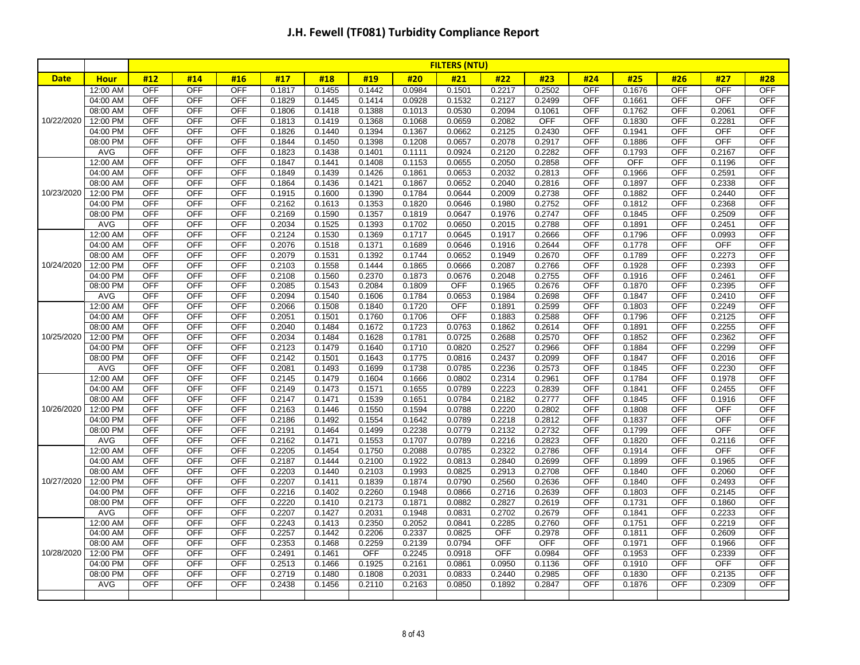|             |                      |                          |                          |                          |                  |                  |                  |                  | <b>FILTERS (NTU)</b> |                  |                  |                   |                  |            |                      |                   |
|-------------|----------------------|--------------------------|--------------------------|--------------------------|------------------|------------------|------------------|------------------|----------------------|------------------|------------------|-------------------|------------------|------------|----------------------|-------------------|
| <b>Date</b> | <b>Hour</b>          | #12                      | #14                      | #16                      | #17              | #18              | #19              | #20              | #21                  | #22              | #23              | #24               | #25              | #26        | #27                  | #28               |
|             | 12:00 AM             | <b>OFF</b>               | <b>OFF</b>               | <b>OFF</b>               | 0.1817           | 0.1455           | 0.1442           | 0.0984           | 0.1501               | 0.2217           | 0.2502           | OFF               | 0.1676           | <b>OFF</b> | <b>OFF</b>           | <b>OFF</b>        |
|             | 04:00 AM             | <b>OFF</b>               | <b>OFF</b>               | <b>OFF</b>               | 0.1829           | 0.1445           | 0.1414           | 0.0928           | 0.1532               | 0.2127           | 0.2499           | <b>OFF</b>        | 0.1661           | <b>OFF</b> | <b>OFF</b>           | <b>OFF</b>        |
|             | 08:00 AM             | <b>OFF</b>               | OFF                      | <b>OFF</b>               | 0.1806           | 0.1418           | 0.1388           | 0.1013           | 0.0530               | 0.2094           | 0.1061           | OFF               | 0.1762           | <b>OFF</b> | 0.2061               | <b>OFF</b>        |
| 10/22/2020  | 12:00 PM             | <b>OFF</b>               | <b>OFF</b>               | <b>OFF</b>               | 0.1813           | 0.1419           | 0.1368           | 0.1068           | 0.0659               | 0.2082           | <b>OFF</b>       | <b>OFF</b>        | 0.1830           | OFF        | 0.2281               | <b>OFF</b>        |
|             | 04:00 PM             | <b>OFF</b>               | <b>OFF</b>               | <b>OFF</b>               | 0.1826           | 0.1440           | 0.1394           | 0.1367           | 0.0662               | 0.2125           | 0.2430           | <b>OFF</b>        | 0.1941           | <b>OFF</b> | <b>OFF</b>           | <b>OFF</b>        |
|             | 08:00 PM             | <b>OFF</b>               | <b>OFF</b>               | <b>OFF</b>               | 0.1844           | 0.1450           | 0.1398           | 0.1208           | 0.0657               | 0.2078           | 0.2917           | <b>OFF</b>        | 0.1886           | <b>OFF</b> | <b>OFF</b>           | <b>OFF</b>        |
|             | AVG                  | OFF                      | OFF                      | OFF                      | 0.1823           | 0.1438           | 0.1401           | 0.1111           | 0.0924               | 0.2120           | 0.2282           | <b>OFF</b>        | 0.1793           | OFF        | 0.2167               | OFF               |
|             | 12:00 AM             | OFF                      | <b>OFF</b>               | <b>OFF</b>               | 0.1847           | 0.1441           | 0.1408           | 0.1153           | 0.0655               | 0.2050           | 0.2858           | OFF               | <b>OFF</b>       | OFF        | 0.1196               | OFF               |
|             | 04:00 AM             | <b>OFF</b>               | OFF                      | <b>OFF</b>               | 0.1849           | 0.1439           | 0.1426           | 0.1861           | 0.0653               | 0.2032           | 0.2813           | OFF               | 0.1966           | <b>OFF</b> | 0.2591               | <b>OFF</b>        |
|             | 08:00 AM             | <b>OFF</b>               | <b>OFF</b>               | <b>OFF</b>               | 0.1864           | 0.1436           | 0.1421           | 0.1867           | 0.0652               | 0.2040           | 0.2816           | <b>OFF</b>        | 0.1897           | <b>OFF</b> | 0.2338               | OFF               |
| 10/23/2020  | 12:00 PM             | <b>OFF</b>               | <b>OFF</b>               | <b>OFF</b>               | 0.1915           | 0.1600           | 0.1390           | 0.1784           | 0.0644               | 0.2009           | 0.2738           | OFF               | 0.1882           | <b>OFF</b> | 0.2440               | <b>OFF</b>        |
|             | 04:00 PM             | <b>OFF</b>               | <b>OFF</b>               | <b>OFF</b>               | 0.2162           | 0.1613           | 0.1353           | 0.1820           | 0.0646               | 0.1980           | 0.2752           | <b>OFF</b>        | 0.1812           | <b>OFF</b> | 0.2368               | OFF               |
|             | 08:00 PM             | OFF                      | <b>OFF</b>               | <b>OFF</b>               | 0.2169           | 0.1590           | 0.1357           | 0.1819           | 0.0647               | 0.1976           | 0.2747           | OFF               | 0.1845           | OFF        | 0.2509               | OFF               |
|             | AVG                  | <b>OFF</b><br><b>OFF</b> | <b>OFF</b><br><b>OFF</b> | <b>OFF</b>               | 0.2034           | 0.1525           | 0.1393           | 0.1702           | 0.0650               | 0.2015           | 0.2788           | OFF               | 0.1891           | <b>OFF</b> | 0.2451               | OFF<br><b>OFF</b> |
|             | 12:00 AM             | <b>OFF</b>               | <b>OFF</b>               | <b>OFF</b><br><b>OFF</b> | 0.2124           | 0.1530           | 0.1369           | 0.1717<br>0.1689 | 0.0645               | 0.1917           | 0.2666           | <b>OFF</b><br>OFF | 0.1796<br>0.1778 | OFF<br>OFF | 0.0993<br><b>OFF</b> | <b>OFF</b>        |
|             | 04:00 AM             | <b>OFF</b>               |                          |                          | 0.2076           | 0.1518           | 0.1371           | 0.1744           | 0.0646               | 0.1916           | 0.2644           | <b>OFF</b>        |                  | <b>OFF</b> |                      | OFF               |
| 10/24/2020  | 08:00 AM<br>12:00 PM | <b>OFF</b>               | OFF<br><b>OFF</b>        | <b>OFF</b><br><b>OFF</b> | 0.2079<br>0.2103 | 0.1531<br>0.1558 | 0.1392<br>0.1444 | 0.1865           | 0.0652<br>0.0666     | 0.1949<br>0.2087 | 0.2670<br>0.2766 | <b>OFF</b>        | 0.1789<br>0.1928 | OFF        | 0.2273<br>0.2393     | OFF               |
|             | 04:00 PM             | <b>OFF</b>               | <b>OFF</b>               | <b>OFF</b>               | 0.2108           | 0.1560           | 0.2370           | 0.1873           | 0.0676               | 0.2048           | 0.2755           | <b>OFF</b>        | 0.1916           | <b>OFF</b> | 0.2461               | <b>OFF</b>        |
|             | 08:00 PM             | <b>OFF</b>               | <b>OFF</b>               | <b>OFF</b>               | 0.2085           | 0.1543           | 0.2084           | 0.1809           | <b>OFF</b>           | 0.1965           | 0.2676           | <b>OFF</b>        | 0.1870           | <b>OFF</b> | 0.2395               | <b>OFF</b>        |
|             | AVG                  | <b>OFF</b>               | <b>OFF</b>               | <b>OFF</b>               | 0.2094           | 0.1540           | 0.1606           | 0.1784           | 0.0653               | 0.1984           | 0.2698           | <b>OFF</b>        | 0.1847           | <b>OFF</b> | 0.2410               | <b>OFF</b>        |
|             | 12:00 AM             | <b>OFF</b>               | <b>OFF</b>               | <b>OFF</b>               | 0.2066           | 0.1508           | 0.1840           | 0.1720           | <b>OFF</b>           | 0.1891           | 0.2599           | OFF               | 0.1803           | <b>OFF</b> | 0.2249               | <b>OFF</b>        |
|             | 04:00 AM             | <b>OFF</b>               | <b>OFF</b>               | <b>OFF</b>               | 0.2051           | 0.1501           | 0.1760           | 0.1706           | <b>OFF</b>           | 0.1883           | 0.2588           | <b>OFF</b>        | 0.1796           | <b>OFF</b> | 0.2125               | OFF               |
|             | 08:00 AM             | <b>OFF</b>               | <b>OFF</b>               | <b>OFF</b>               | 0.2040           | 0.1484           | 0.1672           | 0.1723           | 0.0763               | 0.1862           | 0.2614           | <b>OFF</b>        | 0.1891           | OFF        | 0.2255               | OFF               |
| 10/25/2020  | 12:00 PM             | <b>OFF</b>               | <b>OFF</b>               | <b>OFF</b>               | 0.2034           | 0.1484           | 0.1628           | 0.1781           | 0.0725               | 0.2688           | 0.2570           | <b>OFF</b>        | 0.1852           | <b>OFF</b> | 0.2362               | OFF               |
|             | 04:00 PM             | <b>OFF</b>               | <b>OFF</b>               | <b>OFF</b>               | 0.2123           | 0.1479           | 0.1640           | 0.1710           | 0.0820               | 0.2527           | 0.2966           | <b>OFF</b>        | 0.1884           | <b>OFF</b> | 0.2299               | <b>OFF</b>        |
|             | 08:00 PM             | <b>OFF</b>               | <b>OFF</b>               | <b>OFF</b>               | 0.2142           | 0.1501           | 0.1643           | 0.1775           | 0.0816               | 0.2437           | 0.2099           | <b>OFF</b>        | 0.1847           | <b>OFF</b> | 0.2016               | <b>OFF</b>        |
|             | AVG                  | <b>OFF</b>               | <b>OFF</b>               | OFF                      | 0.2081           | 0.1493           | 0.1699           | 0.1738           | 0.0785               | 0.2236           | 0.2573           | <b>OFF</b>        | 0.1845           | <b>OFF</b> | 0.2230               | OFF               |
|             | 12:00 AM             | <b>OFF</b>               | <b>OFF</b>               | <b>OFF</b>               | 0.2145           | 0.1479           | 0.1604           | 0.1666           | 0.0802               | 0.2314           | 0.2961           | <b>OFF</b>        | 0.1784           | <b>OFF</b> | 0.1978               | OFF               |
|             | 04:00 AM             | <b>OFF</b>               | <b>OFF</b>               | <b>OFF</b>               | 0.2149           | 0.1473           | 0.1571           | 0.1655           | 0.0789               | 0.2223           | 0.2839           | <b>OFF</b>        | 0.1841           | <b>OFF</b> | 0.2455               | OFF               |
|             | 08:00 AM             | <b>OFF</b>               | OFF                      | <b>OFF</b>               | 0.2147           | 0.1471           | 0.1539           | 0.1651           | 0.0784               | 0.2182           | 0.2777           | <b>OFF</b>        | 0.1845           | OFF        | 0.1916               | OFF               |
| 10/26/2020  | 12:00 PM             | <b>OFF</b>               | <b>OFF</b>               | <b>OFF</b>               | 0.2163           | 0.1446           | 0.1550           | 0.1594           | 0.0788               | 0.2220           | 0.2802           | <b>OFF</b>        | 0.1808           | <b>OFF</b> | <b>OFF</b>           | <b>OFF</b>        |
|             | 04:00 PM             | <b>OFF</b>               | <b>OFF</b>               | OFF                      | 0.2186           | 0.1492           | 0.1554           | 0.1642           | 0.0789               | 0.2218           | 0.2812           | <b>OFF</b>        | 0.1837           | <b>OFF</b> | OFF                  | <b>OFF</b>        |
|             | 08:00 PM             | <b>OFF</b>               | <b>OFF</b>               | <b>OFF</b>               | 0.2191           | 0.1464           | 0.1499           | 0.2238           | 0.0779               | 0.2132           | 0.2732           | <b>OFF</b>        | 0.1799           | <b>OFF</b> | <b>OFF</b>           | OFF               |
|             | AVG                  | <b>OFF</b>               | <b>OFF</b>               | <b>OFF</b>               | 0.2162           | 0.1471           | 0.1553           | 0.1707           | 0.0789               | 0.2216           | 0.2823           | OFF               | 0.1820           | OFF        | 0.2116               | <b>OFF</b>        |
|             | 12:00 AM             | <b>OFF</b>               | OFF                      | <b>OFF</b>               | 0.2205           | 0.1454           | 0.1750           | 0.2088           | 0.0785               | 0.2322           | 0.2786           | OFF               | 0.1914           | <b>OFF</b> | <b>OFF</b>           | OFF               |
|             | 04:00 AM             | <b>OFF</b>               | <b>OFF</b>               | <b>OFF</b>               | 0.2187           | 0.1444           | 0.2100           | 0.1922           | 0.0813               | 0.2840           | 0.2699           | <b>OFF</b>        | 0.1899           | <b>OFF</b> | 0.1965               | <b>OFF</b>        |
|             | 08:00 AM             | <b>OFF</b>               | <b>OFF</b>               | <b>OFF</b>               | 0.2203           | 0.1440           | 0.2103           | 0.1993           | 0.0825               | 0.2913           | 0.2708           | OFF               | 0.1840           | <b>OFF</b> | 0.2060               | <b>OFF</b>        |
| 10/27/2020  | 12:00 PM             | <b>OFF</b>               | OFF                      | <b>OFF</b>               | 0.2207           | 0.1411           | 0.1839           | 0.1874           | 0.0790               | 0.2560           | 0.2636           | <b>OFF</b>        | 0.1840           | OFF        | 0.2493               | OFF               |
|             | 04:00 PM             | OFF                      | <b>OFF</b>               | <b>OFF</b>               | 0.2216           | 0.1402           | 0.2260           | 0.1948           | 0.0866               | 0.2716           | 0.2639           | <b>OFF</b>        | 0.1803           | <b>OFF</b> | 0.2145               | <b>OFF</b>        |
|             | 08:00 PM             | <b>OFF</b>               | <b>OFF</b>               | <b>OFF</b>               | 0.2220           | 0.1410           | 0.2173           | 0.1871           | 0.0882               | 0.2827           | 0.2619           | <b>OFF</b>        | 0.1731           | OFF        | 0.1860               | <b>OFF</b>        |
|             | <b>AVG</b>           | <b>OFF</b>               | <b>OFF</b>               | <b>OFF</b>               | 0.2207           | 0.1427           | 0.2031           | 0.1948           | 0.0831               | 0.2702           | 0.2679           | <b>OFF</b>        | 0.1841           | <b>OFF</b> | 0.2233               | <b>OFF</b>        |
|             | 12:00 AM             | <b>OFF</b>               | <b>OFF</b>               | <b>OFF</b>               | 0.2243           | 0.1413           | 0.2350           | 0.2052           | 0.0841               | 0.2285           | 0.2760           | OFF               | 0.1751           | <b>OFF</b> | 0.2219               | OFF               |
|             | 04:00 AM             | <b>OFF</b>               | <b>OFF</b>               | <b>OFF</b>               | 0.2257           | 0.1442           | 0.2206           | 0.2337           | 0.0825               | <b>OFF</b>       | 0.2978           | <b>OFF</b>        | 0.1811           | <b>OFF</b> | 0.2609               | OFF               |
|             | 08:00 AM             | <b>OFF</b>               | <b>OFF</b>               | <b>OFF</b>               | 0.2353           | 0.1468           | 0.2259           | 0.2139           | 0.0794               | <b>OFF</b>       | <b>OFF</b>       | <b>OFF</b>        | 0.1971           | <b>OFF</b> | 0.1966               | OFF               |
| 10/28/2020  | 12:00 PM             | <b>OFF</b>               | <b>OFF</b>               | <b>OFF</b>               | 0.2491           | 0.1461           | <b>OFF</b>       | 0.2245           | 0.0918               | <b>OFF</b>       | 0.0984           | OFF               | 0.1953           | <b>OFF</b> | 0.2339               | <b>OFF</b>        |
|             | 04:00 PM             | <b>OFF</b>               | <b>OFF</b>               | <b>OFF</b>               | 0.2513           | 0.1466           | 0.1925           | 0.2161           | 0.0861               | 0.0950           | 0.1136           | <b>OFF</b>        | 0.1910           | <b>OFF</b> | OFF                  | <b>OFF</b>        |
|             | 08:00 PM             | <b>OFF</b>               | OFF                      | <b>OFF</b>               | 0.2719           | 0.1480           | 0.1808           | 0.2031           | 0.0833               | 0.2440           | 0.2985           | <b>OFF</b>        | 0.1830           | OFF        | 0.2135               | OFF               |
|             | AVG                  | <b>OFF</b>               | <b>OFF</b>               | <b>OFF</b>               | 0.2438           | 0.1456           | 0.2110           | 0.2163           | 0.0850               | 0.1892           | 0.2847           | <b>OFF</b>        | 0.1876           | OFF        | 0.2309               | <b>OFF</b>        |
|             |                      |                          |                          |                          |                  |                  |                  |                  |                      |                  |                  |                   |                  |            |                      |                   |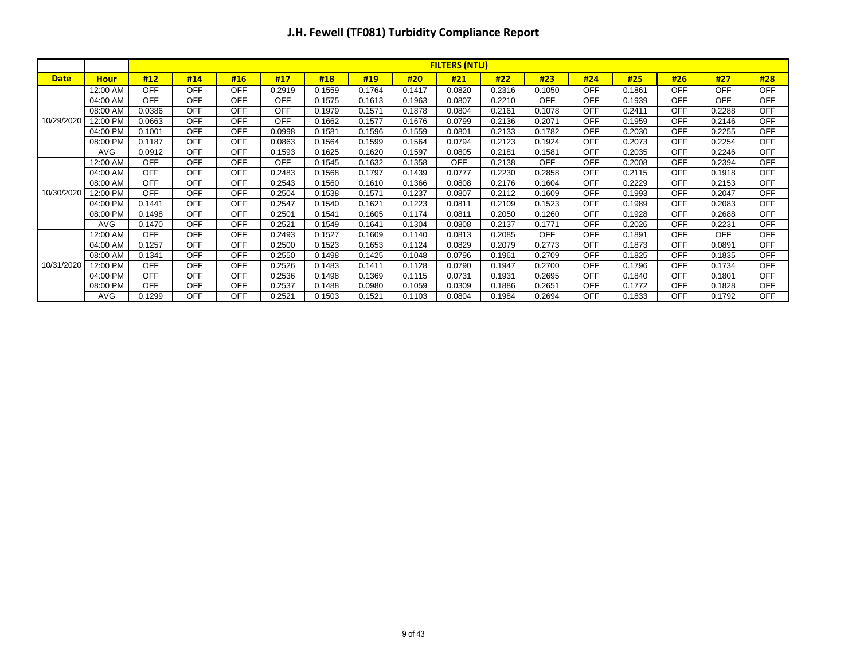|             |             |            | <b>FILTERS (NTU)</b> |            |            |        |        |        |            |        |            |            |        |            |            |            |
|-------------|-------------|------------|----------------------|------------|------------|--------|--------|--------|------------|--------|------------|------------|--------|------------|------------|------------|
| <b>Date</b> | <b>Hour</b> | #12        | #14                  | #16        | #17        | #18    | #19    | #20    | #21        | #22    | #23        | #24        | #25    | #26        | #27        | #28        |
|             | 12:00 AM    | <b>OFF</b> | <b>OFF</b>           | <b>OFF</b> | 0.2919     | 0.1559 | 0.1764 | 0.1417 | 0.0820     | 0.2316 | 0.1050     | <b>OFF</b> | 0.1861 | <b>OFF</b> | <b>OFF</b> | <b>OFF</b> |
|             | 04:00 AM    | <b>OFF</b> | <b>OFF</b>           | <b>OFF</b> | OFF        | 0.1575 | 0.1613 | 0.1963 | 0.0807     | 0.2210 | <b>OFF</b> | <b>OFF</b> | 0.1939 | <b>OFF</b> | <b>OFF</b> | <b>OFF</b> |
|             | 08:00 AM    | 0.0386     | <b>OFF</b>           | <b>OFF</b> | <b>OFF</b> | 0.1979 | 0.1571 | 0.1878 | 0.0804     | 0.2161 | 0.1078     | <b>OFF</b> | 0.2411 | <b>OFF</b> | 0.2288     | <b>OFF</b> |
| 10/29/2020  | 12:00 PM    | 0.0663     | <b>OFF</b>           | <b>OFF</b> | <b>OFF</b> | 0.1662 | 0.1577 | 0.1676 | 0.0799     | 0.2136 | 0.2071     | <b>OFF</b> | 0.1959 | <b>OFF</b> | 0.2146     | <b>OFF</b> |
|             | 04:00 PM    | 0.1001     | <b>OFF</b>           | <b>OFF</b> | 0.0998     | 0.1581 | 0.1596 | 0.1559 | 0.0801     | 0.2133 | 0.1782     | <b>OFF</b> | 0.2030 | <b>OFF</b> | 0.2255     | <b>OFF</b> |
|             | 08:00 PM    | 0.1187     | <b>OFF</b>           | <b>OFF</b> | 0.0863     | 0.1564 | 0.1599 | 0.1564 | 0.0794     | 0.2123 | 0.1924     | <b>OFF</b> | 0.2073 | <b>OFF</b> | 0.2254     | <b>OFF</b> |
|             | <b>AVG</b>  | 0.0912     | <b>OFF</b>           | <b>OFF</b> | 0.1593     | 0.1625 | 0.1620 | 0.1597 | 0.0805     | 0.2181 | 0.1581     | <b>OFF</b> | 0.2035 | <b>OFF</b> | 0.2246     | <b>OFF</b> |
|             | 12:00 AM    | <b>OFF</b> | <b>OFF</b>           | <b>OFF</b> | OFF        | 0.1545 | 0.1632 | 0.1358 | <b>OFF</b> | 0.2138 | <b>OFF</b> | <b>OFF</b> | 0.2008 | <b>OFF</b> | 0.2394     | <b>OFF</b> |
|             | 04:00 AM    | <b>OFF</b> | <b>OFF</b>           | <b>OFF</b> | 0.2483     | 0.1568 | 0.1797 | 0.1439 | 0.0777     | 0.2230 | 0.2858     | <b>OFF</b> | 0.2115 | <b>OFF</b> | 0.1918     | <b>OFF</b> |
|             | 08:00 AM    | <b>OFF</b> | <b>OFF</b>           | <b>OFF</b> | 0.2543     | 0.1560 | 0.1610 | 0.1366 | 0.0808     | 0.2176 | 0.1604     | <b>OFF</b> | 0.2229 | <b>OFF</b> | 0.2153     | <b>OFF</b> |
| 10/30/2020  | 12:00 PM    | <b>OFF</b> | <b>OFF</b>           | <b>OFF</b> | 0.2504     | 0.1538 | 0.1571 | 0.1237 | 0.0807     | 0.2112 | 0.1609     | <b>OFF</b> | 0.1993 | <b>OFF</b> | 0.2047     | <b>OFF</b> |
|             | 04:00 PM    | 0.1441     | <b>OFF</b>           | <b>OFF</b> | 0.2547     | 0.1540 | 0.1621 | 0.1223 | 0.0811     | 0.2109 | 0.1523     | <b>OFF</b> | 0.1989 | <b>OFF</b> | 0.2083     | <b>OFF</b> |
|             | 08:00 PM    | 0.1498     | <b>OFF</b>           | <b>OFF</b> | 0.2501     | 0.1541 | 0.1605 | 0.1174 | 0.0811     | 0.2050 | 0.1260     | <b>OFF</b> | 0.1928 | <b>OFF</b> | 0.2688     | <b>OFF</b> |
|             | <b>AVG</b>  | 0.1470     | <b>OFF</b>           | <b>OFF</b> | 0.2521     | 0.1549 | 0.1641 | 0.1304 | 0.0808     | 0.2137 | 0.1771     | <b>OFF</b> | 0.2026 | <b>OFF</b> | 0.2231     | <b>OFF</b> |
|             | 12:00 AM    | <b>OFF</b> | <b>OFF</b>           | <b>OFF</b> | 0.2493     | 0.1527 | 0.1609 | 0.1140 | 0.0813     | 0.2085 | <b>OFF</b> | <b>OFF</b> | 0.1891 | <b>OFF</b> | <b>OFF</b> | <b>OFF</b> |
|             | 04:00 AM    | 0.1257     | <b>OFF</b>           | <b>OFF</b> | 0.2500     | 0.1523 | 0.1653 | 0.1124 | 0.0829     | 0.2079 | 0.2773     | <b>OFF</b> | 0.1873 | <b>OFF</b> | 0.0891     | <b>OFF</b> |
|             | 08:00 AM    | 0.1341     | <b>OFF</b>           | <b>OFF</b> | 0.2550     | 0.1498 | 0.1425 | 0.1048 | 0.0796     | 0.1961 | 0.2709     | <b>OFF</b> | 0.1825 | <b>OFF</b> | 0.1835     | <b>OFF</b> |
| 10/31/2020  | 12:00 PM    | <b>OFF</b> | <b>OFF</b>           | <b>OFF</b> | 0.2526     | 0.1483 | 0.1411 | 0.1128 | 0.0790     | 0.1947 | 0.2700     | <b>OFF</b> | 0.1796 | <b>OFF</b> | 0.1734     | <b>OFF</b> |
|             | 04:00 PM    | <b>OFF</b> | <b>OFF</b>           | <b>OFF</b> | 0.2536     | 0.1498 | 0.1369 | 0.1115 | 0.0731     | 0.1931 | 0.2695     | <b>OFF</b> | 0.1840 | <b>OFF</b> | 0.1801     | <b>OFF</b> |
|             | 08:00 PM    | <b>OFF</b> | <b>OFF</b>           | <b>OFF</b> | 0.2537     | 0.1488 | 0.0980 | 0.1059 | 0.0309     | 0.1886 | 0.2651     | <b>OFF</b> | 0.1772 | <b>OFF</b> | 0.1828     | <b>OFF</b> |
|             | <b>AVG</b>  | 0.1299     | <b>OFF</b>           | <b>OFF</b> | 0.2521     | 0.1503 | 0.1521 | 0.1103 | 0.0804     | 0.1984 | 0.2694     | <b>OFF</b> | 0.1833 | <b>OFF</b> | 0.1792     | <b>OFF</b> |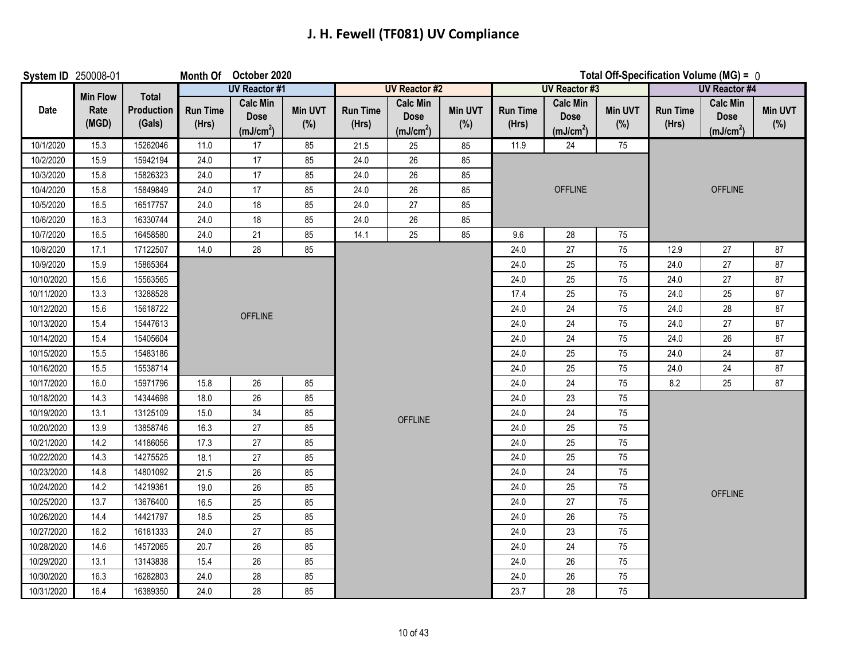### **J. H. Fewell (TF081) UV Compliance**

| System ID 250008-01 |                 |                      |                          | Month Of October 2020                                   |                |                          |                                                         |                       |                          |                                                         |                       | Total Off-Specification Volume (MG) = 0 |                                         |                |  |  |
|---------------------|-----------------|----------------------|--------------------------|---------------------------------------------------------|----------------|--------------------------|---------------------------------------------------------|-----------------------|--------------------------|---------------------------------------------------------|-----------------------|-----------------------------------------|-----------------------------------------|----------------|--|--|
|                     | <b>Min Flow</b> | Total                |                          | <b>UV Reactor #1</b>                                    |                |                          | <b>UV Reactor #2</b>                                    |                       |                          | <b>UV Reactor #3</b>                                    |                       |                                         | <b>UV</b> Reactor #4<br><b>Calc Min</b> |                |  |  |
| Date                | Rate<br>(MGD)   | Production<br>(Gals) | <b>Run Time</b><br>(Hrs) | <b>Calc Min</b><br><b>Dose</b><br>(mJ/cm <sup>2</sup> ) | Min UVT<br>(%) | <b>Run Time</b><br>(Hrs) | <b>Calc Min</b><br><b>Dose</b><br>(mJ/cm <sup>2</sup> ) | <b>Min UVT</b><br>(%) | <b>Run Time</b><br>(Hrs) | <b>Calc Min</b><br><b>Dose</b><br>(mJ/cm <sup>2</sup> ) | <b>Min UVT</b><br>(%) | <b>Run Time</b><br>(Hrs)                | <b>Dose</b><br>(mJ/cm <sup>2</sup> )    | Min UVT<br>(%) |  |  |
| 10/1/2020           | 15.3            | 15262046             | 11.0                     | 17                                                      | 85             | 21.5                     | 25                                                      | 85                    | 11.9                     | 24                                                      | 75                    |                                         |                                         |                |  |  |
| 10/2/2020           | 15.9            | 15942194             | 24.0                     | 17                                                      | 85             | 24.0                     | 26                                                      | 85                    |                          |                                                         |                       |                                         |                                         |                |  |  |
| 10/3/2020           | 15.8            | 15826323             | 24.0                     | 17                                                      | 85             | 24.0                     | 26                                                      | 85                    |                          |                                                         |                       |                                         |                                         |                |  |  |
| 10/4/2020           | 15.8            | 15849849             | 24.0                     | 17                                                      | 85             | 24.0                     | 26                                                      | 85                    |                          | <b>OFFLINE</b>                                          |                       |                                         | <b>OFFLINE</b>                          |                |  |  |
| 10/5/2020           | 16.5            | 16517757             | 24.0                     | $18$                                                    | 85             | 24.0                     | 27                                                      | 85                    |                          |                                                         |                       |                                         |                                         |                |  |  |
| 10/6/2020           | 16.3            | 16330744             | 24.0                     | 18                                                      | 85             | 24.0                     | 26                                                      | 85                    |                          |                                                         |                       |                                         |                                         |                |  |  |
| 10/7/2020           | 16.5            | 16458580             | 24.0                     | 21                                                      | 85             | 14.1                     | 25                                                      | 85                    | 9.6                      | 28                                                      | 75                    |                                         |                                         |                |  |  |
| 10/8/2020           | 17.1            | 17122507             | 14.0                     | 28                                                      | 85             |                          |                                                         |                       | 24.0                     | 27                                                      | 75                    | 12.9                                    | 27                                      | 87             |  |  |
| 10/9/2020           | 15.9            | 15865364             |                          |                                                         |                |                          |                                                         |                       | 24.0                     | 25                                                      | 75                    | 24.0                                    | 27                                      | 87             |  |  |
| 10/10/2020          | 15.6            | 15563565             |                          |                                                         |                |                          |                                                         |                       | 24.0                     | 25                                                      | 75                    | 24.0                                    | 27                                      | 87             |  |  |
| 10/11/2020          | 13.3            | 13288528             |                          |                                                         |                |                          |                                                         |                       | 17.4                     | 25                                                      | 75                    | 24.0                                    | 25                                      | 87             |  |  |
| 10/12/2020          | 15.6            | 15618722             |                          | <b>OFFLINE</b>                                          |                |                          |                                                         |                       | 24.0                     | 24                                                      | 75                    | 24.0                                    | 28                                      | 87             |  |  |
| 10/13/2020          | 15.4            | 15447613             |                          |                                                         |                |                          |                                                         |                       | 24.0                     | 24                                                      | 75                    | 24.0                                    | 27                                      | 87             |  |  |
| 10/14/2020          | 15.4            | 15405604             |                          |                                                         |                |                          |                                                         |                       | 24.0                     | 24                                                      | 75                    | 24.0                                    | 26                                      | 87             |  |  |
| 10/15/2020          | 15.5            | 15483186             |                          |                                                         |                |                          |                                                         |                       | 24.0                     | 25                                                      | 75                    | 24.0                                    | 24                                      | 87             |  |  |
| 10/16/2020          | 15.5            | 15538714             |                          |                                                         |                |                          |                                                         |                       | 24.0                     | 25                                                      | 75                    | 24.0                                    | 24                                      | 87             |  |  |
| 10/17/2020          | 16.0            | 15971796             | 15.8                     | 26                                                      | 85             |                          |                                                         |                       | 24.0                     | 24                                                      | 75                    | 8.2                                     | 25                                      | 87             |  |  |
| 10/18/2020          | 14.3            | 14344698             | 18.0                     | 26                                                      | 85             |                          |                                                         |                       | 24.0                     | 23                                                      | 75                    |                                         |                                         |                |  |  |
| 10/19/2020          | 13.1            | 13125109             | 15.0                     | $34\,$                                                  | 85             |                          | <b>OFFLINE</b>                                          |                       | 24.0                     | 24                                                      | 75                    |                                         |                                         |                |  |  |
| 10/20/2020          | 13.9            | 13858746             | 16.3                     | $27\,$                                                  | 85             |                          |                                                         |                       | 24.0                     | 25                                                      | 75                    |                                         |                                         |                |  |  |
| 10/21/2020          | 14.2            | 14186056             | 17.3                     | 27                                                      | 85             |                          |                                                         |                       | 24.0                     | 25                                                      | 75                    |                                         |                                         |                |  |  |
| 10/22/2020          | 14.3            | 14275525             | 18.1                     | 27                                                      | 85             |                          |                                                         |                       | 24.0                     | 25                                                      | 75                    |                                         |                                         |                |  |  |
| 10/23/2020          | 14.8            | 14801092             | 21.5                     | 26                                                      | 85             |                          |                                                         |                       | 24.0                     | 24                                                      | 75                    |                                         |                                         |                |  |  |
| 10/24/2020          | $14.2$          | 14219361             | 19.0                     | 26                                                      | 85             |                          |                                                         |                       | 24.0                     | 25                                                      | 75                    |                                         | <b>OFFLINE</b>                          |                |  |  |
| 10/25/2020          | 13.7            | 13676400             | 16.5                     | $25\,$                                                  | 85             |                          |                                                         |                       | 24.0                     | 27                                                      | 75                    |                                         |                                         |                |  |  |
| 10/26/2020          | 14.4            | 14421797             | 18.5                     | 25                                                      | 85             |                          |                                                         |                       | 24.0                     | 26                                                      | 75                    |                                         |                                         |                |  |  |
| 10/27/2020          | 16.2            | 16181333             | 24.0                     | 27                                                      | 85             |                          |                                                         |                       | 24.0                     | 23                                                      | 75                    |                                         |                                         |                |  |  |
| 10/28/2020          | 14.6            | 14572065             | 20.7                     | 26                                                      | 85             |                          |                                                         |                       | 24.0                     | 24                                                      | 75                    |                                         |                                         |                |  |  |
| 10/29/2020          | 13.1            | 13143838             | 15.4                     | $26\,$                                                  | 85             |                          |                                                         |                       | 24.0                     | $26\,$                                                  | 75                    |                                         |                                         |                |  |  |
| 10/30/2020          | 16.3            | 16282803             | 24.0                     | 28                                                      | 85             |                          |                                                         |                       | 24.0                     | $26\,$                                                  | 75                    |                                         |                                         |                |  |  |
| 10/31/2020          | 16.4            | 16389350             | 24.0                     | 28                                                      | 85             |                          |                                                         |                       | 23.7                     | 28                                                      | 75                    |                                         |                                         |                |  |  |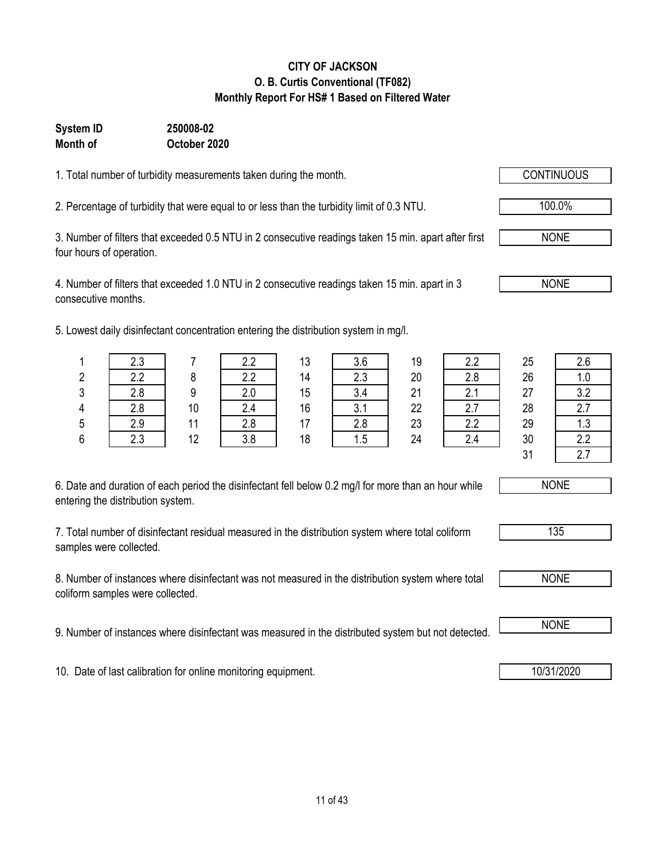### 11 of 43

#### **CITY OF JACKSON O. B. Curtis Conventional (TF082) Monthly Report For HS# 1 Based on Filtered Water**

#### **System ID 250008-02 Month of October 2020**

1. Total number of turbidity measurements taken during the month.

2. Percentage of turbidity that were equal to or less than the turbidity limit of 0.3 NTU.

3. Number of filters that exceeded 0.5 NTU in 2 consecutive readings taken 15 min. apart after first four hours of operation.

4. Number of filters that exceeded 1.0 NTU in 2 consecutive readings taken 15 min. apart in 3 consecutive months.

5. Lowest daily disinfectant concentration entering the distribution system in mg/l.

| 6. Date and duration of each period the disinfectant fell below 0.2 mg/l for more than an hour while |  |
|------------------------------------------------------------------------------------------------------|--|
| entering the distribution system.                                                                    |  |

7. Total number of disinfectant residual measured in the distribution system where total coliform samples were collected.

8. Number of instances where disinfectant was not measured in the distribution system where total coliform samples were collected.

9. Number of instances where disinfectant was measured in the distributed system but not detected. NONE

10. Date of last calibration for online monitoring equipment. 10. 10/31/2020

|   | 2.3 |    | 2.2 | 13 | 3.6 | 19 | 2.2 | 25 | 2.6 |
|---|-----|----|-----|----|-----|----|-----|----|-----|
| 2 | 2.2 | 8  | 2.2 | 14 | 2.3 | 20 | 2.8 | 26 | 1.0 |
| 3 | 2.8 | 9  | 2.0 | 15 | 3.4 | 21 | 2.1 | 27 | 3.2 |
| 4 | 2.8 | 10 | 2.4 | 16 | 3.1 | 22 | 2.7 | 28 | 2.7 |
| 5 | 2.9 | 11 | 2.8 | 17 | 2.8 | 23 | 2.2 | 29 | 1.3 |
| 6 | 2.3 | 12 | 3.8 | 18 | 1.5 | 24 | 2.4 | 30 | 2.2 |
|   |     |    |     |    |     |    |     | 31 | 2.7 |



| υ<br>ц<br>- - |  |
|---------------|--|
|               |  |



NONE

NONE

100.0%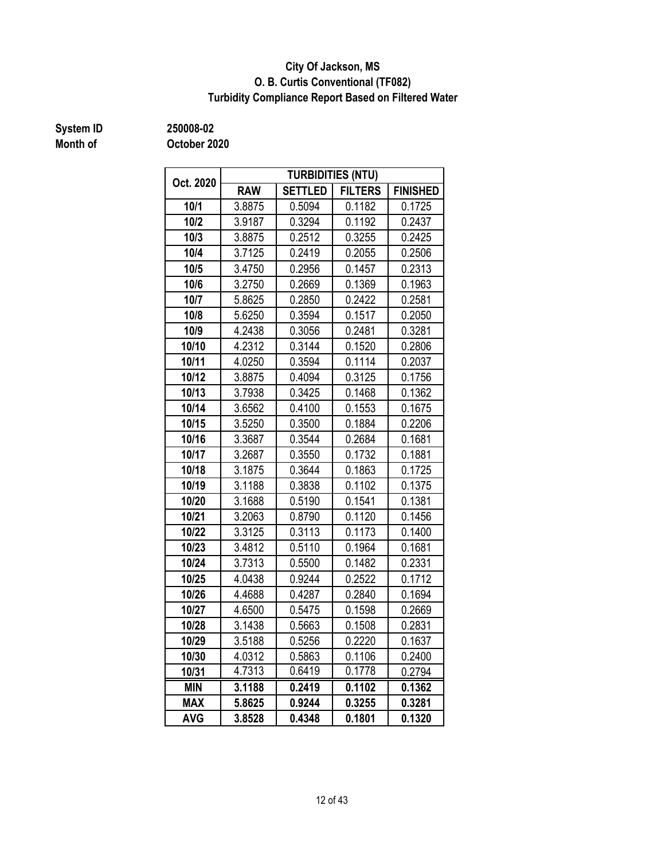#### **O. B. Curtis Conventional (TF082) City Of Jackson, MS Turbidity Compliance Report Based on Filtered Water**

## **Month of**

**System ID 250008-02**

| Oct. 2020  |            |                | <b>TURBIDITIES (NTU)</b> |                 |
|------------|------------|----------------|--------------------------|-----------------|
|            | <b>RAW</b> | <b>SETTLED</b> | <b>FILTERS</b>           | <b>FINISHED</b> |
| 10/1       | 3.8875     | 0.5094         | 0.1182                   | 0.1725          |
| 10/2       | 3.9187     | 0.3294         | 0.1192                   | 0.2437          |
| 10/3       | 3.8875     | 0.2512         | 0.3255                   | 0.2425          |
| 10/4       | 3.7125     | 0.2419         | 0.2055                   | 0.2506          |
| 10/5       | 3.4750     | 0.2956         | 0.1457                   | 0.2313          |
| 10/6       | 3.2750     | 0.2669         | 0.1369                   | 0.1963          |
| 10/7       | 5.8625     | 0.2850         | 0.2422                   | 0.2581          |
| 10/8       | 5.6250     | 0.3594         | 0.1517                   | 0.2050          |
| 10/9       | 4.2438     | 0.3056         | 0.2481                   | 0.3281          |
| 10/10      | 4.2312     | 0.3144         | 0.1520                   | 0.2806          |
| 10/11      | 4.0250     | 0.3594         | 0.1114                   | 0.2037          |
| 10/12      | 3.8875     | 0.4094         | 0.3125                   | 0.1756          |
| 10/13      | 3.7938     | 0.3425         | 0.1468                   | 0.1362          |
| 10/14      | 3.6562     | 0.4100         | 0.1553                   | 0.1675          |
| 10/15      | 3.5250     | 0.3500         | 0.1884                   | 0.2206          |
| 10/16      | 3.3687     | 0.3544         | 0.2684                   | 0.1681          |
| 10/17      | 3.2687     | 0.3550         | 0.1732                   | 0.1881          |
| 10/18      | 3.1875     | 0.3644         | 0.1863                   | 0.1725          |
| 10/19      | 3.1188     | 0.3838         | 0.1102                   | 0.1375          |
| 10/20      | 3.1688     | 0.5190         | 0.1541                   | 0.1381          |
| 10/21      | 3.2063     | 0.8790         | 0.1120                   | 0.1456          |
| 10/22      | 3.3125     | 0.3113         | 0.1173                   | 0.1400          |
| 10/23      | 3.4812     | 0.5110         | 0.1964                   | 0.1681          |
| 10/24      | 3.7313     | 0.5500         | 0.1482                   | 0.2331          |
| 10/25      | 4.0438     | 0.9244         | 0.2522                   | 0.1712          |
| 10/26      | 4.4688     | 0.4287         | 0.2840                   | 0.1694          |
| 10/27      | 4.6500     | 0.5475         | 0.1598                   | 0.2669          |
| 10/28      | 3.1438     | 0.5663         | 0.1508                   | 0.2831          |
| 10/29      | 3.5188     | 0.5256         | 0.2220                   | 0.1637          |
| 10/30      | 4.0312     | 0.5863         | 0.1106                   | 0.2400          |
| 10/31      | 4.7313     | 0.6419         | 0.1778                   | 0.2794          |
| <b>MIN</b> | 3.1188     | 0.2419         | 0.1102                   | 0.1362          |
| <b>MAX</b> | 5.8625     | 0.9244         | 0.3255                   | 0.3281          |
| <b>AVG</b> | 3.8528     | 0.4348         | 0.1801                   | 0.1320          |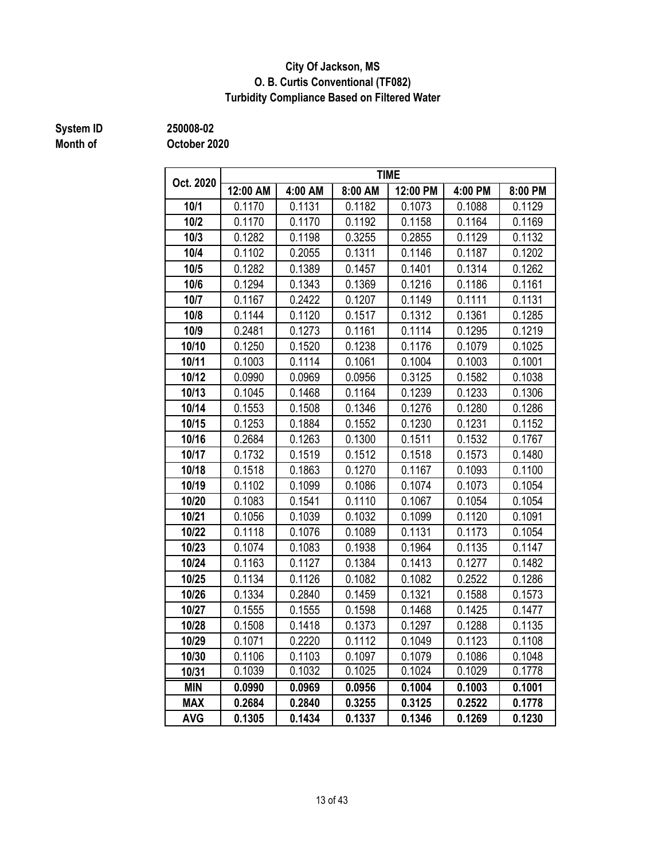#### **City Of Jackson, MS O. B. Curtis Conventional (TF082) Turbidity Compliance Based on Filtered Water**

## **Month of**

**System ID 250008-02**

| Oct. 2020  |                  |         |         | <b>TIME</b> |         |         |
|------------|------------------|---------|---------|-------------|---------|---------|
|            | 12:00 AM         | 4:00 AM | 8:00 AM | 12:00 PM    | 4:00 PM | 8:00 PM |
| 10/1       | 0.1170<br>0.1131 |         | 0.1182  | 0.1073      | 0.1088  | 0.1129  |
| 10/2       | 0.1170           | 0.1170  | 0.1192  | 0.1158      | 0.1164  | 0.1169  |
| 10/3       | 0.1282           | 0.1198  | 0.3255  | 0.2855      | 0.1129  | 0.1132  |
| 10/4       | 0.1102           | 0.2055  | 0.1311  | 0.1146      | 0.1187  | 0.1202  |
| 10/5       | 0.1282           | 0.1389  | 0.1457  | 0.1401      | 0.1314  | 0.1262  |
| 10/6       | 0.1294           | 0.1343  | 0.1369  | 0.1216      | 0.1186  | 0.1161  |
| 10/7       | 0.1167           | 0.2422  | 0.1207  | 0.1149      | 0.1111  | 0.1131  |
| 10/8       | 0.1144           | 0.1120  | 0.1517  | 0.1312      | 0.1361  | 0.1285  |
| 10/9       | 0.2481           | 0.1273  | 0.1161  | 0.1114      | 0.1295  | 0.1219  |
| 10/10      | 0.1250           | 0.1520  | 0.1238  | 0.1176      | 0.1079  | 0.1025  |
| 10/11      | 0.1003           | 0.1114  | 0.1061  | 0.1004      | 0.1003  | 0.1001  |
| 10/12      | 0.0990           | 0.0969  | 0.0956  | 0.3125      | 0.1582  | 0.1038  |
| 10/13      | 0.1045           | 0.1468  | 0.1164  | 0.1239      | 0.1233  | 0.1306  |
| 10/14      | 0.1553           | 0.1508  | 0.1346  | 0.1276      | 0.1280  | 0.1286  |
| 10/15      | 0.1253           | 0.1884  | 0.1552  | 0.1230      | 0.1231  | 0.1152  |
| 10/16      | 0.2684           | 0.1263  | 0.1300  | 0.1511      | 0.1532  | 0.1767  |
| 10/17      | 0.1732           | 0.1519  | 0.1512  | 0.1518      | 0.1573  | 0.1480  |
| 10/18      | 0.1518           | 0.1863  | 0.1270  | 0.1167      | 0.1093  | 0.1100  |
| 10/19      | 0.1102           | 0.1099  | 0.1086  | 0.1074      | 0.1073  | 0.1054  |
| 10/20      | 0.1083           | 0.1541  | 0.1110  | 0.1067      | 0.1054  | 0.1054  |
| 10/21      | 0.1056           | 0.1039  | 0.1032  | 0.1099      | 0.1120  | 0.1091  |
| 10/22      | 0.1118           | 0.1076  | 0.1089  | 0.1131      | 0.1173  | 0.1054  |
| 10/23      | 0.1074           | 0.1083  | 0.1938  | 0.1964      | 0.1135  | 0.1147  |
| 10/24      | 0.1163           | 0.1127  | 0.1384  | 0.1413      | 0.1277  | 0.1482  |
| 10/25      | 0.1134           | 0.1126  | 0.1082  | 0.1082      | 0.2522  | 0.1286  |
| 10/26      | 0.1334           | 0.2840  | 0.1459  | 0.1321      | 0.1588  | 0.1573  |
| 10/27      | 0.1555           | 0.1555  | 0.1598  | 0.1468      | 0.1425  | 0.1477  |
| 10/28      | 0.1508           | 0.1418  | 0.1373  | 0.1297      | 0.1288  | 0.1135  |
| 10/29      | 0.1071           | 0.2220  | 0.1112  | 0.1049      | 0.1123  | 0.1108  |
| 10/30      | 0.1106           | 0.1103  | 0.1097  | 0.1079      | 0.1086  | 0.1048  |
| 10/31      | 0.1039           | 0.1032  | 0.1025  | 0.1024      | 0.1029  | 0.1778  |
| <b>MIN</b> | 0.0990           | 0.0969  | 0.0956  | 0.1004      | 0.1003  | 0.1001  |
| <b>MAX</b> | 0.2684           | 0.2840  | 0.3255  | 0.3125      | 0.2522  | 0.1778  |
| <b>AVG</b> | 0.1305           | 0.1434  | 0.1337  | 0.1346      | 0.1269  | 0.1230  |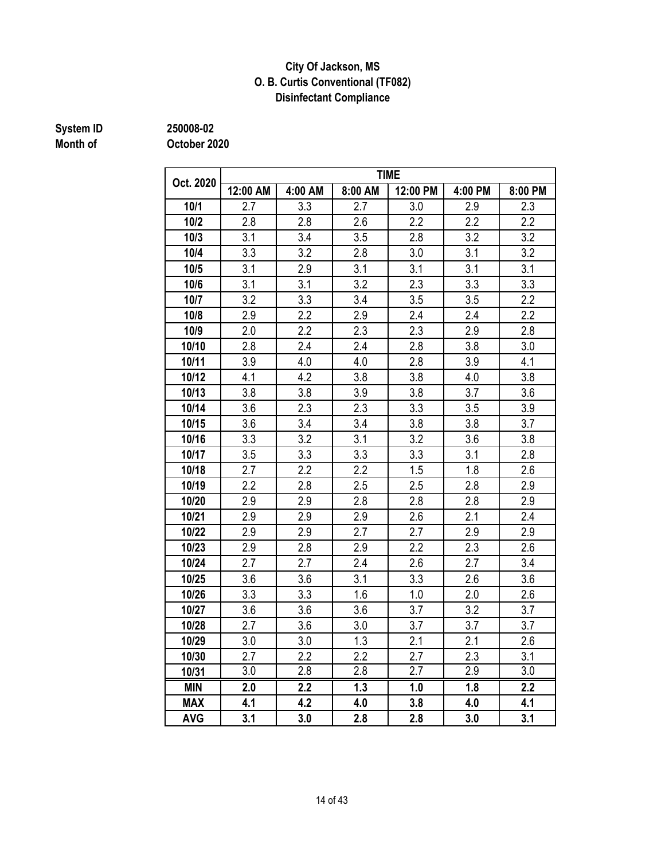#### **Disinfectant Compliance City Of Jackson, MS O. B. Curtis Conventional (TF082)**

# **System ID** 250008-02<br> **Month of** 0ctober 20

**Month of October 2020**

| Oct. 2020  |                  |                  |                  | <b>TIME</b>      |                  |                  |
|------------|------------------|------------------|------------------|------------------|------------------|------------------|
|            | 12:00 AM         | 4:00 AM          | 8:00 AM          | 12:00 PM         | 4:00 PM          | 8:00 PM          |
| 10/1       | 2.7              | 3.3              | 2.7              | 3.0              | 2.9              | 2.3              |
| 10/2       | 2.8              | 2.8              | 2.6              | 2.2              | 2.2              | 2.2              |
| 10/3       | 3.1              | 3.4              | 3.5              | 2.8              | 3.2              | 3.2              |
| 10/4       | 3.3              | 3.2              | 2.8              | 3.0              | 3.1              | 3.2              |
| 10/5       | 3.1              | 2.9              | 3.1              | 3.1              | 3.1              | 3.1              |
| 10/6       | 3.1              | 3.1              | 3.2              | 2.3              | 3.3              | 3.3              |
| 10/7       | 3.2              | 3.3              | 3.4              | 3.5              | 3.5              | 2.2              |
| 10/8       | 2.9              | 2.2              | 2.9              | 2.4              | 2.4              | 2.2              |
| 10/9       | 2.0              | 2.2              | 2.3              | 2.3              | 2.9              | 2.8              |
| 10/10      | 2.8              | 2.4              | 2.4              | 2.8              | 3.8              | 3.0              |
| 10/11      | 3.9              | 4.0              | 4.0              | 2.8              | 3.9              | 4.1              |
| 10/12      | 4.1              | 4.2              | 3.8              | 3.8              | 4.0              | 3.8              |
| 10/13      | 3.8              | 3.8              | 3.9              | 3.8              | 3.7              | 3.6              |
| 10/14      | 3.6              | 2.3              | 2.3              | 3.3              | 3.5              | 3.9              |
| 10/15      | 3.6              | 3.4              | 3.4              | 3.8              | 3.8              | 3.7              |
| 10/16      | 3.3              | 3.2              | 3.1              | 3.2              | 3.6              | 3.8              |
| 10/17      | 3.5              | 3.3              | 3.3              | 3.3              | 3.1              | 2.8              |
| 10/18      | 2.7              | 2.2              | 2.2              | 1.5              | 1.8              | 2.6              |
| 10/19      | 2.2              | 2.8              | 2.5              | 2.5              | 2.8              | 2.9              |
| 10/20      | 2.9              | 2.9              | 2.8              | 2.8              | 2.8              | 2.9              |
| 10/21      | 2.9              | 2.9              | 2.9              | 2.6              | 2.1              | 2.4              |
| 10/22      | 2.9              | 2.9              | 2.7              | 2.7              | 2.9              | 2.9              |
| 10/23      | 2.9              | 2.8              | 2.9              | 2.2              | 2.3              | 2.6              |
| 10/24      | 2.7              | 2.7              | 2.4              | 2.6              | 2.7              | 3.4              |
| 10/25      | 3.6              | 3.6              | 3.1              | 3.3              | 2.6              | 3.6              |
| 10/26      | 3.3              | 3.3              | 1.6              | 1.0              | 2.0              | 2.6              |
| 10/27      | 3.6              | 3.6              | 3.6              | 3.7              | 3.2              | 3.7              |
| 10/28      | 2.7              | 3.6              | 3.0              | 3.7              | 3.7              | 3.7              |
| 10/29      | 3.0              | 3.0              | 1.3              | 2.1              | 2.1              | 2.6              |
| 10/30      | 2.7              | 2.2              | 2.2              | 2.7              | 2.3              | 3.1              |
| 10/31      | $\overline{3.0}$ | $\overline{2.8}$ | $\overline{2.8}$ | $\overline{2.7}$ | $\overline{2.9}$ | $\overline{3.0}$ |
| <b>MIN</b> | 2.0              | 2.2              | 1.3              | 1.0              | 1.8              | 2.2              |
| <b>MAX</b> | 4.1              | 4.2              | 4.0              | 3.8              | 4.0              | 4.1              |
| <b>AVG</b> | 3.1              | 3.0              | 2.8              | 2.8              | 3.0              | 3.1              |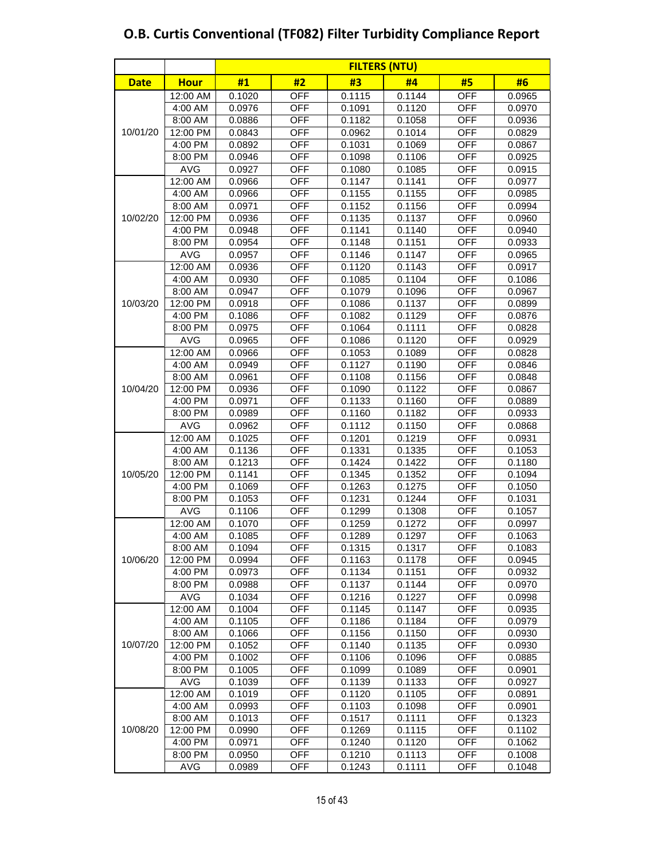|             |             | <b>FILTERS (NTU)</b> |            |        |        |            |        |  |  |  |  |
|-------------|-------------|----------------------|------------|--------|--------|------------|--------|--|--|--|--|
| <b>Date</b> | <b>Hour</b> | #1                   | #2         | #3     | #4     | #5         | #6     |  |  |  |  |
|             | 12:00 AM    | 0.1020               | <b>OFF</b> | 0.1115 | 0.1144 | <b>OFF</b> | 0.0965 |  |  |  |  |
|             | 4:00 AM     | 0.0976               | <b>OFF</b> | 0.1091 | 0.1120 | <b>OFF</b> | 0.0970 |  |  |  |  |
|             | 8:00 AM     | 0.0886               | <b>OFF</b> | 0.1182 | 0.1058 | <b>OFF</b> | 0.0936 |  |  |  |  |
| 10/01/20    | 12:00 PM    | 0.0843               | <b>OFF</b> | 0.0962 | 0.1014 | <b>OFF</b> | 0.0829 |  |  |  |  |
|             | 4:00 PM     | 0.0892               | <b>OFF</b> | 0.1031 | 0.1069 | <b>OFF</b> | 0.0867 |  |  |  |  |
|             | 8:00 PM     | 0.0946               | <b>OFF</b> | 0.1098 | 0.1106 | <b>OFF</b> | 0.0925 |  |  |  |  |
|             | <b>AVG</b>  | 0.0927               | <b>OFF</b> | 0.1080 | 0.1085 | <b>OFF</b> | 0.0915 |  |  |  |  |
|             | 12:00 AM    | 0.0966               | <b>OFF</b> | 0.1147 | 0.1141 | <b>OFF</b> | 0.0977 |  |  |  |  |
|             | 4:00 AM     | 0.0966               | <b>OFF</b> | 0.1155 | 0.1155 | <b>OFF</b> | 0.0985 |  |  |  |  |
|             | 8:00 AM     | 0.0971               | <b>OFF</b> | 0.1152 | 0.1156 | <b>OFF</b> | 0.0994 |  |  |  |  |
| 10/02/20    | 12:00 PM    | 0.0936               | <b>OFF</b> | 0.1135 | 0.1137 | <b>OFF</b> | 0.0960 |  |  |  |  |
|             | 4:00 PM     | 0.0948               | <b>OFF</b> | 0.1141 | 0.1140 | <b>OFF</b> | 0.0940 |  |  |  |  |
|             | 8:00 PM     | 0.0954               | <b>OFF</b> | 0.1148 | 0.1151 | <b>OFF</b> | 0.0933 |  |  |  |  |
|             | <b>AVG</b>  | 0.0957               | <b>OFF</b> | 0.1146 | 0.1147 | <b>OFF</b> | 0.0965 |  |  |  |  |
|             | 12:00 AM    | 0.0936               | <b>OFF</b> | 0.1120 | 0.1143 | <b>OFF</b> | 0.0917 |  |  |  |  |
|             | 4:00 AM     | 0.0930               | <b>OFF</b> | 0.1085 | 0.1104 | <b>OFF</b> | 0.1086 |  |  |  |  |
|             | 8:00 AM     | 0.0947               | <b>OFF</b> | 0.1079 | 0.1096 | <b>OFF</b> | 0.0967 |  |  |  |  |
| 10/03/20    | 12:00 PM    | 0.0918               | <b>OFF</b> | 0.1086 | 0.1137 | <b>OFF</b> | 0.0899 |  |  |  |  |
|             | 4:00 PM     | 0.1086               | <b>OFF</b> | 0.1082 | 0.1129 | <b>OFF</b> | 0.0876 |  |  |  |  |
|             | 8:00 PM     | 0.0975               | <b>OFF</b> | 0.1064 | 0.1111 | <b>OFF</b> | 0.0828 |  |  |  |  |
|             | <b>AVG</b>  | 0.0965               | <b>OFF</b> | 0.1086 | 0.1120 | <b>OFF</b> | 0.0929 |  |  |  |  |
|             | 12:00 AM    | 0.0966               | <b>OFF</b> | 0.1053 | 0.1089 | <b>OFF</b> | 0.0828 |  |  |  |  |
|             | 4:00 AM     | 0.0949               | <b>OFF</b> | 0.1127 | 0.1190 | <b>OFF</b> | 0.0846 |  |  |  |  |
|             | 8:00 AM     | 0.0961               | <b>OFF</b> | 0.1108 | 0.1156 | <b>OFF</b> | 0.0848 |  |  |  |  |
| 10/04/20    | 12:00 PM    | 0.0936               | <b>OFF</b> | 0.1090 | 0.1122 | <b>OFF</b> | 0.0867 |  |  |  |  |
|             | 4:00 PM     | 0.0971               | <b>OFF</b> | 0.1133 | 0.1160 | <b>OFF</b> | 0.0889 |  |  |  |  |
|             | 8:00 PM     | 0.0989               | <b>OFF</b> | 0.1160 | 0.1182 | <b>OFF</b> | 0.0933 |  |  |  |  |
|             | <b>AVG</b>  | 0.0962               | <b>OFF</b> | 0.1112 | 0.1150 | <b>OFF</b> | 0.0868 |  |  |  |  |
|             | 12:00 AM    | 0.1025               | <b>OFF</b> | 0.1201 | 0.1219 | <b>OFF</b> | 0.0931 |  |  |  |  |
|             | 4:00 AM     | 0.1136               | <b>OFF</b> | 0.1331 | 0.1335 | <b>OFF</b> | 0.1053 |  |  |  |  |
|             | 8:00 AM     | 0.1213               | <b>OFF</b> | 0.1424 | 0.1422 | <b>OFF</b> | 0.1180 |  |  |  |  |
| 10/05/20    | 12:00 PM    | 0.1141               | <b>OFF</b> | 0.1345 | 0.1352 | <b>OFF</b> | 0.1094 |  |  |  |  |
|             | 4:00 PM     | 0.1069               | <b>OFF</b> | 0.1263 | 0.1275 | <b>OFF</b> | 0.1050 |  |  |  |  |
|             | 8:00 PM     | 0.1053               | <b>OFF</b> | 0.1231 | 0.1244 | <b>OFF</b> | 0.1031 |  |  |  |  |
|             | <b>AVG</b>  | 0.1106               | <b>OFF</b> | 0.1299 | 0.1308 | <b>OFF</b> | 0.1057 |  |  |  |  |
|             | 12:00 AM    | 0.1070               | <b>OFF</b> | 0.1259 | 0.1272 | <b>OFF</b> | 0.0997 |  |  |  |  |
|             | 4:00 AM     | 0.1085               | <b>OFF</b> | 0.1289 | 0.1297 | <b>OFF</b> | 0.1063 |  |  |  |  |
|             | 8:00 AM     | 0.1094               | <b>OFF</b> | 0.1315 | 0.1317 | <b>OFF</b> | 0.1083 |  |  |  |  |
| 10/06/20    | 12:00 PM    | 0.0994               | <b>OFF</b> | 0.1163 | 0.1178 | <b>OFF</b> | 0.0945 |  |  |  |  |
|             | 4:00 PM     | 0.0973               | OFF        | 0.1134 | 0.1151 | OFF        | 0.0932 |  |  |  |  |
|             | 8:00 PM     | 0.0988               | OFF        | 0.1137 | 0.1144 | OFF        | 0.0970 |  |  |  |  |
|             | AVG         | 0.1034               | <b>OFF</b> | 0.1216 | 0.1227 | OFF        | 0.0998 |  |  |  |  |
|             | 12:00 AM    | 0.1004               | <b>OFF</b> | 0.1145 | 0.1147 | <b>OFF</b> | 0.0935 |  |  |  |  |
|             | 4:00 AM     | 0.1105               | <b>OFF</b> | 0.1186 | 0.1184 | <b>OFF</b> | 0.0979 |  |  |  |  |
|             | 8:00 AM     | 0.1066               | <b>OFF</b> | 0.1156 | 0.1150 | <b>OFF</b> | 0.0930 |  |  |  |  |
| 10/07/20    | 12:00 PM    | 0.1052               | <b>OFF</b> | 0.1140 | 0.1135 | <b>OFF</b> | 0.0930 |  |  |  |  |
|             | 4:00 PM     | 0.1002               | OFF        | 0.1106 | 0.1096 | OFF        | 0.0885 |  |  |  |  |
|             | 8:00 PM     | 0.1005               | OFF        | 0.1099 | 0.1089 | OFF        | 0.0901 |  |  |  |  |
|             | AVG         | 0.1039               | OFF        | 0.1139 | 0.1133 | OFF        | 0.0927 |  |  |  |  |
|             | 12:00 AM    | 0.1019               | <b>OFF</b> | 0.1120 | 0.1105 | <b>OFF</b> | 0.0891 |  |  |  |  |
|             | 4:00 AM     | 0.0993               | OFF        | 0.1103 | 0.1098 | OFF        | 0.0901 |  |  |  |  |
|             | 8:00 AM     | 0.1013               | <b>OFF</b> | 0.1517 | 0.1111 | <b>OFF</b> | 0.1323 |  |  |  |  |
| 10/08/20    | 12:00 PM    | 0.0990               | <b>OFF</b> | 0.1269 | 0.1115 | <b>OFF</b> | 0.1102 |  |  |  |  |
|             | 4:00 PM     | 0.0971               | <b>OFF</b> | 0.1240 | 0.1120 | OFF        | 0.1062 |  |  |  |  |
|             | 8:00 PM     | 0.0950               | OFF        | 0.1210 | 0.1113 | OFF        | 0.1008 |  |  |  |  |
|             | AVG         | 0.0989               | OFF        | 0.1243 | 0.1111 | OFF        | 0.1048 |  |  |  |  |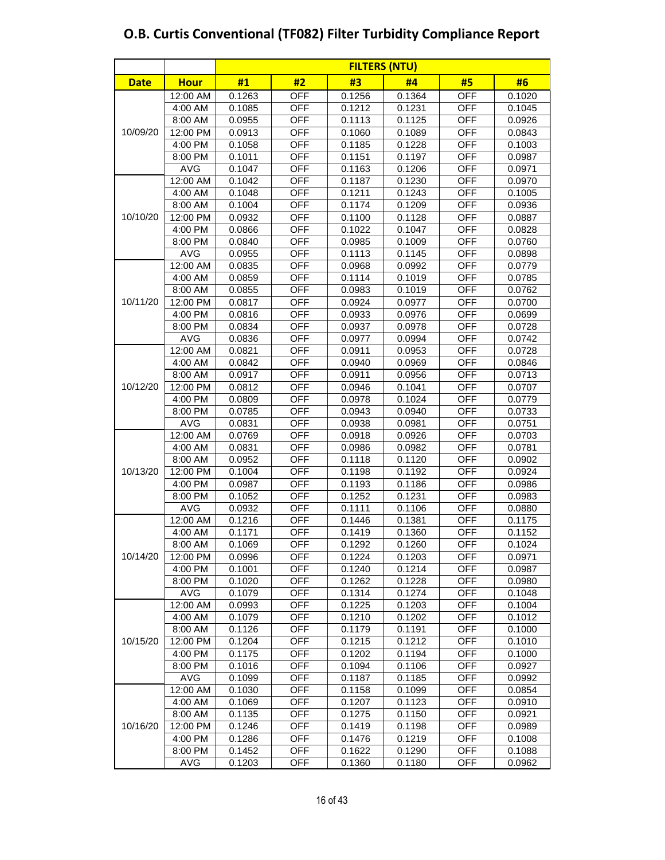|             |             | <b>FILTERS (NTU)</b> |            |        |        |            |        |  |  |  |  |
|-------------|-------------|----------------------|------------|--------|--------|------------|--------|--|--|--|--|
| <b>Date</b> | <b>Hour</b> | #1                   | #2         | #3     | #4     | #5         | #6     |  |  |  |  |
|             | 12:00 AM    | 0.1263               | <b>OFF</b> | 0.1256 | 0.1364 | <b>OFF</b> | 0.1020 |  |  |  |  |
|             | 4:00 AM     | 0.1085               | <b>OFF</b> | 0.1212 | 0.1231 | <b>OFF</b> | 0.1045 |  |  |  |  |
|             | 8:00 AM     | 0.0955               | <b>OFF</b> | 0.1113 | 0.1125 | <b>OFF</b> | 0.0926 |  |  |  |  |
| 10/09/20    | 12:00 PM    | 0.0913               | <b>OFF</b> | 0.1060 | 0.1089 | <b>OFF</b> | 0.0843 |  |  |  |  |
|             | 4:00 PM     | 0.1058               | <b>OFF</b> | 0.1185 | 0.1228 | <b>OFF</b> | 0.1003 |  |  |  |  |
|             | 8:00 PM     | 0.1011               | <b>OFF</b> | 0.1151 | 0.1197 | <b>OFF</b> | 0.0987 |  |  |  |  |
|             | <b>AVG</b>  | 0.1047               | <b>OFF</b> | 0.1163 | 0.1206 | OFF        | 0.0971 |  |  |  |  |
|             | 12:00 AM    | 0.1042               | <b>OFF</b> | 0.1187 | 0.1230 | <b>OFF</b> | 0.0970 |  |  |  |  |
|             | 4:00 AM     | 0.1048               | <b>OFF</b> | 0.1211 | 0.1243 | <b>OFF</b> | 0.1005 |  |  |  |  |
|             | 8:00 AM     | 0.1004               | <b>OFF</b> | 0.1174 | 0.1209 | <b>OFF</b> | 0.0936 |  |  |  |  |
| 10/10/20    | 12:00 PM    | 0.0932               | <b>OFF</b> | 0.1100 | 0.1128 | <b>OFF</b> | 0.0887 |  |  |  |  |
|             | 4:00 PM     | 0.0866               | <b>OFF</b> | 0.1022 | 0.1047 | <b>OFF</b> | 0.0828 |  |  |  |  |
|             | 8:00 PM     | 0.0840               | <b>OFF</b> | 0.0985 | 0.1009 | <b>OFF</b> | 0.0760 |  |  |  |  |
|             | <b>AVG</b>  | 0.0955               | <b>OFF</b> | 0.1113 | 0.1145 | <b>OFF</b> | 0.0898 |  |  |  |  |
|             | 12:00 AM    | 0.0835               | OFF        | 0.0968 | 0.0992 | <b>OFF</b> | 0.0779 |  |  |  |  |
|             | 4:00 AM     | 0.0859               | <b>OFF</b> | 0.1114 | 0.1019 | <b>OFF</b> | 0.0785 |  |  |  |  |
|             | 8:00 AM     | 0.0855               | <b>OFF</b> | 0.0983 | 0.1019 | <b>OFF</b> | 0.0762 |  |  |  |  |
| 10/11/20    | 12:00 PM    | 0.0817               | <b>OFF</b> | 0.0924 | 0.0977 | <b>OFF</b> | 0.0700 |  |  |  |  |
|             | 4:00 PM     | 0.0816               | <b>OFF</b> | 0.0933 | 0.0976 | <b>OFF</b> | 0.0699 |  |  |  |  |
|             | 8:00 PM     | 0.0834               | <b>OFF</b> | 0.0937 | 0.0978 | <b>OFF</b> | 0.0728 |  |  |  |  |
|             | <b>AVG</b>  | 0.0836               | <b>OFF</b> | 0.0977 | 0.0994 | <b>OFF</b> | 0.0742 |  |  |  |  |
|             | 12:00 AM    | 0.0821               | <b>OFF</b> | 0.0911 | 0.0953 | <b>OFF</b> | 0.0728 |  |  |  |  |
|             | 4:00 AM     | 0.0842               | <b>OFF</b> | 0.0940 | 0.0969 | <b>OFF</b> | 0.0846 |  |  |  |  |
|             | 8:00 AM     | 0.0917               | <b>OFF</b> | 0.0911 | 0.0956 | <b>OFF</b> | 0.0713 |  |  |  |  |
| 10/12/20    | 12:00 PM    | 0.0812               | <b>OFF</b> | 0.0946 | 0.1041 | <b>OFF</b> | 0.0707 |  |  |  |  |
|             | 4:00 PM     | 0.0809               | <b>OFF</b> | 0.0978 | 0.1024 | <b>OFF</b> | 0.0779 |  |  |  |  |
|             | 8:00 PM     | 0.0785               | <b>OFF</b> | 0.0943 | 0.0940 | <b>OFF</b> | 0.0733 |  |  |  |  |
|             | <b>AVG</b>  | 0.0831               | <b>OFF</b> | 0.0938 | 0.0981 | <b>OFF</b> | 0.0751 |  |  |  |  |
|             | 12:00 AM    | 0.0769               | <b>OFF</b> | 0.0918 | 0.0926 | <b>OFF</b> | 0.0703 |  |  |  |  |
|             | 4:00 AM     | 0.0831               | <b>OFF</b> | 0.0986 | 0.0982 | <b>OFF</b> | 0.0781 |  |  |  |  |
|             | 8:00 AM     | 0.0952               | <b>OFF</b> | 0.1118 | 0.1120 | <b>OFF</b> | 0.0902 |  |  |  |  |
| 10/13/20    | 12:00 PM    | 0.1004               | <b>OFF</b> | 0.1198 | 0.1192 | <b>OFF</b> | 0.0924 |  |  |  |  |
|             | 4:00 PM     | 0.0987               | <b>OFF</b> | 0.1193 | 0.1186 | <b>OFF</b> | 0.0986 |  |  |  |  |
|             | 8:00 PM     | 0.1052               | <b>OFF</b> | 0.1252 | 0.1231 | <b>OFF</b> | 0.0983 |  |  |  |  |
|             | <b>AVG</b>  | 0.0932               | <b>OFF</b> | 0.1111 | 0.1106 | <b>OFF</b> | 0.0880 |  |  |  |  |
|             | 12:00 AM    | 0.1216               | OFF        | 0.1446 | 0.1381 | <b>OFF</b> | 0.1175 |  |  |  |  |
|             | 4:00 AM     | 0.1171               | <b>OFF</b> | 0.1419 | 0.1360 | <b>OFF</b> | 0.1152 |  |  |  |  |
|             | 8:00 AM     | 0.1069               | OFF        | 0.1292 | 0.1260 | <b>OFF</b> | 0.1024 |  |  |  |  |
| 10/14/20    | 12:00 PM    | 0.0996               | <b>OFF</b> | 0.1224 | 0.1203 | <b>OFF</b> | 0.0971 |  |  |  |  |
|             | 4:00 PM     | 0.1001               | OFF        | 0.1240 | 0.1214 | <b>OFF</b> | 0.0987 |  |  |  |  |
|             | 8:00 PM     | 0.1020               | <b>OFF</b> | 0.1262 | 0.1228 | OFF        | 0.0980 |  |  |  |  |
|             | AVG         | 0.1079               | OFF        | 0.1314 | 0.1274 | <b>OFF</b> | 0.1048 |  |  |  |  |
|             | 12:00 AM    | 0.0993               | OFF        | 0.1225 | 0.1203 | OFF        | 0.1004 |  |  |  |  |
|             | 4:00 AM     | 0.1079               | OFF        | 0.1210 | 0.1202 | OFF        | 0.1012 |  |  |  |  |
|             | 8:00 AM     | 0.1126               | OFF        | 0.1179 | 0.1191 | OFF        | 0.1000 |  |  |  |  |
| 10/15/20    | 12:00 PM    | 0.1204               | <b>OFF</b> | 0.1215 | 0.1212 | <b>OFF</b> | 0.1010 |  |  |  |  |
|             | 4:00 PM     | 0.1175               | <b>OFF</b> | 0.1202 | 0.1194 | <b>OFF</b> | 0.1000 |  |  |  |  |
|             | 8:00 PM     | 0.1016               | <b>OFF</b> | 0.1094 | 0.1106 | OFF        | 0.0927 |  |  |  |  |
|             | AVG         | 0.1099               | OFF        | 0.1187 | 0.1185 | OFF        | 0.0992 |  |  |  |  |
|             | 12:00 AM    | 0.1030               | OFF        | 0.1158 | 0.1099 | OFF        | 0.0854 |  |  |  |  |
|             | 4:00 AM     | 0.1069               | <b>OFF</b> | 0.1207 | 0.1123 | OFF        | 0.0910 |  |  |  |  |
|             | 8:00 AM     | 0.1135               | <b>OFF</b> | 0.1275 | 0.1150 | <b>OFF</b> | 0.0921 |  |  |  |  |
| 10/16/20    | 12:00 PM    | 0.1246               | OFF        | 0.1419 | 0.1198 | OFF        | 0.0989 |  |  |  |  |
|             | 4:00 PM     | 0.1286               | <b>OFF</b> | 0.1476 | 0.1219 | <b>OFF</b> | 0.1008 |  |  |  |  |
|             | 8:00 PM     | 0.1452               | OFF        | 0.1622 | 0.1290 | <b>OFF</b> | 0.1088 |  |  |  |  |
|             | <b>AVG</b>  | 0.1203               | <b>OFF</b> | 0.1360 | 0.1180 | <b>OFF</b> | 0.0962 |  |  |  |  |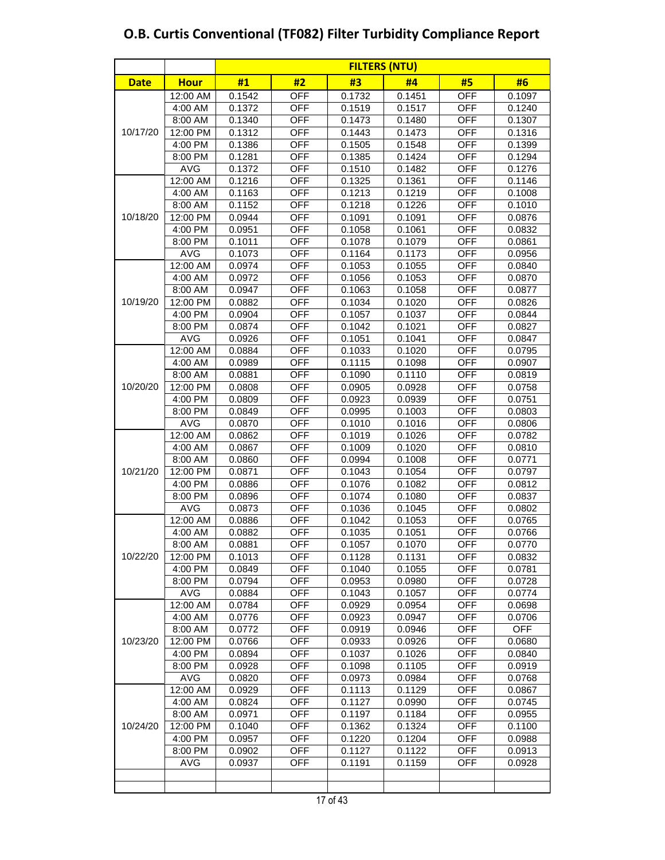| #2<br>#3<br>#4<br>#5<br>#6<br><b>Date</b><br><b>Hour</b><br>#1<br><b>OFF</b><br><b>OFF</b><br>12:00 AM<br>0.1542<br>0.1732<br>0.1451<br>0.1097<br><b>OFF</b><br><b>OFF</b><br>4:00 AM<br>0.1372<br>0.1519<br>0.1517<br>0.1240<br>8:00 AM<br>0.1340<br><b>OFF</b><br>0.1473<br><b>OFF</b><br>0.1307<br>0.1480<br><b>OFF</b><br><b>OFF</b><br>10/17/20<br>12:00 PM<br>0.1312<br>0.1443<br>0.1473<br>0.1316<br><b>OFF</b><br>4:00 PM<br>0.1386<br>0.1505<br>0.1548<br><b>OFF</b><br>0.1399<br><b>OFF</b><br><b>OFF</b><br>0.1281<br>0.1385<br>0.1424<br>0.1294<br>8:00 PM<br><b>OFF</b><br><b>AVG</b><br>0.1372<br><b>OFF</b><br>0.1510<br>0.1482<br>0.1276<br><b>OFF</b><br><b>OFF</b><br>12:00 AM<br>0.1216<br>0.1325<br>0.1361<br>0.1146<br><b>OFF</b><br>0.1163<br>0.1219<br><b>OFF</b><br>4:00 AM<br>0.1213<br>0.1008<br>0.1152<br><b>OFF</b><br><b>OFF</b><br>8:00 AM<br>0.1218<br>0.1226<br>0.1010<br><b>OFF</b><br>10/18/20<br>12:00 PM<br><b>OFF</b><br>0.0944<br>0.1091<br>0.1091<br>0.0876<br><b>OFF</b><br><b>OFF</b><br>4:00 PM<br>0.0951<br>0.1058<br>0.1061<br>0.0832<br><b>OFF</b><br>0.1079<br>8:00 PM<br>0.1011<br>0.1078<br><b>OFF</b><br>0.0861<br><b>OFF</b><br><b>OFF</b><br>AVG<br>0.1073<br>0.1164<br>0.1173<br>0.0956<br>OFF<br>12:00 AM<br>OFF<br>0.0974<br>0.1053<br>0.1055<br>0.0840<br><b>OFF</b><br><b>OFF</b><br>4:00 AM<br>0.0972<br>0.1056<br>0.1053<br>0.0870<br>8:00 AM<br><b>OFF</b><br>0.1063<br><b>OFF</b><br>0.0947<br>0.1058<br>0.0877<br>10/19/20<br><b>OFF</b><br>0.0882<br>0.1034<br><b>OFF</b><br>12:00 PM<br>0.1020<br>0.0826<br><b>OFF</b><br>4:00 PM<br><b>OFF</b><br>0.0904<br>0.1057<br>0.1037<br>0.0844<br><b>OFF</b><br>8:00 PM<br>0.0874<br>0.1042<br>0.1021<br><b>OFF</b><br>0.0827<br><b>OFF</b><br><b>AVG</b><br>0.1051<br><b>OFF</b><br>0.0926<br>0.1041<br>0.0847<br><b>OFF</b><br>12:00 AM<br><b>OFF</b><br>0.0884<br>0.1033<br>0.1020<br>0.0795<br><b>OFF</b><br><b>OFF</b><br>4:00 AM<br>0.0989<br>0.1115<br>0.1098<br>0.0907<br><b>OFF</b><br><b>OFF</b><br>8:00 AM<br>0.0881<br>0.1090<br>0.1110<br>0.0819<br>10/20/20<br><b>OFF</b><br><b>OFF</b><br>12:00 PM<br>0.0808<br>0.0905<br>0.0928<br>0.0758<br><b>OFF</b><br><b>OFF</b><br>4:00 PM<br>0.0809<br>0.0923<br>0.0939<br>0.0751<br><b>OFF</b><br>0.0849<br>0.0995<br>0.1003<br><b>OFF</b><br>8:00 PM<br>0.0803<br><b>OFF</b><br><b>AVG</b><br>0.0870<br><b>OFF</b><br>0.1010<br>0.1016<br>0.0806<br>$12:00$ AM<br>0.0862<br><b>OFF</b><br><b>OFF</b><br>0.1019<br>0.1026<br>0.0782<br><b>OFF</b><br><b>OFF</b><br>4:00 AM<br>0.0867<br>0.1009<br>0.1020<br>0.0810<br>8:00 AM<br><b>OFF</b><br><b>OFF</b><br>0.0860<br>0.0994<br>0.1008<br>0.0771<br>10/21/20<br><b>OFF</b><br><b>OFF</b><br>12:00 PM<br>0.0871<br>0.1043<br>0.1054<br>0.0797<br><b>OFF</b><br><b>OFF</b><br>4:00 PM<br>0.0886<br>0.1076<br>0.1082<br>0.0812<br><b>OFF</b><br><b>OFF</b><br>8:00 PM<br>0.0896<br>0.1074<br>0.1080<br>0.0837<br><b>OFF</b><br><b>AVG</b><br>0.0873<br>0.1036<br>0.1045<br><b>OFF</b><br>0.0802<br>$12:00$ AM<br>OFF<br><b>OFF</b><br>0.0886<br>0.1042<br>0.1053<br>0.0765<br>OFF<br><b>OFF</b><br>4:00 AM<br>0.0882<br>0.1035<br>0.1051<br>0.0766<br><b>OFF</b><br><b>OFF</b><br>8:00 AM<br>0.0881<br>0.1057<br>0.1070<br>0.0770<br>10/22/20<br>12:00 PM<br><b>OFF</b><br>0.1128<br><b>OFF</b><br>0.1013<br>0.1131<br>0.0832<br>4:00 PM<br>0.0849<br>OFF<br>0.1040<br><b>OFF</b><br>0.1055<br>0.0781<br>8:00 PM<br>0.0794<br>OFF<br>0.0953<br>0.0980<br>OFF<br>0.0728<br><b>AVG</b><br><b>OFF</b><br>0.1043<br><b>OFF</b><br>0.0884<br>0.1057<br>0.0774<br><b>OFF</b><br>12:00 AM<br>0.0784<br>0.0929<br>0.0954<br>OFF<br>0.0698<br>OFF<br>4:00 AM<br>0.0776<br>0.0923<br>0.0947<br><b>OFF</b><br>0.0706<br>OFF<br><b>OFF</b><br>8:00 AM<br>0.0772<br>0.0919<br><b>OFF</b><br>0.0946<br>10/23/20<br>12:00 PM<br><b>OFF</b><br>0.0933<br><b>OFF</b><br>0.0766<br>0.0926<br>0.0680<br>$4:00$ PM<br><b>OFF</b><br>0.1037<br><b>OFF</b><br>0.0894<br>0.1026<br>0.0840<br>8:00 PM<br><b>OFF</b><br><b>OFF</b><br>0.0928<br>0.1098<br>0.1105<br>0.0919<br><b>AVG</b><br>0.0820<br><b>OFF</b><br>0.0973<br><b>OFF</b><br>0.0984<br>0.0768<br><b>OFF</b><br>12:00 AM<br>0.0929<br>0.1113<br>0.1129<br>OFF<br>0.0867<br>4:00 AM<br>0.0824<br>OFF<br>OFF<br>0.0745<br>0.1127<br>0.0990<br><b>OFF</b><br>8:00 AM<br>0.0971<br>0.1197<br>0.1184<br>OFF<br>0.0955<br>10/24/20<br>12:00 PM<br><b>OFF</b><br>0.1040<br>0.1362<br>0.1324<br><b>OFF</b><br>0.1100<br><b>OFF</b><br>4:00 PM<br>0.0957<br>0.1220<br>0.1204<br><b>OFF</b><br>0.0988<br>8:00 PM<br><b>OFF</b><br><b>OFF</b><br>0.0913<br>0.0902<br>0.1127<br>0.1122<br>AVG<br>0.0937<br><b>OFF</b><br>0.1191<br>0.1159<br><b>OFF</b><br>0.0928 |  | <b>FILTERS (NTU)</b> |  |  |  |  |  |  |  |  |
|----------------------------------------------------------------------------------------------------------------------------------------------------------------------------------------------------------------------------------------------------------------------------------------------------------------------------------------------------------------------------------------------------------------------------------------------------------------------------------------------------------------------------------------------------------------------------------------------------------------------------------------------------------------------------------------------------------------------------------------------------------------------------------------------------------------------------------------------------------------------------------------------------------------------------------------------------------------------------------------------------------------------------------------------------------------------------------------------------------------------------------------------------------------------------------------------------------------------------------------------------------------------------------------------------------------------------------------------------------------------------------------------------------------------------------------------------------------------------------------------------------------------------------------------------------------------------------------------------------------------------------------------------------------------------------------------------------------------------------------------------------------------------------------------------------------------------------------------------------------------------------------------------------------------------------------------------------------------------------------------------------------------------------------------------------------------------------------------------------------------------------------------------------------------------------------------------------------------------------------------------------------------------------------------------------------------------------------------------------------------------------------------------------------------------------------------------------------------------------------------------------------------------------------------------------------------------------------------------------------------------------------------------------------------------------------------------------------------------------------------------------------------------------------------------------------------------------------------------------------------------------------------------------------------------------------------------------------------------------------------------------------------------------------------------------------------------------------------------------------------------------------------------------------------------------------------------------------------------------------------------------------------------------------------------------------------------------------------------------------------------------------------------------------------------------------------------------------------------------------------------------------------------------------------------------------------------------------------------------------------------------------------------------------------------------------------------------------------------------------------------------------------------------------------------------------------------------------------------------------------------------------------------------------------------------------------------------------------------------------------------------------------------------------------------------------------------------------------------------------------------------------------------------------------------------------------------------------------------------------------------------------------------------------------------------------------------------------------------------------------------------------------------------------------------------------------------------------------------------------------------------------------------------------------------------------------------------------------------------------------------------------------------------------------------------------------------------|--|----------------------|--|--|--|--|--|--|--|--|
|                                                                                                                                                                                                                                                                                                                                                                                                                                                                                                                                                                                                                                                                                                                                                                                                                                                                                                                                                                                                                                                                                                                                                                                                                                                                                                                                                                                                                                                                                                                                                                                                                                                                                                                                                                                                                                                                                                                                                                                                                                                                                                                                                                                                                                                                                                                                                                                                                                                                                                                                                                                                                                                                                                                                                                                                                                                                                                                                                                                                                                                                                                                                                                                                                                                                                                                                                                                                                                                                                                                                                                                                                                                                                                                                                                                                                                                                                                                                                                                                                                                                                                                                                                                                                                                                                                                                                                                                                                                                                                                                                                                                                                                                                                          |  |                      |  |  |  |  |  |  |  |  |
|                                                                                                                                                                                                                                                                                                                                                                                                                                                                                                                                                                                                                                                                                                                                                                                                                                                                                                                                                                                                                                                                                                                                                                                                                                                                                                                                                                                                                                                                                                                                                                                                                                                                                                                                                                                                                                                                                                                                                                                                                                                                                                                                                                                                                                                                                                                                                                                                                                                                                                                                                                                                                                                                                                                                                                                                                                                                                                                                                                                                                                                                                                                                                                                                                                                                                                                                                                                                                                                                                                                                                                                                                                                                                                                                                                                                                                                                                                                                                                                                                                                                                                                                                                                                                                                                                                                                                                                                                                                                                                                                                                                                                                                                                                          |  |                      |  |  |  |  |  |  |  |  |
|                                                                                                                                                                                                                                                                                                                                                                                                                                                                                                                                                                                                                                                                                                                                                                                                                                                                                                                                                                                                                                                                                                                                                                                                                                                                                                                                                                                                                                                                                                                                                                                                                                                                                                                                                                                                                                                                                                                                                                                                                                                                                                                                                                                                                                                                                                                                                                                                                                                                                                                                                                                                                                                                                                                                                                                                                                                                                                                                                                                                                                                                                                                                                                                                                                                                                                                                                                                                                                                                                                                                                                                                                                                                                                                                                                                                                                                                                                                                                                                                                                                                                                                                                                                                                                                                                                                                                                                                                                                                                                                                                                                                                                                                                                          |  |                      |  |  |  |  |  |  |  |  |
|                                                                                                                                                                                                                                                                                                                                                                                                                                                                                                                                                                                                                                                                                                                                                                                                                                                                                                                                                                                                                                                                                                                                                                                                                                                                                                                                                                                                                                                                                                                                                                                                                                                                                                                                                                                                                                                                                                                                                                                                                                                                                                                                                                                                                                                                                                                                                                                                                                                                                                                                                                                                                                                                                                                                                                                                                                                                                                                                                                                                                                                                                                                                                                                                                                                                                                                                                                                                                                                                                                                                                                                                                                                                                                                                                                                                                                                                                                                                                                                                                                                                                                                                                                                                                                                                                                                                                                                                                                                                                                                                                                                                                                                                                                          |  |                      |  |  |  |  |  |  |  |  |
|                                                                                                                                                                                                                                                                                                                                                                                                                                                                                                                                                                                                                                                                                                                                                                                                                                                                                                                                                                                                                                                                                                                                                                                                                                                                                                                                                                                                                                                                                                                                                                                                                                                                                                                                                                                                                                                                                                                                                                                                                                                                                                                                                                                                                                                                                                                                                                                                                                                                                                                                                                                                                                                                                                                                                                                                                                                                                                                                                                                                                                                                                                                                                                                                                                                                                                                                                                                                                                                                                                                                                                                                                                                                                                                                                                                                                                                                                                                                                                                                                                                                                                                                                                                                                                                                                                                                                                                                                                                                                                                                                                                                                                                                                                          |  |                      |  |  |  |  |  |  |  |  |
|                                                                                                                                                                                                                                                                                                                                                                                                                                                                                                                                                                                                                                                                                                                                                                                                                                                                                                                                                                                                                                                                                                                                                                                                                                                                                                                                                                                                                                                                                                                                                                                                                                                                                                                                                                                                                                                                                                                                                                                                                                                                                                                                                                                                                                                                                                                                                                                                                                                                                                                                                                                                                                                                                                                                                                                                                                                                                                                                                                                                                                                                                                                                                                                                                                                                                                                                                                                                                                                                                                                                                                                                                                                                                                                                                                                                                                                                                                                                                                                                                                                                                                                                                                                                                                                                                                                                                                                                                                                                                                                                                                                                                                                                                                          |  |                      |  |  |  |  |  |  |  |  |
|                                                                                                                                                                                                                                                                                                                                                                                                                                                                                                                                                                                                                                                                                                                                                                                                                                                                                                                                                                                                                                                                                                                                                                                                                                                                                                                                                                                                                                                                                                                                                                                                                                                                                                                                                                                                                                                                                                                                                                                                                                                                                                                                                                                                                                                                                                                                                                                                                                                                                                                                                                                                                                                                                                                                                                                                                                                                                                                                                                                                                                                                                                                                                                                                                                                                                                                                                                                                                                                                                                                                                                                                                                                                                                                                                                                                                                                                                                                                                                                                                                                                                                                                                                                                                                                                                                                                                                                                                                                                                                                                                                                                                                                                                                          |  |                      |  |  |  |  |  |  |  |  |
|                                                                                                                                                                                                                                                                                                                                                                                                                                                                                                                                                                                                                                                                                                                                                                                                                                                                                                                                                                                                                                                                                                                                                                                                                                                                                                                                                                                                                                                                                                                                                                                                                                                                                                                                                                                                                                                                                                                                                                                                                                                                                                                                                                                                                                                                                                                                                                                                                                                                                                                                                                                                                                                                                                                                                                                                                                                                                                                                                                                                                                                                                                                                                                                                                                                                                                                                                                                                                                                                                                                                                                                                                                                                                                                                                                                                                                                                                                                                                                                                                                                                                                                                                                                                                                                                                                                                                                                                                                                                                                                                                                                                                                                                                                          |  |                      |  |  |  |  |  |  |  |  |
|                                                                                                                                                                                                                                                                                                                                                                                                                                                                                                                                                                                                                                                                                                                                                                                                                                                                                                                                                                                                                                                                                                                                                                                                                                                                                                                                                                                                                                                                                                                                                                                                                                                                                                                                                                                                                                                                                                                                                                                                                                                                                                                                                                                                                                                                                                                                                                                                                                                                                                                                                                                                                                                                                                                                                                                                                                                                                                                                                                                                                                                                                                                                                                                                                                                                                                                                                                                                                                                                                                                                                                                                                                                                                                                                                                                                                                                                                                                                                                                                                                                                                                                                                                                                                                                                                                                                                                                                                                                                                                                                                                                                                                                                                                          |  |                      |  |  |  |  |  |  |  |  |
|                                                                                                                                                                                                                                                                                                                                                                                                                                                                                                                                                                                                                                                                                                                                                                                                                                                                                                                                                                                                                                                                                                                                                                                                                                                                                                                                                                                                                                                                                                                                                                                                                                                                                                                                                                                                                                                                                                                                                                                                                                                                                                                                                                                                                                                                                                                                                                                                                                                                                                                                                                                                                                                                                                                                                                                                                                                                                                                                                                                                                                                                                                                                                                                                                                                                                                                                                                                                                                                                                                                                                                                                                                                                                                                                                                                                                                                                                                                                                                                                                                                                                                                                                                                                                                                                                                                                                                                                                                                                                                                                                                                                                                                                                                          |  |                      |  |  |  |  |  |  |  |  |
|                                                                                                                                                                                                                                                                                                                                                                                                                                                                                                                                                                                                                                                                                                                                                                                                                                                                                                                                                                                                                                                                                                                                                                                                                                                                                                                                                                                                                                                                                                                                                                                                                                                                                                                                                                                                                                                                                                                                                                                                                                                                                                                                                                                                                                                                                                                                                                                                                                                                                                                                                                                                                                                                                                                                                                                                                                                                                                                                                                                                                                                                                                                                                                                                                                                                                                                                                                                                                                                                                                                                                                                                                                                                                                                                                                                                                                                                                                                                                                                                                                                                                                                                                                                                                                                                                                                                                                                                                                                                                                                                                                                                                                                                                                          |  |                      |  |  |  |  |  |  |  |  |
|                                                                                                                                                                                                                                                                                                                                                                                                                                                                                                                                                                                                                                                                                                                                                                                                                                                                                                                                                                                                                                                                                                                                                                                                                                                                                                                                                                                                                                                                                                                                                                                                                                                                                                                                                                                                                                                                                                                                                                                                                                                                                                                                                                                                                                                                                                                                                                                                                                                                                                                                                                                                                                                                                                                                                                                                                                                                                                                                                                                                                                                                                                                                                                                                                                                                                                                                                                                                                                                                                                                                                                                                                                                                                                                                                                                                                                                                                                                                                                                                                                                                                                                                                                                                                                                                                                                                                                                                                                                                                                                                                                                                                                                                                                          |  |                      |  |  |  |  |  |  |  |  |
|                                                                                                                                                                                                                                                                                                                                                                                                                                                                                                                                                                                                                                                                                                                                                                                                                                                                                                                                                                                                                                                                                                                                                                                                                                                                                                                                                                                                                                                                                                                                                                                                                                                                                                                                                                                                                                                                                                                                                                                                                                                                                                                                                                                                                                                                                                                                                                                                                                                                                                                                                                                                                                                                                                                                                                                                                                                                                                                                                                                                                                                                                                                                                                                                                                                                                                                                                                                                                                                                                                                                                                                                                                                                                                                                                                                                                                                                                                                                                                                                                                                                                                                                                                                                                                                                                                                                                                                                                                                                                                                                                                                                                                                                                                          |  |                      |  |  |  |  |  |  |  |  |
|                                                                                                                                                                                                                                                                                                                                                                                                                                                                                                                                                                                                                                                                                                                                                                                                                                                                                                                                                                                                                                                                                                                                                                                                                                                                                                                                                                                                                                                                                                                                                                                                                                                                                                                                                                                                                                                                                                                                                                                                                                                                                                                                                                                                                                                                                                                                                                                                                                                                                                                                                                                                                                                                                                                                                                                                                                                                                                                                                                                                                                                                                                                                                                                                                                                                                                                                                                                                                                                                                                                                                                                                                                                                                                                                                                                                                                                                                                                                                                                                                                                                                                                                                                                                                                                                                                                                                                                                                                                                                                                                                                                                                                                                                                          |  |                      |  |  |  |  |  |  |  |  |
|                                                                                                                                                                                                                                                                                                                                                                                                                                                                                                                                                                                                                                                                                                                                                                                                                                                                                                                                                                                                                                                                                                                                                                                                                                                                                                                                                                                                                                                                                                                                                                                                                                                                                                                                                                                                                                                                                                                                                                                                                                                                                                                                                                                                                                                                                                                                                                                                                                                                                                                                                                                                                                                                                                                                                                                                                                                                                                                                                                                                                                                                                                                                                                                                                                                                                                                                                                                                                                                                                                                                                                                                                                                                                                                                                                                                                                                                                                                                                                                                                                                                                                                                                                                                                                                                                                                                                                                                                                                                                                                                                                                                                                                                                                          |  |                      |  |  |  |  |  |  |  |  |
|                                                                                                                                                                                                                                                                                                                                                                                                                                                                                                                                                                                                                                                                                                                                                                                                                                                                                                                                                                                                                                                                                                                                                                                                                                                                                                                                                                                                                                                                                                                                                                                                                                                                                                                                                                                                                                                                                                                                                                                                                                                                                                                                                                                                                                                                                                                                                                                                                                                                                                                                                                                                                                                                                                                                                                                                                                                                                                                                                                                                                                                                                                                                                                                                                                                                                                                                                                                                                                                                                                                                                                                                                                                                                                                                                                                                                                                                                                                                                                                                                                                                                                                                                                                                                                                                                                                                                                                                                                                                                                                                                                                                                                                                                                          |  |                      |  |  |  |  |  |  |  |  |
|                                                                                                                                                                                                                                                                                                                                                                                                                                                                                                                                                                                                                                                                                                                                                                                                                                                                                                                                                                                                                                                                                                                                                                                                                                                                                                                                                                                                                                                                                                                                                                                                                                                                                                                                                                                                                                                                                                                                                                                                                                                                                                                                                                                                                                                                                                                                                                                                                                                                                                                                                                                                                                                                                                                                                                                                                                                                                                                                                                                                                                                                                                                                                                                                                                                                                                                                                                                                                                                                                                                                                                                                                                                                                                                                                                                                                                                                                                                                                                                                                                                                                                                                                                                                                                                                                                                                                                                                                                                                                                                                                                                                                                                                                                          |  |                      |  |  |  |  |  |  |  |  |
|                                                                                                                                                                                                                                                                                                                                                                                                                                                                                                                                                                                                                                                                                                                                                                                                                                                                                                                                                                                                                                                                                                                                                                                                                                                                                                                                                                                                                                                                                                                                                                                                                                                                                                                                                                                                                                                                                                                                                                                                                                                                                                                                                                                                                                                                                                                                                                                                                                                                                                                                                                                                                                                                                                                                                                                                                                                                                                                                                                                                                                                                                                                                                                                                                                                                                                                                                                                                                                                                                                                                                                                                                                                                                                                                                                                                                                                                                                                                                                                                                                                                                                                                                                                                                                                                                                                                                                                                                                                                                                                                                                                                                                                                                                          |  |                      |  |  |  |  |  |  |  |  |
|                                                                                                                                                                                                                                                                                                                                                                                                                                                                                                                                                                                                                                                                                                                                                                                                                                                                                                                                                                                                                                                                                                                                                                                                                                                                                                                                                                                                                                                                                                                                                                                                                                                                                                                                                                                                                                                                                                                                                                                                                                                                                                                                                                                                                                                                                                                                                                                                                                                                                                                                                                                                                                                                                                                                                                                                                                                                                                                                                                                                                                                                                                                                                                                                                                                                                                                                                                                                                                                                                                                                                                                                                                                                                                                                                                                                                                                                                                                                                                                                                                                                                                                                                                                                                                                                                                                                                                                                                                                                                                                                                                                                                                                                                                          |  |                      |  |  |  |  |  |  |  |  |
|                                                                                                                                                                                                                                                                                                                                                                                                                                                                                                                                                                                                                                                                                                                                                                                                                                                                                                                                                                                                                                                                                                                                                                                                                                                                                                                                                                                                                                                                                                                                                                                                                                                                                                                                                                                                                                                                                                                                                                                                                                                                                                                                                                                                                                                                                                                                                                                                                                                                                                                                                                                                                                                                                                                                                                                                                                                                                                                                                                                                                                                                                                                                                                                                                                                                                                                                                                                                                                                                                                                                                                                                                                                                                                                                                                                                                                                                                                                                                                                                                                                                                                                                                                                                                                                                                                                                                                                                                                                                                                                                                                                                                                                                                                          |  |                      |  |  |  |  |  |  |  |  |
|                                                                                                                                                                                                                                                                                                                                                                                                                                                                                                                                                                                                                                                                                                                                                                                                                                                                                                                                                                                                                                                                                                                                                                                                                                                                                                                                                                                                                                                                                                                                                                                                                                                                                                                                                                                                                                                                                                                                                                                                                                                                                                                                                                                                                                                                                                                                                                                                                                                                                                                                                                                                                                                                                                                                                                                                                                                                                                                                                                                                                                                                                                                                                                                                                                                                                                                                                                                                                                                                                                                                                                                                                                                                                                                                                                                                                                                                                                                                                                                                                                                                                                                                                                                                                                                                                                                                                                                                                                                                                                                                                                                                                                                                                                          |  |                      |  |  |  |  |  |  |  |  |
|                                                                                                                                                                                                                                                                                                                                                                                                                                                                                                                                                                                                                                                                                                                                                                                                                                                                                                                                                                                                                                                                                                                                                                                                                                                                                                                                                                                                                                                                                                                                                                                                                                                                                                                                                                                                                                                                                                                                                                                                                                                                                                                                                                                                                                                                                                                                                                                                                                                                                                                                                                                                                                                                                                                                                                                                                                                                                                                                                                                                                                                                                                                                                                                                                                                                                                                                                                                                                                                                                                                                                                                                                                                                                                                                                                                                                                                                                                                                                                                                                                                                                                                                                                                                                                                                                                                                                                                                                                                                                                                                                                                                                                                                                                          |  |                      |  |  |  |  |  |  |  |  |
|                                                                                                                                                                                                                                                                                                                                                                                                                                                                                                                                                                                                                                                                                                                                                                                                                                                                                                                                                                                                                                                                                                                                                                                                                                                                                                                                                                                                                                                                                                                                                                                                                                                                                                                                                                                                                                                                                                                                                                                                                                                                                                                                                                                                                                                                                                                                                                                                                                                                                                                                                                                                                                                                                                                                                                                                                                                                                                                                                                                                                                                                                                                                                                                                                                                                                                                                                                                                                                                                                                                                                                                                                                                                                                                                                                                                                                                                                                                                                                                                                                                                                                                                                                                                                                                                                                                                                                                                                                                                                                                                                                                                                                                                                                          |  |                      |  |  |  |  |  |  |  |  |
|                                                                                                                                                                                                                                                                                                                                                                                                                                                                                                                                                                                                                                                                                                                                                                                                                                                                                                                                                                                                                                                                                                                                                                                                                                                                                                                                                                                                                                                                                                                                                                                                                                                                                                                                                                                                                                                                                                                                                                                                                                                                                                                                                                                                                                                                                                                                                                                                                                                                                                                                                                                                                                                                                                                                                                                                                                                                                                                                                                                                                                                                                                                                                                                                                                                                                                                                                                                                                                                                                                                                                                                                                                                                                                                                                                                                                                                                                                                                                                                                                                                                                                                                                                                                                                                                                                                                                                                                                                                                                                                                                                                                                                                                                                          |  |                      |  |  |  |  |  |  |  |  |
|                                                                                                                                                                                                                                                                                                                                                                                                                                                                                                                                                                                                                                                                                                                                                                                                                                                                                                                                                                                                                                                                                                                                                                                                                                                                                                                                                                                                                                                                                                                                                                                                                                                                                                                                                                                                                                                                                                                                                                                                                                                                                                                                                                                                                                                                                                                                                                                                                                                                                                                                                                                                                                                                                                                                                                                                                                                                                                                                                                                                                                                                                                                                                                                                                                                                                                                                                                                                                                                                                                                                                                                                                                                                                                                                                                                                                                                                                                                                                                                                                                                                                                                                                                                                                                                                                                                                                                                                                                                                                                                                                                                                                                                                                                          |  |                      |  |  |  |  |  |  |  |  |
|                                                                                                                                                                                                                                                                                                                                                                                                                                                                                                                                                                                                                                                                                                                                                                                                                                                                                                                                                                                                                                                                                                                                                                                                                                                                                                                                                                                                                                                                                                                                                                                                                                                                                                                                                                                                                                                                                                                                                                                                                                                                                                                                                                                                                                                                                                                                                                                                                                                                                                                                                                                                                                                                                                                                                                                                                                                                                                                                                                                                                                                                                                                                                                                                                                                                                                                                                                                                                                                                                                                                                                                                                                                                                                                                                                                                                                                                                                                                                                                                                                                                                                                                                                                                                                                                                                                                                                                                                                                                                                                                                                                                                                                                                                          |  |                      |  |  |  |  |  |  |  |  |
|                                                                                                                                                                                                                                                                                                                                                                                                                                                                                                                                                                                                                                                                                                                                                                                                                                                                                                                                                                                                                                                                                                                                                                                                                                                                                                                                                                                                                                                                                                                                                                                                                                                                                                                                                                                                                                                                                                                                                                                                                                                                                                                                                                                                                                                                                                                                                                                                                                                                                                                                                                                                                                                                                                                                                                                                                                                                                                                                                                                                                                                                                                                                                                                                                                                                                                                                                                                                                                                                                                                                                                                                                                                                                                                                                                                                                                                                                                                                                                                                                                                                                                                                                                                                                                                                                                                                                                                                                                                                                                                                                                                                                                                                                                          |  |                      |  |  |  |  |  |  |  |  |
|                                                                                                                                                                                                                                                                                                                                                                                                                                                                                                                                                                                                                                                                                                                                                                                                                                                                                                                                                                                                                                                                                                                                                                                                                                                                                                                                                                                                                                                                                                                                                                                                                                                                                                                                                                                                                                                                                                                                                                                                                                                                                                                                                                                                                                                                                                                                                                                                                                                                                                                                                                                                                                                                                                                                                                                                                                                                                                                                                                                                                                                                                                                                                                                                                                                                                                                                                                                                                                                                                                                                                                                                                                                                                                                                                                                                                                                                                                                                                                                                                                                                                                                                                                                                                                                                                                                                                                                                                                                                                                                                                                                                                                                                                                          |  |                      |  |  |  |  |  |  |  |  |
|                                                                                                                                                                                                                                                                                                                                                                                                                                                                                                                                                                                                                                                                                                                                                                                                                                                                                                                                                                                                                                                                                                                                                                                                                                                                                                                                                                                                                                                                                                                                                                                                                                                                                                                                                                                                                                                                                                                                                                                                                                                                                                                                                                                                                                                                                                                                                                                                                                                                                                                                                                                                                                                                                                                                                                                                                                                                                                                                                                                                                                                                                                                                                                                                                                                                                                                                                                                                                                                                                                                                                                                                                                                                                                                                                                                                                                                                                                                                                                                                                                                                                                                                                                                                                                                                                                                                                                                                                                                                                                                                                                                                                                                                                                          |  |                      |  |  |  |  |  |  |  |  |
|                                                                                                                                                                                                                                                                                                                                                                                                                                                                                                                                                                                                                                                                                                                                                                                                                                                                                                                                                                                                                                                                                                                                                                                                                                                                                                                                                                                                                                                                                                                                                                                                                                                                                                                                                                                                                                                                                                                                                                                                                                                                                                                                                                                                                                                                                                                                                                                                                                                                                                                                                                                                                                                                                                                                                                                                                                                                                                                                                                                                                                                                                                                                                                                                                                                                                                                                                                                                                                                                                                                                                                                                                                                                                                                                                                                                                                                                                                                                                                                                                                                                                                                                                                                                                                                                                                                                                                                                                                                                                                                                                                                                                                                                                                          |  |                      |  |  |  |  |  |  |  |  |
|                                                                                                                                                                                                                                                                                                                                                                                                                                                                                                                                                                                                                                                                                                                                                                                                                                                                                                                                                                                                                                                                                                                                                                                                                                                                                                                                                                                                                                                                                                                                                                                                                                                                                                                                                                                                                                                                                                                                                                                                                                                                                                                                                                                                                                                                                                                                                                                                                                                                                                                                                                                                                                                                                                                                                                                                                                                                                                                                                                                                                                                                                                                                                                                                                                                                                                                                                                                                                                                                                                                                                                                                                                                                                                                                                                                                                                                                                                                                                                                                                                                                                                                                                                                                                                                                                                                                                                                                                                                                                                                                                                                                                                                                                                          |  |                      |  |  |  |  |  |  |  |  |
|                                                                                                                                                                                                                                                                                                                                                                                                                                                                                                                                                                                                                                                                                                                                                                                                                                                                                                                                                                                                                                                                                                                                                                                                                                                                                                                                                                                                                                                                                                                                                                                                                                                                                                                                                                                                                                                                                                                                                                                                                                                                                                                                                                                                                                                                                                                                                                                                                                                                                                                                                                                                                                                                                                                                                                                                                                                                                                                                                                                                                                                                                                                                                                                                                                                                                                                                                                                                                                                                                                                                                                                                                                                                                                                                                                                                                                                                                                                                                                                                                                                                                                                                                                                                                                                                                                                                                                                                                                                                                                                                                                                                                                                                                                          |  |                      |  |  |  |  |  |  |  |  |
|                                                                                                                                                                                                                                                                                                                                                                                                                                                                                                                                                                                                                                                                                                                                                                                                                                                                                                                                                                                                                                                                                                                                                                                                                                                                                                                                                                                                                                                                                                                                                                                                                                                                                                                                                                                                                                                                                                                                                                                                                                                                                                                                                                                                                                                                                                                                                                                                                                                                                                                                                                                                                                                                                                                                                                                                                                                                                                                                                                                                                                                                                                                                                                                                                                                                                                                                                                                                                                                                                                                                                                                                                                                                                                                                                                                                                                                                                                                                                                                                                                                                                                                                                                                                                                                                                                                                                                                                                                                                                                                                                                                                                                                                                                          |  |                      |  |  |  |  |  |  |  |  |
|                                                                                                                                                                                                                                                                                                                                                                                                                                                                                                                                                                                                                                                                                                                                                                                                                                                                                                                                                                                                                                                                                                                                                                                                                                                                                                                                                                                                                                                                                                                                                                                                                                                                                                                                                                                                                                                                                                                                                                                                                                                                                                                                                                                                                                                                                                                                                                                                                                                                                                                                                                                                                                                                                                                                                                                                                                                                                                                                                                                                                                                                                                                                                                                                                                                                                                                                                                                                                                                                                                                                                                                                                                                                                                                                                                                                                                                                                                                                                                                                                                                                                                                                                                                                                                                                                                                                                                                                                                                                                                                                                                                                                                                                                                          |  |                      |  |  |  |  |  |  |  |  |
|                                                                                                                                                                                                                                                                                                                                                                                                                                                                                                                                                                                                                                                                                                                                                                                                                                                                                                                                                                                                                                                                                                                                                                                                                                                                                                                                                                                                                                                                                                                                                                                                                                                                                                                                                                                                                                                                                                                                                                                                                                                                                                                                                                                                                                                                                                                                                                                                                                                                                                                                                                                                                                                                                                                                                                                                                                                                                                                                                                                                                                                                                                                                                                                                                                                                                                                                                                                                                                                                                                                                                                                                                                                                                                                                                                                                                                                                                                                                                                                                                                                                                                                                                                                                                                                                                                                                                                                                                                                                                                                                                                                                                                                                                                          |  |                      |  |  |  |  |  |  |  |  |
|                                                                                                                                                                                                                                                                                                                                                                                                                                                                                                                                                                                                                                                                                                                                                                                                                                                                                                                                                                                                                                                                                                                                                                                                                                                                                                                                                                                                                                                                                                                                                                                                                                                                                                                                                                                                                                                                                                                                                                                                                                                                                                                                                                                                                                                                                                                                                                                                                                                                                                                                                                                                                                                                                                                                                                                                                                                                                                                                                                                                                                                                                                                                                                                                                                                                                                                                                                                                                                                                                                                                                                                                                                                                                                                                                                                                                                                                                                                                                                                                                                                                                                                                                                                                                                                                                                                                                                                                                                                                                                                                                                                                                                                                                                          |  |                      |  |  |  |  |  |  |  |  |
|                                                                                                                                                                                                                                                                                                                                                                                                                                                                                                                                                                                                                                                                                                                                                                                                                                                                                                                                                                                                                                                                                                                                                                                                                                                                                                                                                                                                                                                                                                                                                                                                                                                                                                                                                                                                                                                                                                                                                                                                                                                                                                                                                                                                                                                                                                                                                                                                                                                                                                                                                                                                                                                                                                                                                                                                                                                                                                                                                                                                                                                                                                                                                                                                                                                                                                                                                                                                                                                                                                                                                                                                                                                                                                                                                                                                                                                                                                                                                                                                                                                                                                                                                                                                                                                                                                                                                                                                                                                                                                                                                                                                                                                                                                          |  |                      |  |  |  |  |  |  |  |  |
|                                                                                                                                                                                                                                                                                                                                                                                                                                                                                                                                                                                                                                                                                                                                                                                                                                                                                                                                                                                                                                                                                                                                                                                                                                                                                                                                                                                                                                                                                                                                                                                                                                                                                                                                                                                                                                                                                                                                                                                                                                                                                                                                                                                                                                                                                                                                                                                                                                                                                                                                                                                                                                                                                                                                                                                                                                                                                                                                                                                                                                                                                                                                                                                                                                                                                                                                                                                                                                                                                                                                                                                                                                                                                                                                                                                                                                                                                                                                                                                                                                                                                                                                                                                                                                                                                                                                                                                                                                                                                                                                                                                                                                                                                                          |  |                      |  |  |  |  |  |  |  |  |
|                                                                                                                                                                                                                                                                                                                                                                                                                                                                                                                                                                                                                                                                                                                                                                                                                                                                                                                                                                                                                                                                                                                                                                                                                                                                                                                                                                                                                                                                                                                                                                                                                                                                                                                                                                                                                                                                                                                                                                                                                                                                                                                                                                                                                                                                                                                                                                                                                                                                                                                                                                                                                                                                                                                                                                                                                                                                                                                                                                                                                                                                                                                                                                                                                                                                                                                                                                                                                                                                                                                                                                                                                                                                                                                                                                                                                                                                                                                                                                                                                                                                                                                                                                                                                                                                                                                                                                                                                                                                                                                                                                                                                                                                                                          |  |                      |  |  |  |  |  |  |  |  |
|                                                                                                                                                                                                                                                                                                                                                                                                                                                                                                                                                                                                                                                                                                                                                                                                                                                                                                                                                                                                                                                                                                                                                                                                                                                                                                                                                                                                                                                                                                                                                                                                                                                                                                                                                                                                                                                                                                                                                                                                                                                                                                                                                                                                                                                                                                                                                                                                                                                                                                                                                                                                                                                                                                                                                                                                                                                                                                                                                                                                                                                                                                                                                                                                                                                                                                                                                                                                                                                                                                                                                                                                                                                                                                                                                                                                                                                                                                                                                                                                                                                                                                                                                                                                                                                                                                                                                                                                                                                                                                                                                                                                                                                                                                          |  |                      |  |  |  |  |  |  |  |  |
|                                                                                                                                                                                                                                                                                                                                                                                                                                                                                                                                                                                                                                                                                                                                                                                                                                                                                                                                                                                                                                                                                                                                                                                                                                                                                                                                                                                                                                                                                                                                                                                                                                                                                                                                                                                                                                                                                                                                                                                                                                                                                                                                                                                                                                                                                                                                                                                                                                                                                                                                                                                                                                                                                                                                                                                                                                                                                                                                                                                                                                                                                                                                                                                                                                                                                                                                                                                                                                                                                                                                                                                                                                                                                                                                                                                                                                                                                                                                                                                                                                                                                                                                                                                                                                                                                                                                                                                                                                                                                                                                                                                                                                                                                                          |  |                      |  |  |  |  |  |  |  |  |
|                                                                                                                                                                                                                                                                                                                                                                                                                                                                                                                                                                                                                                                                                                                                                                                                                                                                                                                                                                                                                                                                                                                                                                                                                                                                                                                                                                                                                                                                                                                                                                                                                                                                                                                                                                                                                                                                                                                                                                                                                                                                                                                                                                                                                                                                                                                                                                                                                                                                                                                                                                                                                                                                                                                                                                                                                                                                                                                                                                                                                                                                                                                                                                                                                                                                                                                                                                                                                                                                                                                                                                                                                                                                                                                                                                                                                                                                                                                                                                                                                                                                                                                                                                                                                                                                                                                                                                                                                                                                                                                                                                                                                                                                                                          |  |                      |  |  |  |  |  |  |  |  |
|                                                                                                                                                                                                                                                                                                                                                                                                                                                                                                                                                                                                                                                                                                                                                                                                                                                                                                                                                                                                                                                                                                                                                                                                                                                                                                                                                                                                                                                                                                                                                                                                                                                                                                                                                                                                                                                                                                                                                                                                                                                                                                                                                                                                                                                                                                                                                                                                                                                                                                                                                                                                                                                                                                                                                                                                                                                                                                                                                                                                                                                                                                                                                                                                                                                                                                                                                                                                                                                                                                                                                                                                                                                                                                                                                                                                                                                                                                                                                                                                                                                                                                                                                                                                                                                                                                                                                                                                                                                                                                                                                                                                                                                                                                          |  |                      |  |  |  |  |  |  |  |  |
|                                                                                                                                                                                                                                                                                                                                                                                                                                                                                                                                                                                                                                                                                                                                                                                                                                                                                                                                                                                                                                                                                                                                                                                                                                                                                                                                                                                                                                                                                                                                                                                                                                                                                                                                                                                                                                                                                                                                                                                                                                                                                                                                                                                                                                                                                                                                                                                                                                                                                                                                                                                                                                                                                                                                                                                                                                                                                                                                                                                                                                                                                                                                                                                                                                                                                                                                                                                                                                                                                                                                                                                                                                                                                                                                                                                                                                                                                                                                                                                                                                                                                                                                                                                                                                                                                                                                                                                                                                                                                                                                                                                                                                                                                                          |  |                      |  |  |  |  |  |  |  |  |
|                                                                                                                                                                                                                                                                                                                                                                                                                                                                                                                                                                                                                                                                                                                                                                                                                                                                                                                                                                                                                                                                                                                                                                                                                                                                                                                                                                                                                                                                                                                                                                                                                                                                                                                                                                                                                                                                                                                                                                                                                                                                                                                                                                                                                                                                                                                                                                                                                                                                                                                                                                                                                                                                                                                                                                                                                                                                                                                                                                                                                                                                                                                                                                                                                                                                                                                                                                                                                                                                                                                                                                                                                                                                                                                                                                                                                                                                                                                                                                                                                                                                                                                                                                                                                                                                                                                                                                                                                                                                                                                                                                                                                                                                                                          |  |                      |  |  |  |  |  |  |  |  |
|                                                                                                                                                                                                                                                                                                                                                                                                                                                                                                                                                                                                                                                                                                                                                                                                                                                                                                                                                                                                                                                                                                                                                                                                                                                                                                                                                                                                                                                                                                                                                                                                                                                                                                                                                                                                                                                                                                                                                                                                                                                                                                                                                                                                                                                                                                                                                                                                                                                                                                                                                                                                                                                                                                                                                                                                                                                                                                                                                                                                                                                                                                                                                                                                                                                                                                                                                                                                                                                                                                                                                                                                                                                                                                                                                                                                                                                                                                                                                                                                                                                                                                                                                                                                                                                                                                                                                                                                                                                                                                                                                                                                                                                                                                          |  |                      |  |  |  |  |  |  |  |  |
|                                                                                                                                                                                                                                                                                                                                                                                                                                                                                                                                                                                                                                                                                                                                                                                                                                                                                                                                                                                                                                                                                                                                                                                                                                                                                                                                                                                                                                                                                                                                                                                                                                                                                                                                                                                                                                                                                                                                                                                                                                                                                                                                                                                                                                                                                                                                                                                                                                                                                                                                                                                                                                                                                                                                                                                                                                                                                                                                                                                                                                                                                                                                                                                                                                                                                                                                                                                                                                                                                                                                                                                                                                                                                                                                                                                                                                                                                                                                                                                                                                                                                                                                                                                                                                                                                                                                                                                                                                                                                                                                                                                                                                                                                                          |  |                      |  |  |  |  |  |  |  |  |
|                                                                                                                                                                                                                                                                                                                                                                                                                                                                                                                                                                                                                                                                                                                                                                                                                                                                                                                                                                                                                                                                                                                                                                                                                                                                                                                                                                                                                                                                                                                                                                                                                                                                                                                                                                                                                                                                                                                                                                                                                                                                                                                                                                                                                                                                                                                                                                                                                                                                                                                                                                                                                                                                                                                                                                                                                                                                                                                                                                                                                                                                                                                                                                                                                                                                                                                                                                                                                                                                                                                                                                                                                                                                                                                                                                                                                                                                                                                                                                                                                                                                                                                                                                                                                                                                                                                                                                                                                                                                                                                                                                                                                                                                                                          |  |                      |  |  |  |  |  |  |  |  |
|                                                                                                                                                                                                                                                                                                                                                                                                                                                                                                                                                                                                                                                                                                                                                                                                                                                                                                                                                                                                                                                                                                                                                                                                                                                                                                                                                                                                                                                                                                                                                                                                                                                                                                                                                                                                                                                                                                                                                                                                                                                                                                                                                                                                                                                                                                                                                                                                                                                                                                                                                                                                                                                                                                                                                                                                                                                                                                                                                                                                                                                                                                                                                                                                                                                                                                                                                                                                                                                                                                                                                                                                                                                                                                                                                                                                                                                                                                                                                                                                                                                                                                                                                                                                                                                                                                                                                                                                                                                                                                                                                                                                                                                                                                          |  |                      |  |  |  |  |  |  |  |  |
|                                                                                                                                                                                                                                                                                                                                                                                                                                                                                                                                                                                                                                                                                                                                                                                                                                                                                                                                                                                                                                                                                                                                                                                                                                                                                                                                                                                                                                                                                                                                                                                                                                                                                                                                                                                                                                                                                                                                                                                                                                                                                                                                                                                                                                                                                                                                                                                                                                                                                                                                                                                                                                                                                                                                                                                                                                                                                                                                                                                                                                                                                                                                                                                                                                                                                                                                                                                                                                                                                                                                                                                                                                                                                                                                                                                                                                                                                                                                                                                                                                                                                                                                                                                                                                                                                                                                                                                                                                                                                                                                                                                                                                                                                                          |  |                      |  |  |  |  |  |  |  |  |
|                                                                                                                                                                                                                                                                                                                                                                                                                                                                                                                                                                                                                                                                                                                                                                                                                                                                                                                                                                                                                                                                                                                                                                                                                                                                                                                                                                                                                                                                                                                                                                                                                                                                                                                                                                                                                                                                                                                                                                                                                                                                                                                                                                                                                                                                                                                                                                                                                                                                                                                                                                                                                                                                                                                                                                                                                                                                                                                                                                                                                                                                                                                                                                                                                                                                                                                                                                                                                                                                                                                                                                                                                                                                                                                                                                                                                                                                                                                                                                                                                                                                                                                                                                                                                                                                                                                                                                                                                                                                                                                                                                                                                                                                                                          |  |                      |  |  |  |  |  |  |  |  |
|                                                                                                                                                                                                                                                                                                                                                                                                                                                                                                                                                                                                                                                                                                                                                                                                                                                                                                                                                                                                                                                                                                                                                                                                                                                                                                                                                                                                                                                                                                                                                                                                                                                                                                                                                                                                                                                                                                                                                                                                                                                                                                                                                                                                                                                                                                                                                                                                                                                                                                                                                                                                                                                                                                                                                                                                                                                                                                                                                                                                                                                                                                                                                                                                                                                                                                                                                                                                                                                                                                                                                                                                                                                                                                                                                                                                                                                                                                                                                                                                                                                                                                                                                                                                                                                                                                                                                                                                                                                                                                                                                                                                                                                                                                          |  |                      |  |  |  |  |  |  |  |  |
|                                                                                                                                                                                                                                                                                                                                                                                                                                                                                                                                                                                                                                                                                                                                                                                                                                                                                                                                                                                                                                                                                                                                                                                                                                                                                                                                                                                                                                                                                                                                                                                                                                                                                                                                                                                                                                                                                                                                                                                                                                                                                                                                                                                                                                                                                                                                                                                                                                                                                                                                                                                                                                                                                                                                                                                                                                                                                                                                                                                                                                                                                                                                                                                                                                                                                                                                                                                                                                                                                                                                                                                                                                                                                                                                                                                                                                                                                                                                                                                                                                                                                                                                                                                                                                                                                                                                                                                                                                                                                                                                                                                                                                                                                                          |  |                      |  |  |  |  |  |  |  |  |
|                                                                                                                                                                                                                                                                                                                                                                                                                                                                                                                                                                                                                                                                                                                                                                                                                                                                                                                                                                                                                                                                                                                                                                                                                                                                                                                                                                                                                                                                                                                                                                                                                                                                                                                                                                                                                                                                                                                                                                                                                                                                                                                                                                                                                                                                                                                                                                                                                                                                                                                                                                                                                                                                                                                                                                                                                                                                                                                                                                                                                                                                                                                                                                                                                                                                                                                                                                                                                                                                                                                                                                                                                                                                                                                                                                                                                                                                                                                                                                                                                                                                                                                                                                                                                                                                                                                                                                                                                                                                                                                                                                                                                                                                                                          |  |                      |  |  |  |  |  |  |  |  |
|                                                                                                                                                                                                                                                                                                                                                                                                                                                                                                                                                                                                                                                                                                                                                                                                                                                                                                                                                                                                                                                                                                                                                                                                                                                                                                                                                                                                                                                                                                                                                                                                                                                                                                                                                                                                                                                                                                                                                                                                                                                                                                                                                                                                                                                                                                                                                                                                                                                                                                                                                                                                                                                                                                                                                                                                                                                                                                                                                                                                                                                                                                                                                                                                                                                                                                                                                                                                                                                                                                                                                                                                                                                                                                                                                                                                                                                                                                                                                                                                                                                                                                                                                                                                                                                                                                                                                                                                                                                                                                                                                                                                                                                                                                          |  |                      |  |  |  |  |  |  |  |  |
|                                                                                                                                                                                                                                                                                                                                                                                                                                                                                                                                                                                                                                                                                                                                                                                                                                                                                                                                                                                                                                                                                                                                                                                                                                                                                                                                                                                                                                                                                                                                                                                                                                                                                                                                                                                                                                                                                                                                                                                                                                                                                                                                                                                                                                                                                                                                                                                                                                                                                                                                                                                                                                                                                                                                                                                                                                                                                                                                                                                                                                                                                                                                                                                                                                                                                                                                                                                                                                                                                                                                                                                                                                                                                                                                                                                                                                                                                                                                                                                                                                                                                                                                                                                                                                                                                                                                                                                                                                                                                                                                                                                                                                                                                                          |  |                      |  |  |  |  |  |  |  |  |
|                                                                                                                                                                                                                                                                                                                                                                                                                                                                                                                                                                                                                                                                                                                                                                                                                                                                                                                                                                                                                                                                                                                                                                                                                                                                                                                                                                                                                                                                                                                                                                                                                                                                                                                                                                                                                                                                                                                                                                                                                                                                                                                                                                                                                                                                                                                                                                                                                                                                                                                                                                                                                                                                                                                                                                                                                                                                                                                                                                                                                                                                                                                                                                                                                                                                                                                                                                                                                                                                                                                                                                                                                                                                                                                                                                                                                                                                                                                                                                                                                                                                                                                                                                                                                                                                                                                                                                                                                                                                                                                                                                                                                                                                                                          |  |                      |  |  |  |  |  |  |  |  |
|                                                                                                                                                                                                                                                                                                                                                                                                                                                                                                                                                                                                                                                                                                                                                                                                                                                                                                                                                                                                                                                                                                                                                                                                                                                                                                                                                                                                                                                                                                                                                                                                                                                                                                                                                                                                                                                                                                                                                                                                                                                                                                                                                                                                                                                                                                                                                                                                                                                                                                                                                                                                                                                                                                                                                                                                                                                                                                                                                                                                                                                                                                                                                                                                                                                                                                                                                                                                                                                                                                                                                                                                                                                                                                                                                                                                                                                                                                                                                                                                                                                                                                                                                                                                                                                                                                                                                                                                                                                                                                                                                                                                                                                                                                          |  |                      |  |  |  |  |  |  |  |  |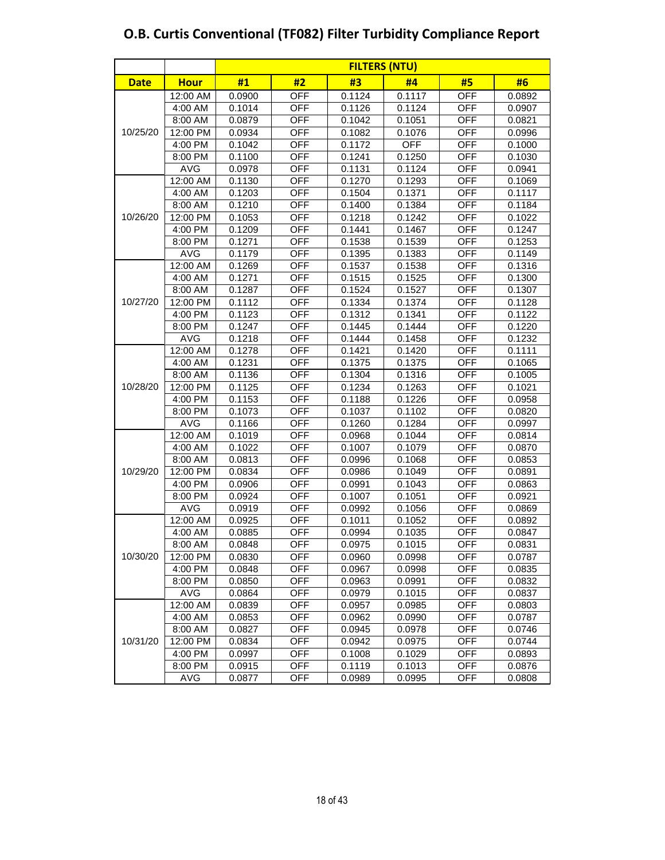|             |             | <b>FILTERS (NTU)</b> |            |        |            |            |        |  |  |  |
|-------------|-------------|----------------------|------------|--------|------------|------------|--------|--|--|--|
| <b>Date</b> | <b>Hour</b> | #1                   | #2         | #3     | #4         | #5         | #6     |  |  |  |
|             | 12:00 AM    | 0.0900               | <b>OFF</b> | 0.1124 | 0.1117     | <b>OFF</b> | 0.0892 |  |  |  |
|             | 4:00 AM     | 0.1014               | <b>OFF</b> | 0.1126 | 0.1124     | <b>OFF</b> | 0.0907 |  |  |  |
|             | 8:00 AM     | 0.0879               | <b>OFF</b> | 0.1042 | 0.1051     | <b>OFF</b> | 0.0821 |  |  |  |
| 10/25/20    | 12:00 PM    | 0.0934               | <b>OFF</b> | 0.1082 | 0.1076     | <b>OFF</b> | 0.0996 |  |  |  |
|             | 4:00 PM     | 0.1042               | <b>OFF</b> | 0.1172 | <b>OFF</b> | <b>OFF</b> | 0.1000 |  |  |  |
|             | 8:00 PM     | 0.1100               | <b>OFF</b> | 0.1241 | 0.1250     | OFF        | 0.1030 |  |  |  |
|             | <b>AVG</b>  | 0.0978               | OFF        | 0.1131 | 0.1124     | <b>OFF</b> | 0.0941 |  |  |  |
|             | 12:00 AM    | 0.1130               | <b>OFF</b> | 0.1270 | 0.1293     | <b>OFF</b> | 0.1069 |  |  |  |
|             | 4:00 AM     | 0.1203               | <b>OFF</b> | 0.1504 | 0.1371     | <b>OFF</b> | 0.1117 |  |  |  |
|             | 8:00 AM     | 0.1210               | <b>OFF</b> | 0.1400 | 0.1384     | <b>OFF</b> | 0.1184 |  |  |  |
| 10/26/20    | 12:00 PM    | 0.1053               | <b>OFF</b> | 0.1218 | 0.1242     | <b>OFF</b> | 0.1022 |  |  |  |
|             | 4:00 PM     | 0.1209               | <b>OFF</b> | 0.1441 | 0.1467     | <b>OFF</b> | 0.1247 |  |  |  |
|             | 8:00 PM     | 0.1271               | <b>OFF</b> | 0.1538 | 0.1539     | <b>OFF</b> | 0.1253 |  |  |  |
|             | <b>AVG</b>  | 0.1179               | <b>OFF</b> | 0.1395 | 0.1383     | <b>OFF</b> | 0.1149 |  |  |  |
|             | 12:00 AM    | 0.1269               | <b>OFF</b> | 0.1537 | 0.1538     | <b>OFF</b> | 0.1316 |  |  |  |
|             | 4:00 AM     | 0.1271               | <b>OFF</b> | 0.1515 | 0.1525     | <b>OFF</b> | 0.1300 |  |  |  |
|             | 8:00 AM     | 0.1287               | <b>OFF</b> | 0.1524 | 0.1527     | <b>OFF</b> | 0.1307 |  |  |  |
| 10/27/20    | 12:00 PM    | 0.1112               | <b>OFF</b> | 0.1334 | 0.1374     | <b>OFF</b> | 0.1128 |  |  |  |
|             | 4:00 PM     | 0.1123               | <b>OFF</b> | 0.1312 | 0.1341     | <b>OFF</b> | 0.1122 |  |  |  |
|             | 8:00 PM     | 0.1247               | <b>OFF</b> | 0.1445 | 0.1444     | <b>OFF</b> | 0.1220 |  |  |  |
|             | <b>AVG</b>  | 0.1218               | OFF        | 0.1444 | 0.1458     | <b>OFF</b> | 0.1232 |  |  |  |
|             | 12:00 AM    | 0.1278               | <b>OFF</b> | 0.1421 | 0.1420     | <b>OFF</b> | 0.1111 |  |  |  |
|             | 4:00 AM     | 0.1231               | <b>OFF</b> | 0.1375 | 0.1375     | <b>OFF</b> | 0.1065 |  |  |  |
|             | 8:00 AM     | 0.1136               | <b>OFF</b> | 0.1304 | 0.1316     | <b>OFF</b> | 0.1005 |  |  |  |
| 10/28/20    | 12:00 PM    | 0.1125               | <b>OFF</b> | 0.1234 | 0.1263     | <b>OFF</b> | 0.1021 |  |  |  |
|             | 4:00 PM     | 0.1153               | <b>OFF</b> | 0.1188 | 0.1226     | <b>OFF</b> | 0.0958 |  |  |  |
|             | 8:00 PM     | 0.1073               | <b>OFF</b> | 0.1037 | 0.1102     | <b>OFF</b> | 0.0820 |  |  |  |
|             | <b>AVG</b>  | 0.1166               | OFF        | 0.1260 | 0.1284     | <b>OFF</b> | 0.0997 |  |  |  |
|             | 12:00 AM    | 0.1019               | <b>OFF</b> | 0.0968 | 0.1044     | <b>OFF</b> | 0.0814 |  |  |  |
|             | 4:00 AM     | 0.1022               | <b>OFF</b> | 0.1007 | 0.1079     | <b>OFF</b> | 0.0870 |  |  |  |
|             | 8:00 AM     | 0.0813               | <b>OFF</b> | 0.0996 | 0.1068     | <b>OFF</b> | 0.0853 |  |  |  |
| 10/29/20    | 12:00 PM    | 0.0834               | <b>OFF</b> | 0.0986 | 0.1049     | <b>OFF</b> | 0.0891 |  |  |  |
|             | 4:00 PM     | 0.0906               | <b>OFF</b> | 0.0991 | 0.1043     | <b>OFF</b> | 0.0863 |  |  |  |
|             | 8:00 PM     | 0.0924               | <b>OFF</b> | 0.1007 | 0.1051     | <b>OFF</b> | 0.0921 |  |  |  |
|             | <b>AVG</b>  | 0.0919               | <b>OFF</b> | 0.0992 | 0.1056     | OFF        | 0.0869 |  |  |  |
|             | 12:00 AM    | 0.0925               | OFF        | 0.1011 | 0.1052     | OFF        | 0.0892 |  |  |  |
|             | 4:00 AM     | 0.0885               | <b>OFF</b> | 0.0994 | 0.1035     | OFF        | 0.0847 |  |  |  |
|             | 8:00 AM     | 0.0848               | <b>OFF</b> | 0.0975 | 0.1015     | <b>OFF</b> | 0.0831 |  |  |  |
| 10/30/20    | 12:00 PM    | 0.0830               | <b>OFF</b> | 0.0960 | 0.0998     | OFF        | 0.0787 |  |  |  |
|             | 4:00 PM     | 0.0848               | OFF        | 0.0967 | 0.0998     | <b>OFF</b> | 0.0835 |  |  |  |
|             | 8:00 PM     | 0.0850               | OFF        | 0.0963 | 0.0991     | <b>OFF</b> | 0.0832 |  |  |  |
|             | AVG         | 0.0864               | OFF        | 0.0979 | 0.1015     | <b>OFF</b> | 0.0837 |  |  |  |
|             | 12:00 AM    | 0.0839               | OFF        | 0.0957 | 0.0985     | <b>OFF</b> | 0.0803 |  |  |  |
|             | 4:00 AM     | 0.0853               | OFF        | 0.0962 | 0.0990     | OFF        | 0.0787 |  |  |  |
|             | 8:00 AM     | 0.0827               | <b>OFF</b> | 0.0945 | 0.0978     | <b>OFF</b> | 0.0746 |  |  |  |
| 10/31/20    | 12:00 PM    | 0.0834               | <b>OFF</b> | 0.0942 | 0.0975     | <b>OFF</b> | 0.0744 |  |  |  |
|             | 4:00 PM     | 0.0997               | <b>OFF</b> | 0.1008 | 0.1029     | <b>OFF</b> | 0.0893 |  |  |  |
|             | 8:00 PM     | 0.0915               | <b>OFF</b> | 0.1119 | 0.1013     | <b>OFF</b> | 0.0876 |  |  |  |
|             | AVG         | 0.0877               | OFF        | 0.0989 | 0.0995     | OFF        | 0.0808 |  |  |  |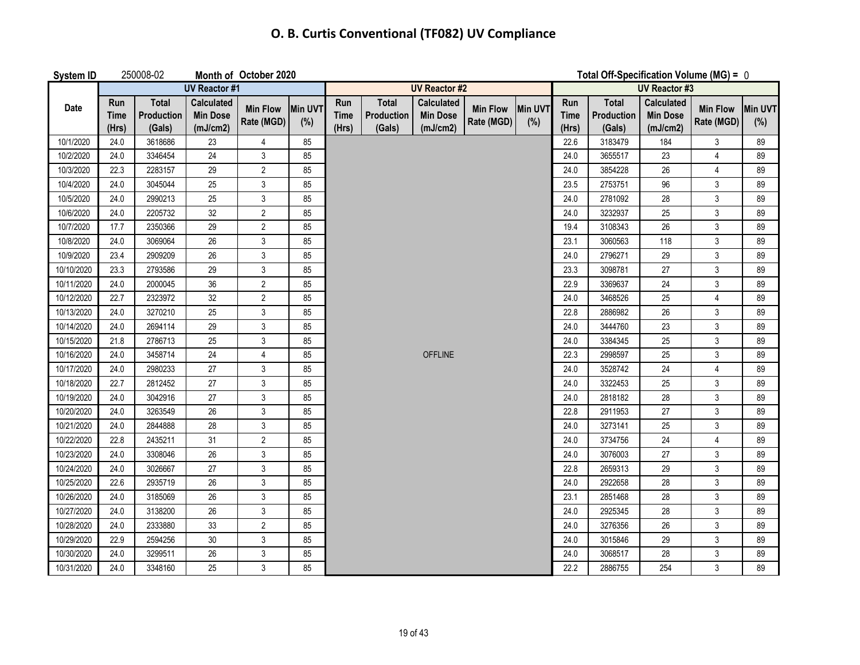| <b>System ID</b> |                             | 250008-02                            |                                                  | Month of October 2020         |                |                             |                                      |                                                  |                               |                       |                             | Total Off-Specification Volume (MG) = $0$ |                                           |                                |     |
|------------------|-----------------------------|--------------------------------------|--------------------------------------------------|-------------------------------|----------------|-----------------------------|--------------------------------------|--------------------------------------------------|-------------------------------|-----------------------|-----------------------------|-------------------------------------------|-------------------------------------------|--------------------------------|-----|
|                  |                             |                                      | <b>UV Reactor #1</b>                             |                               |                |                             |                                      | <b>UV Reactor #2</b>                             |                               |                       | <b>UV Reactor #3</b>        |                                           |                                           |                                |     |
| Date             | Run<br><b>Time</b><br>(Hrs) | <b>Total</b><br>Production<br>(Gals) | <b>Calculated</b><br><b>Min Dose</b><br>(mJ/cm2) | <b>Min Flow</b><br>Rate (MGD) | Min UVT<br>(%) | Run<br><b>Time</b><br>(Hrs) | <b>Total</b><br>Production<br>(Gals) | <b>Calculated</b><br><b>Min Dose</b><br>(mJ/cm2) | <b>Min Flow</b><br>Rate (MGD) | <b>Min UVT</b><br>(%) | Run<br><b>Time</b><br>(Hrs) | <b>Total</b><br>Production<br>(Gals)      | Calculated<br><b>Min Dose</b><br>(mJ/cm2) | Min Flow Min UVT<br>Rate (MGD) | (%) |
| 10/1/2020        | 24.0                        | 3618686                              | 23                                               | 4                             | 85             |                             |                                      |                                                  |                               |                       | 22.6                        | 3183479                                   | 184                                       | 3                              | 89  |
| 10/2/2020        | 24.0                        | 3346454                              | $\overline{24}$                                  | 3                             | 85             |                             |                                      |                                                  |                               |                       | 24.0                        | 3655517                                   | 23                                        | $\overline{4}$                 | 89  |
| 10/3/2020        | 22.3                        | 2283157                              | 29                                               | $\overline{2}$                | 85             |                             |                                      |                                                  |                               |                       | 24.0                        | 3854228                                   | 26                                        | 4                              | 89  |
| 10/4/2020        | 24.0                        | 3045044                              | 25                                               | 3                             | 85             |                             |                                      |                                                  |                               |                       | 23.5                        | 2753751                                   | 96                                        | 3                              | 89  |
| 10/5/2020        | 24.0                        | 2990213                              | 25                                               | $\mathfrak{z}$                | 85             |                             |                                      |                                                  |                               |                       | 24.0                        | 2781092                                   | 28                                        | $\mathfrak{Z}$                 | 89  |
| 10/6/2020        | 24.0                        | 2205732                              | 32                                               | $\overline{2}$                | 85             |                             |                                      |                                                  |                               |                       | 24.0                        | 3232937                                   | 25                                        | $\mathfrak{Z}$                 | 89  |
| 10/7/2020        | 17.7                        | 2350366                              | 29                                               | $\overline{c}$                | 85             |                             |                                      |                                                  |                               |                       | 19.4                        | 3108343                                   | 26                                        | 3                              | 89  |
| 10/8/2020        | 24.0                        | 3069064                              | 26                                               | 3                             | 85             |                             |                                      |                                                  |                               |                       | 23.1                        | 3060563                                   | 118                                       | 3                              | 89  |
| 10/9/2020        | 23.4                        | 2909209                              | 26                                               | 3                             | 85             |                             |                                      |                                                  |                               |                       | 24.0                        | 2796271                                   | 29                                        | 3                              | 89  |
| 10/10/2020       | 23.3                        | 2793586                              | 29                                               | 3                             | 85             |                             |                                      |                                                  |                               |                       | 23.3                        | 3098781                                   | 27                                        | $\mathfrak{Z}$                 | 89  |
| 10/11/2020       | 24.0                        | 2000045                              | 36                                               | $\overline{2}$                | 85             |                             |                                      |                                                  |                               |                       | 22.9                        | 3369637                                   | 24                                        | 3                              | 89  |
| 10/12/2020       | 22.7                        | 2323972                              | 32                                               | $\overline{2}$                | 85             |                             |                                      |                                                  |                               |                       | 24.0                        | 3468526                                   | 25                                        | $\overline{4}$                 | 89  |
| 10/13/2020       | 24.0                        | 3270210                              | 25                                               | 3                             | 85             |                             |                                      |                                                  |                               |                       | 22.8                        | 2886982                                   | 26                                        | 3                              | 89  |
| 10/14/2020       | 24.0                        | 2694114                              | 29                                               | 3                             | 85             |                             |                                      |                                                  |                               |                       | 24.0                        | 3444760                                   | 23                                        | 3                              | 89  |
| 10/15/2020       | 21.8                        | 2786713                              | 25                                               | 3                             | 85             |                             |                                      |                                                  |                               |                       | 24.0                        | 3384345                                   | 25                                        | $\mathbf{3}$                   | 89  |
| 10/16/2020       | 24.0                        | 3458714                              | 24                                               | $\overline{4}$                | 85             |                             |                                      | <b>OFFLINE</b>                                   |                               |                       | 22.3                        | 2998597                                   | 25                                        | $\mathfrak{Z}$                 | 89  |
| 10/17/2020       | 24.0                        | 2980233                              | 27                                               | 3                             | 85             |                             |                                      |                                                  |                               |                       | 24.0                        | 3528742                                   | 24                                        | 4                              | 89  |
| 10/18/2020       | 22.7                        | 2812452                              | 27                                               | 3                             | 85             |                             |                                      |                                                  |                               |                       | 24.0                        | 3322453                                   | 25                                        | 3                              | 89  |
| 10/19/2020       | 24.0                        | 3042916                              | 27                                               | 3                             | 85             |                             |                                      |                                                  |                               |                       | 24.0                        | 2818182                                   | 28                                        | $\mathbf{3}$                   | 89  |
| 10/20/2020       | 24.0                        | 3263549                              | 26                                               | 3                             | 85             |                             |                                      |                                                  |                               |                       | 22.8                        | 2911953                                   | 27                                        | $\mathfrak{Z}$                 | 89  |
| 10/21/2020       | 24.0                        | 2844888                              | 28                                               | 3                             | 85             |                             |                                      |                                                  |                               |                       | 24.0                        | 3273141                                   | 25                                        | $\mathfrak{Z}$                 | 89  |
| 10/22/2020       | 22.8                        | 2435211                              | 31                                               | $\overline{2}$                | 85             |                             |                                      |                                                  |                               |                       | 24.0                        | 3734756                                   | 24                                        | $\overline{4}$                 | 89  |
| 10/23/2020       | 24.0                        | 3308046                              | 26                                               | 3                             | 85             |                             |                                      |                                                  |                               |                       | 24.0                        | 3076003                                   | 27                                        | 3                              | 89  |
| 10/24/2020       | 24.0                        | 3026667                              | 27                                               | $\mathfrak{z}$                | 85             |                             |                                      |                                                  |                               |                       | 22.8                        | 2659313                                   | 29                                        | $\mathbf{3}$                   | 89  |
| 10/25/2020       | 22.6                        | 2935719                              | 26                                               | 3                             | 85             |                             |                                      |                                                  |                               |                       | 24.0                        | 2922658                                   | 28                                        | $\mathfrak{Z}$                 | 89  |
| 10/26/2020       | 24.0                        | 3185069                              | 26                                               | 3                             | 85             |                             |                                      |                                                  |                               |                       | 23.1                        | 2851468                                   | 28                                        | $\mathfrak{Z}$                 | 89  |
| 10/27/2020       | 24.0                        | 3138200                              | 26                                               | 3                             | 85             |                             |                                      |                                                  |                               |                       | 24.0                        | 2925345                                   | 28                                        | 3                              | 89  |
| 10/28/2020       | 24.0                        | 2333880                              | 33                                               | $\overline{2}$                | 85             |                             |                                      |                                                  |                               |                       | 24.0                        | 3276356                                   | 26                                        | 3                              | 89  |
| 10/29/2020       | 22.9                        | 2594256                              | $30\,$                                           | 3                             | 85             |                             |                                      |                                                  |                               |                       | 24.0                        | 3015846                                   | 29                                        | 3                              | 89  |
| 10/30/2020       | 24.0                        | 3299511                              | 26                                               | 3                             | 85             |                             |                                      |                                                  |                               |                       | 24.0                        | 3068517                                   | 28                                        | 3                              | 89  |
| 10/31/2020       | 24.0                        | 3348160                              | 25                                               | 3                             | 85             |                             |                                      |                                                  |                               |                       | 22.2                        | 2886755                                   | 254                                       | $\mathfrak{Z}$                 | 89  |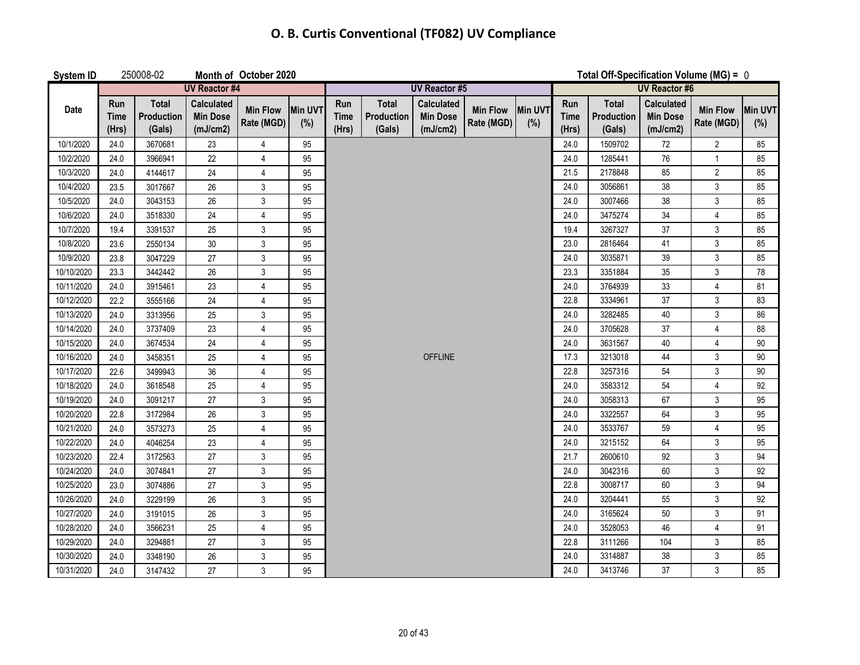| System ID  |                             | 250008-02                            |                                                  | Month of October 2020         |                       |                             |                                             |                                                  |                               |                |                             | Total Off-Specification Volume (MG) = $0$ |                                                  |                               |                       |
|------------|-----------------------------|--------------------------------------|--------------------------------------------------|-------------------------------|-----------------------|-----------------------------|---------------------------------------------|--------------------------------------------------|-------------------------------|----------------|-----------------------------|-------------------------------------------|--------------------------------------------------|-------------------------------|-----------------------|
|            |                             |                                      | <b>UV Reactor #4</b>                             |                               |                       |                             |                                             | <b>UV Reactor #5</b>                             |                               |                | <b>UV Reactor #6</b>        |                                           |                                                  |                               |                       |
| Date       | Run<br><b>Time</b><br>(Hrs) | <b>Total</b><br>Production<br>(Gals) | <b>Calculated</b><br><b>Min Dose</b><br>(mJ/cm2) | <b>Min Flow</b><br>Rate (MGD) | <b>Min UVT</b><br>(%) | Run<br><b>Time</b><br>(Hrs) | <b>Total</b><br><b>Production</b><br>(Gals) | <b>Calculated</b><br><b>Min Dose</b><br>(mJ/cm2) | <b>Min Flow</b><br>Rate (MGD) | Min UVT<br>(%) | Run<br><b>Time</b><br>(Hrs) | <b>Total</b><br>Production<br>(Gals)      | <b>Calculated</b><br><b>Min Dose</b><br>(mJ/cm2) | <b>Min Flow</b><br>Rate (MGD) | <b>Min UVT</b><br>(%) |
| 10/1/2020  | 24.0                        | 3670681                              | 23                                               | 4                             | 95                    |                             |                                             |                                                  |                               |                | 24.0                        | 1509702                                   | 72                                               | $\overline{2}$                | 85                    |
| 10/2/2020  | 24.0                        | 3966941                              | 22                                               | $\overline{\mathbf{4}}$       | 95                    |                             |                                             |                                                  |                               |                | 24.0                        | 1285441                                   | 76                                               | $\mathbf{1}$                  | 85                    |
| 10/3/2020  | 24.0                        | 4144617                              | 24                                               | $\overline{4}$                | 95                    |                             |                                             |                                                  |                               |                | 21.5                        | 2178848                                   | 85                                               | $\overline{2}$                | 85                    |
| 10/4/2020  | 23.5                        | 3017667                              | 26                                               | $\mathfrak{Z}$                | 95                    |                             |                                             |                                                  |                               |                | 24.0                        | 3056861                                   | 38                                               | $\mathsf{3}$                  | 85                    |
| 10/5/2020  | 24.0                        | 3043153                              | 26                                               | $\mathbf{3}$                  | 95                    |                             |                                             |                                                  |                               |                | 24.0                        | 3007466                                   | 38                                               | $\mathsf 3$                   | 85                    |
| 10/6/2020  | 24.0                        | 3518330                              | 24                                               | $\overline{4}$                | 95                    |                             |                                             |                                                  |                               |                | 24.0                        | 3475274                                   | 34                                               | $\overline{4}$                | 85                    |
| 10/7/2020  | 19.4                        | 3391537                              | 25                                               | $\mathfrak{Z}$                | 95                    |                             |                                             |                                                  |                               |                | 19.4                        | 3267327                                   | 37                                               | $\mathsf 3$                   | 85                    |
| 10/8/2020  | 23.6                        | 2550134                              | 30                                               | $\mathbf{3}$                  | 95                    |                             |                                             |                                                  |                               |                | 23.0                        | 2816464                                   | 41                                               | 3                             | 85                    |
| 10/9/2020  | 23.8                        | 3047229                              | 27                                               | $\mathfrak{Z}$                | 95                    |                             |                                             |                                                  |                               |                | 24.0                        | 3035871                                   | 39                                               | $\mathfrak{Z}$                | 85                    |
| 10/10/2020 | 23.3                        | 3442442                              | 26                                               | 3                             | 95                    |                             |                                             |                                                  |                               |                | 23.3                        | 3351884                                   | 35                                               | 3                             | 78                    |
| 10/11/2020 | 24.0                        | 3915461                              | 23                                               | $\overline{4}$                | 95                    |                             |                                             |                                                  |                               |                | 24.0                        | 3764939                                   | 33                                               | $\overline{4}$                | 81                    |
| 10/12/2020 | 22.2                        | 3555166                              | 24                                               | $\overline{\mathbf{4}}$       | 95                    |                             |                                             |                                                  |                               |                | 22.8                        | 3334961                                   | 37                                               | $\mathbf{3}$                  | 83                    |
| 10/13/2020 | 24.0                        | 3313956                              | 25                                               | $\ensuremath{\mathsf{3}}$     | 95                    |                             |                                             |                                                  |                               |                | 24.0                        | 3282485                                   | 40                                               | $\mathsf 3$                   | 86                    |
| 10/14/2020 | 24.0                        | 3737409                              | 23                                               | $\overline{\mathbf{4}}$       | 95                    |                             |                                             |                                                  |                               |                | 24.0                        | 3705628                                   | 37                                               | $\overline{4}$                | 88                    |
| 10/15/2020 | 24.0                        | 3674534                              | 24                                               | 4                             | 95                    |                             |                                             |                                                  |                               |                | 24.0                        | 3631567                                   | 40                                               | 4                             | 90                    |
| 10/16/2020 | 24.0                        | 3458351                              | 25                                               | $\overline{4}$                | 95                    |                             |                                             | <b>OFFLINE</b>                                   |                               |                | 17.3                        | 3213018                                   | 44                                               | 3                             | 90                    |
| 10/17/2020 | 22.6                        | 3499943                              | 36                                               | $\overline{\mathbf{4}}$       | 95                    |                             |                                             |                                                  |                               |                | 22.8                        | 3257316                                   | 54                                               | $\mathsf 3$                   | 90                    |
| 10/18/2020 | 24.0                        | 3618548                              | 25                                               | $\overline{4}$                | 95                    |                             |                                             |                                                  |                               |                | 24.0                        | 3583312                                   | 54                                               | $\overline{4}$                | 92                    |
| 10/19/2020 | 24.0                        | 3091217                              | 27                                               | 3                             | 95                    |                             |                                             |                                                  |                               |                | 24.0                        | 3058313                                   | 67                                               | 3                             | 95                    |
| 10/20/2020 | 22.8                        | 3172984                              | 26                                               | $\mathfrak{Z}$                | 95                    |                             |                                             |                                                  |                               |                | 24.0                        | 3322557                                   | 64                                               | 3                             | 95                    |
| 10/21/2020 | 24.0                        | 3573273                              | 25                                               | $\overline{\mathbf{4}}$       | 95                    |                             |                                             |                                                  |                               |                | 24.0                        | 3533767                                   | 59                                               | $\overline{4}$                | 95                    |
| 10/22/2020 | 24.0                        | 4046254                              | 23                                               | $\overline{\mathbf{4}}$       | 95                    |                             |                                             |                                                  |                               |                | 24.0                        | 3215152                                   | 64                                               | 3                             | 95                    |
| 10/23/2020 | 22.4                        | 3172563                              | 27                                               | $\mathfrak{Z}$                | 95                    |                             |                                             |                                                  |                               |                | 21.7                        | 2600610                                   | 92                                               | $\mathsf{3}$                  | 94                    |
| 10/24/2020 | 24.0                        | 3074841                              | 27                                               | $\mathbf{3}$                  | 95                    |                             |                                             |                                                  |                               |                | 24.0                        | 3042316                                   | 60                                               | $\mathfrak{Z}$                | 92                    |
| 10/25/2020 | 23.0                        | 3074886                              | 27                                               | $\mathbf{3}$                  | 95                    |                             |                                             |                                                  |                               |                | 22.8                        | 3008717                                   | 60                                               | 3                             | 94                    |
| 10/26/2020 | 24.0                        | 3229199                              | 26                                               | $\mathbf{3}$                  | 95                    |                             |                                             |                                                  |                               |                | 24.0                        | 3204441                                   | 55                                               | 3                             | 92                    |
| 10/27/2020 | 24.0                        | 3191015                              | $26\,$                                           | $\mathbf{3}$                  | 95                    |                             |                                             |                                                  |                               |                | 24.0                        | 3165624                                   | 50                                               | $\mathfrak{Z}$                | 91                    |
| 10/28/2020 | 24.0                        | 3566231                              | 25                                               | $\overline{4}$                | 95                    |                             |                                             |                                                  |                               |                | 24.0                        | 3528053                                   | 46                                               | $\overline{4}$                | 91                    |
| 10/29/2020 | 24.0                        | 3294881                              | 27                                               | 3                             | 95                    |                             |                                             |                                                  |                               |                | 22.8                        | 3111266                                   | 104                                              | 3                             | 85                    |
| 10/30/2020 | 24.0                        | 3348190                              | 26                                               | $\mathbf{3}$                  | 95                    |                             |                                             |                                                  |                               |                | 24.0                        | 3314887                                   | 38                                               | $\mathbf{3}$                  | 85                    |
| 10/31/2020 | 24.0                        | 3147432                              | 27                                               | 3                             | 95                    |                             |                                             |                                                  |                               |                | 24.0                        | 3413746                                   | 37                                               | 3                             | 85                    |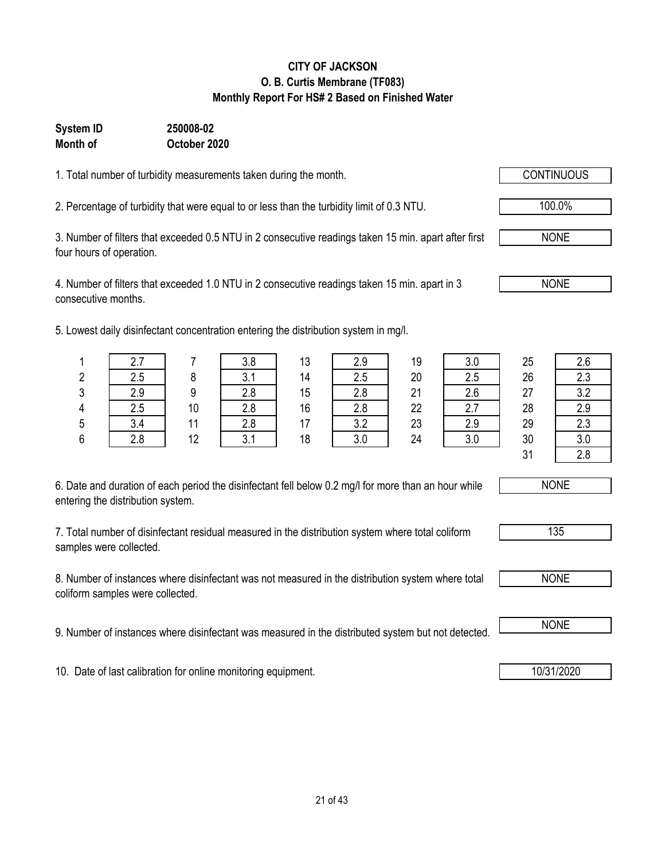## 1. Total number of turbidity measurements taken during the month.

**CITY OF JACKSON O. B. Curtis Membrane (TF083) Monthly Report For HS# 2 Based on Finished Water**

2. Percentage of turbidity that were equal to or less than the turbidity limit of 0.3 NTU.  $\sqrt{100.0\%}$ 

**October 2020**

**Month of**

**System ID 250008-02**

3. Number of filters that exceeded 0.5 NTU in 2 consecutive readings taken 15 min. apart after first four hours of operation.

4. Number of filters that exceeded 1.0 NTU in 2 consecutive readings taken 15 min. apart in 3 consecutive months.

5. Lowest daily disinfectant concentration entering the distribution system in mg/l.

6. Date and duration of each period the disinfectant fell below 0.2 mg/l for more than an hour while entering the distribution system.

7. Total number of disinfectant residual measured in the distribution system where total coliform samples were collected.

8. Number of instances where disinfectant was not measured in the distribution system where total coliform samples were collected.

9. Number of instances where disinfectant was measured in the distributed system but not detected. NONE

10. Date of last calibration for online monitoring equipment. 10. 10/31/2020

NONE

| <b>NONE</b> |
|-------------|
|-------------|

|   | 2.7 |    | 3.8 | 13 | 2.9 | 19 | 3.0 | 25 | 2.6 |
|---|-----|----|-----|----|-----|----|-----|----|-----|
| 2 | 2.5 |    | 3.1 | 14 | 2.5 | 20 | 2.5 | 26 | 2.3 |
| 3 | 2.9 | q  | 2.8 | 15 | 2.8 | 21 | 2.6 | 27 | ? ? |
| 4 | 2.5 | 10 | 2.8 | 16 | 2.8 | 22 | 2.7 | 28 | 2.9 |
| 5 | 3.4 | 11 | 2.8 | 17 | 3.2 | 23 | 2.9 | 29 | 2.3 |
| 6 | 2.8 | 12 | 3.1 | 18 | 3.0 | 24 | 3.0 | 30 | 3.0 |
|   |     |    |     |    |     |    |     | 31 | 2.8 |



135

NONE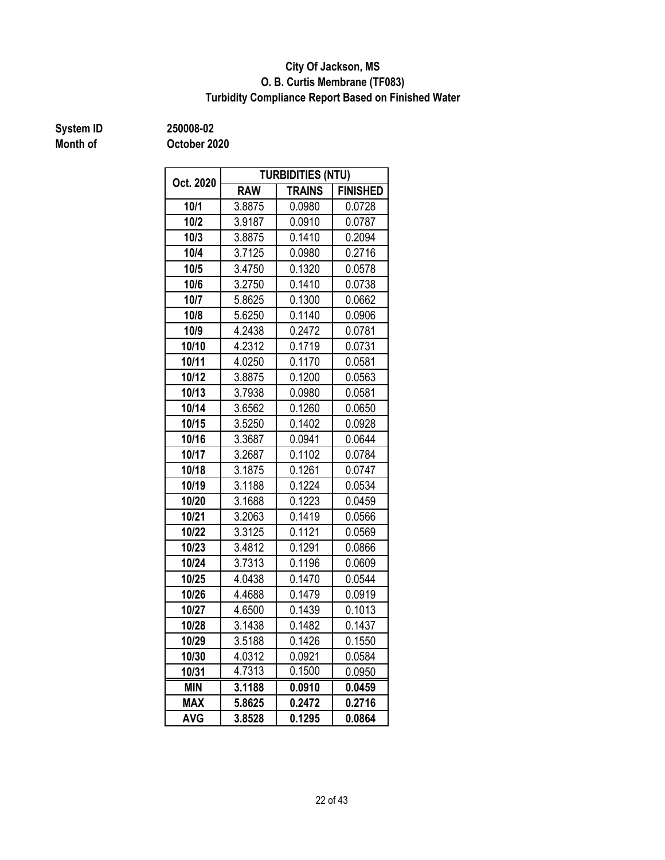#### **O. B. Curtis Membrane (TF083) City Of Jackson, MS Turbidity Compliance Report Based on Finished Water**

## **Month of**

**System ID 250008-02**

| Oct. 2020  |            | <b>TURBIDITIES (NTU)</b> |                 |  |
|------------|------------|--------------------------|-----------------|--|
|            | <b>RAW</b> | <b>TRAINS</b>            | <b>FINISHED</b> |  |
| 10/1       | 3.8875     | 0.0980                   | 0.0728          |  |
| 10/2       | 3.9187     | 0.0910                   | 0.0787          |  |
| 10/3       | 3.8875     | 0.1410                   | 0.2094          |  |
| 10/4       | 3.7125     | 0.0980                   | 0.2716          |  |
| 10/5       | 3.4750     | 0.1320                   | 0.0578          |  |
| 10/6       | 3.2750     | 0.1410                   | 0.0738          |  |
| 10/7       | 5.8625     | 0.1300                   | 0.0662          |  |
| 10/8       | 5.6250     | 0.1140                   | 0.0906          |  |
| 10/9       | 4.2438     | 0.2472<br>0.0781         |                 |  |
| 10/10      | 4.2312     | 0.1719                   | 0.0731          |  |
| 10/11      | 4.0250     | 0.1170<br>0.0581         |                 |  |
| 10/12      | 3.8875     | 0.1200<br>0.0563         |                 |  |
| 10/13      | 3.7938     | 0.0980                   | 0.0581          |  |
| 10/14      | 3.6562     | 0.1260                   | 0.0650          |  |
| 10/15      | 3.5250     | 0.1402                   | 0.0928          |  |
| 10/16      | 3.3687     | 0.0941                   | 0.0644          |  |
| 10/17      | 3.2687     | 0.1102                   | 0.0784          |  |
| 10/18      | 3.1875     | 0.1261                   | 0.0747          |  |
| 10/19      | 3.1188     | 0.1224                   | 0.0534          |  |
| 10/20      | 3.1688     | 0.1223                   | 0.0459          |  |
| 10/21      | 3.2063     | 0.1419                   | 0.0566          |  |
| 10/22      | 3.3125     | 0.1121                   | 0.0569          |  |
| 10/23      | 3.4812     | 0.1291                   | 0.0866          |  |
| 10/24      | 3.7313     | 0.1196                   | 0.0609          |  |
| 10/25      | 4.0438     | 0.1470                   | 0.0544          |  |
| 10/26      | 4.4688     | 0.1479                   | 0.0919          |  |
| 10/27      | 4.6500     | 0.1439                   | 0.1013          |  |
| 10/28      | 3.1438     | 0.1482                   | 0.1437          |  |
| 10/29      | 3.5188     | 0.1426                   | 0.1550          |  |
| 10/30      | 4.0312     | 0.0921<br>0.0584         |                 |  |
| 10/31      | 4.7313     | 0.1500<br>0.0950         |                 |  |
| <b>MIN</b> | 3.1188     | 0.0910                   | 0.0459          |  |
| <b>MAX</b> | 5.8625     | 0.2472                   | 0.2716          |  |
| <b>AVG</b> | 3.8528     | 0.1295                   | 0.0864          |  |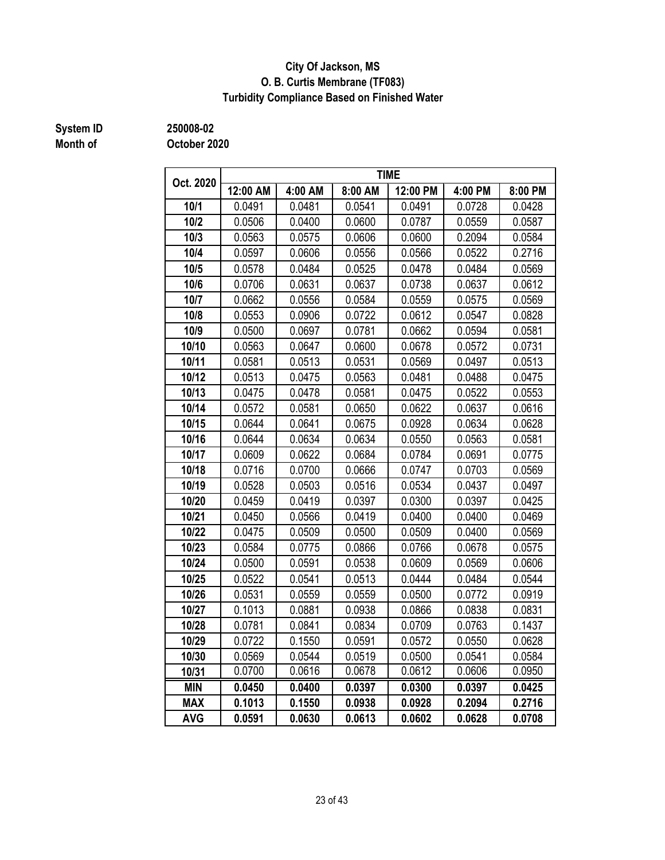#### **City Of Jackson, MS O. B. Curtis Membrane (TF083) Turbidity Compliance Based on Finished Water**

## **Month of**

**System ID 250008-02**

| Oct. 2020  |          | <b>TIME</b> |         |          |         |         |  |  |
|------------|----------|-------------|---------|----------|---------|---------|--|--|
|            | 12:00 AM | 4:00 AM     | 8:00 AM | 12:00 PM | 4:00 PM | 8:00 PM |  |  |
| 10/1       | 0.0491   | 0.0481      | 0.0541  | 0.0491   | 0.0728  | 0.0428  |  |  |
| 10/2       | 0.0506   | 0.0400      | 0.0600  | 0.0787   | 0.0559  | 0.0587  |  |  |
| 10/3       | 0.0563   | 0.0575      | 0.0606  | 0.0600   | 0.2094  | 0.0584  |  |  |
| 10/4       | 0.0597   | 0.0606      | 0.0556  | 0.0566   | 0.0522  | 0.2716  |  |  |
| 10/5       | 0.0578   | 0.0484      | 0.0525  | 0.0478   | 0.0484  | 0.0569  |  |  |
| 10/6       | 0.0706   | 0.0631      | 0.0637  | 0.0738   | 0.0637  | 0.0612  |  |  |
| 10/7       | 0.0662   | 0.0556      | 0.0584  | 0.0559   | 0.0575  | 0.0569  |  |  |
| 10/8       | 0.0553   | 0.0906      | 0.0722  | 0.0612   | 0.0547  | 0.0828  |  |  |
| 10/9       | 0.0500   | 0.0697      | 0.0781  | 0.0662   | 0.0594  | 0.0581  |  |  |
| 10/10      | 0.0563   | 0.0647      | 0.0600  | 0.0678   | 0.0572  | 0.0731  |  |  |
| 10/11      | 0.0581   | 0.0513      | 0.0531  | 0.0569   | 0.0497  | 0.0513  |  |  |
| 10/12      | 0.0513   | 0.0475      | 0.0563  | 0.0481   | 0.0488  | 0.0475  |  |  |
| 10/13      | 0.0475   | 0.0478      | 0.0581  | 0.0475   | 0.0522  | 0.0553  |  |  |
| 10/14      | 0.0572   | 0.0581      | 0.0650  | 0.0622   | 0.0637  | 0.0616  |  |  |
| 10/15      | 0.0644   | 0.0641      | 0.0675  | 0.0928   | 0.0634  | 0.0628  |  |  |
| 10/16      | 0.0644   | 0.0634      | 0.0634  | 0.0550   | 0.0563  | 0.0581  |  |  |
| 10/17      | 0.0609   | 0.0622      | 0.0684  | 0.0784   | 0.0691  | 0.0775  |  |  |
| 10/18      | 0.0716   | 0.0700      | 0.0666  | 0.0747   | 0.0703  | 0.0569  |  |  |
| 10/19      | 0.0528   | 0.0503      | 0.0516  | 0.0534   | 0.0437  | 0.0497  |  |  |
| 10/20      | 0.0459   | 0.0419      | 0.0397  | 0.0300   | 0.0397  | 0.0425  |  |  |
| 10/21      | 0.0450   | 0.0566      | 0.0419  | 0.0400   | 0.0400  | 0.0469  |  |  |
| 10/22      | 0.0475   | 0.0509      | 0.0500  | 0.0509   | 0.0400  | 0.0569  |  |  |
| 10/23      | 0.0584   | 0.0775      | 0.0866  | 0.0766   | 0.0678  | 0.0575  |  |  |
| 10/24      | 0.0500   | 0.0591      | 0.0538  | 0.0609   | 0.0569  | 0.0606  |  |  |
| 10/25      | 0.0522   | 0.0541      | 0.0513  | 0.0444   | 0.0484  | 0.0544  |  |  |
| 10/26      | 0.0531   | 0.0559      | 0.0559  | 0.0500   | 0.0772  | 0.0919  |  |  |
| 10/27      | 0.1013   | 0.0881      | 0.0938  | 0.0866   | 0.0838  | 0.0831  |  |  |
| 10/28      | 0.0781   | 0.0841      | 0.0834  | 0.0709   | 0.0763  | 0.1437  |  |  |
| 10/29      | 0.0722   | 0.1550      | 0.0591  | 0.0572   | 0.0550  | 0.0628  |  |  |
| 10/30      | 0.0569   | 0.0544      | 0.0519  | 0.0500   | 0.0541  | 0.0584  |  |  |
| 10/31      | 0.0700   | 0.0616      | 0.0678  | 0.0612   | 0.0606  | 0.0950  |  |  |
| <b>MIN</b> | 0.0450   | 0.0400      | 0.0397  | 0.0300   | 0.0397  | 0.0425  |  |  |
| <b>MAX</b> | 0.1013   | 0.1550      | 0.0938  | 0.0928   | 0.2094  | 0.2716  |  |  |
| <b>AVG</b> | 0.0591   | 0.0630      | 0.0613  | 0.0602   | 0.0628  | 0.0708  |  |  |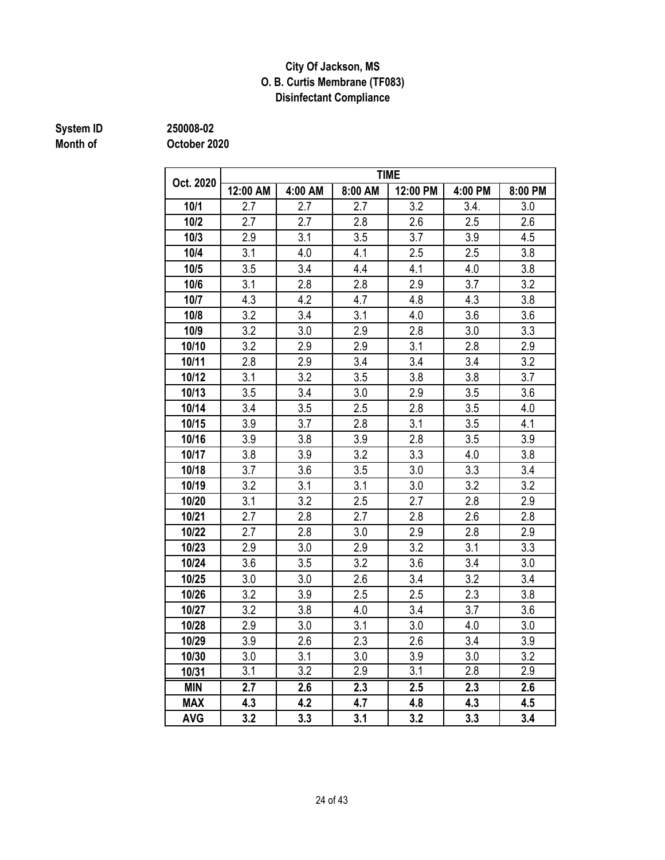#### **City Of Jackson, MS O. B. Curtis Membrane (TF083) Disinfectant Compliance**

## **Month of**

**System ID 250008-02**

| Oct. 2020  |          |         | <b>TIME</b> |          |         |         |  |  |  |
|------------|----------|---------|-------------|----------|---------|---------|--|--|--|
|            | 12:00 AM | 4:00 AM | 8:00 AM     | 12:00 PM | 4:00 PM | 8:00 PM |  |  |  |
| 10/1       | 2.7      | 2.7     | 2.7         | 3.2      | 3.4.    | 3.0     |  |  |  |
| 10/2       | 2.7      | 2.7     | 2.8         | 2.6      | 2.5     | 2.6     |  |  |  |
| 10/3       | 2.9      | 3.1     | 3.5         | 3.7      | 3.9     | 4.5     |  |  |  |
| 10/4       | 3.1      | 4.0     | 4.1         | 2.5      | 2.5     | 3.8     |  |  |  |
| 10/5       | 3.5      | 3.4     | 4.4         | 4.1      | 4.0     | 3.8     |  |  |  |
| 10/6       | 3.1      | 2.8     | 2.8         | 2.9      | 3.7     | 3.2     |  |  |  |
| 10/7       | 4.3      | 4.2     | 4.7         | 4.8      | 4.3     | 3.8     |  |  |  |
| 10/8       | 3.2      | 3.4     | 3.1         | 4.0      | 3.6     | 3.6     |  |  |  |
| 10/9       | 3.2      | 3.0     | 2.9         | 2.8      | 3.0     | 3.3     |  |  |  |
| 10/10      | 3.2      | 2.9     | 2.9         | 3.1      | 2.8     | 2.9     |  |  |  |
| 10/11      | 2.8      | 2.9     | 3.4         | 3.4      | 3.4     | 3.2     |  |  |  |
| 10/12      | 3.1      | 3.2     | 3.5         | 3.8      | 3.8     | 3.7     |  |  |  |
| 10/13      | 3.5      | 3.4     | 3.0         | 2.9      | 3.5     | 3.6     |  |  |  |
| 10/14      | 3.4      | 3.5     | 2.5         | 2.8      | 3.5     | 4.0     |  |  |  |
| 10/15      | 3.9      | 3.7     | 2.8         | 3.1      | 3.5     | 4.1     |  |  |  |
| 10/16      | 3.9      | 3.8     | 3.9         | 2.8      | 3.5     | 3.9     |  |  |  |
| 10/17      | 3.8      | 3.9     | 3.2         | 3.3      | 4.0     | 3.8     |  |  |  |
| 10/18      | 3.7      | 3.6     | 3.5         | 3.0      | 3.3     | 3.4     |  |  |  |
| 10/19      | 3.2      | 3.1     | 3.1         | 3.0      | 3.2     | 3.2     |  |  |  |
| 10/20      | 3.1      | 3.2     | 2.5         | 2.7      | 2.8     | 2.9     |  |  |  |
| 10/21      | 2.7      | 2.8     | 2.7         | 2.8      | 2.6     | 2.8     |  |  |  |
| 10/22      | 2.7      | 2.8     | 3.0         | 2.9      | 2.8     | 2.9     |  |  |  |
| 10/23      | 2.9      | 3.0     | 2.9         | 3.2      | 3.1     | 3.3     |  |  |  |
| 10/24      | 3.6      | 3.5     | 3.2         | 3.6      | 3.4     | 3.0     |  |  |  |
| 10/25      | 3.0      | 3.0     | 2.6         | 3.4      | 3.2     | 3.4     |  |  |  |
| 10/26      | 3.2      | 3.9     | 2.5         | 2.5      | 2.3     | 3.8     |  |  |  |
| 10/27      | 3.2      | 3.8     | 4.0         | 3.4      | 3.7     | 3.6     |  |  |  |
| 10/28      | 2.9      | 3.0     | 3.1         | 3.0      | 4.0     | 3.0     |  |  |  |
| 10/29      | 3.9      | 2.6     | 2.3         | 2.6      | 3.4     | 3.9     |  |  |  |
| 10/30      | 3.0      | 3.1     | 3.0         | 3.9      | 3.0     | 3.2     |  |  |  |
| 10/31      | 3.1      | 3.2     | 2.9         | 3.1      | 2.8     | 2.9     |  |  |  |
| <b>MIN</b> | 2.7      | 2.6     | 2.3         | 2.5      | 2.3     | 2.6     |  |  |  |
| <b>MAX</b> | 4.3      | 4.2     | 4.7         | 4.8      | 4.3     | 4.5     |  |  |  |
| <b>AVG</b> | 3.2      | 3.3     | 3.1         | 3.2      | 3.3     | 3.4     |  |  |  |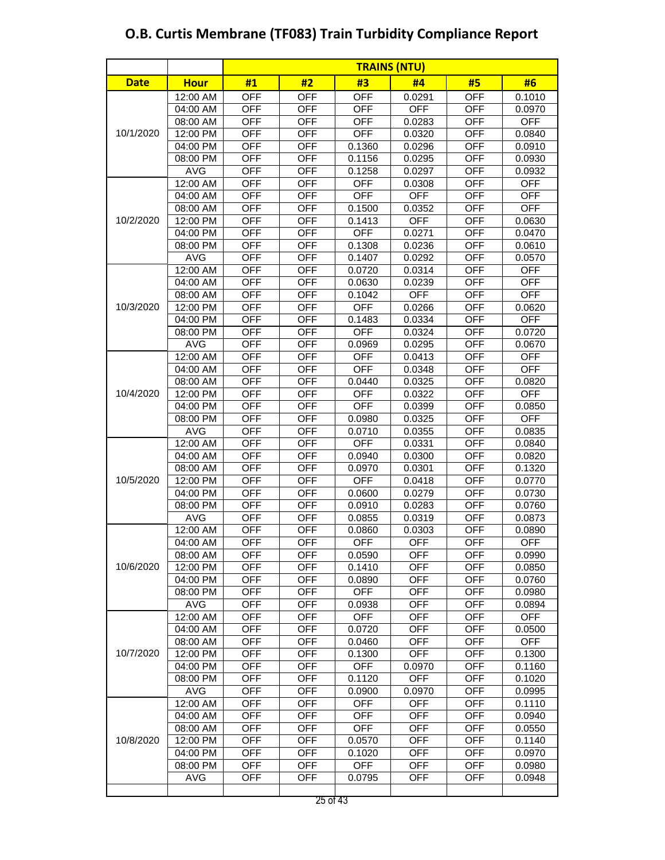|             |             |            |            |            | <b>TRAINS (NTU)</b> |            |            |
|-------------|-------------|------------|------------|------------|---------------------|------------|------------|
| <b>Date</b> | <b>Hour</b> | #1         | #2         | #3         | #4                  | #5         | #6         |
|             | 12:00 AM    | <b>OFF</b> | <b>OFF</b> | <b>OFF</b> | 0.0291              | <b>OFF</b> | 0.1010     |
|             | 04:00 AM    | <b>OFF</b> | <b>OFF</b> | <b>OFF</b> | <b>OFF</b>          | <b>OFF</b> | 0.0970     |
|             | 08:00 AM    | <b>OFF</b> | <b>OFF</b> | <b>OFF</b> | 0.0283              | <b>OFF</b> | <b>OFF</b> |
| 10/1/2020   | 12:00 PM    | <b>OFF</b> | <b>OFF</b> | <b>OFF</b> | 0.0320              | <b>OFF</b> | 0.0840     |
|             | 04:00 PM    | <b>OFF</b> | <b>OFF</b> | 0.1360     | 0.0296              | <b>OFF</b> | 0.0910     |
|             | 08:00 PM    | <b>OFF</b> | <b>OFF</b> | 0.1156     | 0.0295              | <b>OFF</b> | 0.0930     |
|             | <b>AVG</b>  | <b>OFF</b> | <b>OFF</b> | 0.1258     | 0.0297              | <b>OFF</b> | 0.0932     |
|             | 12:00 AM    | <b>OFF</b> | <b>OFF</b> | <b>OFF</b> | 0.0308              | <b>OFF</b> | <b>OFF</b> |
|             | 04:00 AM    | <b>OFF</b> | <b>OFF</b> | <b>OFF</b> | <b>OFF</b>          | <b>OFF</b> | <b>OFF</b> |
|             | 08:00 AM    | <b>OFF</b> | <b>OFF</b> | 0.1500     | 0.0352              | <b>OFF</b> | <b>OFF</b> |
| 10/2/2020   | 12:00 PM    | <b>OFF</b> | <b>OFF</b> | 0.1413     | <b>OFF</b>          | <b>OFF</b> | 0.0630     |
|             | 04:00 PM    | <b>OFF</b> | <b>OFF</b> | <b>OFF</b> | 0.0271              | <b>OFF</b> | 0.0470     |
|             | 08:00 PM    | <b>OFF</b> | <b>OFF</b> | 0.1308     | 0.0236              | <b>OFF</b> | 0.0610     |
|             | <b>AVG</b>  | <b>OFF</b> | <b>OFF</b> | 0.1407     | 0.0292              | <b>OFF</b> | 0.0570     |
|             | 12:00 AM    | <b>OFF</b> | <b>OFF</b> | 0.0720     | 0.0314              | <b>OFF</b> | <b>OFF</b> |
|             | 04:00 AM    | <b>OFF</b> | <b>OFF</b> | 0.0630     | 0.0239              | <b>OFF</b> | <b>OFF</b> |
|             | 08:00 AM    | <b>OFF</b> | <b>OFF</b> | 0.1042     | <b>OFF</b>          | <b>OFF</b> | <b>OFF</b> |
| 10/3/2020   | 12:00 PM    | <b>OFF</b> | <b>OFF</b> | <b>OFF</b> | 0.0266              | <b>OFF</b> | 0.0620     |
|             | 04:00 PM    | <b>OFF</b> | <b>OFF</b> | 0.1483     | 0.0334              | <b>OFF</b> | <b>OFF</b> |
|             | 08:00 PM    | <b>OFF</b> | <b>OFF</b> | <b>OFF</b> | 0.0324              | <b>OFF</b> | 0.0720     |
|             | <b>AVG</b>  | <b>OFF</b> | <b>OFF</b> | 0.0969     | 0.0295              | <b>OFF</b> | 0.0670     |
|             | 12:00 AM    | <b>OFF</b> | <b>OFF</b> | <b>OFF</b> | 0.0413              | <b>OFF</b> | <b>OFF</b> |
|             | 04:00 AM    | <b>OFF</b> | <b>OFF</b> | <b>OFF</b> | 0.0348              | <b>OFF</b> | <b>OFF</b> |
| 10/4/2020   | 08:00 AM    | <b>OFF</b> | <b>OFF</b> | 0.0440     | 0.0325              | <b>OFF</b> | 0.0820     |
|             | 12:00 PM    | <b>OFF</b> | <b>OFF</b> | <b>OFF</b> | 0.0322              | <b>OFF</b> | <b>OFF</b> |
|             | 04:00 PM    | <b>OFF</b> | <b>OFF</b> | <b>OFF</b> | 0.0399              | <b>OFF</b> | 0.0850     |
|             | 08:00 PM    | <b>OFF</b> | <b>OFF</b> | 0.0980     | 0.0325              | <b>OFF</b> | <b>OFF</b> |
|             | <b>AVG</b>  | <b>OFF</b> | <b>OFF</b> | 0.0710     | 0.0355              | <b>OFF</b> | 0.0835     |
|             | 12:00 AM    | <b>OFF</b> | <b>OFF</b> | <b>OFF</b> | 0.0331              | <b>OFF</b> | 0.0840     |
|             | 04:00 AM    | <b>OFF</b> | <b>OFF</b> | 0.0940     | 0.0300              | <b>OFF</b> | 0.0820     |
|             | 08:00 AM    | <b>OFF</b> | <b>OFF</b> | 0.0970     | 0.0301              | <b>OFF</b> | 0.1320     |
| 10/5/2020   | 12:00 PM    | <b>OFF</b> | <b>OFF</b> | <b>OFF</b> | 0.0418              | <b>OFF</b> | 0.0770     |
|             | 04:00 PM    | <b>OFF</b> | <b>OFF</b> | 0.0600     | 0.0279              | <b>OFF</b> | 0.0730     |
|             | 08:00 PM    | <b>OFF</b> | <b>OFF</b> | 0.0910     | 0.0283              | <b>OFF</b> | 0.0760     |
|             | <b>AVG</b>  | <b>OFF</b> | <b>OFF</b> | 0.0855     | 0.0319              | <b>OFF</b> | 0.0873     |
|             | 12:00 AM    | <b>OFF</b> | <b>OFF</b> | 0.0860     | 0.0303              | <b>OFF</b> | 0.0890     |
|             | 04:00 AM    | <b>OFF</b> | OFF        | <b>OFF</b> | <b>OFF</b>          | OFF        | <b>OFF</b> |
|             | 08:00 AM    | OFF        | <b>OFF</b> | 0.0590     | <b>OFF</b>          | <b>OFF</b> | 0.0990     |
| 10/6/2020   | 12:00 PM    | <b>OFF</b> | <b>OFF</b> | 0.1410     | <b>OFF</b>          | <b>OFF</b> | 0.0850     |
|             | 04:00 PM    | <b>OFF</b> | <b>OFF</b> | 0.0890     | <b>OFF</b>          | <b>OFF</b> | 0.0760     |
|             | 08:00 PM    | <b>OFF</b> | <b>OFF</b> | <b>OFF</b> | <b>OFF</b>          | <b>OFF</b> | 0.0980     |
|             | <b>AVG</b>  | <b>OFF</b> | <b>OFF</b> | 0.0938     | <b>OFF</b>          | <b>OFF</b> | 0.0894     |
|             | 12:00 AM    | <b>OFF</b> | <b>OFF</b> | <b>OFF</b> | <b>OFF</b>          | <b>OFF</b> | <b>OFF</b> |
|             | 04:00 AM    | <b>OFF</b> | <b>OFF</b> | 0.0720     | <b>OFF</b>          | <b>OFF</b> | 0.0500     |
|             | 08:00 AM    | <b>OFF</b> | <b>OFF</b> | 0.0460     | <b>OFF</b>          | <b>OFF</b> | <b>OFF</b> |
| 10/7/2020   | 12:00 PM    | <b>OFF</b> | <b>OFF</b> | 0.1300     | <b>OFF</b>          | <b>OFF</b> | 0.1300     |
|             | 04:00 PM    | <b>OFF</b> | <b>OFF</b> | <b>OFF</b> | 0.0970              | <b>OFF</b> | 0.1160     |
|             | 08:00 PM    | <b>OFF</b> | <b>OFF</b> | 0.1120     | <b>OFF</b>          | <b>OFF</b> | 0.1020     |
|             | <b>AVG</b>  | <b>OFF</b> | <b>OFF</b> | 0.0900     | 0.0970              | OFF        | 0.0995     |
|             | 12:00 AM    | <b>OFF</b> | <b>OFF</b> | <b>OFF</b> | <b>OFF</b>          | <b>OFF</b> | 0.1110     |
|             | 04:00 AM    | <b>OFF</b> | <b>OFF</b> | <b>OFF</b> | <b>OFF</b>          | <b>OFF</b> | 0.0940     |
|             | 08:00 AM    | <b>OFF</b> | <b>OFF</b> | <b>OFF</b> | OFF                 | <b>OFF</b> | 0.0550     |
| 10/8/2020   | 12:00 PM    | <b>OFF</b> | <b>OFF</b> | 0.0570     | OFF                 | <b>OFF</b> | 0.1140     |
|             | 04:00 PM    | <b>OFF</b> | <b>OFF</b> | 0.1020     | <b>OFF</b>          | <b>OFF</b> | 0.0970     |
|             | 08:00 PM    | <b>OFF</b> | <b>OFF</b> | <b>OFF</b> | <b>OFF</b>          | <b>OFF</b> | 0.0980     |
|             | <b>AVG</b>  | <b>OFF</b> | <b>OFF</b> | 0.0795     | <b>OFF</b>          | <b>OFF</b> | 0.0948     |
|             |             |            |            |            |                     |            |            |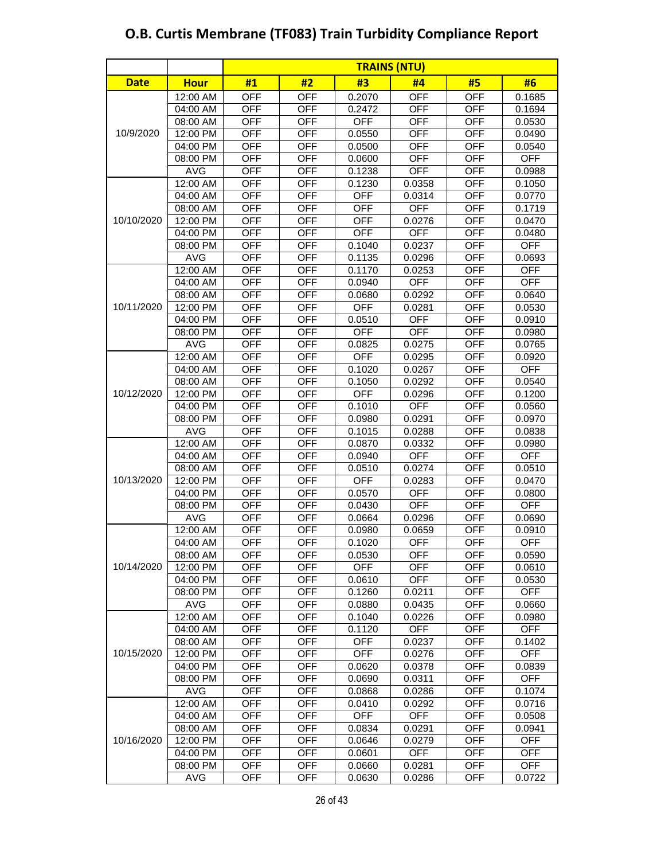|             |             | <b>TRAINS (NTU)</b> |            |            |            |            |            |
|-------------|-------------|---------------------|------------|------------|------------|------------|------------|
| <b>Date</b> | <b>Hour</b> | #1                  | #2         | #3         | #4         | #5         | #6         |
|             | 12:00 AM    | <b>OFF</b>          | <b>OFF</b> | 0.2070     | <b>OFF</b> | <b>OFF</b> | 0.1685     |
|             | 04:00 AM    | <b>OFF</b>          | <b>OFF</b> | 0.2472     | <b>OFF</b> | <b>OFF</b> | 0.1694     |
|             | 08:00 AM    | <b>OFF</b>          | <b>OFF</b> | <b>OFF</b> | <b>OFF</b> | <b>OFF</b> | 0.0530     |
| 10/9/2020   | 12:00 PM    | <b>OFF</b>          | <b>OFF</b> | 0.0550     | <b>OFF</b> | <b>OFF</b> | 0.0490     |
|             | 04:00 PM    | <b>OFF</b>          | <b>OFF</b> | 0.0500     | <b>OFF</b> | <b>OFF</b> | 0.0540     |
|             | 08:00 PM    | <b>OFF</b>          | <b>OFF</b> | 0.0600     | <b>OFF</b> | <b>OFF</b> | <b>OFF</b> |
|             | <b>AVG</b>  | <b>OFF</b>          | <b>OFF</b> | 0.1238     | <b>OFF</b> | <b>OFF</b> | 0.0988     |
|             | 12:00 AM    | <b>OFF</b>          | <b>OFF</b> | 0.1230     | 0.0358     | <b>OFF</b> | 0.1050     |
|             | 04:00 AM    | <b>OFF</b>          | <b>OFF</b> | <b>OFF</b> | 0.0314     | <b>OFF</b> | 0.0770     |
|             | 08:00 AM    | <b>OFF</b>          | <b>OFF</b> | <b>OFF</b> | <b>OFF</b> | <b>OFF</b> | 0.1719     |
| 10/10/2020  | 12:00 PM    | <b>OFF</b>          | <b>OFF</b> | <b>OFF</b> | 0.0276     | <b>OFF</b> | 0.0470     |
|             | 04:00 PM    | <b>OFF</b>          | <b>OFF</b> | <b>OFF</b> | <b>OFF</b> | <b>OFF</b> | 0.0480     |
|             | 08:00 PM    | <b>OFF</b>          | <b>OFF</b> | 0.1040     | 0.0237     | <b>OFF</b> | <b>OFF</b> |
|             | <b>AVG</b>  | <b>OFF</b>          | <b>OFF</b> | 0.1135     | 0.0296     | <b>OFF</b> | 0.0693     |
|             | 12:00 AM    | <b>OFF</b>          | <b>OFF</b> | 0.1170     | 0.0253     | <b>OFF</b> | <b>OFF</b> |
|             | 04:00 AM    | <b>OFF</b>          | <b>OFF</b> | 0.0940     | <b>OFF</b> | <b>OFF</b> | <b>OFF</b> |
|             | 08:00 AM    | <b>OFF</b>          | <b>OFF</b> | 0.0680     | 0.0292     | <b>OFF</b> | 0.0640     |
| 10/11/2020  | 12:00 PM    | <b>OFF</b>          | <b>OFF</b> | <b>OFF</b> | 0.0281     | <b>OFF</b> | 0.0530     |
|             | 04:00 PM    | <b>OFF</b>          | <b>OFF</b> | 0.0510     | <b>OFF</b> | <b>OFF</b> | 0.0910     |
|             | 08:00 PM    | <b>OFF</b>          | <b>OFF</b> | <b>OFF</b> | <b>OFF</b> | <b>OFF</b> | 0.0980     |
|             | <b>AVG</b>  | <b>OFF</b>          | <b>OFF</b> | 0.0825     | 0.0275     | <b>OFF</b> | 0.0765     |
|             | 12:00 AM    | <b>OFF</b>          | <b>OFF</b> | <b>OFF</b> | 0.0295     | <b>OFF</b> | 0.0920     |
|             | 04:00 AM    | <b>OFF</b>          | <b>OFF</b> | 0.1020     | 0.0267     | <b>OFF</b> | <b>OFF</b> |
|             | 08:00 AM    | <b>OFF</b>          | <b>OFF</b> | 0.1050     | 0.0292     | <b>OFF</b> | 0.0540     |
| 10/12/2020  | 12:00 PM    | <b>OFF</b>          | <b>OFF</b> | <b>OFF</b> | 0.0296     | <b>OFF</b> | 0.1200     |
|             | 04:00 PM    | <b>OFF</b>          | <b>OFF</b> | 0.1010     | <b>OFF</b> | <b>OFF</b> | 0.0560     |
|             | 08:00 PM    | <b>OFF</b>          | <b>OFF</b> | 0.0980     | 0.0291     | <b>OFF</b> | 0.0970     |
|             | <b>AVG</b>  | <b>OFF</b>          | <b>OFF</b> | 0.1015     | 0.0288     | <b>OFF</b> | 0.0838     |
|             | 12:00 AM    | <b>OFF</b>          | <b>OFF</b> | 0.0870     | 0.0332     | <b>OFF</b> | 0.0980     |
|             | 04:00 AM    | <b>OFF</b>          | <b>OFF</b> | 0.0940     | <b>OFF</b> | <b>OFF</b> | <b>OFF</b> |
|             | 08:00 AM    | <b>OFF</b>          | <b>OFF</b> | 0.0510     | 0.0274     | <b>OFF</b> | 0.0510     |
| 10/13/2020  | 12:00 PM    | <b>OFF</b>          | <b>OFF</b> | <b>OFF</b> | 0.0283     | <b>OFF</b> | 0.0470     |
|             | 04:00 PM    | <b>OFF</b>          | <b>OFF</b> | 0.0570     | <b>OFF</b> | <b>OFF</b> | 0.0800     |
|             | 08:00 PM    | <b>OFF</b>          | <b>OFF</b> | 0.0430     | <b>OFF</b> | <b>OFF</b> | <b>OFF</b> |
|             | <b>AVG</b>  | <b>OFF</b>          | <b>OFF</b> | 0.0664     | 0.0296     | <b>OFF</b> | 0.0690     |
|             | 12:00 AM    | <b>OFF</b>          | <b>OFF</b> | 0.0980     | 0.0659     | <b>OFF</b> | 0.0910     |
|             | 04:00 AM    | <b>OFF</b>          | OFF        | 0.1020     | <b>OFF</b> | <b>OFF</b> | OFF        |
|             | 08:00 AM    | <b>OFF</b>          | <b>OFF</b> | 0.0530     | <b>OFF</b> | <b>OFF</b> | 0.0590     |
| 10/14/2020  | 12:00 PM    | <b>OFF</b>          | <b>OFF</b> | <b>OFF</b> | <b>OFF</b> | <b>OFF</b> | 0.0610     |
|             | 04:00 PM    | <b>OFF</b>          | <b>OFF</b> | 0.0610     | <b>OFF</b> | <b>OFF</b> | 0.0530     |
|             | 08:00 PM    | <b>OFF</b>          | <b>OFF</b> | 0.1260     | 0.0211     | <b>OFF</b> | <b>OFF</b> |
|             | <b>AVG</b>  | <b>OFF</b>          | <b>OFF</b> | 0.0880     | 0.0435     | <b>OFF</b> | 0.0660     |
|             | 12:00 AM    | <b>OFF</b>          | <b>OFF</b> | 0.1040     | 0.0226     | <b>OFF</b> | 0.0980     |
|             | 04:00 AM    | <b>OFF</b>          | <b>OFF</b> | 0.1120     | <b>OFF</b> | <b>OFF</b> | <b>OFF</b> |
|             | 08:00 AM    | <b>OFF</b>          | <b>OFF</b> | <b>OFF</b> | 0.0237     | <b>OFF</b> | 0.1402     |
| 10/15/2020  | 12:00 PM    | <b>OFF</b>          | <b>OFF</b> | <b>OFF</b> | 0.0276     | <b>OFF</b> | OFF        |
|             | 04:00 PM    | <b>OFF</b>          | <b>OFF</b> | 0.0620     | 0.0378     | <b>OFF</b> | 0.0839     |
|             | 08:00 PM    | <b>OFF</b>          | <b>OFF</b> | 0.0690     | 0.0311     | <b>OFF</b> | <b>OFF</b> |
|             | <b>AVG</b>  | <b>OFF</b>          | <b>OFF</b> | 0.0868     | 0.0286     | <b>OFF</b> | 0.1074     |
|             | 12:00 AM    | <b>OFF</b>          | <b>OFF</b> | 0.0410     | 0.0292     | <b>OFF</b> | 0.0716     |
|             | 04:00 AM    | <b>OFF</b>          | <b>OFF</b> | <b>OFF</b> | <b>OFF</b> | <b>OFF</b> | 0.0508     |
|             | 08:00 AM    | <b>OFF</b>          | <b>OFF</b> | 0.0834     | 0.0291     | <b>OFF</b> | 0.0941     |
| 10/16/2020  | 12:00 PM    | <b>OFF</b>          | <b>OFF</b> | 0.0646     | 0.0279     | <b>OFF</b> | <b>OFF</b> |
|             | 04:00 PM    | <b>OFF</b>          | <b>OFF</b> | 0.0601     | <b>OFF</b> | <b>OFF</b> | <b>OFF</b> |
|             | 08:00 PM    | <b>OFF</b>          | <b>OFF</b> | 0.0660     | 0.0281     | <b>OFF</b> | <b>OFF</b> |
|             | <b>AVG</b>  | <b>OFF</b>          | <b>OFF</b> | 0.0630     | 0.0286     | <b>OFF</b> | 0.0722     |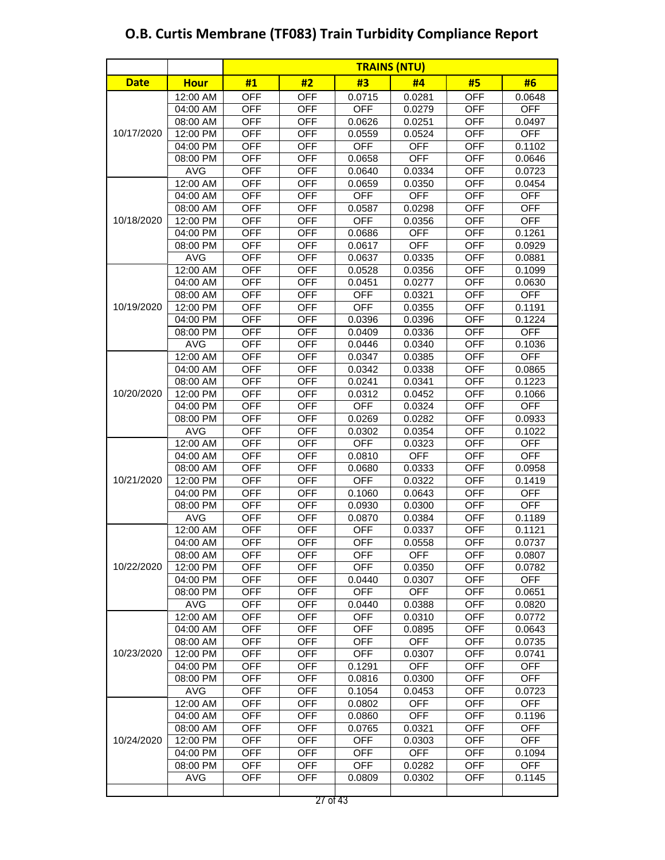|             |             |            | <b>TRAINS (NTU)</b> |            |            |            |            |
|-------------|-------------|------------|---------------------|------------|------------|------------|------------|
| <b>Date</b> | <b>Hour</b> | #1         | #2                  | #3         | #4         | #5         | #6         |
|             | 12:00 AM    | <b>OFF</b> | <b>OFF</b>          | 0.0715     | 0.0281     | <b>OFF</b> | 0.0648     |
|             | 04:00 AM    | <b>OFF</b> | <b>OFF</b>          | <b>OFF</b> | 0.0279     | <b>OFF</b> | <b>OFF</b> |
|             | 08:00 AM    | <b>OFF</b> | <b>OFF</b>          | 0.0626     | 0.0251     | <b>OFF</b> | 0.0497     |
| 10/17/2020  | 12:00 PM    | <b>OFF</b> | <b>OFF</b>          | 0.0559     | 0.0524     | <b>OFF</b> | <b>OFF</b> |
|             | 04:00 PM    | <b>OFF</b> | <b>OFF</b>          | <b>OFF</b> | <b>OFF</b> | <b>OFF</b> | 0.1102     |
|             | 08:00 PM    | <b>OFF</b> | <b>OFF</b>          | 0.0658     | <b>OFF</b> | <b>OFF</b> | 0.0646     |
|             | <b>AVG</b>  | <b>OFF</b> | <b>OFF</b>          | 0.0640     | 0.0334     | <b>OFF</b> | 0.0723     |
|             | 12:00 AM    | <b>OFF</b> | <b>OFF</b>          | 0.0659     | 0.0350     | <b>OFF</b> | 0.0454     |
|             | 04:00 AM    | <b>OFF</b> | <b>OFF</b>          | <b>OFF</b> | <b>OFF</b> | <b>OFF</b> | <b>OFF</b> |
|             | 08:00 AM    | <b>OFF</b> | <b>OFF</b>          | 0.0587     | 0.0298     | <b>OFF</b> | <b>OFF</b> |
| 10/18/2020  | 12:00 PM    | <b>OFF</b> | <b>OFF</b>          | <b>OFF</b> | 0.0356     | <b>OFF</b> | <b>OFF</b> |
|             | 04:00 PM    | <b>OFF</b> | <b>OFF</b>          | 0.0686     | <b>OFF</b> | <b>OFF</b> | 0.1261     |
|             | 08:00 PM    | <b>OFF</b> | <b>OFF</b>          | 0.0617     | <b>OFF</b> | <b>OFF</b> | 0.0929     |
|             | <b>AVG</b>  | <b>OFF</b> | <b>OFF</b>          | 0.0637     | 0.0335     | <b>OFF</b> | 0.0881     |
|             | 12:00 AM    | <b>OFF</b> | <b>OFF</b>          | 0.0528     | 0.0356     | <b>OFF</b> | 0.1099     |
|             | 04:00 AM    | <b>OFF</b> | <b>OFF</b>          | 0.0451     | 0.0277     | <b>OFF</b> | 0.0630     |
|             | 08:00 AM    | <b>OFF</b> | <b>OFF</b>          | <b>OFF</b> | 0.0321     | <b>OFF</b> | <b>OFF</b> |
| 10/19/2020  | 12:00 PM    | <b>OFF</b> | <b>OFF</b>          | <b>OFF</b> | 0.0355     | <b>OFF</b> | 0.1191     |
|             | 04:00 PM    | <b>OFF</b> | <b>OFF</b>          | 0.0396     | 0.0396     | <b>OFF</b> | 0.1224     |
|             | 08:00 PM    | <b>OFF</b> | <b>OFF</b>          | 0.0409     | 0.0336     | <b>OFF</b> | <b>OFF</b> |
|             | <b>AVG</b>  | <b>OFF</b> | <b>OFF</b>          | 0.0446     | 0.0340     | <b>OFF</b> | 0.1036     |
|             | 12:00 AM    | <b>OFF</b> | <b>OFF</b>          | 0.0347     | 0.0385     | <b>OFF</b> | <b>OFF</b> |
| 10/20/2020  | 04:00 AM    | <b>OFF</b> | <b>OFF</b>          | 0.0342     | 0.0338     | <b>OFF</b> | 0.0865     |
|             | 08:00 AM    | <b>OFF</b> | <b>OFF</b>          | 0.0241     | 0.0341     | <b>OFF</b> | 0.1223     |
|             | 12:00 PM    | <b>OFF</b> | <b>OFF</b>          | 0.0312     | 0.0452     | <b>OFF</b> | 0.1066     |
|             | 04:00 PM    | <b>OFF</b> | <b>OFF</b>          | <b>OFF</b> | 0.0324     | <b>OFF</b> | <b>OFF</b> |
|             | 08:00 PM    | <b>OFF</b> | <b>OFF</b>          | 0.0269     | 0.0282     | <b>OFF</b> | 0.0933     |
|             | <b>AVG</b>  | <b>OFF</b> | <b>OFF</b>          | 0.0302     | 0.0354     | <b>OFF</b> | 0.1022     |
|             | 12:00 AM    | <b>OFF</b> | <b>OFF</b>          | <b>OFF</b> | 0.0323     | <b>OFF</b> | <b>OFF</b> |
|             | 04:00 AM    | <b>OFF</b> | <b>OFF</b>          | 0.0810     | <b>OFF</b> | OFF        | <b>OFF</b> |
|             | 08:00 AM    | <b>OFF</b> | <b>OFF</b>          | 0.0680     | 0.0333     | <b>OFF</b> | 0.0958     |
| 10/21/2020  | 12:00 PM    | <b>OFF</b> | <b>OFF</b>          | <b>OFF</b> | 0.0322     | <b>OFF</b> | 0.1419     |
|             | 04:00 PM    | <b>OFF</b> | <b>OFF</b>          | 0.1060     | 0.0643     | <b>OFF</b> | <b>OFF</b> |
|             | 08:00 PM    | <b>OFF</b> | <b>OFF</b>          | 0.0930     | 0.0300     | <b>OFF</b> | <b>OFF</b> |
|             | <b>AVG</b>  | <b>OFF</b> | <b>OFF</b>          | 0.0870     | 0.0384     | <b>OFF</b> | 0.1189     |
|             | 12:00 AM    | <b>OFF</b> | <b>OFF</b>          | <b>OFF</b> | 0.0337     | <b>OFF</b> | 0.1121     |
|             | 04:00 AM    | <b>OFF</b> | <b>OFF</b>          | OFF        | 0.0558     | <b>OFF</b> | 0.0737     |
|             | 08:00 AM    | <b>OFF</b> | <b>OFF</b>          | <b>OFF</b> | <b>OFF</b> | <b>OFF</b> | 0.0807     |
| 10/22/2020  | 12:00 PM    | <b>OFF</b> | OFF                 | <b>OFF</b> | 0.0350     | OFF        | 0.0782     |
|             | 04:00 PM    | <b>OFF</b> | <b>OFF</b>          | 0.0440     | 0.0307     | <b>OFF</b> | <b>OFF</b> |
|             | 08:00 PM    | <b>OFF</b> | <b>OFF</b>          | <b>OFF</b> | <b>OFF</b> | <b>OFF</b> | 0.0651     |
|             | <b>AVG</b>  | <b>OFF</b> | <b>OFF</b>          | 0.0440     | 0.0388     | <b>OFF</b> | 0.0820     |
|             | 12:00 AM    | <b>OFF</b> | <b>OFF</b>          | <b>OFF</b> | 0.0310     | <b>OFF</b> | 0.0772     |
|             | 04:00 AM    | <b>OFF</b> | <b>OFF</b>          | <b>OFF</b> | 0.0895     | <b>OFF</b> | 0.0643     |
|             | 08:00 AM    | <b>OFF</b> | <b>OFF</b>          | <b>OFF</b> | <b>OFF</b> | <b>OFF</b> | 0.0735     |
| 10/23/2020  | 12:00 PM    | <b>OFF</b> | <b>OFF</b>          | <b>OFF</b> | 0.0307     | <b>OFF</b> | 0.0741     |
|             | 04:00 PM    | <b>OFF</b> | <b>OFF</b>          | 0.1291     | <b>OFF</b> | <b>OFF</b> | <b>OFF</b> |
|             | 08:00 PM    | <b>OFF</b> | <b>OFF</b>          | 0.0816     | 0.0300     | <b>OFF</b> | <b>OFF</b> |
|             | AVG         | OFF        | OFF                 | 0.1054     | 0.0453     | OFF        | 0.0723     |
|             | 12:00 AM    | <b>OFF</b> | <b>OFF</b>          | 0.0802     | <b>OFF</b> | <b>OFF</b> | <b>OFF</b> |
|             | 04:00 AM    | <b>OFF</b> | <b>OFF</b>          | 0.0860     | <b>OFF</b> | <b>OFF</b> | 0.1196     |
|             | 08:00 AM    | <b>OFF</b> | <b>OFF</b>          | 0.0765     | 0.0321     | <b>OFF</b> | <b>OFF</b> |
| 10/24/2020  | 12:00 PM    | <b>OFF</b> | <b>OFF</b>          | <b>OFF</b> | 0.0303     | <b>OFF</b> | <b>OFF</b> |
|             | 04:00 PM    | <b>OFF</b> | <b>OFF</b>          | <b>OFF</b> | <b>OFF</b> | <b>OFF</b> | 0.1094     |
|             | 08:00 PM    | <b>OFF</b> | <b>OFF</b>          | <b>OFF</b> | 0.0282     | <b>OFF</b> | <b>OFF</b> |
|             | <b>AVG</b>  | <b>OFF</b> | <b>OFF</b>          | 0.0809     | 0.0302     | <b>OFF</b> | 0.1145     |
|             |             |            |                     |            |            |            |            |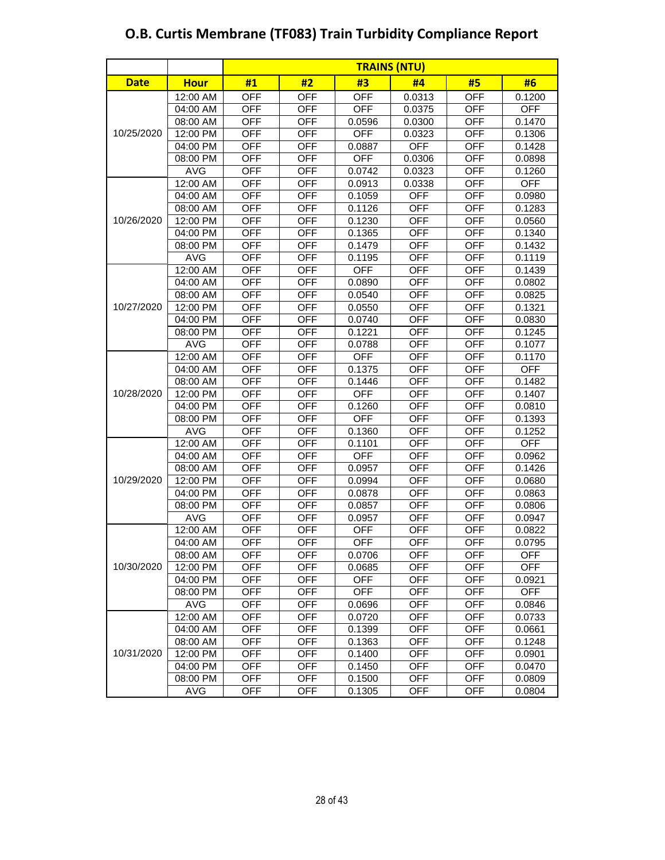|             |             | <b>TRAINS (NTU)</b> |            |            |            |            |            |
|-------------|-------------|---------------------|------------|------------|------------|------------|------------|
| <b>Date</b> | <b>Hour</b> | #1                  | #2         | #3         | #4         | #5         | #6         |
|             | 12:00 AM    | <b>OFF</b>          | <b>OFF</b> | <b>OFF</b> | 0.0313     | <b>OFF</b> | 0.1200     |
|             | 04:00 AM    | <b>OFF</b>          | <b>OFF</b> | <b>OFF</b> | 0.0375     | <b>OFF</b> | <b>OFF</b> |
|             | 08:00 AM    | <b>OFF</b>          | <b>OFF</b> | 0.0596     | 0.0300     | <b>OFF</b> | 0.1470     |
| 10/25/2020  | 12:00 PM    | <b>OFF</b>          | <b>OFF</b> | <b>OFF</b> | 0.0323     | <b>OFF</b> | 0.1306     |
|             | 04:00 PM    | <b>OFF</b>          | <b>OFF</b> | 0.0887     | <b>OFF</b> | <b>OFF</b> | 0.1428     |
|             | 08:00 PM    | <b>OFF</b>          | <b>OFF</b> | <b>OFF</b> | 0.0306     | <b>OFF</b> | 0.0898     |
|             | <b>AVG</b>  | <b>OFF</b>          | <b>OFF</b> | 0.0742     | 0.0323     | <b>OFF</b> | 0.1260     |
|             | 12:00 AM    | <b>OFF</b>          | <b>OFF</b> | 0.0913     | 0.0338     | <b>OFF</b> | <b>OFF</b> |
|             | 04:00 AM    | <b>OFF</b>          | <b>OFF</b> | 0.1059     | <b>OFF</b> | <b>OFF</b> | 0.0980     |
|             | 08:00 AM    | <b>OFF</b>          | <b>OFF</b> | 0.1126     | <b>OFF</b> | <b>OFF</b> | 0.1283     |
| 10/26/2020  | 12:00 PM    | <b>OFF</b>          | <b>OFF</b> | 0.1230     | <b>OFF</b> | <b>OFF</b> | 0.0560     |
|             | 04:00 PM    | <b>OFF</b>          | <b>OFF</b> | 0.1365     | <b>OFF</b> | <b>OFF</b> | 0.1340     |
|             | 08:00 PM    | <b>OFF</b>          | <b>OFF</b> | 0.1479     | <b>OFF</b> | <b>OFF</b> | 0.1432     |
|             | <b>AVG</b>  | <b>OFF</b>          | <b>OFF</b> | 0.1195     | <b>OFF</b> | <b>OFF</b> | 0.1119     |
|             | 12:00 AM    | <b>OFF</b>          | <b>OFF</b> | <b>OFF</b> | <b>OFF</b> | <b>OFF</b> | 0.1439     |
|             | 04:00 AM    | <b>OFF</b>          | <b>OFF</b> | 0.0890     | <b>OFF</b> | <b>OFF</b> | 0.0802     |
|             | 08:00 AM    | <b>OFF</b>          | <b>OFF</b> | 0.0540     | <b>OFF</b> | <b>OFF</b> | 0.0825     |
| 10/27/2020  | 12:00 PM    | <b>OFF</b>          | <b>OFF</b> | 0.0550     | <b>OFF</b> | <b>OFF</b> | 0.1321     |
|             | 04:00 PM    | <b>OFF</b>          | <b>OFF</b> | 0.0740     | <b>OFF</b> | <b>OFF</b> | 0.0830     |
|             | 08:00 PM    | <b>OFF</b>          | <b>OFF</b> | 0.1221     | <b>OFF</b> | <b>OFF</b> | 0.1245     |
|             | <b>AVG</b>  | <b>OFF</b>          | <b>OFF</b> | 0.0788     | <b>OFF</b> | <b>OFF</b> | 0.1077     |
|             | 12:00 AM    | <b>OFF</b>          | <b>OFF</b> | <b>OFF</b> | <b>OFF</b> | <b>OFF</b> | 0.1170     |
| 10/28/2020  | 04:00 AM    | <b>OFF</b>          | <b>OFF</b> | 0.1375     | <b>OFF</b> | <b>OFF</b> | <b>OFF</b> |
|             | 08:00 AM    | <b>OFF</b>          | <b>OFF</b> | 0.1446     | <b>OFF</b> | <b>OFF</b> | 0.1482     |
|             | 12:00 PM    | <b>OFF</b>          | <b>OFF</b> | <b>OFF</b> | <b>OFF</b> | <b>OFF</b> | 0.1407     |
|             | 04:00 PM    | <b>OFF</b>          | <b>OFF</b> | 0.1260     | <b>OFF</b> | <b>OFF</b> | 0.0810     |
|             | 08:00 PM    | <b>OFF</b>          | <b>OFF</b> | <b>OFF</b> | <b>OFF</b> | <b>OFF</b> | 0.1393     |
|             | <b>AVG</b>  | <b>OFF</b>          | <b>OFF</b> | 0.1360     | <b>OFF</b> | <b>OFF</b> | 0.1252     |
|             | 12:00 AM    | <b>OFF</b>          | <b>OFF</b> | 0.1101     | <b>OFF</b> | <b>OFF</b> | <b>OFF</b> |
|             | 04:00 AM    | <b>OFF</b>          | <b>OFF</b> | <b>OFF</b> | <b>OFF</b> | <b>OFF</b> | 0.0962     |
|             | 08:00 AM    | <b>OFF</b>          | <b>OFF</b> | 0.0957     | <b>OFF</b> | <b>OFF</b> | 0.1426     |
| 10/29/2020  | 12:00 PM    | <b>OFF</b>          | <b>OFF</b> | 0.0994     | <b>OFF</b> | <b>OFF</b> | 0.0680     |
|             | 04:00 PM    | <b>OFF</b>          | <b>OFF</b> | 0.0878     | <b>OFF</b> | <b>OFF</b> | 0.0863     |
|             | 08:00 PM    | <b>OFF</b>          | <b>OFF</b> | 0.0857     | <b>OFF</b> | <b>OFF</b> | 0.0806     |
|             | <b>AVG</b>  | <b>OFF</b>          | <b>OFF</b> | 0.0957     | <b>OFF</b> | <b>OFF</b> | 0.0947     |
|             | 12:00 AM    | <b>OFF</b>          | <b>OFF</b> | <b>OFF</b> | <b>OFF</b> | <b>OFF</b> | 0.0822     |
|             | 04:00 AM    | <b>OFF</b>          | <b>OFF</b> | OFF        | <b>OFF</b> | <b>OFF</b> | 0.0795     |
|             | 08:00 AM    | <b>OFF</b>          | <b>OFF</b> | 0.0706     | <b>OFF</b> | <b>OFF</b> | <b>OFF</b> |
| 10/30/2020  | 12:00 PM    | <b>OFF</b>          | <b>OFF</b> | 0.0685     | <b>OFF</b> | <b>OFF</b> | <b>OFF</b> |
|             | 04:00 PM    | <b>OFF</b>          | <b>OFF</b> | <b>OFF</b> | <b>OFF</b> | <b>OFF</b> | 0.0921     |
|             | 08:00 PM    | <b>OFF</b>          | <b>OFF</b> | <b>OFF</b> | <b>OFF</b> | <b>OFF</b> | <b>OFF</b> |
|             | <b>AVG</b>  | <b>OFF</b>          | <b>OFF</b> | 0.0696     | <b>OFF</b> | <b>OFF</b> | 0.0846     |
|             | 12:00 AM    | <b>OFF</b>          | <b>OFF</b> | 0.0720     | OFF        | <b>OFF</b> | 0.0733     |
|             | 04:00 AM    | <b>OFF</b>          | <b>OFF</b> | 0.1399     | <b>OFF</b> | <b>OFF</b> | 0.0661     |
|             | 08:00 AM    | <b>OFF</b>          | <b>OFF</b> | 0.1363     | <b>OFF</b> | <b>OFF</b> | 0.1248     |
| 10/31/2020  | 12:00 PM    | <b>OFF</b>          | <b>OFF</b> | 0.1400     | <b>OFF</b> | <b>OFF</b> | 0.0901     |
|             | 04:00 PM    | <b>OFF</b>          | <b>OFF</b> | 0.1450     | <b>OFF</b> | <b>OFF</b> | 0.0470     |
|             | 08:00 PM    | <b>OFF</b>          | <b>OFF</b> | 0.1500     | <b>OFF</b> | <b>OFF</b> | 0.0809     |
|             | AVG         | <b>OFF</b>          | <b>OFF</b> | 0.1305     | <b>OFF</b> | <b>OFF</b> | 0.0804     |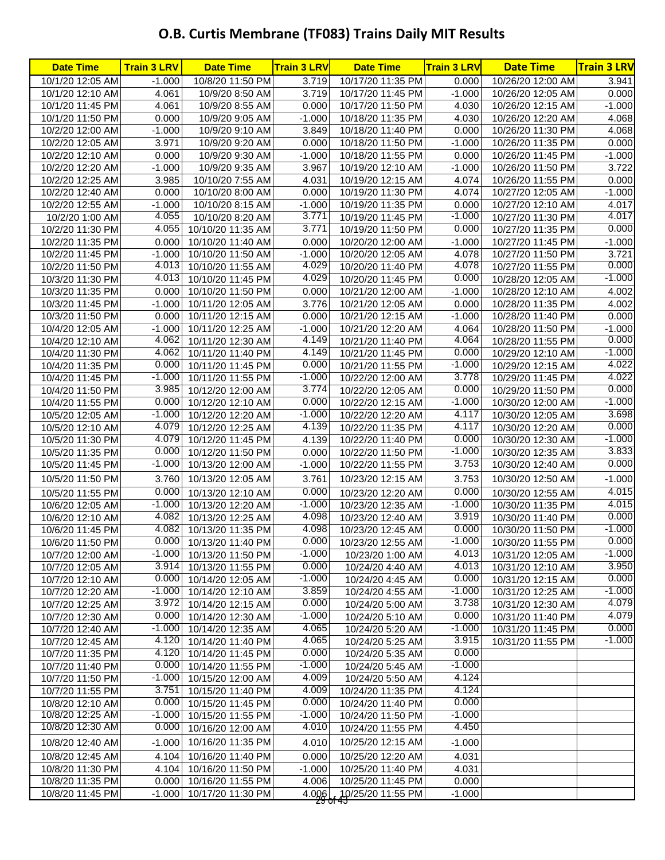| 10/8/20 11:50 PM<br>3.719<br>10/17/20 11:35 PM<br>10/26/20 12:00 AM<br>10/1/20 12:05 AM<br>0.000<br>3.941<br>$-1.000$<br>10/1/20 12:10 AM<br>4.061<br>10/9/20 8:50 AM<br>3.719<br>10/17/20 11:45 PM<br>$-1.000$<br>10/26/20 12:05 AM<br>0.000<br>4.030<br>$-1.000$<br>10/1/20 11:45 PM<br>4.061<br>10/9/20 8:55 AM<br>0.000<br>10/17/20 11:50 PM<br>10/26/20 12:15 AM<br>0.000<br>$-1.000$<br>4.030<br>4.068<br>10/1/20 11:50 PM<br>10/9/20 9:05 AM<br>10/18/20 11:35 PM<br>10/26/20 12:20 AM<br>4.068<br>10/2/20 12:00 AM<br>$-1.000$<br>10/9/20 9:10 AM<br>3.849<br>10/18/20 11:40 PM<br>0.000<br>10/26/20 11:30 PM<br>3.971<br>0.000<br>$-1.000$<br>10/2/20 12:05 AM<br>10/9/20 9:20 AM<br>10/18/20 11:50 PM<br>10/26/20 11:35 PM<br>0.000<br>$-1.000$<br>0.000<br>$-1.000$<br>10/2/20 12:10 AM<br>10/9/20 9:30 AM<br>10/18/20 11:55 PM<br>10/26/20 11:45 PM<br>10/2/20 12:20 AM<br>$-1.000$<br>3.967<br>$-1.000$<br>10/9/20 9:35 AM<br>10/19/20 12:10 AM<br>10/26/20 11:50 PM<br>3.985<br>4.031<br>4.074<br>10/2/20 12:25 AM<br>10/10/20 7:55 AM<br>10/19/20 12:15 AM<br>10/26/20 11:55 PM<br>4.074<br>10/2/20 12:40 AM<br>0.000<br>0.000<br>10/19/20 11:30 PM<br>10/27/20 12:05 AM<br>10/10/20 8:00 AM<br>0.000<br>10/2/20 12:55 AM<br>$-1.000$<br>10/10/20 8:15 AM<br>$-1.000$<br>10/19/20 11:35 PM<br>10/27/20 12:10 AM<br>4.055<br>3.771<br>$-1.000$<br>10/27/20 11:30 PM<br>10/2/20 1:00 AM<br>10/10/20 8:20 AM<br>10/19/20 11:45 PM<br>4.055<br>3.771<br>0.000<br>10/2/20 11:30 PM<br>10/10/20 11:35 AM<br>10/19/20 11:50 PM<br>10/27/20 11:35 PM<br>10/2/20 11:35 PM<br>0.000<br>0.000<br>$-1.000$<br>10/10/20 11:40 AM<br>10/20/20 12:00 AM<br>10/27/20 11:45 PM<br>10/2/20 11:45 PM<br>$-1.000$<br>$-1.000$<br>10/20/20 12:05 AM<br>4.078<br>10/27/20 11:50 PM<br>10/10/20 11:50 AM<br>4.029<br>4.013<br>4.078<br>10/2/20 11:50 PM<br>10/10/20 11:55 AM<br>10/20/20 11:40 PM<br>10/27/20 11:55 PM<br>4.013<br>4.029<br>0.000<br>10/3/20 11:30 PM<br>10/10/20 11:45 PM<br>10/20/20 11:45 PM<br>10/28/20 12:05 AM<br>10/3/20 11:35 PM<br>10/10/20 11:50 PM<br>0.000<br>$-1.000$<br>10/28/20 12:10 AM<br>0.000<br>10/21/20 12:00 AM<br>$-1.000$<br>3.776<br>0.000<br>10/3/20 11:45 PM<br>10/11/20 12:05 AM<br>10/21/20 12:05 AM<br>10/28/20 11:35 PM<br>10/3/20 11:50 PM<br>0.000<br>10/11/20 12:15 AM<br>0.000<br>10/21/20 12:15 AM<br>$-1.000$<br>10/28/20 11:40 PM<br>10/4/20 12:05 AM<br>$-1.000$<br>10/11/20 12:25 AM<br>$-1.000$<br>10/21/20 12:20 AM<br>4.064<br>10/28/20 11:50 PM<br>4.062<br>4.149<br>4.064<br>10/4/20 12:10 AM<br>10/11/20 12:30 AM<br>10/21/20 11:40 PM<br>10/28/20 11:55 PM<br>4.149<br>4.062<br>0.000<br>10/4/20 11:30 PM<br>10/11/20 11:40 PM<br>10/21/20 11:45 PM<br>10/29/20 12:10 AM<br>0.000<br>0.000<br>$-1.000$<br>10/4/20 11:35 PM<br>10/11/20 11:45 PM<br>10/21/20 11:55 PM<br>10/29/20 12:15 AM<br>$-1.000$<br>3.778<br>$-1.000$<br>10/4/20 11:45 PM<br>10/11/20 11:55 PM<br>10/22/20 12:00 AM<br>10/29/20 11:45 PM<br>3.985<br>3.774<br>0.000<br>10/4/20 11:50 PM<br>10/12/20 12:00 AM<br>10/29/20 11:50 PM<br>10/22/20 12:05 AM<br>0.000<br>0.000<br>$-1.000$<br>10/4/20 11:55 PM<br>10/12/20 12:10 AM<br>10/22/20 12:15 AM<br>10/30/20 12:00 AM<br>$-1.000$<br>$-1.000$<br>4.117<br>10/5/20 12:05 AM<br>10/12/20 12:20 AM<br>10/22/20 12:20 AM<br>10/30/20 12:05 AM<br>4.079<br>4.139<br>4.117<br>10/5/20 12:10 AM<br>10/12/20 12:25 AM<br>10/22/20 11:35 PM<br>10/30/20 12:20 AM<br>4.079<br>0.000<br>10/5/20 11:30 PM<br>4.139<br>10/22/20 11:40 PM<br>10/30/20 12:30 AM<br>10/12/20 11:45 PM<br>0.000<br>$-1.000$<br>10/5/20 11:35 PM<br>10/12/20 11:50 PM<br>0.000<br>10/22/20 11:50 PM<br>10/30/20 12:35 AM<br>3.753<br>$-1.000$<br>10/5/20 11:45 PM<br>10/13/20 12:00 AM<br>$-1.000$<br>10/22/20 11:55 PM<br>10/30/20 12:40 AM<br>3.760<br>3.761<br>3.753<br>10/5/20 11:50 PM<br>10/13/20 12:05 AM<br>10/23/20 12:15 AM<br>10/30/20 12:50 AM<br>0.000<br>0.000<br>0.000<br>10/13/20 12:10 AM<br>10/23/20 12:20 AM<br>10/30/20 12:55 AM<br>10/5/20 11:55 PM<br>$-1.000$<br>$-1.000$<br>$-1.000$<br>10/6/20 12:05 AM<br>10/13/20 12:20 AM<br>10/23/20 12:35 AM<br>10/30/20 11:35 PM<br>4.082<br>4.098<br>3.919<br>10/6/20 12:10 AM<br>10/13/20 12:25 AM<br>10/23/20 12:40 AM<br>10/30/20 11:40 PM<br>4.082<br>4.098<br>0.000<br>10/6/20 11:45 PM<br>10/13/20 11:35 PM<br>10/23/20 12:45 AM<br>10/30/20 11:50 PM<br>0.000<br>0.000<br>$-1.000$<br>10/6/20 11:50 PM<br>10/13/20 11:40 PM<br>10/23/20 12:55 AM<br>10/30/20 11:55 PM<br>$-1.000$<br>4.013<br>$-1.000$ 10/13/20 11:50 PM<br>10/7/20 12:00 AM<br>10/23/20 1:00 AM<br>10/31/20 12:05 AM<br>3.914<br>0.000<br>4.013<br>10/13/20 11:55 PM<br>10/31/20 12:10 AM<br>10/7/20 12:05 AM<br>10/24/20 4:40 AM<br>0.000<br>$-1.000$<br>0.000<br>10/14/20 12:05 AM<br>10/31/20 12:15 AM<br>10/7/20 12:10 AM<br>10/24/20 4:45 AM<br>3.859<br>$-1.000$<br>$-1.000$<br>10/7/20 12:20 AM<br>10/14/20 12:10 AM<br>10/24/20 4:55 AM<br>10/31/20 12:25 AM<br>0.000<br>3.972<br>3.738<br>10/7/20 12:25 AM<br>10/14/20 12:15 AM<br>10/31/20 12:30 AM<br>10/24/20 5:00 AM<br>0.000<br>0.000<br>$-1.000$<br>10/7/20 12:30 AM<br>10/14/20 12:30 AM<br>10/24/20 5:10 AM<br>10/31/20 11:40 PM<br>$-1.000$<br>4.065<br>$-1.000$<br>10/7/20 12:40 AM<br>10/14/20 12:35 AM<br>10/24/20 5:20 AM<br>10/31/20 11:45 PM<br>4.120<br>4.065<br>3.915<br>10/7/20 12:45 AM<br>10/14/20 11:40 PM<br>10/31/20 11:55 PM<br>10/24/20 5:25 AM<br>4.120<br>0.000<br>0.000<br>10/7/20 11:35 PM<br>10/14/20 11:45 PM<br>10/24/20 5:35 AM<br>$-1.000$<br>0.000<br>$-1.000$<br>10/7/20 11:40 PM<br>10/14/20 11:55 PM<br>10/24/20 5:45 AM<br>4.124<br>$-1.000$<br>4.009<br>10/7/20 11:50 PM<br>10/15/20 12:00 AM<br>10/24/20 5:50 AM<br>4.124<br>3.751<br>4.009<br>10/7/20 11:55 PM<br>10/24/20 11:35 PM<br>10/15/20 11:40 PM<br>0.000<br>0.000<br>0.000<br>10/8/20 12:10 AM<br>10/15/20 11:45 PM<br>10/24/20 11:40 PM<br>$-1.000$<br>10/8/20 12:25 AM<br>$-1.000$<br>$-1.000$<br>10/15/20 11:55 PM<br>10/24/20 11:50 PM<br>4.450<br>10/8/20 12:30 AM<br>0.000<br>4.010<br>10/16/20 12:00 AM<br>10/24/20 11:55 PM<br>$-1.000$<br>$-1.000$<br>10/8/20 12:40 AM<br>10/16/20 11:35 PM<br>4.010<br>10/25/20 12:15 AM<br>4.104<br>4.031<br>10/8/20 12:45 AM<br>10/16/20 11:40 PM<br>0.000<br>10/25/20 12:20 AM<br>10/25/20 11:40 PM<br>4.031<br>10/8/20 11:30 PM<br>4.104<br>10/16/20 11:50 PM<br>$-1.000$<br>0.000<br>10/8/20 11:35 PM<br>0.000<br>10/16/20 11:55 PM<br>4.006<br>10/25/20 11:45 PM<br>10/8/20 11:45 PM<br>10/17/20 11:30 PM<br>4.006, 10/25/20 11:55 PM<br>$-1.000$<br>$-1.000$<br>zo ur | <b>Date Time</b> | <b>Train 3 LRV</b> | <b>Date Time</b> | <b>Train 3 LRV</b> | <b>Date Time</b> | <b>Train 3 LRV</b> | <b>Date Time</b> | <b>Train 3 LRV</b> |
|------------------------------------------------------------------------------------------------------------------------------------------------------------------------------------------------------------------------------------------------------------------------------------------------------------------------------------------------------------------------------------------------------------------------------------------------------------------------------------------------------------------------------------------------------------------------------------------------------------------------------------------------------------------------------------------------------------------------------------------------------------------------------------------------------------------------------------------------------------------------------------------------------------------------------------------------------------------------------------------------------------------------------------------------------------------------------------------------------------------------------------------------------------------------------------------------------------------------------------------------------------------------------------------------------------------------------------------------------------------------------------------------------------------------------------------------------------------------------------------------------------------------------------------------------------------------------------------------------------------------------------------------------------------------------------------------------------------------------------------------------------------------------------------------------------------------------------------------------------------------------------------------------------------------------------------------------------------------------------------------------------------------------------------------------------------------------------------------------------------------------------------------------------------------------------------------------------------------------------------------------------------------------------------------------------------------------------------------------------------------------------------------------------------------------------------------------------------------------------------------------------------------------------------------------------------------------------------------------------------------------------------------------------------------------------------------------------------------------------------------------------------------------------------------------------------------------------------------------------------------------------------------------------------------------------------------------------------------------------------------------------------------------------------------------------------------------------------------------------------------------------------------------------------------------------------------------------------------------------------------------------------------------------------------------------------------------------------------------------------------------------------------------------------------------------------------------------------------------------------------------------------------------------------------------------------------------------------------------------------------------------------------------------------------------------------------------------------------------------------------------------------------------------------------------------------------------------------------------------------------------------------------------------------------------------------------------------------------------------------------------------------------------------------------------------------------------------------------------------------------------------------------------------------------------------------------------------------------------------------------------------------------------------------------------------------------------------------------------------------------------------------------------------------------------------------------------------------------------------------------------------------------------------------------------------------------------------------------------------------------------------------------------------------------------------------------------------------------------------------------------------------------------------------------------------------------------------------------------------------------------------------------------------------------------------------------------------------------------------------------------------------------------------------------------------------------------------------------------------------------------------------------------------------------------------------------------------------------------------------------------------------------------------------------------------------------------------------------------------------------------------------------------------------------------------------------------------------------------------------------------------------------------------------------------------------------------------------------------------------------------------------------------------------------------------------------------------------------------------------------------------------------------------------------------------------------------------------------------------------------------------------------------------------------------------------------------------------------------------------------------------------------------------------------------------------------------------------------------------------------------------------------------------------------------------------------------------------------------------------------------------------------------------------------------------------------------------------------------------------------------------------------------------------------------------------------------------------------------------------------------------------------------------------------------------------------|------------------|--------------------|------------------|--------------------|------------------|--------------------|------------------|--------------------|
|                                                                                                                                                                                                                                                                                                                                                                                                                                                                                                                                                                                                                                                                                                                                                                                                                                                                                                                                                                                                                                                                                                                                                                                                                                                                                                                                                                                                                                                                                                                                                                                                                                                                                                                                                                                                                                                                                                                                                                                                                                                                                                                                                                                                                                                                                                                                                                                                                                                                                                                                                                                                                                                                                                                                                                                                                                                                                                                                                                                                                                                                                                                                                                                                                                                                                                                                                                                                                                                                                                                                                                                                                                                                                                                                                                                                                                                                                                                                                                                                                                                                                                                                                                                                                                                                                                                                                                                                                                                                                                                                                                                                                                                                                                                                                                                                                                                                                                                                                                                                                                                                                                                                                                                                                                                                                                                                                                                                                                                                                                                                                                                                                                                                                                                                                                                                                                                                                                                                                                                                                                                                                                                                                                                                                                                                                                                                                                                                                                                                                                                                                                        |                  |                    |                  |                    |                  |                    |                  |                    |
|                                                                                                                                                                                                                                                                                                                                                                                                                                                                                                                                                                                                                                                                                                                                                                                                                                                                                                                                                                                                                                                                                                                                                                                                                                                                                                                                                                                                                                                                                                                                                                                                                                                                                                                                                                                                                                                                                                                                                                                                                                                                                                                                                                                                                                                                                                                                                                                                                                                                                                                                                                                                                                                                                                                                                                                                                                                                                                                                                                                                                                                                                                                                                                                                                                                                                                                                                                                                                                                                                                                                                                                                                                                                                                                                                                                                                                                                                                                                                                                                                                                                                                                                                                                                                                                                                                                                                                                                                                                                                                                                                                                                                                                                                                                                                                                                                                                                                                                                                                                                                                                                                                                                                                                                                                                                                                                                                                                                                                                                                                                                                                                                                                                                                                                                                                                                                                                                                                                                                                                                                                                                                                                                                                                                                                                                                                                                                                                                                                                                                                                                                                        |                  |                    |                  |                    |                  |                    |                  |                    |
|                                                                                                                                                                                                                                                                                                                                                                                                                                                                                                                                                                                                                                                                                                                                                                                                                                                                                                                                                                                                                                                                                                                                                                                                                                                                                                                                                                                                                                                                                                                                                                                                                                                                                                                                                                                                                                                                                                                                                                                                                                                                                                                                                                                                                                                                                                                                                                                                                                                                                                                                                                                                                                                                                                                                                                                                                                                                                                                                                                                                                                                                                                                                                                                                                                                                                                                                                                                                                                                                                                                                                                                                                                                                                                                                                                                                                                                                                                                                                                                                                                                                                                                                                                                                                                                                                                                                                                                                                                                                                                                                                                                                                                                                                                                                                                                                                                                                                                                                                                                                                                                                                                                                                                                                                                                                                                                                                                                                                                                                                                                                                                                                                                                                                                                                                                                                                                                                                                                                                                                                                                                                                                                                                                                                                                                                                                                                                                                                                                                                                                                                                                        |                  |                    |                  |                    |                  |                    |                  |                    |
|                                                                                                                                                                                                                                                                                                                                                                                                                                                                                                                                                                                                                                                                                                                                                                                                                                                                                                                                                                                                                                                                                                                                                                                                                                                                                                                                                                                                                                                                                                                                                                                                                                                                                                                                                                                                                                                                                                                                                                                                                                                                                                                                                                                                                                                                                                                                                                                                                                                                                                                                                                                                                                                                                                                                                                                                                                                                                                                                                                                                                                                                                                                                                                                                                                                                                                                                                                                                                                                                                                                                                                                                                                                                                                                                                                                                                                                                                                                                                                                                                                                                                                                                                                                                                                                                                                                                                                                                                                                                                                                                                                                                                                                                                                                                                                                                                                                                                                                                                                                                                                                                                                                                                                                                                                                                                                                                                                                                                                                                                                                                                                                                                                                                                                                                                                                                                                                                                                                                                                                                                                                                                                                                                                                                                                                                                                                                                                                                                                                                                                                                                                        |                  |                    |                  |                    |                  |                    |                  |                    |
|                                                                                                                                                                                                                                                                                                                                                                                                                                                                                                                                                                                                                                                                                                                                                                                                                                                                                                                                                                                                                                                                                                                                                                                                                                                                                                                                                                                                                                                                                                                                                                                                                                                                                                                                                                                                                                                                                                                                                                                                                                                                                                                                                                                                                                                                                                                                                                                                                                                                                                                                                                                                                                                                                                                                                                                                                                                                                                                                                                                                                                                                                                                                                                                                                                                                                                                                                                                                                                                                                                                                                                                                                                                                                                                                                                                                                                                                                                                                                                                                                                                                                                                                                                                                                                                                                                                                                                                                                                                                                                                                                                                                                                                                                                                                                                                                                                                                                                                                                                                                                                                                                                                                                                                                                                                                                                                                                                                                                                                                                                                                                                                                                                                                                                                                                                                                                                                                                                                                                                                                                                                                                                                                                                                                                                                                                                                                                                                                                                                                                                                                                                        |                  |                    |                  |                    |                  |                    |                  |                    |
| 3.722<br>0.000<br>$-1.000$<br>4.017<br>4.017<br>0.000<br>$-1.000$<br>3.721<br>0.000<br>$-1.000$<br>4.002<br>4.002<br>0.000<br>$-1.000$<br>0.000<br>$-1.000$<br>4.022<br>4.022<br>0.000<br>$-1.000$<br>3.698<br>0.000                                                                                                                                                                                                                                                                                                                                                                                                                                                                                                                                                                                                                                                                                                                                                                                                                                                                                                                                                                                                                                                                                                                                                                                                                                                                                                                                                                                                                                                                                                                                                                                                                                                                                                                                                                                                                                                                                                                                                                                                                                                                                                                                                                                                                                                                                                                                                                                                                                                                                                                                                                                                                                                                                                                                                                                                                                                                                                                                                                                                                                                                                                                                                                                                                                                                                                                                                                                                                                                                                                                                                                                                                                                                                                                                                                                                                                                                                                                                                                                                                                                                                                                                                                                                                                                                                                                                                                                                                                                                                                                                                                                                                                                                                                                                                                                                                                                                                                                                                                                                                                                                                                                                                                                                                                                                                                                                                                                                                                                                                                                                                                                                                                                                                                                                                                                                                                                                                                                                                                                                                                                                                                                                                                                                                                                                                                                                                   |                  |                    |                  |                    |                  |                    |                  | 0.000              |
|                                                                                                                                                                                                                                                                                                                                                                                                                                                                                                                                                                                                                                                                                                                                                                                                                                                                                                                                                                                                                                                                                                                                                                                                                                                                                                                                                                                                                                                                                                                                                                                                                                                                                                                                                                                                                                                                                                                                                                                                                                                                                                                                                                                                                                                                                                                                                                                                                                                                                                                                                                                                                                                                                                                                                                                                                                                                                                                                                                                                                                                                                                                                                                                                                                                                                                                                                                                                                                                                                                                                                                                                                                                                                                                                                                                                                                                                                                                                                                                                                                                                                                                                                                                                                                                                                                                                                                                                                                                                                                                                                                                                                                                                                                                                                                                                                                                                                                                                                                                                                                                                                                                                                                                                                                                                                                                                                                                                                                                                                                                                                                                                                                                                                                                                                                                                                                                                                                                                                                                                                                                                                                                                                                                                                                                                                                                                                                                                                                                                                                                                                                        |                  |                    |                  |                    |                  |                    |                  |                    |
|                                                                                                                                                                                                                                                                                                                                                                                                                                                                                                                                                                                                                                                                                                                                                                                                                                                                                                                                                                                                                                                                                                                                                                                                                                                                                                                                                                                                                                                                                                                                                                                                                                                                                                                                                                                                                                                                                                                                                                                                                                                                                                                                                                                                                                                                                                                                                                                                                                                                                                                                                                                                                                                                                                                                                                                                                                                                                                                                                                                                                                                                                                                                                                                                                                                                                                                                                                                                                                                                                                                                                                                                                                                                                                                                                                                                                                                                                                                                                                                                                                                                                                                                                                                                                                                                                                                                                                                                                                                                                                                                                                                                                                                                                                                                                                                                                                                                                                                                                                                                                                                                                                                                                                                                                                                                                                                                                                                                                                                                                                                                                                                                                                                                                                                                                                                                                                                                                                                                                                                                                                                                                                                                                                                                                                                                                                                                                                                                                                                                                                                                                                        |                  |                    |                  |                    |                  |                    |                  |                    |
|                                                                                                                                                                                                                                                                                                                                                                                                                                                                                                                                                                                                                                                                                                                                                                                                                                                                                                                                                                                                                                                                                                                                                                                                                                                                                                                                                                                                                                                                                                                                                                                                                                                                                                                                                                                                                                                                                                                                                                                                                                                                                                                                                                                                                                                                                                                                                                                                                                                                                                                                                                                                                                                                                                                                                                                                                                                                                                                                                                                                                                                                                                                                                                                                                                                                                                                                                                                                                                                                                                                                                                                                                                                                                                                                                                                                                                                                                                                                                                                                                                                                                                                                                                                                                                                                                                                                                                                                                                                                                                                                                                                                                                                                                                                                                                                                                                                                                                                                                                                                                                                                                                                                                                                                                                                                                                                                                                                                                                                                                                                                                                                                                                                                                                                                                                                                                                                                                                                                                                                                                                                                                                                                                                                                                                                                                                                                                                                                                                                                                                                                                                        |                  |                    |                  |                    |                  |                    |                  |                    |
|                                                                                                                                                                                                                                                                                                                                                                                                                                                                                                                                                                                                                                                                                                                                                                                                                                                                                                                                                                                                                                                                                                                                                                                                                                                                                                                                                                                                                                                                                                                                                                                                                                                                                                                                                                                                                                                                                                                                                                                                                                                                                                                                                                                                                                                                                                                                                                                                                                                                                                                                                                                                                                                                                                                                                                                                                                                                                                                                                                                                                                                                                                                                                                                                                                                                                                                                                                                                                                                                                                                                                                                                                                                                                                                                                                                                                                                                                                                                                                                                                                                                                                                                                                                                                                                                                                                                                                                                                                                                                                                                                                                                                                                                                                                                                                                                                                                                                                                                                                                                                                                                                                                                                                                                                                                                                                                                                                                                                                                                                                                                                                                                                                                                                                                                                                                                                                                                                                                                                                                                                                                                                                                                                                                                                                                                                                                                                                                                                                                                                                                                                                        |                  |                    |                  |                    |                  |                    |                  |                    |
|                                                                                                                                                                                                                                                                                                                                                                                                                                                                                                                                                                                                                                                                                                                                                                                                                                                                                                                                                                                                                                                                                                                                                                                                                                                                                                                                                                                                                                                                                                                                                                                                                                                                                                                                                                                                                                                                                                                                                                                                                                                                                                                                                                                                                                                                                                                                                                                                                                                                                                                                                                                                                                                                                                                                                                                                                                                                                                                                                                                                                                                                                                                                                                                                                                                                                                                                                                                                                                                                                                                                                                                                                                                                                                                                                                                                                                                                                                                                                                                                                                                                                                                                                                                                                                                                                                                                                                                                                                                                                                                                                                                                                                                                                                                                                                                                                                                                                                                                                                                                                                                                                                                                                                                                                                                                                                                                                                                                                                                                                                                                                                                                                                                                                                                                                                                                                                                                                                                                                                                                                                                                                                                                                                                                                                                                                                                                                                                                                                                                                                                                                                        |                  |                    |                  |                    |                  |                    |                  |                    |
|                                                                                                                                                                                                                                                                                                                                                                                                                                                                                                                                                                                                                                                                                                                                                                                                                                                                                                                                                                                                                                                                                                                                                                                                                                                                                                                                                                                                                                                                                                                                                                                                                                                                                                                                                                                                                                                                                                                                                                                                                                                                                                                                                                                                                                                                                                                                                                                                                                                                                                                                                                                                                                                                                                                                                                                                                                                                                                                                                                                                                                                                                                                                                                                                                                                                                                                                                                                                                                                                                                                                                                                                                                                                                                                                                                                                                                                                                                                                                                                                                                                                                                                                                                                                                                                                                                                                                                                                                                                                                                                                                                                                                                                                                                                                                                                                                                                                                                                                                                                                                                                                                                                                                                                                                                                                                                                                                                                                                                                                                                                                                                                                                                                                                                                                                                                                                                                                                                                                                                                                                                                                                                                                                                                                                                                                                                                                                                                                                                                                                                                                                                        |                  |                    |                  |                    |                  |                    |                  |                    |
|                                                                                                                                                                                                                                                                                                                                                                                                                                                                                                                                                                                                                                                                                                                                                                                                                                                                                                                                                                                                                                                                                                                                                                                                                                                                                                                                                                                                                                                                                                                                                                                                                                                                                                                                                                                                                                                                                                                                                                                                                                                                                                                                                                                                                                                                                                                                                                                                                                                                                                                                                                                                                                                                                                                                                                                                                                                                                                                                                                                                                                                                                                                                                                                                                                                                                                                                                                                                                                                                                                                                                                                                                                                                                                                                                                                                                                                                                                                                                                                                                                                                                                                                                                                                                                                                                                                                                                                                                                                                                                                                                                                                                                                                                                                                                                                                                                                                                                                                                                                                                                                                                                                                                                                                                                                                                                                                                                                                                                                                                                                                                                                                                                                                                                                                                                                                                                                                                                                                                                                                                                                                                                                                                                                                                                                                                                                                                                                                                                                                                                                                                                        |                  |                    |                  |                    |                  |                    |                  |                    |
|                                                                                                                                                                                                                                                                                                                                                                                                                                                                                                                                                                                                                                                                                                                                                                                                                                                                                                                                                                                                                                                                                                                                                                                                                                                                                                                                                                                                                                                                                                                                                                                                                                                                                                                                                                                                                                                                                                                                                                                                                                                                                                                                                                                                                                                                                                                                                                                                                                                                                                                                                                                                                                                                                                                                                                                                                                                                                                                                                                                                                                                                                                                                                                                                                                                                                                                                                                                                                                                                                                                                                                                                                                                                                                                                                                                                                                                                                                                                                                                                                                                                                                                                                                                                                                                                                                                                                                                                                                                                                                                                                                                                                                                                                                                                                                                                                                                                                                                                                                                                                                                                                                                                                                                                                                                                                                                                                                                                                                                                                                                                                                                                                                                                                                                                                                                                                                                                                                                                                                                                                                                                                                                                                                                                                                                                                                                                                                                                                                                                                                                                                                        |                  |                    |                  |                    |                  |                    |                  |                    |
|                                                                                                                                                                                                                                                                                                                                                                                                                                                                                                                                                                                                                                                                                                                                                                                                                                                                                                                                                                                                                                                                                                                                                                                                                                                                                                                                                                                                                                                                                                                                                                                                                                                                                                                                                                                                                                                                                                                                                                                                                                                                                                                                                                                                                                                                                                                                                                                                                                                                                                                                                                                                                                                                                                                                                                                                                                                                                                                                                                                                                                                                                                                                                                                                                                                                                                                                                                                                                                                                                                                                                                                                                                                                                                                                                                                                                                                                                                                                                                                                                                                                                                                                                                                                                                                                                                                                                                                                                                                                                                                                                                                                                                                                                                                                                                                                                                                                                                                                                                                                                                                                                                                                                                                                                                                                                                                                                                                                                                                                                                                                                                                                                                                                                                                                                                                                                                                                                                                                                                                                                                                                                                                                                                                                                                                                                                                                                                                                                                                                                                                                                                        |                  |                    |                  |                    |                  |                    |                  |                    |
|                                                                                                                                                                                                                                                                                                                                                                                                                                                                                                                                                                                                                                                                                                                                                                                                                                                                                                                                                                                                                                                                                                                                                                                                                                                                                                                                                                                                                                                                                                                                                                                                                                                                                                                                                                                                                                                                                                                                                                                                                                                                                                                                                                                                                                                                                                                                                                                                                                                                                                                                                                                                                                                                                                                                                                                                                                                                                                                                                                                                                                                                                                                                                                                                                                                                                                                                                                                                                                                                                                                                                                                                                                                                                                                                                                                                                                                                                                                                                                                                                                                                                                                                                                                                                                                                                                                                                                                                                                                                                                                                                                                                                                                                                                                                                                                                                                                                                                                                                                                                                                                                                                                                                                                                                                                                                                                                                                                                                                                                                                                                                                                                                                                                                                                                                                                                                                                                                                                                                                                                                                                                                                                                                                                                                                                                                                                                                                                                                                                                                                                                                                        |                  |                    |                  |                    |                  |                    |                  |                    |
|                                                                                                                                                                                                                                                                                                                                                                                                                                                                                                                                                                                                                                                                                                                                                                                                                                                                                                                                                                                                                                                                                                                                                                                                                                                                                                                                                                                                                                                                                                                                                                                                                                                                                                                                                                                                                                                                                                                                                                                                                                                                                                                                                                                                                                                                                                                                                                                                                                                                                                                                                                                                                                                                                                                                                                                                                                                                                                                                                                                                                                                                                                                                                                                                                                                                                                                                                                                                                                                                                                                                                                                                                                                                                                                                                                                                                                                                                                                                                                                                                                                                                                                                                                                                                                                                                                                                                                                                                                                                                                                                                                                                                                                                                                                                                                                                                                                                                                                                                                                                                                                                                                                                                                                                                                                                                                                                                                                                                                                                                                                                                                                                                                                                                                                                                                                                                                                                                                                                                                                                                                                                                                                                                                                                                                                                                                                                                                                                                                                                                                                                                                        |                  |                    |                  |                    |                  |                    |                  |                    |
|                                                                                                                                                                                                                                                                                                                                                                                                                                                                                                                                                                                                                                                                                                                                                                                                                                                                                                                                                                                                                                                                                                                                                                                                                                                                                                                                                                                                                                                                                                                                                                                                                                                                                                                                                                                                                                                                                                                                                                                                                                                                                                                                                                                                                                                                                                                                                                                                                                                                                                                                                                                                                                                                                                                                                                                                                                                                                                                                                                                                                                                                                                                                                                                                                                                                                                                                                                                                                                                                                                                                                                                                                                                                                                                                                                                                                                                                                                                                                                                                                                                                                                                                                                                                                                                                                                                                                                                                                                                                                                                                                                                                                                                                                                                                                                                                                                                                                                                                                                                                                                                                                                                                                                                                                                                                                                                                                                                                                                                                                                                                                                                                                                                                                                                                                                                                                                                                                                                                                                                                                                                                                                                                                                                                                                                                                                                                                                                                                                                                                                                                                                        |                  |                    |                  |                    |                  |                    |                  |                    |
|                                                                                                                                                                                                                                                                                                                                                                                                                                                                                                                                                                                                                                                                                                                                                                                                                                                                                                                                                                                                                                                                                                                                                                                                                                                                                                                                                                                                                                                                                                                                                                                                                                                                                                                                                                                                                                                                                                                                                                                                                                                                                                                                                                                                                                                                                                                                                                                                                                                                                                                                                                                                                                                                                                                                                                                                                                                                                                                                                                                                                                                                                                                                                                                                                                                                                                                                                                                                                                                                                                                                                                                                                                                                                                                                                                                                                                                                                                                                                                                                                                                                                                                                                                                                                                                                                                                                                                                                                                                                                                                                                                                                                                                                                                                                                                                                                                                                                                                                                                                                                                                                                                                                                                                                                                                                                                                                                                                                                                                                                                                                                                                                                                                                                                                                                                                                                                                                                                                                                                                                                                                                                                                                                                                                                                                                                                                                                                                                                                                                                                                                                                        |                  |                    |                  |                    |                  |                    |                  |                    |
|                                                                                                                                                                                                                                                                                                                                                                                                                                                                                                                                                                                                                                                                                                                                                                                                                                                                                                                                                                                                                                                                                                                                                                                                                                                                                                                                                                                                                                                                                                                                                                                                                                                                                                                                                                                                                                                                                                                                                                                                                                                                                                                                                                                                                                                                                                                                                                                                                                                                                                                                                                                                                                                                                                                                                                                                                                                                                                                                                                                                                                                                                                                                                                                                                                                                                                                                                                                                                                                                                                                                                                                                                                                                                                                                                                                                                                                                                                                                                                                                                                                                                                                                                                                                                                                                                                                                                                                                                                                                                                                                                                                                                                                                                                                                                                                                                                                                                                                                                                                                                                                                                                                                                                                                                                                                                                                                                                                                                                                                                                                                                                                                                                                                                                                                                                                                                                                                                                                                                                                                                                                                                                                                                                                                                                                                                                                                                                                                                                                                                                                                                                        |                  |                    |                  |                    |                  |                    |                  |                    |
|                                                                                                                                                                                                                                                                                                                                                                                                                                                                                                                                                                                                                                                                                                                                                                                                                                                                                                                                                                                                                                                                                                                                                                                                                                                                                                                                                                                                                                                                                                                                                                                                                                                                                                                                                                                                                                                                                                                                                                                                                                                                                                                                                                                                                                                                                                                                                                                                                                                                                                                                                                                                                                                                                                                                                                                                                                                                                                                                                                                                                                                                                                                                                                                                                                                                                                                                                                                                                                                                                                                                                                                                                                                                                                                                                                                                                                                                                                                                                                                                                                                                                                                                                                                                                                                                                                                                                                                                                                                                                                                                                                                                                                                                                                                                                                                                                                                                                                                                                                                                                                                                                                                                                                                                                                                                                                                                                                                                                                                                                                                                                                                                                                                                                                                                                                                                                                                                                                                                                                                                                                                                                                                                                                                                                                                                                                                                                                                                                                                                                                                                                                        |                  |                    |                  |                    |                  |                    |                  |                    |
|                                                                                                                                                                                                                                                                                                                                                                                                                                                                                                                                                                                                                                                                                                                                                                                                                                                                                                                                                                                                                                                                                                                                                                                                                                                                                                                                                                                                                                                                                                                                                                                                                                                                                                                                                                                                                                                                                                                                                                                                                                                                                                                                                                                                                                                                                                                                                                                                                                                                                                                                                                                                                                                                                                                                                                                                                                                                                                                                                                                                                                                                                                                                                                                                                                                                                                                                                                                                                                                                                                                                                                                                                                                                                                                                                                                                                                                                                                                                                                                                                                                                                                                                                                                                                                                                                                                                                                                                                                                                                                                                                                                                                                                                                                                                                                                                                                                                                                                                                                                                                                                                                                                                                                                                                                                                                                                                                                                                                                                                                                                                                                                                                                                                                                                                                                                                                                                                                                                                                                                                                                                                                                                                                                                                                                                                                                                                                                                                                                                                                                                                                                        |                  |                    |                  |                    |                  |                    |                  |                    |
|                                                                                                                                                                                                                                                                                                                                                                                                                                                                                                                                                                                                                                                                                                                                                                                                                                                                                                                                                                                                                                                                                                                                                                                                                                                                                                                                                                                                                                                                                                                                                                                                                                                                                                                                                                                                                                                                                                                                                                                                                                                                                                                                                                                                                                                                                                                                                                                                                                                                                                                                                                                                                                                                                                                                                                                                                                                                                                                                                                                                                                                                                                                                                                                                                                                                                                                                                                                                                                                                                                                                                                                                                                                                                                                                                                                                                                                                                                                                                                                                                                                                                                                                                                                                                                                                                                                                                                                                                                                                                                                                                                                                                                                                                                                                                                                                                                                                                                                                                                                                                                                                                                                                                                                                                                                                                                                                                                                                                                                                                                                                                                                                                                                                                                                                                                                                                                                                                                                                                                                                                                                                                                                                                                                                                                                                                                                                                                                                                                                                                                                                                                        |                  |                    |                  |                    |                  |                    |                  |                    |
|                                                                                                                                                                                                                                                                                                                                                                                                                                                                                                                                                                                                                                                                                                                                                                                                                                                                                                                                                                                                                                                                                                                                                                                                                                                                                                                                                                                                                                                                                                                                                                                                                                                                                                                                                                                                                                                                                                                                                                                                                                                                                                                                                                                                                                                                                                                                                                                                                                                                                                                                                                                                                                                                                                                                                                                                                                                                                                                                                                                                                                                                                                                                                                                                                                                                                                                                                                                                                                                                                                                                                                                                                                                                                                                                                                                                                                                                                                                                                                                                                                                                                                                                                                                                                                                                                                                                                                                                                                                                                                                                                                                                                                                                                                                                                                                                                                                                                                                                                                                                                                                                                                                                                                                                                                                                                                                                                                                                                                                                                                                                                                                                                                                                                                                                                                                                                                                                                                                                                                                                                                                                                                                                                                                                                                                                                                                                                                                                                                                                                                                                                                        |                  |                    |                  |                    |                  |                    |                  |                    |
|                                                                                                                                                                                                                                                                                                                                                                                                                                                                                                                                                                                                                                                                                                                                                                                                                                                                                                                                                                                                                                                                                                                                                                                                                                                                                                                                                                                                                                                                                                                                                                                                                                                                                                                                                                                                                                                                                                                                                                                                                                                                                                                                                                                                                                                                                                                                                                                                                                                                                                                                                                                                                                                                                                                                                                                                                                                                                                                                                                                                                                                                                                                                                                                                                                                                                                                                                                                                                                                                                                                                                                                                                                                                                                                                                                                                                                                                                                                                                                                                                                                                                                                                                                                                                                                                                                                                                                                                                                                                                                                                                                                                                                                                                                                                                                                                                                                                                                                                                                                                                                                                                                                                                                                                                                                                                                                                                                                                                                                                                                                                                                                                                                                                                                                                                                                                                                                                                                                                                                                                                                                                                                                                                                                                                                                                                                                                                                                                                                                                                                                                                                        |                  |                    |                  |                    |                  |                    |                  |                    |
|                                                                                                                                                                                                                                                                                                                                                                                                                                                                                                                                                                                                                                                                                                                                                                                                                                                                                                                                                                                                                                                                                                                                                                                                                                                                                                                                                                                                                                                                                                                                                                                                                                                                                                                                                                                                                                                                                                                                                                                                                                                                                                                                                                                                                                                                                                                                                                                                                                                                                                                                                                                                                                                                                                                                                                                                                                                                                                                                                                                                                                                                                                                                                                                                                                                                                                                                                                                                                                                                                                                                                                                                                                                                                                                                                                                                                                                                                                                                                                                                                                                                                                                                                                                                                                                                                                                                                                                                                                                                                                                                                                                                                                                                                                                                                                                                                                                                                                                                                                                                                                                                                                                                                                                                                                                                                                                                                                                                                                                                                                                                                                                                                                                                                                                                                                                                                                                                                                                                                                                                                                                                                                                                                                                                                                                                                                                                                                                                                                                                                                                                                                        |                  |                    |                  |                    |                  |                    |                  |                    |
|                                                                                                                                                                                                                                                                                                                                                                                                                                                                                                                                                                                                                                                                                                                                                                                                                                                                                                                                                                                                                                                                                                                                                                                                                                                                                                                                                                                                                                                                                                                                                                                                                                                                                                                                                                                                                                                                                                                                                                                                                                                                                                                                                                                                                                                                                                                                                                                                                                                                                                                                                                                                                                                                                                                                                                                                                                                                                                                                                                                                                                                                                                                                                                                                                                                                                                                                                                                                                                                                                                                                                                                                                                                                                                                                                                                                                                                                                                                                                                                                                                                                                                                                                                                                                                                                                                                                                                                                                                                                                                                                                                                                                                                                                                                                                                                                                                                                                                                                                                                                                                                                                                                                                                                                                                                                                                                                                                                                                                                                                                                                                                                                                                                                                                                                                                                                                                                                                                                                                                                                                                                                                                                                                                                                                                                                                                                                                                                                                                                                                                                                                                        |                  |                    |                  |                    |                  |                    |                  |                    |
| $-1.000$<br>3.833<br>0.000<br>$-1.000$<br>4.015<br>4.015<br>0.000<br>$-1.000$<br>0.000<br>$-1.000$<br>3.950<br>0.000<br>$-1.000$<br>4.079<br>4.079<br>0.000<br>$-1.000$                                                                                                                                                                                                                                                                                                                                                                                                                                                                                                                                                                                                                                                                                                                                                                                                                                                                                                                                                                                                                                                                                                                                                                                                                                                                                                                                                                                                                                                                                                                                                                                                                                                                                                                                                                                                                                                                                                                                                                                                                                                                                                                                                                                                                                                                                                                                                                                                                                                                                                                                                                                                                                                                                                                                                                                                                                                                                                                                                                                                                                                                                                                                                                                                                                                                                                                                                                                                                                                                                                                                                                                                                                                                                                                                                                                                                                                                                                                                                                                                                                                                                                                                                                                                                                                                                                                                                                                                                                                                                                                                                                                                                                                                                                                                                                                                                                                                                                                                                                                                                                                                                                                                                                                                                                                                                                                                                                                                                                                                                                                                                                                                                                                                                                                                                                                                                                                                                                                                                                                                                                                                                                                                                                                                                                                                                                                                                                                                |                  |                    |                  |                    |                  |                    |                  |                    |
|                                                                                                                                                                                                                                                                                                                                                                                                                                                                                                                                                                                                                                                                                                                                                                                                                                                                                                                                                                                                                                                                                                                                                                                                                                                                                                                                                                                                                                                                                                                                                                                                                                                                                                                                                                                                                                                                                                                                                                                                                                                                                                                                                                                                                                                                                                                                                                                                                                                                                                                                                                                                                                                                                                                                                                                                                                                                                                                                                                                                                                                                                                                                                                                                                                                                                                                                                                                                                                                                                                                                                                                                                                                                                                                                                                                                                                                                                                                                                                                                                                                                                                                                                                                                                                                                                                                                                                                                                                                                                                                                                                                                                                                                                                                                                                                                                                                                                                                                                                                                                                                                                                                                                                                                                                                                                                                                                                                                                                                                                                                                                                                                                                                                                                                                                                                                                                                                                                                                                                                                                                                                                                                                                                                                                                                                                                                                                                                                                                                                                                                                                                        |                  |                    |                  |                    |                  |                    |                  |                    |
|                                                                                                                                                                                                                                                                                                                                                                                                                                                                                                                                                                                                                                                                                                                                                                                                                                                                                                                                                                                                                                                                                                                                                                                                                                                                                                                                                                                                                                                                                                                                                                                                                                                                                                                                                                                                                                                                                                                                                                                                                                                                                                                                                                                                                                                                                                                                                                                                                                                                                                                                                                                                                                                                                                                                                                                                                                                                                                                                                                                                                                                                                                                                                                                                                                                                                                                                                                                                                                                                                                                                                                                                                                                                                                                                                                                                                                                                                                                                                                                                                                                                                                                                                                                                                                                                                                                                                                                                                                                                                                                                                                                                                                                                                                                                                                                                                                                                                                                                                                                                                                                                                                                                                                                                                                                                                                                                                                                                                                                                                                                                                                                                                                                                                                                                                                                                                                                                                                                                                                                                                                                                                                                                                                                                                                                                                                                                                                                                                                                                                                                                                                        |                  |                    |                  |                    |                  |                    |                  |                    |
|                                                                                                                                                                                                                                                                                                                                                                                                                                                                                                                                                                                                                                                                                                                                                                                                                                                                                                                                                                                                                                                                                                                                                                                                                                                                                                                                                                                                                                                                                                                                                                                                                                                                                                                                                                                                                                                                                                                                                                                                                                                                                                                                                                                                                                                                                                                                                                                                                                                                                                                                                                                                                                                                                                                                                                                                                                                                                                                                                                                                                                                                                                                                                                                                                                                                                                                                                                                                                                                                                                                                                                                                                                                                                                                                                                                                                                                                                                                                                                                                                                                                                                                                                                                                                                                                                                                                                                                                                                                                                                                                                                                                                                                                                                                                                                                                                                                                                                                                                                                                                                                                                                                                                                                                                                                                                                                                                                                                                                                                                                                                                                                                                                                                                                                                                                                                                                                                                                                                                                                                                                                                                                                                                                                                                                                                                                                                                                                                                                                                                                                                                                        |                  |                    |                  |                    |                  |                    |                  |                    |
|                                                                                                                                                                                                                                                                                                                                                                                                                                                                                                                                                                                                                                                                                                                                                                                                                                                                                                                                                                                                                                                                                                                                                                                                                                                                                                                                                                                                                                                                                                                                                                                                                                                                                                                                                                                                                                                                                                                                                                                                                                                                                                                                                                                                                                                                                                                                                                                                                                                                                                                                                                                                                                                                                                                                                                                                                                                                                                                                                                                                                                                                                                                                                                                                                                                                                                                                                                                                                                                                                                                                                                                                                                                                                                                                                                                                                                                                                                                                                                                                                                                                                                                                                                                                                                                                                                                                                                                                                                                                                                                                                                                                                                                                                                                                                                                                                                                                                                                                                                                                                                                                                                                                                                                                                                                                                                                                                                                                                                                                                                                                                                                                                                                                                                                                                                                                                                                                                                                                                                                                                                                                                                                                                                                                                                                                                                                                                                                                                                                                                                                                                                        |                  |                    |                  |                    |                  |                    |                  |                    |
|                                                                                                                                                                                                                                                                                                                                                                                                                                                                                                                                                                                                                                                                                                                                                                                                                                                                                                                                                                                                                                                                                                                                                                                                                                                                                                                                                                                                                                                                                                                                                                                                                                                                                                                                                                                                                                                                                                                                                                                                                                                                                                                                                                                                                                                                                                                                                                                                                                                                                                                                                                                                                                                                                                                                                                                                                                                                                                                                                                                                                                                                                                                                                                                                                                                                                                                                                                                                                                                                                                                                                                                                                                                                                                                                                                                                                                                                                                                                                                                                                                                                                                                                                                                                                                                                                                                                                                                                                                                                                                                                                                                                                                                                                                                                                                                                                                                                                                                                                                                                                                                                                                                                                                                                                                                                                                                                                                                                                                                                                                                                                                                                                                                                                                                                                                                                                                                                                                                                                                                                                                                                                                                                                                                                                                                                                                                                                                                                                                                                                                                                                                        |                  |                    |                  |                    |                  |                    |                  |                    |
|                                                                                                                                                                                                                                                                                                                                                                                                                                                                                                                                                                                                                                                                                                                                                                                                                                                                                                                                                                                                                                                                                                                                                                                                                                                                                                                                                                                                                                                                                                                                                                                                                                                                                                                                                                                                                                                                                                                                                                                                                                                                                                                                                                                                                                                                                                                                                                                                                                                                                                                                                                                                                                                                                                                                                                                                                                                                                                                                                                                                                                                                                                                                                                                                                                                                                                                                                                                                                                                                                                                                                                                                                                                                                                                                                                                                                                                                                                                                                                                                                                                                                                                                                                                                                                                                                                                                                                                                                                                                                                                                                                                                                                                                                                                                                                                                                                                                                                                                                                                                                                                                                                                                                                                                                                                                                                                                                                                                                                                                                                                                                                                                                                                                                                                                                                                                                                                                                                                                                                                                                                                                                                                                                                                                                                                                                                                                                                                                                                                                                                                                                                        |                  |                    |                  |                    |                  |                    |                  |                    |
|                                                                                                                                                                                                                                                                                                                                                                                                                                                                                                                                                                                                                                                                                                                                                                                                                                                                                                                                                                                                                                                                                                                                                                                                                                                                                                                                                                                                                                                                                                                                                                                                                                                                                                                                                                                                                                                                                                                                                                                                                                                                                                                                                                                                                                                                                                                                                                                                                                                                                                                                                                                                                                                                                                                                                                                                                                                                                                                                                                                                                                                                                                                                                                                                                                                                                                                                                                                                                                                                                                                                                                                                                                                                                                                                                                                                                                                                                                                                                                                                                                                                                                                                                                                                                                                                                                                                                                                                                                                                                                                                                                                                                                                                                                                                                                                                                                                                                                                                                                                                                                                                                                                                                                                                                                                                                                                                                                                                                                                                                                                                                                                                                                                                                                                                                                                                                                                                                                                                                                                                                                                                                                                                                                                                                                                                                                                                                                                                                                                                                                                                                                        |                  |                    |                  |                    |                  |                    |                  |                    |
|                                                                                                                                                                                                                                                                                                                                                                                                                                                                                                                                                                                                                                                                                                                                                                                                                                                                                                                                                                                                                                                                                                                                                                                                                                                                                                                                                                                                                                                                                                                                                                                                                                                                                                                                                                                                                                                                                                                                                                                                                                                                                                                                                                                                                                                                                                                                                                                                                                                                                                                                                                                                                                                                                                                                                                                                                                                                                                                                                                                                                                                                                                                                                                                                                                                                                                                                                                                                                                                                                                                                                                                                                                                                                                                                                                                                                                                                                                                                                                                                                                                                                                                                                                                                                                                                                                                                                                                                                                                                                                                                                                                                                                                                                                                                                                                                                                                                                                                                                                                                                                                                                                                                                                                                                                                                                                                                                                                                                                                                                                                                                                                                                                                                                                                                                                                                                                                                                                                                                                                                                                                                                                                                                                                                                                                                                                                                                                                                                                                                                                                                                                        |                  |                    |                  |                    |                  |                    |                  |                    |
|                                                                                                                                                                                                                                                                                                                                                                                                                                                                                                                                                                                                                                                                                                                                                                                                                                                                                                                                                                                                                                                                                                                                                                                                                                                                                                                                                                                                                                                                                                                                                                                                                                                                                                                                                                                                                                                                                                                                                                                                                                                                                                                                                                                                                                                                                                                                                                                                                                                                                                                                                                                                                                                                                                                                                                                                                                                                                                                                                                                                                                                                                                                                                                                                                                                                                                                                                                                                                                                                                                                                                                                                                                                                                                                                                                                                                                                                                                                                                                                                                                                                                                                                                                                                                                                                                                                                                                                                                                                                                                                                                                                                                                                                                                                                                                                                                                                                                                                                                                                                                                                                                                                                                                                                                                                                                                                                                                                                                                                                                                                                                                                                                                                                                                                                                                                                                                                                                                                                                                                                                                                                                                                                                                                                                                                                                                                                                                                                                                                                                                                                                                        |                  |                    |                  |                    |                  |                    |                  |                    |
|                                                                                                                                                                                                                                                                                                                                                                                                                                                                                                                                                                                                                                                                                                                                                                                                                                                                                                                                                                                                                                                                                                                                                                                                                                                                                                                                                                                                                                                                                                                                                                                                                                                                                                                                                                                                                                                                                                                                                                                                                                                                                                                                                                                                                                                                                                                                                                                                                                                                                                                                                                                                                                                                                                                                                                                                                                                                                                                                                                                                                                                                                                                                                                                                                                                                                                                                                                                                                                                                                                                                                                                                                                                                                                                                                                                                                                                                                                                                                                                                                                                                                                                                                                                                                                                                                                                                                                                                                                                                                                                                                                                                                                                                                                                                                                                                                                                                                                                                                                                                                                                                                                                                                                                                                                                                                                                                                                                                                                                                                                                                                                                                                                                                                                                                                                                                                                                                                                                                                                                                                                                                                                                                                                                                                                                                                                                                                                                                                                                                                                                                                                        |                  |                    |                  |                    |                  |                    |                  |                    |
|                                                                                                                                                                                                                                                                                                                                                                                                                                                                                                                                                                                                                                                                                                                                                                                                                                                                                                                                                                                                                                                                                                                                                                                                                                                                                                                                                                                                                                                                                                                                                                                                                                                                                                                                                                                                                                                                                                                                                                                                                                                                                                                                                                                                                                                                                                                                                                                                                                                                                                                                                                                                                                                                                                                                                                                                                                                                                                                                                                                                                                                                                                                                                                                                                                                                                                                                                                                                                                                                                                                                                                                                                                                                                                                                                                                                                                                                                                                                                                                                                                                                                                                                                                                                                                                                                                                                                                                                                                                                                                                                                                                                                                                                                                                                                                                                                                                                                                                                                                                                                                                                                                                                                                                                                                                                                                                                                                                                                                                                                                                                                                                                                                                                                                                                                                                                                                                                                                                                                                                                                                                                                                                                                                                                                                                                                                                                                                                                                                                                                                                                                                        |                  |                    |                  |                    |                  |                    |                  |                    |
|                                                                                                                                                                                                                                                                                                                                                                                                                                                                                                                                                                                                                                                                                                                                                                                                                                                                                                                                                                                                                                                                                                                                                                                                                                                                                                                                                                                                                                                                                                                                                                                                                                                                                                                                                                                                                                                                                                                                                                                                                                                                                                                                                                                                                                                                                                                                                                                                                                                                                                                                                                                                                                                                                                                                                                                                                                                                                                                                                                                                                                                                                                                                                                                                                                                                                                                                                                                                                                                                                                                                                                                                                                                                                                                                                                                                                                                                                                                                                                                                                                                                                                                                                                                                                                                                                                                                                                                                                                                                                                                                                                                                                                                                                                                                                                                                                                                                                                                                                                                                                                                                                                                                                                                                                                                                                                                                                                                                                                                                                                                                                                                                                                                                                                                                                                                                                                                                                                                                                                                                                                                                                                                                                                                                                                                                                                                                                                                                                                                                                                                                                                        |                  |                    |                  |                    |                  |                    |                  |                    |
|                                                                                                                                                                                                                                                                                                                                                                                                                                                                                                                                                                                                                                                                                                                                                                                                                                                                                                                                                                                                                                                                                                                                                                                                                                                                                                                                                                                                                                                                                                                                                                                                                                                                                                                                                                                                                                                                                                                                                                                                                                                                                                                                                                                                                                                                                                                                                                                                                                                                                                                                                                                                                                                                                                                                                                                                                                                                                                                                                                                                                                                                                                                                                                                                                                                                                                                                                                                                                                                                                                                                                                                                                                                                                                                                                                                                                                                                                                                                                                                                                                                                                                                                                                                                                                                                                                                                                                                                                                                                                                                                                                                                                                                                                                                                                                                                                                                                                                                                                                                                                                                                                                                                                                                                                                                                                                                                                                                                                                                                                                                                                                                                                                                                                                                                                                                                                                                                                                                                                                                                                                                                                                                                                                                                                                                                                                                                                                                                                                                                                                                                                                        |                  |                    |                  |                    |                  |                    |                  |                    |
|                                                                                                                                                                                                                                                                                                                                                                                                                                                                                                                                                                                                                                                                                                                                                                                                                                                                                                                                                                                                                                                                                                                                                                                                                                                                                                                                                                                                                                                                                                                                                                                                                                                                                                                                                                                                                                                                                                                                                                                                                                                                                                                                                                                                                                                                                                                                                                                                                                                                                                                                                                                                                                                                                                                                                                                                                                                                                                                                                                                                                                                                                                                                                                                                                                                                                                                                                                                                                                                                                                                                                                                                                                                                                                                                                                                                                                                                                                                                                                                                                                                                                                                                                                                                                                                                                                                                                                                                                                                                                                                                                                                                                                                                                                                                                                                                                                                                                                                                                                                                                                                                                                                                                                                                                                                                                                                                                                                                                                                                                                                                                                                                                                                                                                                                                                                                                                                                                                                                                                                                                                                                                                                                                                                                                                                                                                                                                                                                                                                                                                                                                                        |                  |                    |                  |                    |                  |                    |                  |                    |
|                                                                                                                                                                                                                                                                                                                                                                                                                                                                                                                                                                                                                                                                                                                                                                                                                                                                                                                                                                                                                                                                                                                                                                                                                                                                                                                                                                                                                                                                                                                                                                                                                                                                                                                                                                                                                                                                                                                                                                                                                                                                                                                                                                                                                                                                                                                                                                                                                                                                                                                                                                                                                                                                                                                                                                                                                                                                                                                                                                                                                                                                                                                                                                                                                                                                                                                                                                                                                                                                                                                                                                                                                                                                                                                                                                                                                                                                                                                                                                                                                                                                                                                                                                                                                                                                                                                                                                                                                                                                                                                                                                                                                                                                                                                                                                                                                                                                                                                                                                                                                                                                                                                                                                                                                                                                                                                                                                                                                                                                                                                                                                                                                                                                                                                                                                                                                                                                                                                                                                                                                                                                                                                                                                                                                                                                                                                                                                                                                                                                                                                                                                        |                  |                    |                  |                    |                  |                    |                  |                    |
|                                                                                                                                                                                                                                                                                                                                                                                                                                                                                                                                                                                                                                                                                                                                                                                                                                                                                                                                                                                                                                                                                                                                                                                                                                                                                                                                                                                                                                                                                                                                                                                                                                                                                                                                                                                                                                                                                                                                                                                                                                                                                                                                                                                                                                                                                                                                                                                                                                                                                                                                                                                                                                                                                                                                                                                                                                                                                                                                                                                                                                                                                                                                                                                                                                                                                                                                                                                                                                                                                                                                                                                                                                                                                                                                                                                                                                                                                                                                                                                                                                                                                                                                                                                                                                                                                                                                                                                                                                                                                                                                                                                                                                                                                                                                                                                                                                                                                                                                                                                                                                                                                                                                                                                                                                                                                                                                                                                                                                                                                                                                                                                                                                                                                                                                                                                                                                                                                                                                                                                                                                                                                                                                                                                                                                                                                                                                                                                                                                                                                                                                                                        |                  |                    |                  |                    |                  |                    |                  |                    |
|                                                                                                                                                                                                                                                                                                                                                                                                                                                                                                                                                                                                                                                                                                                                                                                                                                                                                                                                                                                                                                                                                                                                                                                                                                                                                                                                                                                                                                                                                                                                                                                                                                                                                                                                                                                                                                                                                                                                                                                                                                                                                                                                                                                                                                                                                                                                                                                                                                                                                                                                                                                                                                                                                                                                                                                                                                                                                                                                                                                                                                                                                                                                                                                                                                                                                                                                                                                                                                                                                                                                                                                                                                                                                                                                                                                                                                                                                                                                                                                                                                                                                                                                                                                                                                                                                                                                                                                                                                                                                                                                                                                                                                                                                                                                                                                                                                                                                                                                                                                                                                                                                                                                                                                                                                                                                                                                                                                                                                                                                                                                                                                                                                                                                                                                                                                                                                                                                                                                                                                                                                                                                                                                                                                                                                                                                                                                                                                                                                                                                                                                                                        |                  |                    |                  |                    |                  |                    |                  |                    |
|                                                                                                                                                                                                                                                                                                                                                                                                                                                                                                                                                                                                                                                                                                                                                                                                                                                                                                                                                                                                                                                                                                                                                                                                                                                                                                                                                                                                                                                                                                                                                                                                                                                                                                                                                                                                                                                                                                                                                                                                                                                                                                                                                                                                                                                                                                                                                                                                                                                                                                                                                                                                                                                                                                                                                                                                                                                                                                                                                                                                                                                                                                                                                                                                                                                                                                                                                                                                                                                                                                                                                                                                                                                                                                                                                                                                                                                                                                                                                                                                                                                                                                                                                                                                                                                                                                                                                                                                                                                                                                                                                                                                                                                                                                                                                                                                                                                                                                                                                                                                                                                                                                                                                                                                                                                                                                                                                                                                                                                                                                                                                                                                                                                                                                                                                                                                                                                                                                                                                                                                                                                                                                                                                                                                                                                                                                                                                                                                                                                                                                                                                                        |                  |                    |                  |                    |                  |                    |                  |                    |
|                                                                                                                                                                                                                                                                                                                                                                                                                                                                                                                                                                                                                                                                                                                                                                                                                                                                                                                                                                                                                                                                                                                                                                                                                                                                                                                                                                                                                                                                                                                                                                                                                                                                                                                                                                                                                                                                                                                                                                                                                                                                                                                                                                                                                                                                                                                                                                                                                                                                                                                                                                                                                                                                                                                                                                                                                                                                                                                                                                                                                                                                                                                                                                                                                                                                                                                                                                                                                                                                                                                                                                                                                                                                                                                                                                                                                                                                                                                                                                                                                                                                                                                                                                                                                                                                                                                                                                                                                                                                                                                                                                                                                                                                                                                                                                                                                                                                                                                                                                                                                                                                                                                                                                                                                                                                                                                                                                                                                                                                                                                                                                                                                                                                                                                                                                                                                                                                                                                                                                                                                                                                                                                                                                                                                                                                                                                                                                                                                                                                                                                                                                        |                  |                    |                  |                    |                  |                    |                  |                    |
|                                                                                                                                                                                                                                                                                                                                                                                                                                                                                                                                                                                                                                                                                                                                                                                                                                                                                                                                                                                                                                                                                                                                                                                                                                                                                                                                                                                                                                                                                                                                                                                                                                                                                                                                                                                                                                                                                                                                                                                                                                                                                                                                                                                                                                                                                                                                                                                                                                                                                                                                                                                                                                                                                                                                                                                                                                                                                                                                                                                                                                                                                                                                                                                                                                                                                                                                                                                                                                                                                                                                                                                                                                                                                                                                                                                                                                                                                                                                                                                                                                                                                                                                                                                                                                                                                                                                                                                                                                                                                                                                                                                                                                                                                                                                                                                                                                                                                                                                                                                                                                                                                                                                                                                                                                                                                                                                                                                                                                                                                                                                                                                                                                                                                                                                                                                                                                                                                                                                                                                                                                                                                                                                                                                                                                                                                                                                                                                                                                                                                                                                                                        |                  |                    |                  |                    |                  |                    |                  |                    |
|                                                                                                                                                                                                                                                                                                                                                                                                                                                                                                                                                                                                                                                                                                                                                                                                                                                                                                                                                                                                                                                                                                                                                                                                                                                                                                                                                                                                                                                                                                                                                                                                                                                                                                                                                                                                                                                                                                                                                                                                                                                                                                                                                                                                                                                                                                                                                                                                                                                                                                                                                                                                                                                                                                                                                                                                                                                                                                                                                                                                                                                                                                                                                                                                                                                                                                                                                                                                                                                                                                                                                                                                                                                                                                                                                                                                                                                                                                                                                                                                                                                                                                                                                                                                                                                                                                                                                                                                                                                                                                                                                                                                                                                                                                                                                                                                                                                                                                                                                                                                                                                                                                                                                                                                                                                                                                                                                                                                                                                                                                                                                                                                                                                                                                                                                                                                                                                                                                                                                                                                                                                                                                                                                                                                                                                                                                                                                                                                                                                                                                                                                                        |                  |                    |                  |                    |                  |                    |                  |                    |
|                                                                                                                                                                                                                                                                                                                                                                                                                                                                                                                                                                                                                                                                                                                                                                                                                                                                                                                                                                                                                                                                                                                                                                                                                                                                                                                                                                                                                                                                                                                                                                                                                                                                                                                                                                                                                                                                                                                                                                                                                                                                                                                                                                                                                                                                                                                                                                                                                                                                                                                                                                                                                                                                                                                                                                                                                                                                                                                                                                                                                                                                                                                                                                                                                                                                                                                                                                                                                                                                                                                                                                                                                                                                                                                                                                                                                                                                                                                                                                                                                                                                                                                                                                                                                                                                                                                                                                                                                                                                                                                                                                                                                                                                                                                                                                                                                                                                                                                                                                                                                                                                                                                                                                                                                                                                                                                                                                                                                                                                                                                                                                                                                                                                                                                                                                                                                                                                                                                                                                                                                                                                                                                                                                                                                                                                                                                                                                                                                                                                                                                                                                        |                  |                    |                  |                    |                  |                    |                  |                    |
|                                                                                                                                                                                                                                                                                                                                                                                                                                                                                                                                                                                                                                                                                                                                                                                                                                                                                                                                                                                                                                                                                                                                                                                                                                                                                                                                                                                                                                                                                                                                                                                                                                                                                                                                                                                                                                                                                                                                                                                                                                                                                                                                                                                                                                                                                                                                                                                                                                                                                                                                                                                                                                                                                                                                                                                                                                                                                                                                                                                                                                                                                                                                                                                                                                                                                                                                                                                                                                                                                                                                                                                                                                                                                                                                                                                                                                                                                                                                                                                                                                                                                                                                                                                                                                                                                                                                                                                                                                                                                                                                                                                                                                                                                                                                                                                                                                                                                                                                                                                                                                                                                                                                                                                                                                                                                                                                                                                                                                                                                                                                                                                                                                                                                                                                                                                                                                                                                                                                                                                                                                                                                                                                                                                                                                                                                                                                                                                                                                                                                                                                                                        |                  |                    |                  |                    |                  |                    |                  |                    |
|                                                                                                                                                                                                                                                                                                                                                                                                                                                                                                                                                                                                                                                                                                                                                                                                                                                                                                                                                                                                                                                                                                                                                                                                                                                                                                                                                                                                                                                                                                                                                                                                                                                                                                                                                                                                                                                                                                                                                                                                                                                                                                                                                                                                                                                                                                                                                                                                                                                                                                                                                                                                                                                                                                                                                                                                                                                                                                                                                                                                                                                                                                                                                                                                                                                                                                                                                                                                                                                                                                                                                                                                                                                                                                                                                                                                                                                                                                                                                                                                                                                                                                                                                                                                                                                                                                                                                                                                                                                                                                                                                                                                                                                                                                                                                                                                                                                                                                                                                                                                                                                                                                                                                                                                                                                                                                                                                                                                                                                                                                                                                                                                                                                                                                                                                                                                                                                                                                                                                                                                                                                                                                                                                                                                                                                                                                                                                                                                                                                                                                                                                                        |                  |                    |                  |                    |                  |                    |                  |                    |
|                                                                                                                                                                                                                                                                                                                                                                                                                                                                                                                                                                                                                                                                                                                                                                                                                                                                                                                                                                                                                                                                                                                                                                                                                                                                                                                                                                                                                                                                                                                                                                                                                                                                                                                                                                                                                                                                                                                                                                                                                                                                                                                                                                                                                                                                                                                                                                                                                                                                                                                                                                                                                                                                                                                                                                                                                                                                                                                                                                                                                                                                                                                                                                                                                                                                                                                                                                                                                                                                                                                                                                                                                                                                                                                                                                                                                                                                                                                                                                                                                                                                                                                                                                                                                                                                                                                                                                                                                                                                                                                                                                                                                                                                                                                                                                                                                                                                                                                                                                                                                                                                                                                                                                                                                                                                                                                                                                                                                                                                                                                                                                                                                                                                                                                                                                                                                                                                                                                                                                                                                                                                                                                                                                                                                                                                                                                                                                                                                                                                                                                                                                        |                  |                    |                  |                    |                  |                    |                  |                    |
|                                                                                                                                                                                                                                                                                                                                                                                                                                                                                                                                                                                                                                                                                                                                                                                                                                                                                                                                                                                                                                                                                                                                                                                                                                                                                                                                                                                                                                                                                                                                                                                                                                                                                                                                                                                                                                                                                                                                                                                                                                                                                                                                                                                                                                                                                                                                                                                                                                                                                                                                                                                                                                                                                                                                                                                                                                                                                                                                                                                                                                                                                                                                                                                                                                                                                                                                                                                                                                                                                                                                                                                                                                                                                                                                                                                                                                                                                                                                                                                                                                                                                                                                                                                                                                                                                                                                                                                                                                                                                                                                                                                                                                                                                                                                                                                                                                                                                                                                                                                                                                                                                                                                                                                                                                                                                                                                                                                                                                                                                                                                                                                                                                                                                                                                                                                                                                                                                                                                                                                                                                                                                                                                                                                                                                                                                                                                                                                                                                                                                                                                                                        |                  |                    |                  |                    |                  |                    |                  |                    |
|                                                                                                                                                                                                                                                                                                                                                                                                                                                                                                                                                                                                                                                                                                                                                                                                                                                                                                                                                                                                                                                                                                                                                                                                                                                                                                                                                                                                                                                                                                                                                                                                                                                                                                                                                                                                                                                                                                                                                                                                                                                                                                                                                                                                                                                                                                                                                                                                                                                                                                                                                                                                                                                                                                                                                                                                                                                                                                                                                                                                                                                                                                                                                                                                                                                                                                                                                                                                                                                                                                                                                                                                                                                                                                                                                                                                                                                                                                                                                                                                                                                                                                                                                                                                                                                                                                                                                                                                                                                                                                                                                                                                                                                                                                                                                                                                                                                                                                                                                                                                                                                                                                                                                                                                                                                                                                                                                                                                                                                                                                                                                                                                                                                                                                                                                                                                                                                                                                                                                                                                                                                                                                                                                                                                                                                                                                                                                                                                                                                                                                                                                                        |                  |                    |                  |                    |                  |                    |                  |                    |
|                                                                                                                                                                                                                                                                                                                                                                                                                                                                                                                                                                                                                                                                                                                                                                                                                                                                                                                                                                                                                                                                                                                                                                                                                                                                                                                                                                                                                                                                                                                                                                                                                                                                                                                                                                                                                                                                                                                                                                                                                                                                                                                                                                                                                                                                                                                                                                                                                                                                                                                                                                                                                                                                                                                                                                                                                                                                                                                                                                                                                                                                                                                                                                                                                                                                                                                                                                                                                                                                                                                                                                                                                                                                                                                                                                                                                                                                                                                                                                                                                                                                                                                                                                                                                                                                                                                                                                                                                                                                                                                                                                                                                                                                                                                                                                                                                                                                                                                                                                                                                                                                                                                                                                                                                                                                                                                                                                                                                                                                                                                                                                                                                                                                                                                                                                                                                                                                                                                                                                                                                                                                                                                                                                                                                                                                                                                                                                                                                                                                                                                                                                        |                  |                    |                  |                    |                  |                    |                  |                    |
|                                                                                                                                                                                                                                                                                                                                                                                                                                                                                                                                                                                                                                                                                                                                                                                                                                                                                                                                                                                                                                                                                                                                                                                                                                                                                                                                                                                                                                                                                                                                                                                                                                                                                                                                                                                                                                                                                                                                                                                                                                                                                                                                                                                                                                                                                                                                                                                                                                                                                                                                                                                                                                                                                                                                                                                                                                                                                                                                                                                                                                                                                                                                                                                                                                                                                                                                                                                                                                                                                                                                                                                                                                                                                                                                                                                                                                                                                                                                                                                                                                                                                                                                                                                                                                                                                                                                                                                                                                                                                                                                                                                                                                                                                                                                                                                                                                                                                                                                                                                                                                                                                                                                                                                                                                                                                                                                                                                                                                                                                                                                                                                                                                                                                                                                                                                                                                                                                                                                                                                                                                                                                                                                                                                                                                                                                                                                                                                                                                                                                                                                                                        |                  |                    |                  |                    |                  |                    |                  |                    |
|                                                                                                                                                                                                                                                                                                                                                                                                                                                                                                                                                                                                                                                                                                                                                                                                                                                                                                                                                                                                                                                                                                                                                                                                                                                                                                                                                                                                                                                                                                                                                                                                                                                                                                                                                                                                                                                                                                                                                                                                                                                                                                                                                                                                                                                                                                                                                                                                                                                                                                                                                                                                                                                                                                                                                                                                                                                                                                                                                                                                                                                                                                                                                                                                                                                                                                                                                                                                                                                                                                                                                                                                                                                                                                                                                                                                                                                                                                                                                                                                                                                                                                                                                                                                                                                                                                                                                                                                                                                                                                                                                                                                                                                                                                                                                                                                                                                                                                                                                                                                                                                                                                                                                                                                                                                                                                                                                                                                                                                                                                                                                                                                                                                                                                                                                                                                                                                                                                                                                                                                                                                                                                                                                                                                                                                                                                                                                                                                                                                                                                                                                                        |                  |                    |                  |                    |                  |                    |                  |                    |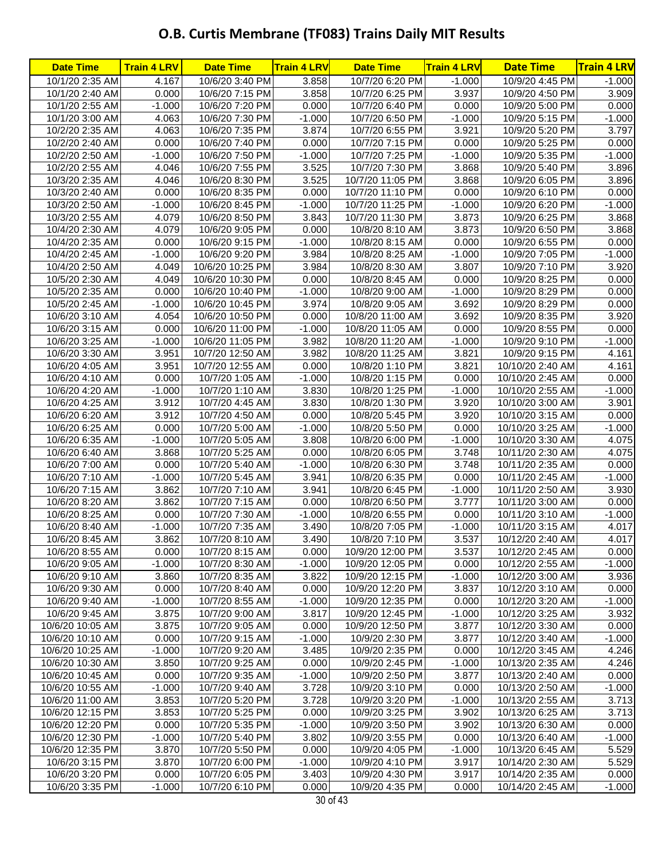| <b>Date Time</b>                     | <b>Train 4 LRV</b> | <b>Date Time</b>                     | <b>Train 4 LRV</b> | <b>Date Time</b>                   | <b>Train 4 LRV</b> | <b>Date Time</b>                     | <b>Train 4 LRV</b> |
|--------------------------------------|--------------------|--------------------------------------|--------------------|------------------------------------|--------------------|--------------------------------------|--------------------|
| 10/1/20 2:35 AM                      | 4.167              | 10/6/20 3:40 PM                      | 3.858              | 10/7/20 6:20 PM                    | $-1.000$           | 10/9/20 4:45 PM                      | $-1.000$           |
| 10/1/20 2:40 AM                      | 0.000              | 10/6/20 7:15 PM                      | 3.858              | 10/7/20 6:25 PM                    | 3.937              | 10/9/20 4:50 PM                      | 3.909              |
| 10/1/20 2:55 AM                      | $-1.000$           | 10/6/20 7:20 PM                      | 0.000              | 10/7/20 6:40 PM                    | 0.000              | 10/9/20 5:00 PM                      | 0.000              |
| 10/1/20 3:00 AM                      | 4.063              | 10/6/20 7:30 PM                      | $-1.000$           | 10/7/20 6:50 PM                    | $-1.000$           | 10/9/20 5:15 PM                      | $-1.000$           |
| 10/2/20 2:35 AM                      | 4.063              | 10/6/20 7:35 PM                      | 3.874              | 10/7/20 6:55 PM                    | 3.921              | 10/9/20 5:20 PM                      | 3.797              |
| 10/2/20 2:40 AM                      | 0.000              | 10/6/20 7:40 PM                      | 0.000              | 10/7/20 7:15 PM                    | 0.000              | 10/9/20 5:25 PM                      | 0.000              |
| 10/2/20 2:50 AM                      | $-1.000$           | 10/6/20 7:50 PM                      | $-1.000$           | 10/7/20 7:25 PM                    | $-1.000$           | 10/9/20 5:35 PM                      | $-1.000$           |
| 10/2/20 2:55 AM                      | 4.046              | 10/6/20 7:55 PM                      | 3.525              | 10/7/20 7:30 PM                    | 3.868              | 10/9/20 5:40 PM                      | 3.896              |
| 10/3/20 2:35 AM                      | 4.046              | 10/6/20 8:30 PM                      | 3.525              | 10/7/20 11:05 PM                   | 3.868              | 10/9/20 6:05 PM                      | 3.896              |
| 10/3/20 2:40 AM                      | 0.000              | 10/6/20 8:35 PM                      | 0.000              | 10/7/20 11:10 PM                   | 0.000              | 10/9/20 6:10 PM                      | 0.000              |
| 10/3/20 2:50 AM                      | $-1.000$           | 10/6/20 8:45 PM                      | $-1.000$           | 10/7/20 11:25 PM                   | $-1.000$           | 10/9/20 6:20 PM                      | $-1.000$           |
| 10/3/20 2:55 AM                      | 4.079              | 10/6/20 8:50 PM                      | 3.843              | 10/7/20 11:30 PM                   | 3.873              | 10/9/20 6:25 PM                      | 3.868              |
| 10/4/20 2:30 AM                      | 4.079              | 10/6/20 9:05 PM                      | 0.000              | 10/8/20 8:10 AM                    | 3.873              | 10/9/20 6:50 PM                      | 3.868              |
| 10/4/20 2:35 AM                      | 0.000              | 10/6/20 9:15 PM                      | $-1.000$           | 10/8/20 8:15 AM                    | 0.000              | 10/9/20 6:55 PM                      | 0.000              |
| 10/4/20 2:45 AM                      | $-1.000$           | 10/6/20 9:20 PM                      | 3.984              | 10/8/20 8:25 AM                    | $-1.000$           | 10/9/20 7:05 PM                      | $-1.000$           |
| 10/4/20 2:50 AM<br>10/5/20 2:30 AM   | 4.049<br>4.049     | 10/6/20 10:25 PM<br>10/6/20 10:30 PM | 3.984<br>0.000     | 10/8/20 8:30 AM                    | 3.807<br>0.000     | 10/9/20 7:10 PM                      | 3.920<br>0.000     |
|                                      | 0.000              |                                      | $-1.000$           | 10/8/20 8:45 AM<br>10/8/20 9:00 AM | $-1.000$           | 10/9/20 8:25 PM                      | 0.000              |
| 10/5/20 2:35 AM<br>10/5/20 2:45 AM   | $-1.000$           | 10/6/20 10:40 PM<br>10/6/20 10:45 PM | 3.974              | 10/8/20 9:05 AM                    | 3.692              | 10/9/20 8:29 PM<br>10/9/20 8:29 PM   | 0.000              |
| 10/6/20 3:10 AM                      | 4.054              | 10/6/20 10:50 PM                     | 0.000              | 10/8/20 11:00 AM                   | 3.692              | 10/9/20 8:35 PM                      | 3.920              |
| 10/6/20 3:15 AM                      | 0.000              | 10/6/20 11:00 PM                     | $-1.000$           | 10/8/20 11:05 AM                   | 0.000              | 10/9/20 8:55 PM                      | 0.000              |
| 10/6/20 3:25 AM                      | $-1.000$           | 10/6/20 11:05 PM                     | 3.982              | 10/8/20 11:20 AM                   | $-1.000$           | 10/9/20 9:10 PM                      | $-1.000$           |
| 10/6/20 3:30 AM                      | 3.951              | 10/7/20 12:50 AM                     | 3.982              | 10/8/20 11:25 AM                   | 3.821              | 10/9/20 9:15 PM                      | 4.161              |
| 10/6/20 4:05 AM                      | 3.951              | 10/7/20 12:55 AM                     | 0.000              | 10/8/20 1:10 PM                    | 3.821              | 10/10/20 2:40 AM                     | 4.161              |
| 10/6/20 4:10 AM                      | 0.000              | 10/7/20 1:05 AM                      | $-1.000$           | 10/8/20 1:15 PM                    | 0.000              | 10/10/20 2:45 AM                     | 0.000              |
| 10/6/20 4:20 AM                      | $-1.000$           | 10/7/20 1:10 AM                      | 3.830              | 10/8/20 1:25 PM                    | $-1.000$           | 10/10/20 2:55 AM                     | $-1.000$           |
| 10/6/20 4:25 AM                      | 3.912              | 10/7/20 4:45 AM                      | 3.830              | 10/8/20 1:30 PM                    | 3.920              | 10/10/20 3:00 AM                     | 3.901              |
| 10/6/20 6:20 AM                      | 3.912              | 10/7/20 4:50 AM                      | 0.000              | 10/8/20 5:45 PM                    | 3.920              | 10/10/20 3:15 AM                     | 0.000              |
| 10/6/20 6:25 AM                      | 0.000              | 10/7/20 5:00 AM                      | $-1.000$           | 10/8/20 5:50 PM                    | 0.000              | 10/10/20 3:25 AM                     | $-1.000$           |
| 10/6/20 6:35 AM                      | $-1.000$           | 10/7/20 5:05 AM                      | 3.808              | 10/8/20 6:00 PM                    | $-1.000$           | 10/10/20 3:30 AM                     | 4.075              |
| 10/6/20 6:40 AM                      | 3.868              | 10/7/20 5:25 AM                      | 0.000              | 10/8/20 6:05 PM                    | 3.748              | 10/11/20 2:30 AM                     | 4.075              |
| 10/6/20 7:00 AM                      | 0.000              | 10/7/20 5:40 AM                      | $-1.000$           | 10/8/20 6:30 PM                    | 3.748              | 10/11/20 2:35 AM                     | 0.000              |
| 10/6/20 7:10 AM                      | $-1.000$           | 10/7/20 5:45 AM                      | 3.941              | 10/8/20 6:35 PM                    | 0.000              | 10/11/20 2:45 AM                     | $-1.000$           |
| 10/6/20 7:15 AM                      | 3.862              | 10/7/20 7:10 AM                      | 3.941              | 10/8/20 6:45 PM                    | $-1.000$           | 10/11/20 2:50 AM                     | 3.930              |
| 10/6/20 8:20 AM                      | 3.862              | 10/7/20 7:15 AM                      | 0.000              | 10/8/20 6:50 PM                    | 3.777              | 10/11/20 3:00 AM                     | 0.000              |
| 10/6/20 8:25 AM                      | 0.000              | 10/7/20 7:30 AM                      | $-1.000$           | 10/8/20 6:55 PM                    | 0.000              | 10/11/20 3:10 AM                     | $-1.000$           |
| 10/6/20 8:40 AM                      | $-1.000$           | 10/7/20 7:35 AM                      | 3.490              | 10/8/20 7:05 PM                    | $-1.000$           | 10/11/20 3:15 AM                     | 4.017              |
| 10/6/20 8:45 AM                      | 3.862              | 10/7/20 8:10 AM                      | 3.490              | 10/8/20 7:10 PM                    | 3.537              | 10/12/20 2:40 AM                     | 4.017              |
| 10/6/20 8:55 AM                      | 0.000              | 10/7/20 8:15 AM                      | 0.000              | 10/9/20 12:00 PM                   | 3.537              | 10/12/20 2:45 AM                     | 0.000              |
| 10/6/20 9:05 AM                      | $-1.000$           | 10/7/20 8:30 AM                      | $-1.000$           | 10/9/20 12:05 PM                   | 0.000              | 10/12/20 2:55 AM                     | $-1.000$           |
| 10/6/20 9:10 AM                      | 3.860              | 10/7/20 8:35 AM                      | 3.822              | 10/9/20 12:15 PM                   | $-1.000$           | 10/12/20 3:00 AM                     | 3.936              |
| 10/6/20 9:30 AM                      | 0.000              | 10/7/20 8:40 AM                      | 0.000              | 10/9/20 12:20 PM                   | 3.837              | 10/12/20 3:10 AM                     | 0.000              |
| 10/6/20 9:40 AM                      | $-1.000$           | 10/7/20 8:55 AM                      | $-1.000$           | 10/9/20 12:35 PM                   | 0.000              | 10/12/20 3:20 AM                     | $-1.000$           |
| 10/6/20 9:45 AM                      | 3.875              | 10/7/20 9:00 AM                      | 3.817              | 10/9/20 12:45 PM                   | $-1.000$           | 10/12/20 3:25 AM                     | 3.932              |
| 10/6/20 10:05 AM                     | 3.875              | 10/7/20 9:05 AM                      | 0.000              | 10/9/20 12:50 PM                   | 3.877              | 10/12/20 3:30 AM                     | 0.000              |
| 10/6/20 10:10 AM                     | 0.000              | 10/7/20 9:15 AM                      | $-1.000$           | 10/9/20 2:30 PM                    | 3.877              | 10/12/20 3:40 AM                     | $-1.000$           |
| 10/6/20 10:25 AM                     | $-1.000$           | 10/7/20 9:20 AM                      | 3.485              | 10/9/20 2:35 PM                    | 0.000              | 10/12/20 3:45 AM                     | 4.246              |
| 10/6/20 10:30 AM                     | 3.850              | 10/7/20 9:25 AM                      | 0.000              | 10/9/20 2:45 PM                    | $-1.000$           | 10/13/20 2:35 AM                     | 4.246              |
| 10/6/20 10:45 AM                     | 0.000              | 10/7/20 9:35 AM                      | $-1.000$           | 10/9/20 2:50 PM                    | 3.877              | 10/13/20 2:40 AM                     | 0.000              |
| 10/6/20 10:55 AM                     | $-1.000$           | 10/7/20 9:40 AM                      | 3.728              | 10/9/20 3:10 PM                    | 0.000              | 10/13/20 2:50 AM                     | $-1.000$           |
| 10/6/20 11:00 AM<br>10/6/20 12:15 PM | 3.853<br>3.853     | 10/7/20 5:20 PM<br>10/7/20 5:25 PM   | 3.728<br>0.000     | 10/9/20 3:20 PM<br>10/9/20 3:25 PM | $-1.000$<br>3.902  | 10/13/20 2:55 AM<br>10/13/20 6:25 AM | 3.713<br>3.713     |
| 10/6/20 12:20 PM                     | 0.000              | 10/7/20 5:35 PM                      | $-1.000$           | 10/9/20 3:50 PM                    | 3.902              | 10/13/20 6:30 AM                     | 0.000              |
| 10/6/20 12:30 PM                     | $-1.000$           | 10/7/20 5:40 PM                      | 3.802              | 10/9/20 3:55 PM                    | 0.000              | 10/13/20 6:40 AM                     | $-1.000$           |
| 10/6/20 12:35 PM                     | 3.870              | 10/7/20 5:50 PM                      | 0.000              | 10/9/20 4:05 PM                    | $-1.000$           | 10/13/20 6:45 AM                     | 5.529              |
| 10/6/20 3:15 PM                      | 3.870              | 10/7/20 6:00 PM                      | $-1.000$           | 10/9/20 4:10 PM                    | 3.917              | 10/14/20 2:30 AM                     | 5.529              |
| 10/6/20 3:20 PM                      | 0.000              | 10/7/20 6:05 PM                      | 3.403              | 10/9/20 4:30 PM                    | 3.917              | 10/14/20 2:35 AM                     | 0.000              |
| 10/6/20 3:35 PM                      | $-1.000$           | 10/7/20 6:10 PM                      | 0.000              | 10/9/20 4:35 PM                    | 0.000              | 10/14/20 2:45 AM                     | $-1.000$           |
|                                      |                    |                                      |                    |                                    |                    |                                      |                    |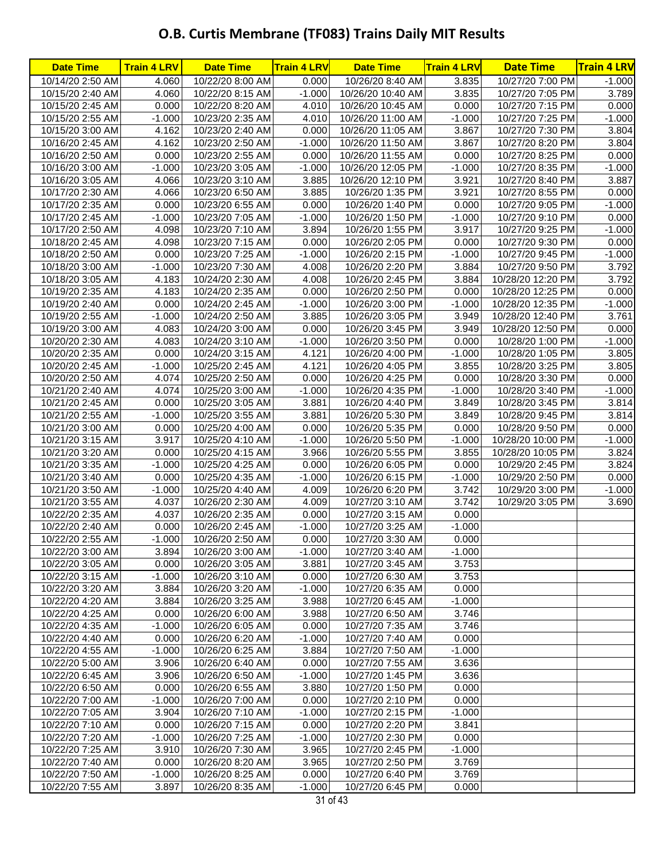| <b>Date Time</b>                     | <b>Train 4 LRV</b> | <b>Date Time</b>                     | <b>Train 4 LRV</b> | <b>Date Time</b>                     | <b>Train 4 LRV</b> | <b>Date Time</b>                      | <b>Train 4 LRV</b> |
|--------------------------------------|--------------------|--------------------------------------|--------------------|--------------------------------------|--------------------|---------------------------------------|--------------------|
| 10/14/20 2:50 AM                     | 4.060              | 10/22/20 8:00 AM                     | 0.000              | 10/26/20 8:40 AM                     | 3.835              | 10/27/20 7:00 PM                      | $-1.000$           |
| 10/15/20 2:40 AM                     | 4.060              | 10/22/20 8:15 AM                     | $-1.000$           | 10/26/20 10:40 AM                    | 3.835              | 10/27/20 7:05 PM                      | 3.789              |
| 10/15/20 2:45 AM                     | 0.000              | 10/22/20 8:20 AM                     | 4.010              | 10/26/20 10:45 AM                    | 0.000              | 10/27/20 7:15 PM                      | 0.000              |
| 10/15/20 2:55 AM                     | $-1.000$           | 10/23/20 2:35 AM                     | 4.010              | 10/26/20 11:00 AM                    | $-1.000$           | 10/27/20 7:25 PM                      | $-1.000$           |
| 10/15/20 3:00 AM                     | 4.162              | 10/23/20 2:40 AM                     | 0.000              | 10/26/20 11:05 AM                    | 3.867              | 10/27/20 7:30 PM                      | 3.804              |
| 10/16/20 2:45 AM                     | 4.162              | 10/23/20 2:50 AM                     | $-1.000$           | 10/26/20 11:50 AM                    | 3.867              | 10/27/20 8:20 PM                      | 3.804              |
| 10/16/20 2:50 AM                     | 0.000              | 10/23/20 2:55 AM                     | 0.000              | 10/26/20 11:55 AM                    | 0.000              | 10/27/20 8:25 PM                      | 0.000              |
| 10/16/20 3:00 AM                     | $-1.000$           | 10/23/20 3:05 AM                     | $-1.000$           | 10/26/20 12:05 PM                    | $-1.000$           | 10/27/20 8:35 PM                      | $-1.000$           |
| 10/16/20 3:05 AM                     | 4.066              | 10/23/20 3:10 AM                     | 3.885              | 10/26/20 12:10 PM                    | 3.921              | 10/27/20 8:40 PM                      | 3.887              |
| 10/17/20 2:30 AM                     | 4.066              | 10/23/20 6:50 AM                     | 3.885              | 10/26/20 1:35 PM                     | 3.921              | 10/27/20 8:55 PM                      | 0.000              |
| 10/17/20 2:35 AM                     | 0.000              | 10/23/20 6:55 AM                     | 0.000              | 10/26/20 1:40 PM                     | 0.000              | 10/27/20 9:05 PM                      | $-1.000$           |
| 10/17/20 2:45 AM                     | $-1.000$           | 10/23/20 7:05 AM                     | $-1.000$           | 10/26/20 1:50 PM                     | $-1.000$           | 10/27/20 9:10 PM                      | 0.000              |
| 10/17/20 2:50 AM                     | 4.098              | 10/23/20 7:10 AM                     | 3.894              | 10/26/20 1:55 PM                     | 3.917              | 10/27/20 9:25 PM                      | $-1.000$           |
| 10/18/20 2:45 AM                     | 4.098              | 10/23/20 7:15 AM                     | 0.000              | 10/26/20 2:05 PM                     | 0.000              | 10/27/20 9:30 PM                      | 0.000              |
| 10/18/20 2:50 AM                     | 0.000              | 10/23/20 7:25 AM                     | $-1.000$           | 10/26/20 2:15 PM                     | $-1.000$           | 10/27/20 9:45 PM                      | $-1.000$           |
| 10/18/20 3:00 AM                     | $-1.000$           | 10/23/20 7:30 AM                     | 4.008              | 10/26/20 2:20 PM                     | 3.884              | 10/27/20 9:50 PM                      | 3.792              |
| 10/18/20 3:05 AM                     | 4.183              | 10/24/20 2:30 AM                     | 4.008              | 10/26/20 2:45 PM                     | 3.884              | 10/28/20 12:20 PM                     | 3.792              |
| 10/19/20 2:35 AM                     | 4.183              | 10/24/20 2:35 AM                     | 0.000              | 10/26/20 2:50 PM                     | 0.000              | 10/28/20 12:25 PM                     | 0.000              |
| 10/19/20 2:40 AM                     | 0.000              | 10/24/20 2:45 AM                     | $-1.000$           | 10/26/20 3:00 PM                     | $-1.000$           | 10/28/20 12:35 PM                     | $-1.000$           |
| 10/19/20 2:55 AM<br>10/19/20 3:00 AM | $-1.000$           | 10/24/20 2:50 AM                     | 3.885              | 10/26/20 3:05 PM                     | 3.949<br>3.949     | 10/28/20 12:40 PM                     | 3.761<br>0.000     |
| 10/20/20 2:30 AM                     | 4.083<br>4.083     | 10/24/20 3:00 AM<br>10/24/20 3:10 AM | 0.000<br>$-1.000$  | 10/26/20 3:45 PM                     | 0.000              | 10/28/20 12:50 PM<br>10/28/20 1:00 PM | $-1.000$           |
| 10/20/20 2:35 AM                     | 0.000              | 10/24/20 3:15 AM                     | 4.121              | 10/26/20 3:50 PM<br>10/26/20 4:00 PM | $-1.000$           | 10/28/20 1:05 PM                      | 3.805              |
| 10/20/20 2:45 AM                     | $-1.000$           | 10/25/20 2:45 AM                     | 4.121              | 10/26/20 4:05 PM                     | 3.855              | 10/28/20 3:25 PM                      | 3.805              |
| 10/20/20 2:50 AM                     | 4.074              | 10/25/20 2:50 AM                     | 0.000              | 10/26/20 4:25 PM                     | 0.000              | 10/28/20 3:30 PM                      | 0.000              |
| 10/21/20 2:40 AM                     | 4.074              | 10/25/20 3:00 AM                     | $-1.000$           | 10/26/20 4:35 PM                     | $-1.000$           | 10/28/20 3:40 PM                      | $-1.000$           |
| 10/21/20 2:45 AM                     | 0.000              | 10/25/20 3:05 AM                     | 3.881              | 10/26/20 4:40 PM                     | 3.849              | 10/28/20 3:45 PM                      | 3.814              |
| 10/21/20 2:55 AM                     | $-1.000$           | 10/25/20 3:55 AM                     | 3.881              | 10/26/20 5:30 PM                     | 3.849              | 10/28/20 9:45 PM                      | 3.814              |
| 10/21/20 3:00 AM                     | 0.000              | 10/25/20 4:00 AM                     | 0.000              | 10/26/20 5:35 PM                     | 0.000              | 10/28/20 9:50 PM                      | 0.000              |
| 10/21/20 3:15 AM                     | 3.917              | 10/25/20 4:10 AM                     | $-1.000$           | 10/26/20 5:50 PM                     | $-1.000$           | 10/28/20 10:00 PM                     | $-1.000$           |
| 10/21/20 3:20 AM                     | 0.000              | 10/25/20 4:15 AM                     | 3.966              | 10/26/20 5:55 PM                     | 3.855              | 10/28/20 10:05 PM                     | 3.824              |
| 10/21/20 3:35 AM                     | $-1.000$           | 10/25/20 4:25 AM                     | 0.000              | 10/26/20 6:05 PM                     | 0.000              | 10/29/20 2:45 PM                      | 3.824              |
| 10/21/20 3:40 AM                     | 0.000              | 10/25/20 4:35 AM                     | $-1.000$           | 10/26/20 6:15 PM                     | $-1.000$           | 10/29/20 2:50 PM                      | 0.000              |
| 10/21/20 3:50 AM                     | $-1.000$           | 10/25/20 4:40 AM                     | 4.009              | 10/26/20 6:20 PM                     | 3.742              | 10/29/20 3:00 PM                      | $-1.000$           |
| 10/21/20 3:55 AM                     | 4.037              | 10/26/20 2:30 AM                     | 4.009              | 10/27/20 3:10 AM                     | 3.742              | 10/29/20 3:05 PM                      | 3.690              |
| 10/22/20 2:35 AM                     | 4.037              | 10/26/20 2:35 AM                     | 0.000              | 10/27/20 3:15 AM                     | 0.000              |                                       |                    |
| 10/22/20 2:40 AM                     | 0.000              | 10/26/20 2:45 AM                     | $-1.000$           | 10/27/20 3:25 AM                     | $-1.000$           |                                       |                    |
| 10/22/20 2:55 AM                     | $-1.000$           | 10/26/20 2:50 AM                     | 0.000              | 10/27/20 3:30 AM                     | 0.000              |                                       |                    |
| 10/22/20 3:00 AM                     | 3.894              | 10/26/20 3:00 AM                     | $-1.000$           | 10/27/20 3:40 AM                     | $-1.000$           |                                       |                    |
| 10/22/20 3:05 AM                     | 0.000              | 10/26/20 3:05 AM                     | 3.881              | 10/27/20 3:45 AM                     | 3.753              |                                       |                    |
| 10/22/20 3:15 AM                     | $-1.000$           | 10/26/20 3:10 AM                     | 0.000              | 10/27/20 6:30 AM                     | 3.753              |                                       |                    |
| 10/22/20 3:20 AM                     | 3.884              | 10/26/20 3:20 AM                     | $-1.000$           | 10/27/20 6:35 AM                     | 0.000              |                                       |                    |
| 10/22/20 4:20 AM                     | 3.884              | 10/26/20 3:25 AM                     | 3.988              | 10/27/20 6:45 AM                     | $-1.000$           |                                       |                    |
| 10/22/20 4:25 AM                     | 0.000              | 10/26/20 6:00 AM                     | 3.988              | 10/27/20 6:50 AM                     | 3.746              |                                       |                    |
| 10/22/20 4:35 AM                     | $-1.000$           | 10/26/20 6:05 AM                     | 0.000              | 10/27/20 7:35 AM                     | 3.746              |                                       |                    |
| 10/22/20 4:40 AM                     | 0.000              | 10/26/20 6:20 AM                     | $-1.000$           | 10/27/20 7:40 AM                     | 0.000              |                                       |                    |
| 10/22/20 4:55 AM                     | $-1.000$           | 10/26/20 6:25 AM                     | 3.884              | 10/27/20 7:50 AM                     | $-1.000$           |                                       |                    |
| 10/22/20 5:00 AM                     | 3.906              | 10/26/20 6:40 AM                     | 0.000              | 10/27/20 7:55 AM                     | 3.636              |                                       |                    |
| 10/22/20 6:45 AM                     | 3.906              | 10/26/20 6:50 AM                     | $-1.000$           | 10/27/20 1:45 PM                     | 3.636              |                                       |                    |
| 10/22/20 6:50 AM                     | 0.000              | 10/26/20 6:55 AM                     | 3.880              | 10/27/20 1:50 PM                     | 0.000              |                                       |                    |
| 10/22/20 7:00 AM                     | $-1.000$           | 10/26/20 7:00 AM                     | 0.000              | 10/27/20 2:10 PM                     | 0.000              |                                       |                    |
| 10/22/20 7:05 AM                     | 3.904              | 10/26/20 7:10 AM                     | $-1.000$           | 10/27/20 2:15 PM                     | $-1.000$           |                                       |                    |
| 10/22/20 7:10 AM                     | 0.000              | 10/26/20 7:15 AM                     | 0.000              | 10/27/20 2:20 PM                     | 3.841              |                                       |                    |
| 10/22/20 7:20 AM                     | $-1.000$           | 10/26/20 7:25 AM                     | $-1.000$           | 10/27/20 2:30 PM                     | 0.000              |                                       |                    |
| 10/22/20 7:25 AM                     | 3.910<br>0.000     | 10/26/20 7:30 AM<br>10/26/20 8:20 AM | 3.965              | 10/27/20 2:45 PM                     | $-1.000$<br>3.769  |                                       |                    |
| 10/22/20 7:40 AM<br>10/22/20 7:50 AM | $-1.000$           | 10/26/20 8:25 AM                     | 3.965<br>0.000     | 10/27/20 2:50 PM<br>10/27/20 6:40 PM | 3.769              |                                       |                    |
| 10/22/20 7:55 AM                     | 3.897              | 10/26/20 8:35 AM                     | $-1.000$           | 10/27/20 6:45 PM                     | 0.000              |                                       |                    |
|                                      |                    |                                      |                    |                                      |                    |                                       |                    |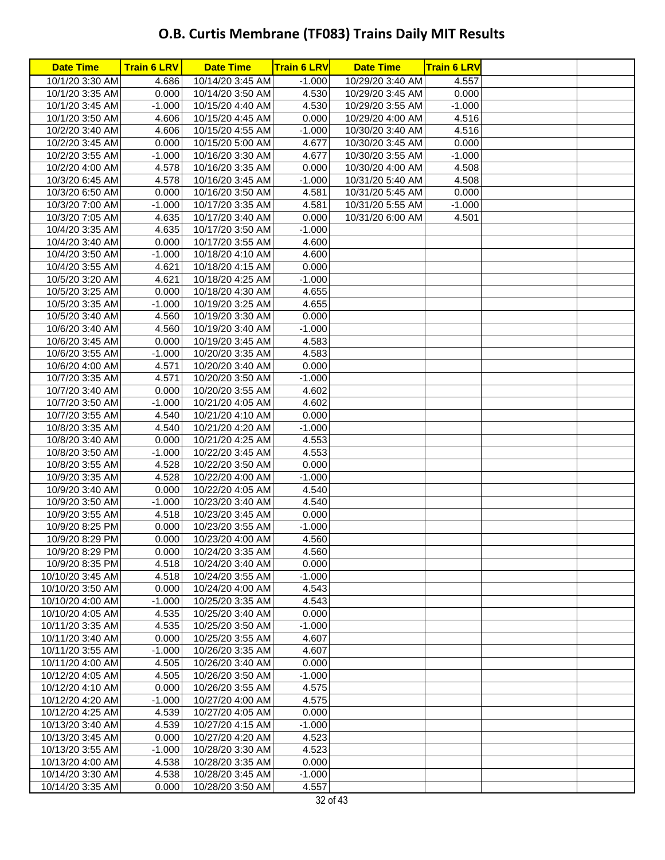| 10/1/20 3:30 AM<br>4.686<br>10/14/20 3:45 AM<br>$-1.000$<br>10/29/20 3:40 AM<br>4.557<br>0.000<br>4.530<br>0.000<br>10/1/20 3:35 AM<br>10/14/20 3:50 AM<br>10/29/20 3:45 AM<br>4.530<br>10/1/20 3:45 AM<br>$-1.000$<br>10/15/20 4:40 AM<br>10/29/20 3:55 AM<br>$-1.000$<br>10/1/20 3:50 AM<br>4.606<br>10/15/20 4:45 AM<br>0.000<br>10/29/20 4:00 AM<br>4.516<br>4.516<br>10/2/20 3:40 AM<br>4.606<br>10/15/20 4:55 AM<br>$-1.000$<br>10/30/20 3:40 AM<br>10/2/20 3:45 AM<br>0.000<br>10/15/20 5:00 AM<br>4.677<br>10/30/20 3:45 AM<br>0.000<br>$-1.000$<br>$-1.000$<br>10/2/20 3:55 AM<br>10/16/20 3:30 AM<br>4.677<br>10/30/20 3:55 AM<br>4.578<br>10/16/20 3:35 AM<br>0.000<br>10/30/20 4:00 AM<br>4.508<br>10/2/20 4:00 AM<br>4.508<br>10/3/20 6:45 AM<br>4.578<br>10/16/20 3:45 AM<br>$-1.000$<br>10/31/20 5:40 AM<br>0.000<br>10/3/20 6:50 AM<br>0.000<br>4.581<br>10/16/20 3:50 AM<br>10/31/20 5:45 AM<br>4.581<br>$-1.000$<br>10/3/20 7:00 AM<br>$-1.000$<br>10/17/20 3:35 AM<br>10/31/20 5:55 AM<br>10/3/20 7:05 AM<br>4.635<br>10/17/20 3:40 AM<br>0.000<br>10/31/20 6:00 AM<br>4.501<br>4.635<br>10/4/20 3:35 AM<br>10/17/20 3:50 AM<br>$-1.000$<br>4.600<br>10/4/20 3:40 AM<br>0.000<br>10/17/20 3:55 AM<br>4.600<br>10/4/20 3:50 AM<br>$-1.000$<br>10/18/20 4:10 AM<br>10/4/20 3:55 AM<br>4.621<br>10/18/20 4:15 AM<br>0.000<br>4.621<br>$-1.000$<br>10/5/20 3:20 AM<br>10/18/20 4:25 AM<br>4.655<br>10/5/20 3:25 AM<br>10/18/20 4:30 AM<br>0.000<br>4.655<br>10/5/20 3:35 AM<br>$-1.000$<br>10/19/20 3:25 AM<br>0.000<br>10/5/20 3:40 AM<br>4.560<br>10/19/20 3:30 AM<br>$-1.000$<br>10/6/20 3:40 AM<br>4.560<br>10/19/20 3:40 AM<br>4.583<br>0.000<br>10/19/20 3:45 AM<br>10/6/20 3:45 AM<br>4.583<br>10/6/20 3:55 AM<br>$-1.000$<br>10/20/20 3:35 AM<br>0.000<br>10/6/20 4:00 AM<br>4.571<br>10/20/20 3:40 AM<br>10/7/20 3:35 AM<br>4.571<br>$-1.000$<br>10/20/20 3:50 AM<br>10/7/20 3:40 AM<br>0.000<br>10/20/20 3:55 AM<br>4.602<br>10/7/20 3:50 AM<br>$-1.000$<br>4.602<br>10/21/20 4:05 AM<br>10/7/20 3:55 AM<br>4.540<br>10/21/20 4:10 AM<br>0.000<br>$-1.000$<br>10/8/20 3:35 AM<br>4.540<br>10/21/20 4:20 AM<br>4.553<br>10/8/20 3:40 AM<br>0.000<br>10/21/20 4:25 AM<br>4.553<br>10/8/20 3:50 AM<br>$-1.000$<br>10/22/20 3:45 AM<br>4.528<br>0.000<br>10/8/20 3:55 AM<br>10/22/20 3:50 AM<br>4.528<br>10/9/20 3:35 AM<br>10/22/20 4:00 AM<br>$-1.000$<br>4.540<br>10/9/20 3:40 AM<br>0.000<br>10/22/20 4:05 AM<br>4.540<br>$-1.000$<br>10/23/20 3:40 AM<br>10/9/20 3:50 AM<br>4.518<br>10/9/20 3:55 AM<br>10/23/20 3:45 AM<br>0.000<br>10/9/20 8:25 PM<br>10/23/20 3:55 AM<br>$-1.000$<br>0.000<br>4.560<br>10/9/20 8:29 PM<br>0.000<br>10/23/20 4:00 AM<br>4.560<br>10/9/20 8:29 PM<br>0.000<br>10/24/20 3:35 AM<br>0.000<br>4.518<br>10/9/20 8:35 PM<br>10/24/20 3:40 AM<br>10/10/20 3:45 AM<br>4.518<br>10/24/20 3:55 AM<br>$-1.000$<br>0.000<br>4.543<br>10/10/20 3:50 AM<br>10/24/20 4:00 AM<br>4.543<br>10/10/20 4:00 AM<br>$-1.000$<br>10/25/20 3:35 AM<br>10/10/20 4:05 AM<br>4.535<br>10/25/20 3:40 AM<br>0.000<br>4.535<br>$-1.000$<br>10/11/20 3:35 AM<br>10/25/20 3:50 AM<br>10/25/20 3:55 AM<br>10/11/20 3:40 AM<br>0.000<br>4.607<br>10/11/20 3:55 AM<br>$-1.000$<br>10/26/20 3:35 AM<br>4.607<br>10/11/20 4:00 AM<br>4.505<br>10/26/20 3:40 AM<br>0.000<br>$-1.000$<br>10/12/20 4:05 AM<br>4.505<br>10/26/20 3:50 AM<br>4.575<br>10/12/20 4:10 AM<br>0.000<br>10/26/20 3:55 AM<br>$-1.000$<br>4.575<br>10/12/20 4:20 AM<br>10/27/20 4:00 AM<br>10/12/20 4:25 AM<br>4.539<br>10/27/20 4:05 AM<br>0.000<br>10/13/20 3:40 AM<br>4.539<br>10/27/20 4:15 AM<br>$-1.000$<br>4.523<br>10/13/20 3:45 AM<br>0.000<br>10/27/20 4:20 AM<br>4.523<br>10/13/20 3:55 AM<br>$-1.000$<br>10/28/20 3:30 AM<br>10/13/20 4:00 AM<br>4.538<br>10/28/20 3:35 AM<br>0.000<br>10/14/20 3:30 AM<br>4.538<br>10/28/20 3:45 AM<br>$-1.000$<br>4.557<br>10/14/20 3:35 AM<br>10/28/20 3:50 AM<br>0.000 | <b>Date Time</b> | <b>Train 6 LRV</b> | <b>Date Time</b> | <b>Train 6 LRV</b> | <b>Date Time</b> | <b>Train 6 LRV</b> |  |
|-------------------------------------------------------------------------------------------------------------------------------------------------------------------------------------------------------------------------------------------------------------------------------------------------------------------------------------------------------------------------------------------------------------------------------------------------------------------------------------------------------------------------------------------------------------------------------------------------------------------------------------------------------------------------------------------------------------------------------------------------------------------------------------------------------------------------------------------------------------------------------------------------------------------------------------------------------------------------------------------------------------------------------------------------------------------------------------------------------------------------------------------------------------------------------------------------------------------------------------------------------------------------------------------------------------------------------------------------------------------------------------------------------------------------------------------------------------------------------------------------------------------------------------------------------------------------------------------------------------------------------------------------------------------------------------------------------------------------------------------------------------------------------------------------------------------------------------------------------------------------------------------------------------------------------------------------------------------------------------------------------------------------------------------------------------------------------------------------------------------------------------------------------------------------------------------------------------------------------------------------------------------------------------------------------------------------------------------------------------------------------------------------------------------------------------------------------------------------------------------------------------------------------------------------------------------------------------------------------------------------------------------------------------------------------------------------------------------------------------------------------------------------------------------------------------------------------------------------------------------------------------------------------------------------------------------------------------------------------------------------------------------------------------------------------------------------------------------------------------------------------------------------------------------------------------------------------------------------------------------------------------------------------------------------------------------------------------------------------------------------------------------------------------------------------------------------------------------------------------------------------------------------------------------------------------------------------------------------------------------------------------------------------------------------------------------------------------------------------------------------------------------------------------------------------------------------------------------------------------------------------------------------------------------|------------------|--------------------|------------------|--------------------|------------------|--------------------|--|
|                                                                                                                                                                                                                                                                                                                                                                                                                                                                                                                                                                                                                                                                                                                                                                                                                                                                                                                                                                                                                                                                                                                                                                                                                                                                                                                                                                                                                                                                                                                                                                                                                                                                                                                                                                                                                                                                                                                                                                                                                                                                                                                                                                                                                                                                                                                                                                                                                                                                                                                                                                                                                                                                                                                                                                                                                                                                                                                                                                                                                                                                                                                                                                                                                                                                                                                                                                                                                                                                                                                                                                                                                                                                                                                                                                                                                                                                                                                   |                  |                    |                  |                    |                  |                    |  |
|                                                                                                                                                                                                                                                                                                                                                                                                                                                                                                                                                                                                                                                                                                                                                                                                                                                                                                                                                                                                                                                                                                                                                                                                                                                                                                                                                                                                                                                                                                                                                                                                                                                                                                                                                                                                                                                                                                                                                                                                                                                                                                                                                                                                                                                                                                                                                                                                                                                                                                                                                                                                                                                                                                                                                                                                                                                                                                                                                                                                                                                                                                                                                                                                                                                                                                                                                                                                                                                                                                                                                                                                                                                                                                                                                                                                                                                                                                                   |                  |                    |                  |                    |                  |                    |  |
|                                                                                                                                                                                                                                                                                                                                                                                                                                                                                                                                                                                                                                                                                                                                                                                                                                                                                                                                                                                                                                                                                                                                                                                                                                                                                                                                                                                                                                                                                                                                                                                                                                                                                                                                                                                                                                                                                                                                                                                                                                                                                                                                                                                                                                                                                                                                                                                                                                                                                                                                                                                                                                                                                                                                                                                                                                                                                                                                                                                                                                                                                                                                                                                                                                                                                                                                                                                                                                                                                                                                                                                                                                                                                                                                                                                                                                                                                                                   |                  |                    |                  |                    |                  |                    |  |
|                                                                                                                                                                                                                                                                                                                                                                                                                                                                                                                                                                                                                                                                                                                                                                                                                                                                                                                                                                                                                                                                                                                                                                                                                                                                                                                                                                                                                                                                                                                                                                                                                                                                                                                                                                                                                                                                                                                                                                                                                                                                                                                                                                                                                                                                                                                                                                                                                                                                                                                                                                                                                                                                                                                                                                                                                                                                                                                                                                                                                                                                                                                                                                                                                                                                                                                                                                                                                                                                                                                                                                                                                                                                                                                                                                                                                                                                                                                   |                  |                    |                  |                    |                  |                    |  |
|                                                                                                                                                                                                                                                                                                                                                                                                                                                                                                                                                                                                                                                                                                                                                                                                                                                                                                                                                                                                                                                                                                                                                                                                                                                                                                                                                                                                                                                                                                                                                                                                                                                                                                                                                                                                                                                                                                                                                                                                                                                                                                                                                                                                                                                                                                                                                                                                                                                                                                                                                                                                                                                                                                                                                                                                                                                                                                                                                                                                                                                                                                                                                                                                                                                                                                                                                                                                                                                                                                                                                                                                                                                                                                                                                                                                                                                                                                                   |                  |                    |                  |                    |                  |                    |  |
|                                                                                                                                                                                                                                                                                                                                                                                                                                                                                                                                                                                                                                                                                                                                                                                                                                                                                                                                                                                                                                                                                                                                                                                                                                                                                                                                                                                                                                                                                                                                                                                                                                                                                                                                                                                                                                                                                                                                                                                                                                                                                                                                                                                                                                                                                                                                                                                                                                                                                                                                                                                                                                                                                                                                                                                                                                                                                                                                                                                                                                                                                                                                                                                                                                                                                                                                                                                                                                                                                                                                                                                                                                                                                                                                                                                                                                                                                                                   |                  |                    |                  |                    |                  |                    |  |
|                                                                                                                                                                                                                                                                                                                                                                                                                                                                                                                                                                                                                                                                                                                                                                                                                                                                                                                                                                                                                                                                                                                                                                                                                                                                                                                                                                                                                                                                                                                                                                                                                                                                                                                                                                                                                                                                                                                                                                                                                                                                                                                                                                                                                                                                                                                                                                                                                                                                                                                                                                                                                                                                                                                                                                                                                                                                                                                                                                                                                                                                                                                                                                                                                                                                                                                                                                                                                                                                                                                                                                                                                                                                                                                                                                                                                                                                                                                   |                  |                    |                  |                    |                  |                    |  |
|                                                                                                                                                                                                                                                                                                                                                                                                                                                                                                                                                                                                                                                                                                                                                                                                                                                                                                                                                                                                                                                                                                                                                                                                                                                                                                                                                                                                                                                                                                                                                                                                                                                                                                                                                                                                                                                                                                                                                                                                                                                                                                                                                                                                                                                                                                                                                                                                                                                                                                                                                                                                                                                                                                                                                                                                                                                                                                                                                                                                                                                                                                                                                                                                                                                                                                                                                                                                                                                                                                                                                                                                                                                                                                                                                                                                                                                                                                                   |                  |                    |                  |                    |                  |                    |  |
|                                                                                                                                                                                                                                                                                                                                                                                                                                                                                                                                                                                                                                                                                                                                                                                                                                                                                                                                                                                                                                                                                                                                                                                                                                                                                                                                                                                                                                                                                                                                                                                                                                                                                                                                                                                                                                                                                                                                                                                                                                                                                                                                                                                                                                                                                                                                                                                                                                                                                                                                                                                                                                                                                                                                                                                                                                                                                                                                                                                                                                                                                                                                                                                                                                                                                                                                                                                                                                                                                                                                                                                                                                                                                                                                                                                                                                                                                                                   |                  |                    |                  |                    |                  |                    |  |
|                                                                                                                                                                                                                                                                                                                                                                                                                                                                                                                                                                                                                                                                                                                                                                                                                                                                                                                                                                                                                                                                                                                                                                                                                                                                                                                                                                                                                                                                                                                                                                                                                                                                                                                                                                                                                                                                                                                                                                                                                                                                                                                                                                                                                                                                                                                                                                                                                                                                                                                                                                                                                                                                                                                                                                                                                                                                                                                                                                                                                                                                                                                                                                                                                                                                                                                                                                                                                                                                                                                                                                                                                                                                                                                                                                                                                                                                                                                   |                  |                    |                  |                    |                  |                    |  |
|                                                                                                                                                                                                                                                                                                                                                                                                                                                                                                                                                                                                                                                                                                                                                                                                                                                                                                                                                                                                                                                                                                                                                                                                                                                                                                                                                                                                                                                                                                                                                                                                                                                                                                                                                                                                                                                                                                                                                                                                                                                                                                                                                                                                                                                                                                                                                                                                                                                                                                                                                                                                                                                                                                                                                                                                                                                                                                                                                                                                                                                                                                                                                                                                                                                                                                                                                                                                                                                                                                                                                                                                                                                                                                                                                                                                                                                                                                                   |                  |                    |                  |                    |                  |                    |  |
|                                                                                                                                                                                                                                                                                                                                                                                                                                                                                                                                                                                                                                                                                                                                                                                                                                                                                                                                                                                                                                                                                                                                                                                                                                                                                                                                                                                                                                                                                                                                                                                                                                                                                                                                                                                                                                                                                                                                                                                                                                                                                                                                                                                                                                                                                                                                                                                                                                                                                                                                                                                                                                                                                                                                                                                                                                                                                                                                                                                                                                                                                                                                                                                                                                                                                                                                                                                                                                                                                                                                                                                                                                                                                                                                                                                                                                                                                                                   |                  |                    |                  |                    |                  |                    |  |
|                                                                                                                                                                                                                                                                                                                                                                                                                                                                                                                                                                                                                                                                                                                                                                                                                                                                                                                                                                                                                                                                                                                                                                                                                                                                                                                                                                                                                                                                                                                                                                                                                                                                                                                                                                                                                                                                                                                                                                                                                                                                                                                                                                                                                                                                                                                                                                                                                                                                                                                                                                                                                                                                                                                                                                                                                                                                                                                                                                                                                                                                                                                                                                                                                                                                                                                                                                                                                                                                                                                                                                                                                                                                                                                                                                                                                                                                                                                   |                  |                    |                  |                    |                  |                    |  |
|                                                                                                                                                                                                                                                                                                                                                                                                                                                                                                                                                                                                                                                                                                                                                                                                                                                                                                                                                                                                                                                                                                                                                                                                                                                                                                                                                                                                                                                                                                                                                                                                                                                                                                                                                                                                                                                                                                                                                                                                                                                                                                                                                                                                                                                                                                                                                                                                                                                                                                                                                                                                                                                                                                                                                                                                                                                                                                                                                                                                                                                                                                                                                                                                                                                                                                                                                                                                                                                                                                                                                                                                                                                                                                                                                                                                                                                                                                                   |                  |                    |                  |                    |                  |                    |  |
|                                                                                                                                                                                                                                                                                                                                                                                                                                                                                                                                                                                                                                                                                                                                                                                                                                                                                                                                                                                                                                                                                                                                                                                                                                                                                                                                                                                                                                                                                                                                                                                                                                                                                                                                                                                                                                                                                                                                                                                                                                                                                                                                                                                                                                                                                                                                                                                                                                                                                                                                                                                                                                                                                                                                                                                                                                                                                                                                                                                                                                                                                                                                                                                                                                                                                                                                                                                                                                                                                                                                                                                                                                                                                                                                                                                                                                                                                                                   |                  |                    |                  |                    |                  |                    |  |
|                                                                                                                                                                                                                                                                                                                                                                                                                                                                                                                                                                                                                                                                                                                                                                                                                                                                                                                                                                                                                                                                                                                                                                                                                                                                                                                                                                                                                                                                                                                                                                                                                                                                                                                                                                                                                                                                                                                                                                                                                                                                                                                                                                                                                                                                                                                                                                                                                                                                                                                                                                                                                                                                                                                                                                                                                                                                                                                                                                                                                                                                                                                                                                                                                                                                                                                                                                                                                                                                                                                                                                                                                                                                                                                                                                                                                                                                                                                   |                  |                    |                  |                    |                  |                    |  |
|                                                                                                                                                                                                                                                                                                                                                                                                                                                                                                                                                                                                                                                                                                                                                                                                                                                                                                                                                                                                                                                                                                                                                                                                                                                                                                                                                                                                                                                                                                                                                                                                                                                                                                                                                                                                                                                                                                                                                                                                                                                                                                                                                                                                                                                                                                                                                                                                                                                                                                                                                                                                                                                                                                                                                                                                                                                                                                                                                                                                                                                                                                                                                                                                                                                                                                                                                                                                                                                                                                                                                                                                                                                                                                                                                                                                                                                                                                                   |                  |                    |                  |                    |                  |                    |  |
|                                                                                                                                                                                                                                                                                                                                                                                                                                                                                                                                                                                                                                                                                                                                                                                                                                                                                                                                                                                                                                                                                                                                                                                                                                                                                                                                                                                                                                                                                                                                                                                                                                                                                                                                                                                                                                                                                                                                                                                                                                                                                                                                                                                                                                                                                                                                                                                                                                                                                                                                                                                                                                                                                                                                                                                                                                                                                                                                                                                                                                                                                                                                                                                                                                                                                                                                                                                                                                                                                                                                                                                                                                                                                                                                                                                                                                                                                                                   |                  |                    |                  |                    |                  |                    |  |
|                                                                                                                                                                                                                                                                                                                                                                                                                                                                                                                                                                                                                                                                                                                                                                                                                                                                                                                                                                                                                                                                                                                                                                                                                                                                                                                                                                                                                                                                                                                                                                                                                                                                                                                                                                                                                                                                                                                                                                                                                                                                                                                                                                                                                                                                                                                                                                                                                                                                                                                                                                                                                                                                                                                                                                                                                                                                                                                                                                                                                                                                                                                                                                                                                                                                                                                                                                                                                                                                                                                                                                                                                                                                                                                                                                                                                                                                                                                   |                  |                    |                  |                    |                  |                    |  |
|                                                                                                                                                                                                                                                                                                                                                                                                                                                                                                                                                                                                                                                                                                                                                                                                                                                                                                                                                                                                                                                                                                                                                                                                                                                                                                                                                                                                                                                                                                                                                                                                                                                                                                                                                                                                                                                                                                                                                                                                                                                                                                                                                                                                                                                                                                                                                                                                                                                                                                                                                                                                                                                                                                                                                                                                                                                                                                                                                                                                                                                                                                                                                                                                                                                                                                                                                                                                                                                                                                                                                                                                                                                                                                                                                                                                                                                                                                                   |                  |                    |                  |                    |                  |                    |  |
|                                                                                                                                                                                                                                                                                                                                                                                                                                                                                                                                                                                                                                                                                                                                                                                                                                                                                                                                                                                                                                                                                                                                                                                                                                                                                                                                                                                                                                                                                                                                                                                                                                                                                                                                                                                                                                                                                                                                                                                                                                                                                                                                                                                                                                                                                                                                                                                                                                                                                                                                                                                                                                                                                                                                                                                                                                                                                                                                                                                                                                                                                                                                                                                                                                                                                                                                                                                                                                                                                                                                                                                                                                                                                                                                                                                                                                                                                                                   |                  |                    |                  |                    |                  |                    |  |
|                                                                                                                                                                                                                                                                                                                                                                                                                                                                                                                                                                                                                                                                                                                                                                                                                                                                                                                                                                                                                                                                                                                                                                                                                                                                                                                                                                                                                                                                                                                                                                                                                                                                                                                                                                                                                                                                                                                                                                                                                                                                                                                                                                                                                                                                                                                                                                                                                                                                                                                                                                                                                                                                                                                                                                                                                                                                                                                                                                                                                                                                                                                                                                                                                                                                                                                                                                                                                                                                                                                                                                                                                                                                                                                                                                                                                                                                                                                   |                  |                    |                  |                    |                  |                    |  |
|                                                                                                                                                                                                                                                                                                                                                                                                                                                                                                                                                                                                                                                                                                                                                                                                                                                                                                                                                                                                                                                                                                                                                                                                                                                                                                                                                                                                                                                                                                                                                                                                                                                                                                                                                                                                                                                                                                                                                                                                                                                                                                                                                                                                                                                                                                                                                                                                                                                                                                                                                                                                                                                                                                                                                                                                                                                                                                                                                                                                                                                                                                                                                                                                                                                                                                                                                                                                                                                                                                                                                                                                                                                                                                                                                                                                                                                                                                                   |                  |                    |                  |                    |                  |                    |  |
|                                                                                                                                                                                                                                                                                                                                                                                                                                                                                                                                                                                                                                                                                                                                                                                                                                                                                                                                                                                                                                                                                                                                                                                                                                                                                                                                                                                                                                                                                                                                                                                                                                                                                                                                                                                                                                                                                                                                                                                                                                                                                                                                                                                                                                                                                                                                                                                                                                                                                                                                                                                                                                                                                                                                                                                                                                                                                                                                                                                                                                                                                                                                                                                                                                                                                                                                                                                                                                                                                                                                                                                                                                                                                                                                                                                                                                                                                                                   |                  |                    |                  |                    |                  |                    |  |
|                                                                                                                                                                                                                                                                                                                                                                                                                                                                                                                                                                                                                                                                                                                                                                                                                                                                                                                                                                                                                                                                                                                                                                                                                                                                                                                                                                                                                                                                                                                                                                                                                                                                                                                                                                                                                                                                                                                                                                                                                                                                                                                                                                                                                                                                                                                                                                                                                                                                                                                                                                                                                                                                                                                                                                                                                                                                                                                                                                                                                                                                                                                                                                                                                                                                                                                                                                                                                                                                                                                                                                                                                                                                                                                                                                                                                                                                                                                   |                  |                    |                  |                    |                  |                    |  |
|                                                                                                                                                                                                                                                                                                                                                                                                                                                                                                                                                                                                                                                                                                                                                                                                                                                                                                                                                                                                                                                                                                                                                                                                                                                                                                                                                                                                                                                                                                                                                                                                                                                                                                                                                                                                                                                                                                                                                                                                                                                                                                                                                                                                                                                                                                                                                                                                                                                                                                                                                                                                                                                                                                                                                                                                                                                                                                                                                                                                                                                                                                                                                                                                                                                                                                                                                                                                                                                                                                                                                                                                                                                                                                                                                                                                                                                                                                                   |                  |                    |                  |                    |                  |                    |  |
|                                                                                                                                                                                                                                                                                                                                                                                                                                                                                                                                                                                                                                                                                                                                                                                                                                                                                                                                                                                                                                                                                                                                                                                                                                                                                                                                                                                                                                                                                                                                                                                                                                                                                                                                                                                                                                                                                                                                                                                                                                                                                                                                                                                                                                                                                                                                                                                                                                                                                                                                                                                                                                                                                                                                                                                                                                                                                                                                                                                                                                                                                                                                                                                                                                                                                                                                                                                                                                                                                                                                                                                                                                                                                                                                                                                                                                                                                                                   |                  |                    |                  |                    |                  |                    |  |
|                                                                                                                                                                                                                                                                                                                                                                                                                                                                                                                                                                                                                                                                                                                                                                                                                                                                                                                                                                                                                                                                                                                                                                                                                                                                                                                                                                                                                                                                                                                                                                                                                                                                                                                                                                                                                                                                                                                                                                                                                                                                                                                                                                                                                                                                                                                                                                                                                                                                                                                                                                                                                                                                                                                                                                                                                                                                                                                                                                                                                                                                                                                                                                                                                                                                                                                                                                                                                                                                                                                                                                                                                                                                                                                                                                                                                                                                                                                   |                  |                    |                  |                    |                  |                    |  |
|                                                                                                                                                                                                                                                                                                                                                                                                                                                                                                                                                                                                                                                                                                                                                                                                                                                                                                                                                                                                                                                                                                                                                                                                                                                                                                                                                                                                                                                                                                                                                                                                                                                                                                                                                                                                                                                                                                                                                                                                                                                                                                                                                                                                                                                                                                                                                                                                                                                                                                                                                                                                                                                                                                                                                                                                                                                                                                                                                                                                                                                                                                                                                                                                                                                                                                                                                                                                                                                                                                                                                                                                                                                                                                                                                                                                                                                                                                                   |                  |                    |                  |                    |                  |                    |  |
|                                                                                                                                                                                                                                                                                                                                                                                                                                                                                                                                                                                                                                                                                                                                                                                                                                                                                                                                                                                                                                                                                                                                                                                                                                                                                                                                                                                                                                                                                                                                                                                                                                                                                                                                                                                                                                                                                                                                                                                                                                                                                                                                                                                                                                                                                                                                                                                                                                                                                                                                                                                                                                                                                                                                                                                                                                                                                                                                                                                                                                                                                                                                                                                                                                                                                                                                                                                                                                                                                                                                                                                                                                                                                                                                                                                                                                                                                                                   |                  |                    |                  |                    |                  |                    |  |
|                                                                                                                                                                                                                                                                                                                                                                                                                                                                                                                                                                                                                                                                                                                                                                                                                                                                                                                                                                                                                                                                                                                                                                                                                                                                                                                                                                                                                                                                                                                                                                                                                                                                                                                                                                                                                                                                                                                                                                                                                                                                                                                                                                                                                                                                                                                                                                                                                                                                                                                                                                                                                                                                                                                                                                                                                                                                                                                                                                                                                                                                                                                                                                                                                                                                                                                                                                                                                                                                                                                                                                                                                                                                                                                                                                                                                                                                                                                   |                  |                    |                  |                    |                  |                    |  |
|                                                                                                                                                                                                                                                                                                                                                                                                                                                                                                                                                                                                                                                                                                                                                                                                                                                                                                                                                                                                                                                                                                                                                                                                                                                                                                                                                                                                                                                                                                                                                                                                                                                                                                                                                                                                                                                                                                                                                                                                                                                                                                                                                                                                                                                                                                                                                                                                                                                                                                                                                                                                                                                                                                                                                                                                                                                                                                                                                                                                                                                                                                                                                                                                                                                                                                                                                                                                                                                                                                                                                                                                                                                                                                                                                                                                                                                                                                                   |                  |                    |                  |                    |                  |                    |  |
|                                                                                                                                                                                                                                                                                                                                                                                                                                                                                                                                                                                                                                                                                                                                                                                                                                                                                                                                                                                                                                                                                                                                                                                                                                                                                                                                                                                                                                                                                                                                                                                                                                                                                                                                                                                                                                                                                                                                                                                                                                                                                                                                                                                                                                                                                                                                                                                                                                                                                                                                                                                                                                                                                                                                                                                                                                                                                                                                                                                                                                                                                                                                                                                                                                                                                                                                                                                                                                                                                                                                                                                                                                                                                                                                                                                                                                                                                                                   |                  |                    |                  |                    |                  |                    |  |
|                                                                                                                                                                                                                                                                                                                                                                                                                                                                                                                                                                                                                                                                                                                                                                                                                                                                                                                                                                                                                                                                                                                                                                                                                                                                                                                                                                                                                                                                                                                                                                                                                                                                                                                                                                                                                                                                                                                                                                                                                                                                                                                                                                                                                                                                                                                                                                                                                                                                                                                                                                                                                                                                                                                                                                                                                                                                                                                                                                                                                                                                                                                                                                                                                                                                                                                                                                                                                                                                                                                                                                                                                                                                                                                                                                                                                                                                                                                   |                  |                    |                  |                    |                  |                    |  |
|                                                                                                                                                                                                                                                                                                                                                                                                                                                                                                                                                                                                                                                                                                                                                                                                                                                                                                                                                                                                                                                                                                                                                                                                                                                                                                                                                                                                                                                                                                                                                                                                                                                                                                                                                                                                                                                                                                                                                                                                                                                                                                                                                                                                                                                                                                                                                                                                                                                                                                                                                                                                                                                                                                                                                                                                                                                                                                                                                                                                                                                                                                                                                                                                                                                                                                                                                                                                                                                                                                                                                                                                                                                                                                                                                                                                                                                                                                                   |                  |                    |                  |                    |                  |                    |  |
|                                                                                                                                                                                                                                                                                                                                                                                                                                                                                                                                                                                                                                                                                                                                                                                                                                                                                                                                                                                                                                                                                                                                                                                                                                                                                                                                                                                                                                                                                                                                                                                                                                                                                                                                                                                                                                                                                                                                                                                                                                                                                                                                                                                                                                                                                                                                                                                                                                                                                                                                                                                                                                                                                                                                                                                                                                                                                                                                                                                                                                                                                                                                                                                                                                                                                                                                                                                                                                                                                                                                                                                                                                                                                                                                                                                                                                                                                                                   |                  |                    |                  |                    |                  |                    |  |
|                                                                                                                                                                                                                                                                                                                                                                                                                                                                                                                                                                                                                                                                                                                                                                                                                                                                                                                                                                                                                                                                                                                                                                                                                                                                                                                                                                                                                                                                                                                                                                                                                                                                                                                                                                                                                                                                                                                                                                                                                                                                                                                                                                                                                                                                                                                                                                                                                                                                                                                                                                                                                                                                                                                                                                                                                                                                                                                                                                                                                                                                                                                                                                                                                                                                                                                                                                                                                                                                                                                                                                                                                                                                                                                                                                                                                                                                                                                   |                  |                    |                  |                    |                  |                    |  |
|                                                                                                                                                                                                                                                                                                                                                                                                                                                                                                                                                                                                                                                                                                                                                                                                                                                                                                                                                                                                                                                                                                                                                                                                                                                                                                                                                                                                                                                                                                                                                                                                                                                                                                                                                                                                                                                                                                                                                                                                                                                                                                                                                                                                                                                                                                                                                                                                                                                                                                                                                                                                                                                                                                                                                                                                                                                                                                                                                                                                                                                                                                                                                                                                                                                                                                                                                                                                                                                                                                                                                                                                                                                                                                                                                                                                                                                                                                                   |                  |                    |                  |                    |                  |                    |  |
|                                                                                                                                                                                                                                                                                                                                                                                                                                                                                                                                                                                                                                                                                                                                                                                                                                                                                                                                                                                                                                                                                                                                                                                                                                                                                                                                                                                                                                                                                                                                                                                                                                                                                                                                                                                                                                                                                                                                                                                                                                                                                                                                                                                                                                                                                                                                                                                                                                                                                                                                                                                                                                                                                                                                                                                                                                                                                                                                                                                                                                                                                                                                                                                                                                                                                                                                                                                                                                                                                                                                                                                                                                                                                                                                                                                                                                                                                                                   |                  |                    |                  |                    |                  |                    |  |
|                                                                                                                                                                                                                                                                                                                                                                                                                                                                                                                                                                                                                                                                                                                                                                                                                                                                                                                                                                                                                                                                                                                                                                                                                                                                                                                                                                                                                                                                                                                                                                                                                                                                                                                                                                                                                                                                                                                                                                                                                                                                                                                                                                                                                                                                                                                                                                                                                                                                                                                                                                                                                                                                                                                                                                                                                                                                                                                                                                                                                                                                                                                                                                                                                                                                                                                                                                                                                                                                                                                                                                                                                                                                                                                                                                                                                                                                                                                   |                  |                    |                  |                    |                  |                    |  |
|                                                                                                                                                                                                                                                                                                                                                                                                                                                                                                                                                                                                                                                                                                                                                                                                                                                                                                                                                                                                                                                                                                                                                                                                                                                                                                                                                                                                                                                                                                                                                                                                                                                                                                                                                                                                                                                                                                                                                                                                                                                                                                                                                                                                                                                                                                                                                                                                                                                                                                                                                                                                                                                                                                                                                                                                                                                                                                                                                                                                                                                                                                                                                                                                                                                                                                                                                                                                                                                                                                                                                                                                                                                                                                                                                                                                                                                                                                                   |                  |                    |                  |                    |                  |                    |  |
|                                                                                                                                                                                                                                                                                                                                                                                                                                                                                                                                                                                                                                                                                                                                                                                                                                                                                                                                                                                                                                                                                                                                                                                                                                                                                                                                                                                                                                                                                                                                                                                                                                                                                                                                                                                                                                                                                                                                                                                                                                                                                                                                                                                                                                                                                                                                                                                                                                                                                                                                                                                                                                                                                                                                                                                                                                                                                                                                                                                                                                                                                                                                                                                                                                                                                                                                                                                                                                                                                                                                                                                                                                                                                                                                                                                                                                                                                                                   |                  |                    |                  |                    |                  |                    |  |
|                                                                                                                                                                                                                                                                                                                                                                                                                                                                                                                                                                                                                                                                                                                                                                                                                                                                                                                                                                                                                                                                                                                                                                                                                                                                                                                                                                                                                                                                                                                                                                                                                                                                                                                                                                                                                                                                                                                                                                                                                                                                                                                                                                                                                                                                                                                                                                                                                                                                                                                                                                                                                                                                                                                                                                                                                                                                                                                                                                                                                                                                                                                                                                                                                                                                                                                                                                                                                                                                                                                                                                                                                                                                                                                                                                                                                                                                                                                   |                  |                    |                  |                    |                  |                    |  |
|                                                                                                                                                                                                                                                                                                                                                                                                                                                                                                                                                                                                                                                                                                                                                                                                                                                                                                                                                                                                                                                                                                                                                                                                                                                                                                                                                                                                                                                                                                                                                                                                                                                                                                                                                                                                                                                                                                                                                                                                                                                                                                                                                                                                                                                                                                                                                                                                                                                                                                                                                                                                                                                                                                                                                                                                                                                                                                                                                                                                                                                                                                                                                                                                                                                                                                                                                                                                                                                                                                                                                                                                                                                                                                                                                                                                                                                                                                                   |                  |                    |                  |                    |                  |                    |  |
|                                                                                                                                                                                                                                                                                                                                                                                                                                                                                                                                                                                                                                                                                                                                                                                                                                                                                                                                                                                                                                                                                                                                                                                                                                                                                                                                                                                                                                                                                                                                                                                                                                                                                                                                                                                                                                                                                                                                                                                                                                                                                                                                                                                                                                                                                                                                                                                                                                                                                                                                                                                                                                                                                                                                                                                                                                                                                                                                                                                                                                                                                                                                                                                                                                                                                                                                                                                                                                                                                                                                                                                                                                                                                                                                                                                                                                                                                                                   |                  |                    |                  |                    |                  |                    |  |
|                                                                                                                                                                                                                                                                                                                                                                                                                                                                                                                                                                                                                                                                                                                                                                                                                                                                                                                                                                                                                                                                                                                                                                                                                                                                                                                                                                                                                                                                                                                                                                                                                                                                                                                                                                                                                                                                                                                                                                                                                                                                                                                                                                                                                                                                                                                                                                                                                                                                                                                                                                                                                                                                                                                                                                                                                                                                                                                                                                                                                                                                                                                                                                                                                                                                                                                                                                                                                                                                                                                                                                                                                                                                                                                                                                                                                                                                                                                   |                  |                    |                  |                    |                  |                    |  |
|                                                                                                                                                                                                                                                                                                                                                                                                                                                                                                                                                                                                                                                                                                                                                                                                                                                                                                                                                                                                                                                                                                                                                                                                                                                                                                                                                                                                                                                                                                                                                                                                                                                                                                                                                                                                                                                                                                                                                                                                                                                                                                                                                                                                                                                                                                                                                                                                                                                                                                                                                                                                                                                                                                                                                                                                                                                                                                                                                                                                                                                                                                                                                                                                                                                                                                                                                                                                                                                                                                                                                                                                                                                                                                                                                                                                                                                                                                                   |                  |                    |                  |                    |                  |                    |  |
|                                                                                                                                                                                                                                                                                                                                                                                                                                                                                                                                                                                                                                                                                                                                                                                                                                                                                                                                                                                                                                                                                                                                                                                                                                                                                                                                                                                                                                                                                                                                                                                                                                                                                                                                                                                                                                                                                                                                                                                                                                                                                                                                                                                                                                                                                                                                                                                                                                                                                                                                                                                                                                                                                                                                                                                                                                                                                                                                                                                                                                                                                                                                                                                                                                                                                                                                                                                                                                                                                                                                                                                                                                                                                                                                                                                                                                                                                                                   |                  |                    |                  |                    |                  |                    |  |
|                                                                                                                                                                                                                                                                                                                                                                                                                                                                                                                                                                                                                                                                                                                                                                                                                                                                                                                                                                                                                                                                                                                                                                                                                                                                                                                                                                                                                                                                                                                                                                                                                                                                                                                                                                                                                                                                                                                                                                                                                                                                                                                                                                                                                                                                                                                                                                                                                                                                                                                                                                                                                                                                                                                                                                                                                                                                                                                                                                                                                                                                                                                                                                                                                                                                                                                                                                                                                                                                                                                                                                                                                                                                                                                                                                                                                                                                                                                   |                  |                    |                  |                    |                  |                    |  |
|                                                                                                                                                                                                                                                                                                                                                                                                                                                                                                                                                                                                                                                                                                                                                                                                                                                                                                                                                                                                                                                                                                                                                                                                                                                                                                                                                                                                                                                                                                                                                                                                                                                                                                                                                                                                                                                                                                                                                                                                                                                                                                                                                                                                                                                                                                                                                                                                                                                                                                                                                                                                                                                                                                                                                                                                                                                                                                                                                                                                                                                                                                                                                                                                                                                                                                                                                                                                                                                                                                                                                                                                                                                                                                                                                                                                                                                                                                                   |                  |                    |                  |                    |                  |                    |  |
|                                                                                                                                                                                                                                                                                                                                                                                                                                                                                                                                                                                                                                                                                                                                                                                                                                                                                                                                                                                                                                                                                                                                                                                                                                                                                                                                                                                                                                                                                                                                                                                                                                                                                                                                                                                                                                                                                                                                                                                                                                                                                                                                                                                                                                                                                                                                                                                                                                                                                                                                                                                                                                                                                                                                                                                                                                                                                                                                                                                                                                                                                                                                                                                                                                                                                                                                                                                                                                                                                                                                                                                                                                                                                                                                                                                                                                                                                                                   |                  |                    |                  |                    |                  |                    |  |
|                                                                                                                                                                                                                                                                                                                                                                                                                                                                                                                                                                                                                                                                                                                                                                                                                                                                                                                                                                                                                                                                                                                                                                                                                                                                                                                                                                                                                                                                                                                                                                                                                                                                                                                                                                                                                                                                                                                                                                                                                                                                                                                                                                                                                                                                                                                                                                                                                                                                                                                                                                                                                                                                                                                                                                                                                                                                                                                                                                                                                                                                                                                                                                                                                                                                                                                                                                                                                                                                                                                                                                                                                                                                                                                                                                                                                                                                                                                   |                  |                    |                  |                    |                  |                    |  |
|                                                                                                                                                                                                                                                                                                                                                                                                                                                                                                                                                                                                                                                                                                                                                                                                                                                                                                                                                                                                                                                                                                                                                                                                                                                                                                                                                                                                                                                                                                                                                                                                                                                                                                                                                                                                                                                                                                                                                                                                                                                                                                                                                                                                                                                                                                                                                                                                                                                                                                                                                                                                                                                                                                                                                                                                                                                                                                                                                                                                                                                                                                                                                                                                                                                                                                                                                                                                                                                                                                                                                                                                                                                                                                                                                                                                                                                                                                                   |                  |                    |                  |                    |                  |                    |  |
|                                                                                                                                                                                                                                                                                                                                                                                                                                                                                                                                                                                                                                                                                                                                                                                                                                                                                                                                                                                                                                                                                                                                                                                                                                                                                                                                                                                                                                                                                                                                                                                                                                                                                                                                                                                                                                                                                                                                                                                                                                                                                                                                                                                                                                                                                                                                                                                                                                                                                                                                                                                                                                                                                                                                                                                                                                                                                                                                                                                                                                                                                                                                                                                                                                                                                                                                                                                                                                                                                                                                                                                                                                                                                                                                                                                                                                                                                                                   |                  |                    |                  |                    |                  |                    |  |
|                                                                                                                                                                                                                                                                                                                                                                                                                                                                                                                                                                                                                                                                                                                                                                                                                                                                                                                                                                                                                                                                                                                                                                                                                                                                                                                                                                                                                                                                                                                                                                                                                                                                                                                                                                                                                                                                                                                                                                                                                                                                                                                                                                                                                                                                                                                                                                                                                                                                                                                                                                                                                                                                                                                                                                                                                                                                                                                                                                                                                                                                                                                                                                                                                                                                                                                                                                                                                                                                                                                                                                                                                                                                                                                                                                                                                                                                                                                   |                  |                    |                  |                    |                  |                    |  |
|                                                                                                                                                                                                                                                                                                                                                                                                                                                                                                                                                                                                                                                                                                                                                                                                                                                                                                                                                                                                                                                                                                                                                                                                                                                                                                                                                                                                                                                                                                                                                                                                                                                                                                                                                                                                                                                                                                                                                                                                                                                                                                                                                                                                                                                                                                                                                                                                                                                                                                                                                                                                                                                                                                                                                                                                                                                                                                                                                                                                                                                                                                                                                                                                                                                                                                                                                                                                                                                                                                                                                                                                                                                                                                                                                                                                                                                                                                                   |                  |                    |                  |                    |                  |                    |  |
|                                                                                                                                                                                                                                                                                                                                                                                                                                                                                                                                                                                                                                                                                                                                                                                                                                                                                                                                                                                                                                                                                                                                                                                                                                                                                                                                                                                                                                                                                                                                                                                                                                                                                                                                                                                                                                                                                                                                                                                                                                                                                                                                                                                                                                                                                                                                                                                                                                                                                                                                                                                                                                                                                                                                                                                                                                                                                                                                                                                                                                                                                                                                                                                                                                                                                                                                                                                                                                                                                                                                                                                                                                                                                                                                                                                                                                                                                                                   |                  |                    |                  |                    |                  |                    |  |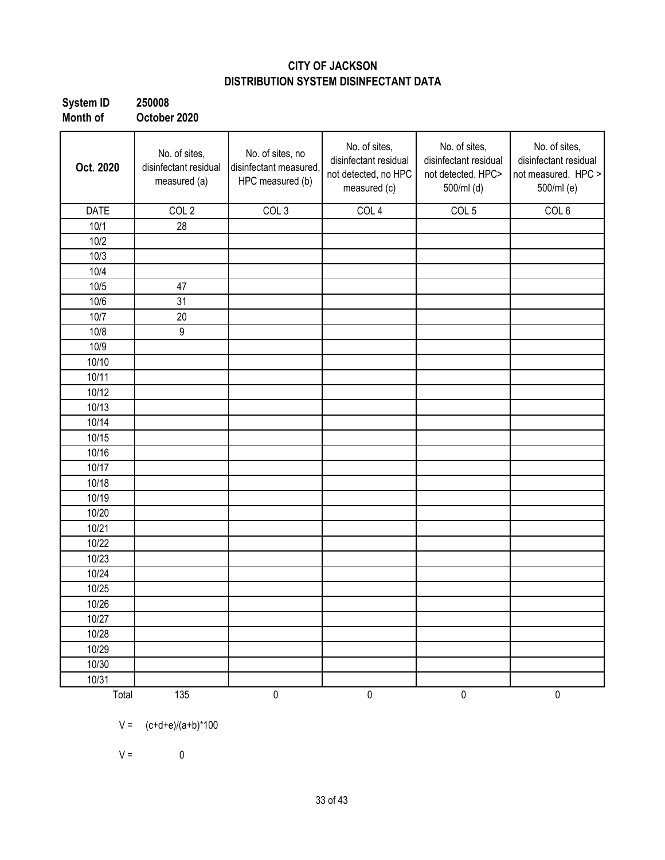### **CITY OF JACKSON DISTRIBUTION SYSTEM DISINFECTANT DATA**

| System ID | 250008       |
|-----------|--------------|
| Month of  | October 2020 |

| Oct. 2020   | No. of sites,<br>disinfectant residual<br>measured (a) | No. of sites, no<br>disinfectant measured,<br>HPC measured (b) | No. of sites,<br>disinfectant residual<br>not detected, no HPC<br>measured (c) | No. of sites,<br>disinfectant residual<br>not detected. HPC><br>500/ml (d) | No. of sites,<br>disinfectant residual<br>not measured. HPC ><br>500/ml (e) |
|-------------|--------------------------------------------------------|----------------------------------------------------------------|--------------------------------------------------------------------------------|----------------------------------------------------------------------------|-----------------------------------------------------------------------------|
| <b>DATE</b> | COL <sub>2</sub>                                       | COL <sub>3</sub>                                               | COL 4                                                                          | COL <sub>5</sub>                                                           | COL <sub>6</sub>                                                            |
| 10/1        | 28                                                     |                                                                |                                                                                |                                                                            |                                                                             |
| 10/2        |                                                        |                                                                |                                                                                |                                                                            |                                                                             |
| 10/3        |                                                        |                                                                |                                                                                |                                                                            |                                                                             |
| 10/4        |                                                        |                                                                |                                                                                |                                                                            |                                                                             |
| 10/5        | 47                                                     |                                                                |                                                                                |                                                                            |                                                                             |
| 10/6        | 31                                                     |                                                                |                                                                                |                                                                            |                                                                             |
| 10/7        | 20                                                     |                                                                |                                                                                |                                                                            |                                                                             |
| 10/8        | $\boldsymbol{9}$                                       |                                                                |                                                                                |                                                                            |                                                                             |
| 10/9        |                                                        |                                                                |                                                                                |                                                                            |                                                                             |
| 10/10       |                                                        |                                                                |                                                                                |                                                                            |                                                                             |
| 10/11       |                                                        |                                                                |                                                                                |                                                                            |                                                                             |
| 10/12       |                                                        |                                                                |                                                                                |                                                                            |                                                                             |
| 10/13       |                                                        |                                                                |                                                                                |                                                                            |                                                                             |
| 10/14       |                                                        |                                                                |                                                                                |                                                                            |                                                                             |
| 10/15       |                                                        |                                                                |                                                                                |                                                                            |                                                                             |
| 10/16       |                                                        |                                                                |                                                                                |                                                                            |                                                                             |
| 10/17       |                                                        |                                                                |                                                                                |                                                                            |                                                                             |
| 10/18       |                                                        |                                                                |                                                                                |                                                                            |                                                                             |
| 10/19       |                                                        |                                                                |                                                                                |                                                                            |                                                                             |
| 10/20       |                                                        |                                                                |                                                                                |                                                                            |                                                                             |
| 10/21       |                                                        |                                                                |                                                                                |                                                                            |                                                                             |
| 10/22       |                                                        |                                                                |                                                                                |                                                                            |                                                                             |
| 10/23       |                                                        |                                                                |                                                                                |                                                                            |                                                                             |
| 10/24       |                                                        |                                                                |                                                                                |                                                                            |                                                                             |
| 10/25       |                                                        |                                                                |                                                                                |                                                                            |                                                                             |
| 10/26       |                                                        |                                                                |                                                                                |                                                                            |                                                                             |
| 10/27       |                                                        |                                                                |                                                                                |                                                                            |                                                                             |
| 10/28       |                                                        |                                                                |                                                                                |                                                                            |                                                                             |
| 10/29       |                                                        |                                                                |                                                                                |                                                                            |                                                                             |
| 10/30       |                                                        |                                                                |                                                                                |                                                                            |                                                                             |
| 10/31       |                                                        |                                                                |                                                                                |                                                                            |                                                                             |
| Total       | 135                                                    | $\pmb{0}$                                                      | $\pmb{0}$                                                                      | $\pmb{0}$                                                                  | $\pmb{0}$                                                                   |

 $V = (c+d+e)/(a+b)^*100$ 

 $V = 0$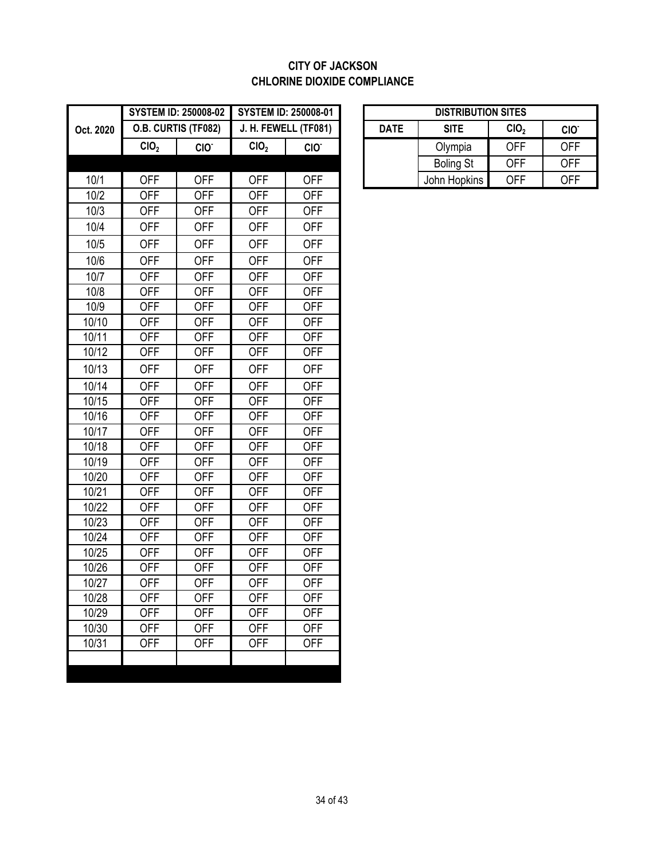#### **CITY OF JACKSON CHLORINE DIOXIDE COMPLIANCE**

|           | <b>SYSTEM ID: 250008-02</b> |                     | <b>SYSTEM ID: 250008-01</b> |                      | <b>DISTRIBUTION SITES</b> |             |                  |                  |                  |
|-----------|-----------------------------|---------------------|-----------------------------|----------------------|---------------------------|-------------|------------------|------------------|------------------|
| Oct. 2020 |                             | O.B. CURTIS (TF082) |                             | J. H. FEWELL (TF081) |                           | <b>DATE</b> | <b>SITE</b>      | CIO <sub>2</sub> | CIO <sup>-</sup> |
|           | CIO <sub>2</sub>            | CIO <sup>-</sup>    | CIO <sub>2</sub>            | CIO <sup>-</sup>     |                           |             | Olympia          | <b>OFF</b>       | <b>OFF</b>       |
|           |                             |                     |                             |                      |                           |             | <b>Boling St</b> | <b>OFF</b>       | <b>OFF</b>       |
| 10/1      | <b>OFF</b>                  | <b>OFF</b>          | <b>OFF</b>                  | <b>OFF</b>           |                           |             | John Hopkins     | <b>OFF</b>       | <b>OFF</b>       |
| 10/2      | <b>OFF</b>                  | <b>OFF</b>          | <b>OFF</b>                  | <b>OFF</b>           |                           |             |                  |                  |                  |
| 10/3      | <b>OFF</b>                  | <b>OFF</b>          | <b>OFF</b>                  | <b>OFF</b>           |                           |             |                  |                  |                  |
| 10/4      | <b>OFF</b>                  | <b>OFF</b>          | <b>OFF</b>                  | <b>OFF</b>           |                           |             |                  |                  |                  |
| 10/5      | <b>OFF</b>                  | <b>OFF</b>          | <b>OFF</b>                  | <b>OFF</b>           |                           |             |                  |                  |                  |
| 10/6      | <b>OFF</b>                  | <b>OFF</b>          | <b>OFF</b>                  | <b>OFF</b>           |                           |             |                  |                  |                  |
| 10/7      | <b>OFF</b>                  | <b>OFF</b>          | <b>OFF</b>                  | <b>OFF</b>           |                           |             |                  |                  |                  |
| 10/8      | <b>OFF</b>                  | <b>OFF</b>          | <b>OFF</b>                  | <b>OFF</b>           |                           |             |                  |                  |                  |
| 10/9      | <b>OFF</b>                  | <b>OFF</b>          | <b>OFF</b>                  | <b>OFF</b>           |                           |             |                  |                  |                  |
| 10/10     | <b>OFF</b>                  | <b>OFF</b>          | <b>OFF</b>                  | <b>OFF</b>           |                           |             |                  |                  |                  |
| 10/11     | <b>OFF</b>                  | <b>OFF</b>          | <b>OFF</b>                  | <b>OFF</b>           |                           |             |                  |                  |                  |
| 10/12     | <b>OFF</b>                  | <b>OFF</b>          | <b>OFF</b>                  | <b>OFF</b>           |                           |             |                  |                  |                  |
| 10/13     | <b>OFF</b>                  | <b>OFF</b>          | <b>OFF</b>                  | <b>OFF</b>           |                           |             |                  |                  |                  |
| 10/14     | <b>OFF</b>                  | <b>OFF</b>          | <b>OFF</b>                  | <b>OFF</b>           |                           |             |                  |                  |                  |
| 10/15     | <b>OFF</b>                  | <b>OFF</b>          | <b>OFF</b>                  | <b>OFF</b>           |                           |             |                  |                  |                  |
| 10/16     | <b>OFF</b>                  | <b>OFF</b>          | <b>OFF</b>                  | <b>OFF</b>           |                           |             |                  |                  |                  |
| 10/17     | <b>OFF</b>                  | <b>OFF</b>          | <b>OFF</b>                  | <b>OFF</b>           |                           |             |                  |                  |                  |
| 10/18     | <b>OFF</b>                  | <b>OFF</b>          | <b>OFF</b>                  | <b>OFF</b>           |                           |             |                  |                  |                  |
| 10/19     | <b>OFF</b>                  | <b>OFF</b>          | <b>OFF</b>                  | <b>OFF</b>           |                           |             |                  |                  |                  |
| 10/20     | <b>OFF</b>                  | <b>OFF</b>          | <b>OFF</b>                  | <b>OFF</b>           |                           |             |                  |                  |                  |
| 10/21     | <b>OFF</b>                  | <b>OFF</b>          | <b>OFF</b>                  | <b>OFF</b>           |                           |             |                  |                  |                  |
| 10/22     | <b>OFF</b>                  | <b>OFF</b>          | <b>OFF</b>                  | <b>OFF</b>           |                           |             |                  |                  |                  |
| 10/23     | <b>OFF</b>                  | <b>OFF</b>          | <b>OFF</b>                  | <b>OFF</b>           |                           |             |                  |                  |                  |
| 10/24     | <b>OFF</b>                  | <b>OFF</b>          | <b>OFF</b>                  | <b>OFF</b>           |                           |             |                  |                  |                  |
| 10/25     | <b>OFF</b>                  | <b>OFF</b>          | <b>OFF</b>                  | <b>OFF</b>           |                           |             |                  |                  |                  |
| 10/26     | <b>OFF</b>                  | <b>OFF</b>          | <b>OFF</b>                  | <b>OFF</b>           |                           |             |                  |                  |                  |
| 10/27     | <b>OFF</b>                  | <b>OFF</b>          | <b>OFF</b>                  | <b>OFF</b>           |                           |             |                  |                  |                  |
| 10/28     | <b>OFF</b>                  | <b>OFF</b>          | <b>OFF</b>                  | <b>OFF</b>           |                           |             |                  |                  |                  |
| 10/29     | <b>OFF</b>                  | <b>OFF</b>          | <b>OFF</b>                  | <b>OFF</b>           |                           |             |                  |                  |                  |
| 10/30     | <b>OFF</b>                  | <b>OFF</b>          | <b>OFF</b>                  | <b>OFF</b>           |                           |             |                  |                  |                  |
| 10/31     | <b>OFF</b>                  | <b>OFF</b>          | <b>OFF</b>                  | <b>OFF</b>           |                           |             |                  |                  |                  |
|           |                             |                     |                             |                      |                           |             |                  |                  |                  |

|                  | <b>STEM ID: 250008-02</b> | <b>SYSTEM ID: 250008-01</b> |                  | <b>DISTRIBUTION SITES</b>                      |                  |            |                  |
|------------------|---------------------------|-----------------------------|------------------|------------------------------------------------|------------------|------------|------------------|
|                  | <b>.B. CURTIS (TF082)</b> | J. H. FEWELL (TF081)        |                  | CIO <sub>2</sub><br><b>DATE</b><br><b>SITE</b> |                  |            | CIO <sup>.</sup> |
| CIO <sub>2</sub> | CIO.                      | CIO <sub>2</sub>            | CIO <sup>-</sup> |                                                | Olympia          | <b>OFF</b> | <b>OFF</b>       |
|                  |                           |                             |                  |                                                | <b>Boling St</b> | <b>OFF</b> | <b>OFF</b>       |
| <b>OFF</b>       | OFF                       | OFF                         | OFF              |                                                | John Hopkins     | OFF        | <b>OFF</b>       |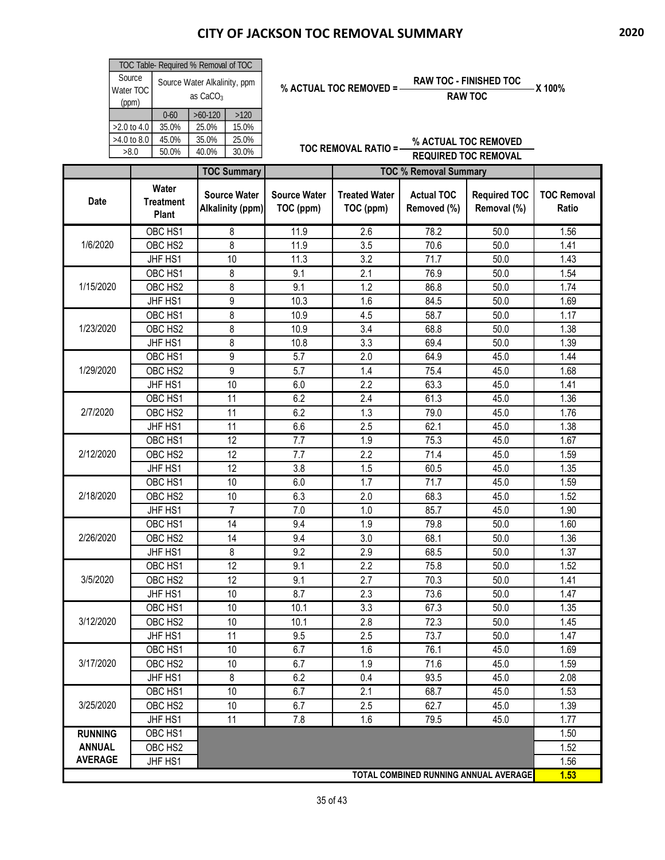| TOC Table- Required % Removal of TOC |                                                      |           |       |  |  |  |  |
|--------------------------------------|------------------------------------------------------|-----------|-------|--|--|--|--|
| Source<br>Water TOC<br>(ppm)         | Source Water Alkalinity, ppm<br>as CaCO <sub>3</sub> |           |       |  |  |  |  |
|                                      | $0 - 60$                                             | $>60-120$ | >120  |  |  |  |  |
| $>2.0$ to 4.0                        | 35.0%                                                | 25.0%     | 15.0% |  |  |  |  |
| $>4.0$ to 8.0                        | 45.0%                                                | 35.0%     | 25.0% |  |  |  |  |
| >8.0                                 | 50.0%                                                | 40.0%     | 30.0% |  |  |  |  |

| % ACTUAL TOC REMOVED = | <b>RAW TOC - FINISHED TOC</b> | – X 100% |
|------------------------|-------------------------------|----------|
|                        | <b>RAW TOC</b>                |          |

|                |                                    | <b>TOC Summary</b>                      |                                  | <b>TOC % Removal Summary</b>      |                                  |                                       |                                    |
|----------------|------------------------------------|-----------------------------------------|----------------------------------|-----------------------------------|----------------------------------|---------------------------------------|------------------------------------|
| Date           | Water<br><b>Treatment</b><br>Plant | <b>Source Water</b><br>Alkalinity (ppm) | <b>Source Water</b><br>TOC (ppm) | <b>Treated Water</b><br>TOC (ppm) | <b>Actual TOC</b><br>Removed (%) | <b>Required TOC</b><br>Removal (%)    | <b>TOC Removal</b><br><b>Ratio</b> |
|                | OBC HS1                            | 8                                       | 11.9                             | $\overline{2.6}$                  | 78.2                             | 50.0                                  | 1.56                               |
| 1/6/2020       | OBC HS2                            | 8                                       | 11.9                             | 3.5                               | 70.6                             | 50.0                                  | 1.41                               |
|                | JHF HS1                            | 10                                      | 11.3                             | 3.2                               | 71.7                             | 50.0                                  | 1.43                               |
|                | OBC HS1                            | 8                                       | 9.1                              | 2.1                               | 76.9                             | 50.0                                  | 1.54                               |
| 1/15/2020      | OBC HS2                            | 8                                       | 9.1                              | 1.2                               | 86.8                             | 50.0                                  | 1.74                               |
|                | JHF HS1                            | 9                                       | 10.3                             | 1.6                               | 84.5                             | 50.0                                  | 1.69                               |
|                | OBC HS1                            | 8                                       | 10.9                             | 4.5                               | 58.7                             | 50.0                                  | 1.17                               |
| 1/23/2020      | OBC HS2                            | 8                                       | 10.9                             | 3.4                               | 68.8                             | 50.0                                  | 1.38                               |
|                | JHF HS1                            | 8                                       | 10.8                             | 3.3                               | 69.4                             | 50.0                                  | 1.39                               |
|                | OBC HS1                            | 9                                       | 5.7                              | 2.0                               | 64.9                             | 45.0                                  | 1.44                               |
| 1/29/2020      | OBC HS2                            | 9                                       | 5.7                              | 1.4                               | 75.4                             | 45.0                                  | 1.68                               |
|                | JHF HS1                            | 10                                      | 6.0                              | 2.2                               | 63.3                             | 45.0                                  | 1.41                               |
|                | OBC HS1                            | 11                                      | 6.2                              | 2.4                               | 61.3                             | 45.0                                  | 1.36                               |
| 2/7/2020       | OBC HS2                            | 11                                      | 6.2                              | 1.3                               | 79.0                             | 45.0                                  | 1.76                               |
|                | JHF HS1                            | 11                                      | 6.6                              | 2.5                               | 62.1                             | 45.0                                  | 1.38                               |
|                | OBC HS1                            | 12                                      | 7.7                              | $\overline{1.9}$                  | 75.3                             | 45.0                                  | 1.67                               |
| 2/12/2020      | OBC HS2                            | $\overline{12}$                         | 7.7                              | 2.2                               | 71.4                             | 45.0                                  | 1.59                               |
|                | JHF HS1                            | 12                                      | 3.8                              | 1.5                               | 60.5                             | 45.0                                  | 1.35                               |
|                | OBC HS1                            | 10                                      | 6.0                              | 1.7                               | 71.7                             | 45.0                                  | 1.59                               |
| 2/18/2020      | OBC HS2                            | 10                                      | 6.3                              | 2.0                               | 68.3                             | 45.0                                  | 1.52                               |
|                | JHF HS1                            | $\overline{7}$                          | 7.0                              | 1.0                               | 85.7                             | 45.0                                  | 1.90                               |
|                | OBC HS1                            | 14                                      | 9.4                              | 1.9                               | 79.8                             | 50.0                                  | 1.60                               |
| 2/26/2020      | OBC HS2                            | 14                                      | 9.4                              | 3.0                               | 68.1                             | 50.0                                  | 1.36                               |
|                | JHF HS1                            | 8                                       | 9.2                              | 2.9                               | 68.5                             | 50.0                                  | 1.37                               |
|                | OBC HS1                            | $\overline{12}$                         | 9.1                              | 2.2                               | 75.8                             | 50.0                                  | 1.52                               |
| 3/5/2020       | OBC HS2                            | 12                                      | 9.1                              | 2.7                               | 70.3                             | 50.0                                  | 1.41                               |
|                | JHF HS1                            | 10                                      | 8.7                              | 2.3                               | 73.6                             | 50.0                                  | 1.47                               |
|                | OBC HS1                            | 10                                      | 10.1                             | 3.3                               | 67.3                             | 50.0                                  | 1.35                               |
| 3/12/2020      | OBC HS2                            | 10                                      | 10.1                             | 2.8                               | 72.3                             | 50.0                                  | 1.45                               |
|                | JHF HS1                            | 11                                      | 9.5                              | 2.5                               | 73.7                             | 50.0                                  | 1.47                               |
|                | OBC HS1                            | 10                                      | 6.7                              | 1.6                               | 76.1                             | 45.0                                  | 1.69                               |
| 3/17/2020      | OBC HS <sub>2</sub>                | 10                                      | 6.7                              | 1.9                               | 71.6                             | 45.0                                  | 1.59                               |
|                | JHF HS1                            | 8                                       | 6.2                              | 0.4                               | 93.5                             | 45.0                                  | 2.08                               |
|                | OBC HS1                            | 10                                      | 6.7                              | 2.1                               | 68.7                             | 45.0                                  | 1.53                               |
| 3/25/2020      | OBC HS2                            | 10                                      | 6.7                              | 2.5                               | 62.7                             | 45.0                                  | 1.39                               |
|                | JHF HS1                            | 11                                      | 7.8                              | 1.6                               | 79.5                             | 45.0                                  | 1.77                               |
| <b>RUNNING</b> | OBC HS1                            |                                         |                                  |                                   |                                  |                                       | 1.50                               |
| <b>ANNUAL</b>  | OBC HS2                            |                                         |                                  |                                   |                                  |                                       | 1.52                               |
| <b>AVERAGE</b> | JHF HS1                            |                                         |                                  |                                   |                                  |                                       | 1.56                               |
|                |                                    |                                         |                                  |                                   |                                  | TOTAL COMBINED RUNNING ANNUAL AVERAGE | 1.53                               |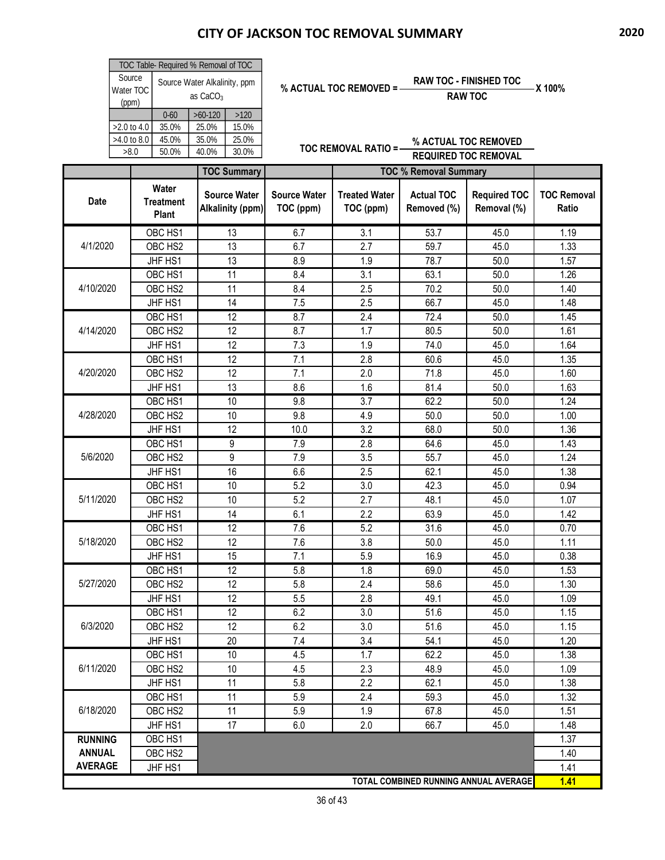| TOC Table- Required % Removal of TOC |                                                      |           |       |  |  |  |  |
|--------------------------------------|------------------------------------------------------|-----------|-------|--|--|--|--|
| Source<br>Water TOC<br>(ppm)         | Source Water Alkalinity, ppm<br>as CaCO <sub>3</sub> |           |       |  |  |  |  |
|                                      | $0 - 60$                                             | $>60-120$ | >120  |  |  |  |  |
| $>2.0$ to 4.0                        | 35.0%                                                | 25.0%     | 15.0% |  |  |  |  |
| $>4.0$ to 8.0                        | 45.0%                                                | 35.0%     | 25.0% |  |  |  |  |
| >8.0                                 | 50.0%                                                | 40.0%     | 30.0% |  |  |  |  |

| % ACTUAL TOC REMOVED = | <b>RAW TOC - FINISHED TOC</b> | – X 100% |
|------------------------|-------------------------------|----------|
|                        | <b>RAW TOC</b>                |          |

|                |                                    | <b>TOC Summary</b>                      |                                  | <b>TOC % Removal Summary</b>      |                                  |                                       |                                    |
|----------------|------------------------------------|-----------------------------------------|----------------------------------|-----------------------------------|----------------------------------|---------------------------------------|------------------------------------|
| Date           | Water<br><b>Treatment</b><br>Plant | <b>Source Water</b><br>Alkalinity (ppm) | <b>Source Water</b><br>TOC (ppm) | <b>Treated Water</b><br>TOC (ppm) | <b>Actual TOC</b><br>Removed (%) | <b>Required TOC</b><br>Removal (%)    | <b>TOC Removal</b><br><b>Ratio</b> |
|                | OBC HS1                            | $\overline{13}$                         | 6.7                              | $\overline{3.1}$                  | 53.7                             | 45.0                                  | 1.19                               |
| 4/1/2020       | OBC HS2                            | 13                                      | 6.7                              | 2.7                               | 59.7                             | 45.0                                  | 1.33                               |
|                | JHF HS1                            | 13                                      | 8.9                              | 1.9                               | 78.7                             | 50.0                                  | 1.57                               |
|                | OBC HS1                            | 11                                      | 8.4                              | 3.1                               | 63.1                             | 50.0                                  | 1.26                               |
| 4/10/2020      | OBC HS2                            | 11                                      | 8.4                              | 2.5                               | 70.2                             | 50.0                                  | 1.40                               |
|                | JHF HS1                            | 14                                      | 7.5                              | 2.5                               | 66.7                             | 45.0                                  | 1.48                               |
|                | OBC HS1                            | 12                                      | 8.7                              | 2.4                               | 72.4                             | 50.0                                  | 1.45                               |
| 4/14/2020      | OBC HS2                            | 12                                      | 8.7                              | 1.7                               | 80.5                             | 50.0                                  | 1.61                               |
|                | JHF HS1                            | 12                                      | 7.3                              | 1.9                               | 74.0                             | 45.0                                  | 1.64                               |
|                | OBC HS1                            | 12                                      | 7.1                              | 2.8                               | 60.6                             | 45.0                                  | 1.35                               |
| 4/20/2020      | OBC HS2                            | 12                                      | 7.1                              | 2.0                               | 71.8                             | 45.0                                  | 1.60                               |
|                | JHF HS1                            | 13                                      | 8.6                              | 1.6                               | 81.4                             | 50.0                                  | 1.63                               |
|                | OBC HS1                            | 10                                      | 9.8                              | 3.7                               | 62.2                             | 50.0                                  | 1.24                               |
| 4/28/2020      | OBC HS2                            | 10                                      | 9.8                              | 4.9                               | 50.0                             | 50.0                                  | 1.00                               |
|                | JHF HS1                            | 12                                      | 10.0                             | 3.2                               | 68.0                             | 50.0                                  | 1.36                               |
|                | OBC HS1                            | 9                                       | 7.9                              | 2.8                               | 64.6                             | 45.0                                  | 1.43                               |
| 5/6/2020       | OBC HS2                            | 9                                       | 7.9                              | 3.5                               | 55.7                             | 45.0                                  | 1.24                               |
|                | JHF HS1                            | 16                                      | 6.6                              | 2.5                               | 62.1                             | 45.0                                  | 1.38                               |
|                | OBC HS1                            | 10                                      | $\overline{5.2}$                 | 3.0                               | 42.3                             | 45.0                                  | 0.94                               |
| 5/11/2020      | OBC HS2                            | 10                                      | 5.2                              | 2.7                               | 48.1                             | 45.0                                  | 1.07                               |
|                | JHF HS1                            | 14                                      | 6.1                              | 2.2                               | 63.9                             | 45.0                                  | 1.42                               |
|                | OBC HS1                            | 12                                      | 7.6                              | 5.2                               | 31.6                             | 45.0                                  | 0.70                               |
| 5/18/2020      | OBC HS2                            | 12                                      | 7.6                              | 3.8                               | 50.0                             | 45.0                                  | 1.11                               |
|                | JHF HS1                            | 15                                      | 7.1                              | 5.9                               | 16.9                             | 45.0                                  | 0.38                               |
|                | OBC HS1                            | $\overline{12}$                         | 5.8                              | 1.8                               | 69.0                             | 45.0                                  | $\overline{1.53}$                  |
| 5/27/2020      | OBC HS2                            | $\overline{12}$                         | 5.8                              | 2.4                               | 58.6                             | 45.0                                  | 1.30                               |
|                | JHF HS1                            | 12                                      | 5.5                              | 2.8                               | 49.1                             | 45.0                                  | 1.09                               |
|                | OBC HS1                            | 12                                      | 6.2                              | 3.0                               | 51.6                             | 45.0                                  | 1.15                               |
| 6/3/2020       | OBC HS2                            | 12                                      | 6.2                              | 3.0                               | 51.6                             | 45.0                                  | 1.15                               |
|                | JHF HS1                            | 20                                      | 7.4                              | 3.4                               | 54.1                             | 45.0                                  | 1.20                               |
|                | OBC HS1                            | 10                                      | 4.5                              | 1.7                               | 62.2                             | 45.0                                  | 1.38                               |
| 6/11/2020      | OBC HS2                            | 10                                      | 4.5                              | 2.3                               | 48.9                             | 45.0                                  | 1.09                               |
|                | JHF HS1                            | 11                                      | 5.8                              | 2.2                               | 62.1                             | 45.0                                  | 1.38                               |
|                | OBC HS1                            | 11                                      | 5.9                              | 2.4                               | 59.3                             | 45.0                                  | 1.32                               |
| 6/18/2020      | OBC HS2                            | 11                                      | 5.9                              | 1.9                               | 67.8                             | 45.0                                  | 1.51                               |
|                | JHF HS1                            | 17                                      | 6.0                              | 2.0                               | 66.7                             | 45.0                                  | 1.48                               |
| <b>RUNNING</b> | OBC HS1                            |                                         |                                  |                                   |                                  |                                       | 1.37                               |
| <b>ANNUAL</b>  | OBC HS2                            |                                         |                                  |                                   |                                  |                                       | 1.40                               |
| <b>AVERAGE</b> | JHF HS1                            |                                         |                                  |                                   |                                  |                                       | 1.41                               |
|                |                                    |                                         |                                  |                                   |                                  | TOTAL COMBINED RUNNING ANNUAL AVERAGE | 1.41                               |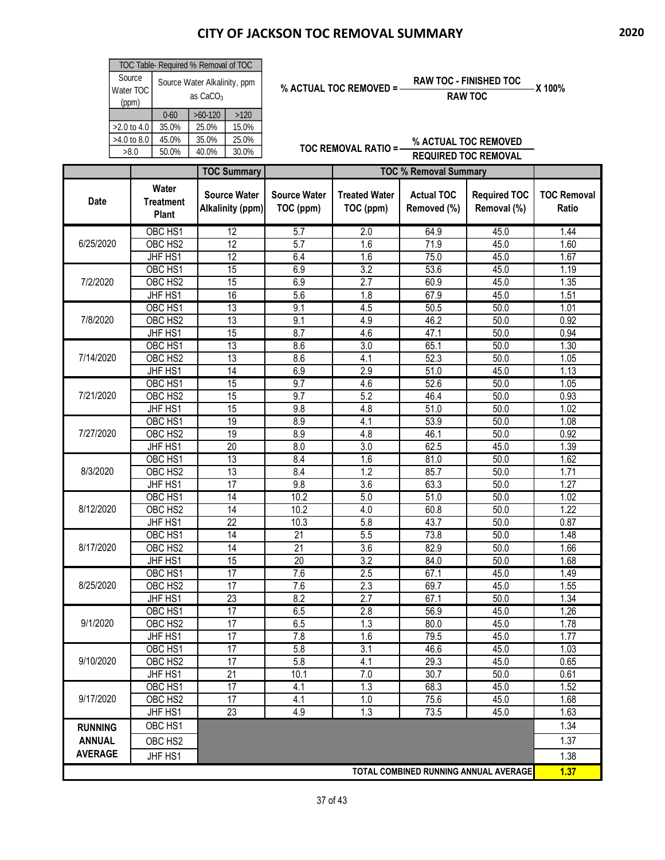| TOC Table- Required % Removal of TOC |                                                      |           |       |  |  |  |  |
|--------------------------------------|------------------------------------------------------|-----------|-------|--|--|--|--|
| Source<br>Water TOC<br>(ppm)         | Source Water Alkalinity, ppm<br>as CaCO <sub>3</sub> |           |       |  |  |  |  |
|                                      | $0 - 60$                                             | $>60-120$ | >120  |  |  |  |  |
| $>2.0$ to 4.0                        | 35.0%                                                | 25.0%     | 15.0% |  |  |  |  |
| $>4.0$ to 8.0                        | 45.0%                                                | 35.0%     | 25.0% |  |  |  |  |
| >8.0                                 | 50.0%                                                | 40.0%     | 30.0% |  |  |  |  |

| % ACTUAL TOC REMOVED = | <b>RAW TOC - FINISHED TOC</b> | – X 100% |
|------------------------|-------------------------------|----------|
|                        | <b>RAW TOC</b>                |          |

|                |                                    | <b>TOC Summary</b>                      |                                  | <b>TOC % Removal Summary</b>      |                                       |                                    |                             |
|----------------|------------------------------------|-----------------------------------------|----------------------------------|-----------------------------------|---------------------------------------|------------------------------------|-----------------------------|
| Date           | Water<br><b>Treatment</b><br>Plant | <b>Source Water</b><br>Alkalinity (ppm) | <b>Source Water</b><br>TOC (ppm) | <b>Treated Water</b><br>TOC (ppm) | <b>Actual TOC</b><br>Removed (%)      | <b>Required TOC</b><br>Removal (%) | <b>TOC Removal</b><br>Ratio |
|                | OBC HS1                            | 12                                      | 5.7                              | 2.0                               | 64.9                                  | 45.0                               | 1.44                        |
| 6/25/2020      | OBC HS2                            | 12                                      | 5.7                              | 1.6                               | 71.9                                  | 45.0                               | 1.60                        |
|                | JHF HS1                            | 12                                      | 6.4                              | 1.6                               | 75.0                                  | 45.0                               | 1.67                        |
|                | OBC HS1                            | 15                                      | 6.9                              | 3.2                               | 53.6                                  | 45.0                               | 1.19                        |
| 7/2/2020       | OBC HS2                            | $\overline{15}$                         | 6.9                              | $\overline{2.7}$                  | 60.9                                  | 45.0                               | 1.35                        |
|                | JHF HS1                            | 16                                      | 5.6                              | 1.8                               | 67.9                                  | 45.0                               | 1.51                        |
|                | OBC HS1                            | $\overline{13}$                         | 9.1                              | 4.5                               | 50.5                                  | 50.0                               | 1.01                        |
| 7/8/2020       | OBC HS2                            | $\overline{13}$                         | 9.1                              | 4.9                               | 46.2                                  | 50.0                               | 0.92                        |
|                | JHF HS1                            | 15                                      | 8.7                              | 4.6                               | 47.1                                  | 50.0                               | 0.94                        |
|                | OBC HS1                            | $\overline{13}$                         | 8.6                              | $\overline{3.0}$                  | 65.1                                  | 50.0                               | 1.30                        |
| 7/14/2020      | OBC HS2                            | 13                                      | 8.6                              | 4.1                               | 52.3                                  | 50.0                               | 1.05                        |
|                | JHF HS1                            | 14                                      | 6.9                              | 2.9                               | 51.0                                  | 45.0                               | 1.13                        |
|                | OBC HS1                            | $\overline{15}$                         | 9.7                              | 4.6                               | 52.6                                  | 50.0                               | 1.05                        |
| 7/21/2020      | OBC HS2                            | $\overline{15}$                         | 9.7                              | $\overline{5.2}$                  | 46.4                                  | 50.0                               | 0.93                        |
|                | JHF HS1                            | 15                                      | 9.8                              | 4.8                               | 51.0                                  | 50.0                               | 1.02                        |
|                | OBC HS1                            | 19                                      | 8.9                              | 4.1                               | 53.9                                  | 50.0                               | 1.08                        |
| 7/27/2020      | OBC HS2                            | $\overline{19}$                         | 8.9                              | 4.8                               | 46.1                                  | 50.0                               | 0.92                        |
|                | JHF HS1                            | 20                                      | 8.0                              | $\overline{3.0}$                  | 62.5                                  | 45.0                               | 1.39                        |
|                | OBC HS1                            | 13                                      | 8.4                              | 1.6                               | 81.0                                  | 50.0                               | 1.62                        |
| 8/3/2020       | OBC HS2                            | $\overline{13}$                         | 8.4                              | $\overline{1.2}$                  | 85.7                                  | 50.0                               | 1.71                        |
|                | JHF HS1                            | $\overline{17}$                         | 9.8                              | $\overline{3.6}$                  | 63.3                                  | 50.0                               | 1.27                        |
|                | OBC HS1                            | 14                                      | 10.2                             | 5.0                               | 51.0                                  | 50.0                               | 1.02                        |
| 8/12/2020      | OBC HS2                            | 14                                      | 10.2                             | 4.0                               | 60.8                                  | 50.0                               | 1.22                        |
|                | JHF HS1                            | $\overline{22}$                         | 10.3                             | 5.8                               | 43.7                                  | 50.0                               | 0.87                        |
|                | OBC HS1                            | 14                                      | $\overline{21}$                  | 5.5                               | 73.8                                  | 50.0                               | 1.48                        |
| 8/17/2020      | OBC HS2                            | 14                                      | 21                               | 3.6                               | 82.9                                  | 50.0                               | 1.66                        |
|                | JHF HS1                            | 15                                      | 20                               | $\overline{3.2}$                  | 84.0                                  | 50.0                               | 1.68                        |
|                | OBC HS1                            | $\overline{17}$                         | 7.6                              | 2.5                               | 67.1                                  | 45.0                               | 1.49                        |
| 8/25/2020      | OBC HS2                            | 17                                      | 7.6                              | 2.3                               | 69.7                                  | 45.0                               | 1.55                        |
|                | JHF HS1                            | $\overline{23}$                         | 8.2                              | 2.7                               | 67.1                                  | 50.0                               | 1.34                        |
| 9/1/2020       | OBC HS1                            | 17                                      | 6.5                              | 2.8                               | 56.9                                  | 45.0                               | 1.26                        |
|                | OBC HS2                            | $\overline{17}$                         | 6.5                              | 1.3                               | 80.0                                  | 45.0                               | 1.78                        |
|                | JHF HS1                            | 17                                      | 7.8                              | 1.6                               | 79.5                                  | 45.0                               | 1.77                        |
|                | OBC HS1                            | $\overline{17}$                         | 5.8                              | 3.1                               | 46.6                                  | 45.0                               | 1.03                        |
| 9/10/2020      | OBC HS2                            | 17                                      | 5.8                              | 4.1                               | 29.3                                  | 45.0                               | 0.65                        |
|                | JHF HS1                            | 21                                      | 10.1                             | 7.0                               | 30.7                                  | 50.0                               | 0.61                        |
|                | OBC HS1                            | $\overline{17}$                         | 4.1                              | $\overline{1.3}$                  | 68.3                                  | 45.0                               | 1.52                        |
| 9/17/2020      | OBC HS2                            | $\overline{17}$                         | 4.1                              | 1.0                               | 75.6                                  | 45.0                               | 1.68                        |
|                | JHF HS1                            | $\overline{23}$                         | 4.9                              | 1.3                               | 73.5                                  | 45.0                               | 1.63                        |
| <b>RUNNING</b> | OBC HS1                            |                                         |                                  |                                   |                                       |                                    | 1.34                        |
| <b>ANNUAL</b>  | OBC HS2                            |                                         |                                  |                                   |                                       |                                    | 1.37                        |
| <b>AVERAGE</b> | JHF HS1                            |                                         |                                  |                                   |                                       |                                    | 1.38                        |
|                |                                    |                                         |                                  |                                   | TOTAL COMBINED RUNNING ANNUAL AVERAGE |                                    | 1.37                        |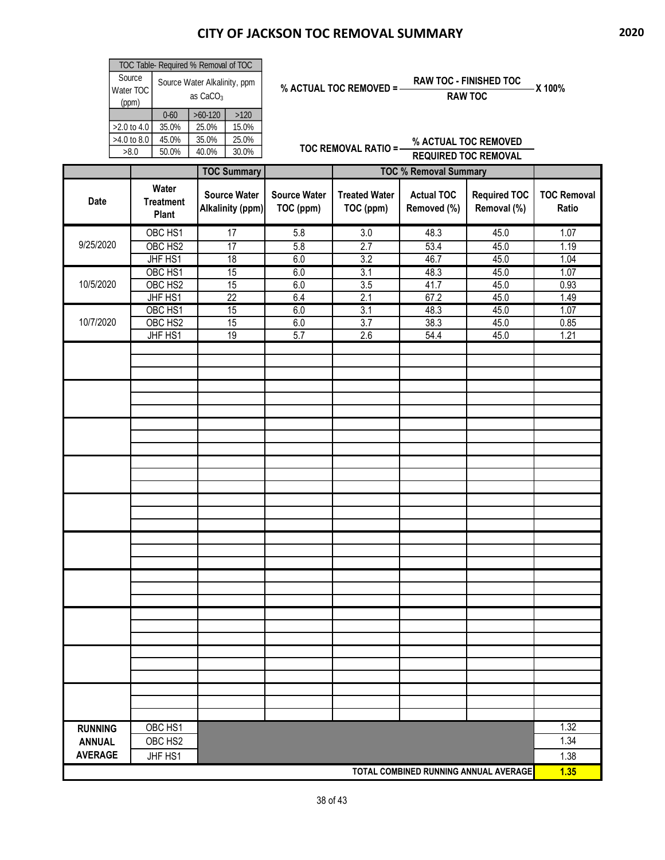| TOC Table- Required % Removal of TOC |                                                      |           |       |  |  |  |  |
|--------------------------------------|------------------------------------------------------|-----------|-------|--|--|--|--|
| Source<br>Water TOC<br>(ppm)         | Source Water Alkalinity, ppm<br>as CaCO <sub>3</sub> |           |       |  |  |  |  |
|                                      | $0 - 60$                                             | $>60-120$ | >120  |  |  |  |  |
| $>2.0$ to 4.0                        | 35.0%                                                | 25.0%     | 15.0% |  |  |  |  |
| $>4.0$ to 8.0                        | 45.0%                                                | 35.0%     | 25.0% |  |  |  |  |
| >8.0                                 | 50.0%                                                | 40.0%     | 30.0% |  |  |  |  |

| % ACTUAL TOC REMOVED = | <b>RAW TOC - FINISHED TOC</b> | – X 100% |
|------------------------|-------------------------------|----------|
|                        | <b>RAW TOC</b>                |          |

|                                       |                                    | <b>TOC Summary</b>                      |                                  | <b>TOC % Removal Summary</b>      |                                  |                                    |                             |
|---------------------------------------|------------------------------------|-----------------------------------------|----------------------------------|-----------------------------------|----------------------------------|------------------------------------|-----------------------------|
| Date                                  | Water<br><b>Treatment</b><br>Plant | <b>Source Water</b><br>Alkalinity (ppm) | <b>Source Water</b><br>TOC (ppm) | <b>Treated Water</b><br>TOC (ppm) | <b>Actual TOC</b><br>Removed (%) | <b>Required TOC</b><br>Removal (%) | <b>TOC Removal</b><br>Ratio |
|                                       | OBC HS1                            | 17                                      | 5.8                              | $\overline{3.0}$                  | 48.3                             | 45.0                               | 1.07                        |
| 9/25/2020                             | OBC HS2                            | 17                                      | 5.8                              | 2.7                               | 53.4                             | 45.0                               | 1.19                        |
|                                       | JHF HS1                            | 18                                      | 6.0                              | 3.2                               | 46.7                             | 45.0                               | 1.04                        |
|                                       | OBC HS1                            | 15                                      | 6.0                              | 3.1                               | 48.3                             | 45.0                               | 1.07                        |
| 10/5/2020                             | OBC HS2                            | 15                                      | 6.0                              | 3.5                               | 41.7                             | 45.0                               | 0.93                        |
|                                       | JHF HS1                            | 22                                      | 6.4                              | 2.1                               | 67.2                             | 45.0                               | 1.49                        |
|                                       | OBC HS1                            | 15                                      | 6.0                              | 3.1                               | 48.3                             | 45.0                               | 1.07                        |
| 10/7/2020                             | OBC HS2                            | 15                                      | 6.0                              | 3.7                               | 38.3                             | 45.0                               | 0.85                        |
|                                       | JHF HS1                            | 19                                      | 5.7                              | 2.6                               | 54.4                             | 45.0                               | 1.21                        |
|                                       |                                    |                                         |                                  |                                   |                                  |                                    |                             |
|                                       |                                    |                                         |                                  |                                   |                                  |                                    |                             |
|                                       |                                    |                                         |                                  |                                   |                                  |                                    |                             |
|                                       |                                    |                                         |                                  |                                   |                                  |                                    |                             |
|                                       |                                    |                                         |                                  |                                   |                                  |                                    |                             |
|                                       |                                    |                                         |                                  |                                   |                                  |                                    |                             |
|                                       |                                    |                                         |                                  |                                   |                                  |                                    |                             |
|                                       |                                    |                                         |                                  |                                   |                                  |                                    |                             |
|                                       |                                    |                                         |                                  |                                   |                                  |                                    |                             |
|                                       |                                    |                                         |                                  |                                   |                                  |                                    |                             |
|                                       |                                    |                                         |                                  |                                   |                                  |                                    |                             |
|                                       |                                    |                                         |                                  |                                   |                                  |                                    |                             |
|                                       |                                    |                                         |                                  |                                   |                                  |                                    |                             |
|                                       |                                    |                                         |                                  |                                   |                                  |                                    |                             |
|                                       |                                    |                                         |                                  |                                   |                                  |                                    |                             |
|                                       |                                    |                                         |                                  |                                   |                                  |                                    |                             |
|                                       |                                    |                                         |                                  |                                   |                                  |                                    |                             |
|                                       |                                    |                                         |                                  |                                   |                                  |                                    |                             |
|                                       |                                    |                                         |                                  |                                   |                                  |                                    |                             |
|                                       |                                    |                                         |                                  |                                   |                                  |                                    |                             |
|                                       |                                    |                                         |                                  |                                   |                                  |                                    |                             |
|                                       |                                    |                                         |                                  |                                   |                                  |                                    |                             |
|                                       |                                    |                                         |                                  |                                   |                                  |                                    |                             |
|                                       |                                    |                                         |                                  |                                   |                                  |                                    |                             |
|                                       |                                    |                                         |                                  |                                   |                                  |                                    |                             |
|                                       |                                    |                                         |                                  |                                   |                                  |                                    |                             |
|                                       |                                    |                                         |                                  |                                   |                                  |                                    |                             |
|                                       |                                    |                                         |                                  |                                   |                                  |                                    |                             |
|                                       |                                    |                                         |                                  |                                   |                                  |                                    |                             |
| <b>RUNNING</b>                        | OBC HS1                            |                                         |                                  |                                   |                                  |                                    | 1.32                        |
| <b>ANNUAL</b>                         | OBC HS2                            |                                         |                                  |                                   |                                  |                                    | 1.34                        |
| <b>AVERAGE</b>                        |                                    |                                         |                                  |                                   |                                  |                                    |                             |
|                                       | JHF HS1                            |                                         |                                  |                                   |                                  |                                    | 1.38<br>1.35                |
| TOTAL COMBINED RUNNING ANNUAL AVERAGE |                                    |                                         |                                  |                                   |                                  |                                    |                             |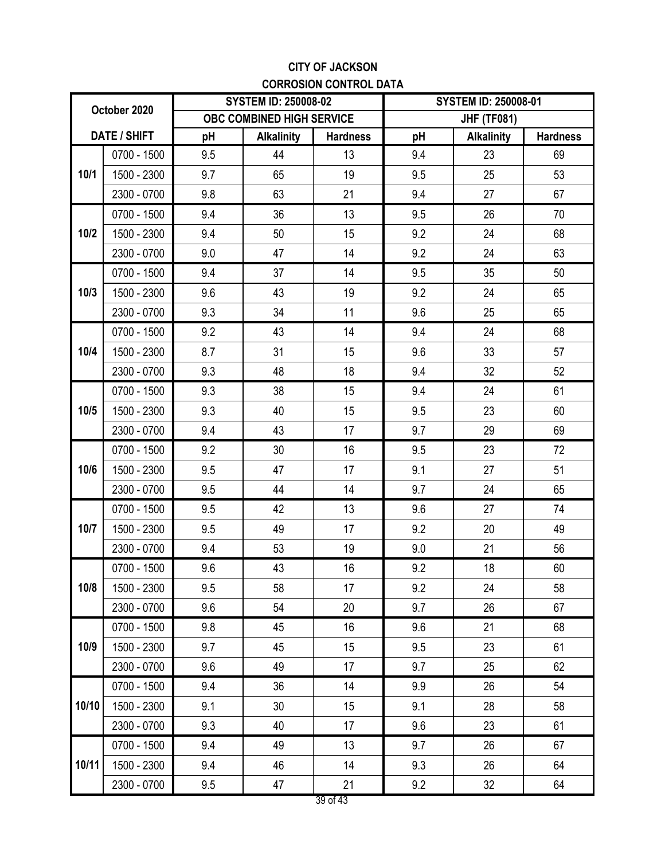### **CITY OF JACKSON CORROSION CONTROL DATA**

| October 2020 |             | <b>SYSTEM ID: 250008-02</b> |                   |                 | <b>SYSTEM ID: 250008-01</b> |                   |                 |
|--------------|-------------|-----------------------------|-------------------|-----------------|-----------------------------|-------------------|-----------------|
|              |             | OBC COMBINED HIGH SERVICE   |                   |                 | <b>JHF (TF081)</b>          |                   |                 |
| DATE / SHIFT |             | pH                          | <b>Alkalinity</b> | <b>Hardness</b> | pH                          | <b>Alkalinity</b> | <b>Hardness</b> |
|              | 0700 - 1500 | 9.5                         | 44                | 13              | 9.4                         | 23                | 69              |
| 10/1         | 1500 - 2300 | 9.7                         | 65                | 19              | 9.5                         | 25                | 53              |
|              | 2300 - 0700 | 9.8                         | 63                | 21              | 9.4                         | 27                | 67              |
|              | 0700 - 1500 | 9.4                         | 36                | 13              | 9.5                         | 26                | 70              |
| 10/2         | 1500 - 2300 | 9.4                         | 50                | 15              | 9.2                         | 24                | 68              |
|              | 2300 - 0700 | 9.0                         | 47                | 14              | 9.2                         | 24                | 63              |
|              | 0700 - 1500 | 9.4                         | 37                | 14              | 9.5                         | 35                | 50              |
| 10/3         | 1500 - 2300 | 9.6                         | 43                | 19              | 9.2                         | 24                | 65              |
|              | 2300 - 0700 | 9.3                         | 34                | 11              | 9.6                         | 25                | 65              |
|              | 0700 - 1500 | 9.2                         | 43                | 14              | 9.4                         | 24                | 68              |
| 10/4         | 1500 - 2300 | 8.7                         | 31                | 15              | 9.6                         | 33                | 57              |
|              | 2300 - 0700 | 9.3                         | 48                | 18              | 9.4                         | 32                | 52              |
|              | 0700 - 1500 | 9.3                         | 38                | 15              | 9.4                         | 24                | 61              |
| 10/5         | 1500 - 2300 | 9.3                         | 40                | 15              | 9.5                         | 23                | 60              |
|              | 2300 - 0700 | 9.4                         | 43                | 17              | 9.7                         | 29                | 69              |
|              | 0700 - 1500 | 9.2                         | 30                | 16              | 9.5                         | 23                | 72              |
| 10/6         | 1500 - 2300 | 9.5                         | 47                | 17              | 9.1                         | 27                | 51              |
|              | 2300 - 0700 | 9.5                         | 44                | 14              | 9.7                         | 24                | 65              |
|              | 0700 - 1500 | 9.5                         | 42                | 13              | 9.6                         | 27                | 74              |
| 10/7         | 1500 - 2300 | 9.5                         | 49                | 17              | 9.2                         | 20                | 49              |
|              | 2300 - 0700 | 9.4                         | 53                | 19              | 9.0                         | 21                | 56              |
|              | 0700 - 1500 | 9.6                         | 43                | 16              | 9.2                         | 18                | 60              |
| 10/8         | 1500 - 2300 | 9.5                         | 58                | 17              | 9.2                         | 24                | 58              |
|              | 2300 - 0700 | 9.6                         | 54                | 20              | 9.7                         | 26                | 67              |
|              | 0700 - 1500 | 9.8                         | 45                | 16              | 9.6                         | 21                | 68              |
| 10/9         | 1500 - 2300 | 9.7                         | 45                | 15              | 9.5                         | 23                | 61              |
|              | 2300 - 0700 | 9.6                         | 49                | 17              | 9.7                         | 25                | 62              |
|              | 0700 - 1500 | 9.4                         | 36                | 14              | 9.9                         | 26                | 54              |
| 10/10        | 1500 - 2300 | 9.1                         | 30                | 15              | 9.1                         | 28                | 58              |
|              | 2300 - 0700 | 9.3                         | 40                | 17              | 9.6                         | 23                | 61              |
|              | 0700 - 1500 | 9.4                         | 49                | 13              | 9.7                         | 26                | 67              |
| 10/11        | 1500 - 2300 | 9.4                         | 46                | 14              | 9.3                         | 26                | 64              |
|              | 2300 - 0700 | 9.5                         | 47                | 21              | 9.2                         | 32                | 64              |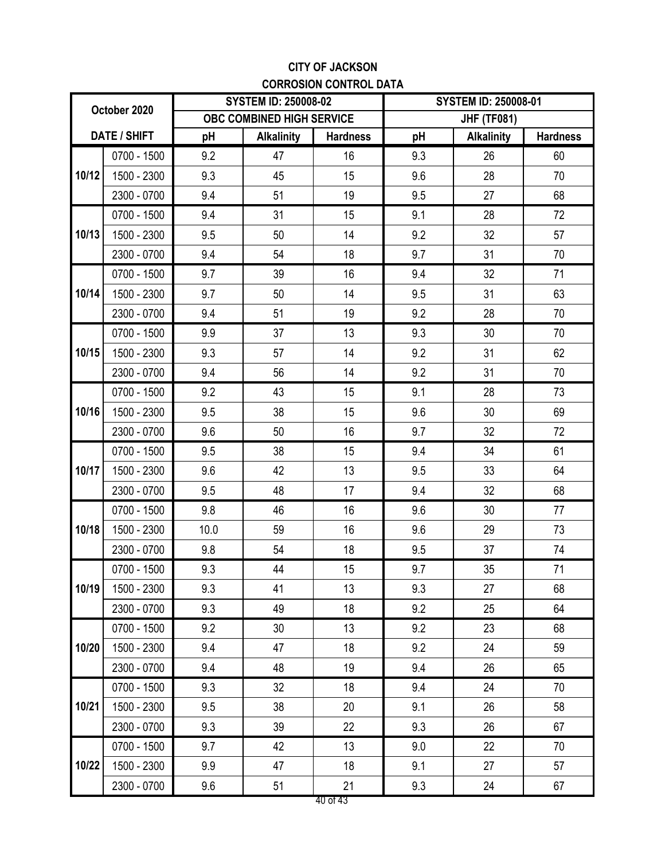### **CITY OF JACKSON CORROSION CONTROL DATA**

| October 2020 |             | <b>SYSTEM ID: 250008-02</b>      |                   |                    | <b>SYSTEM ID: 250008-01</b> |                   |                 |
|--------------|-------------|----------------------------------|-------------------|--------------------|-----------------------------|-------------------|-----------------|
|              |             | <b>OBC COMBINED HIGH SERVICE</b> |                   | <b>JHF (TF081)</b> |                             |                   |                 |
| DATE / SHIFT |             | pH                               | <b>Alkalinity</b> | <b>Hardness</b>    | pH                          | <b>Alkalinity</b> | <b>Hardness</b> |
|              | 0700 - 1500 | 9.2                              | 47                | 16                 | 9.3                         | 26                | 60              |
| 10/12        | 1500 - 2300 | 9.3                              | 45                | 15                 | 9.6                         | 28                | 70              |
|              | 2300 - 0700 | 9.4                              | 51                | 19                 | 9.5                         | 27                | 68              |
|              | 0700 - 1500 | 9.4                              | 31                | 15                 | 9.1                         | 28                | 72              |
| 10/13        | 1500 - 2300 | 9.5                              | 50                | 14                 | 9.2                         | 32                | 57              |
|              | 2300 - 0700 | 9.4                              | 54                | 18                 | 9.7                         | 31                | 70              |
|              | 0700 - 1500 | 9.7                              | 39                | 16                 | 9.4                         | 32                | 71              |
| 10/14        | 1500 - 2300 | 9.7                              | 50                | 14                 | 9.5                         | 31                | 63              |
|              | 2300 - 0700 | 9.4                              | 51                | 19                 | 9.2                         | 28                | 70              |
|              | 0700 - 1500 | 9.9                              | 37                | 13                 | 9.3                         | 30                | 70              |
| 10/15        | 1500 - 2300 | 9.3                              | 57                | 14                 | 9.2                         | 31                | 62              |
|              | 2300 - 0700 | 9.4                              | 56                | 14                 | 9.2                         | 31                | 70              |
|              | 0700 - 1500 | 9.2                              | 43                | 15                 | 9.1                         | 28                | 73              |
| 10/16        | 1500 - 2300 | 9.5                              | 38                | 15                 | 9.6                         | 30                | 69              |
|              | 2300 - 0700 | 9.6                              | 50                | 16                 | 9.7                         | 32                | 72              |
|              | 0700 - 1500 | 9.5                              | 38                | 15                 | 9.4                         | 34                | 61              |
| 10/17        | 1500 - 2300 | 9.6                              | 42                | 13                 | 9.5                         | 33                | 64              |
|              | 2300 - 0700 | 9.5                              | 48                | 17                 | 9.4                         | 32                | 68              |
|              | 0700 - 1500 | 9.8                              | 46                | 16                 | 9.6                         | 30                | 77              |
| 10/18        | 1500 - 2300 | 10.0                             | 59                | 16                 | 9.6                         | 29                | 73              |
|              | 2300 - 0700 | 9.8                              | 54                | 18                 | 9.5                         | 37                | 74              |
|              | 0700 - 1500 | 9.3                              | 44                | 15                 | 9.7                         | 35                | 71              |
| 10/19        | 1500 - 2300 | 9.3                              | 41                | 13                 | 9.3                         | 27                | 68              |
|              | 2300 - 0700 | 9.3                              | 49                | 18                 | 9.2                         | 25                | 64              |
|              | 0700 - 1500 | 9.2                              | 30                | 13                 | 9.2                         | 23                | 68              |
| 10/20        | 1500 - 2300 | 9.4                              | 47                | 18                 | 9.2                         | 24                | 59              |
|              | 2300 - 0700 | 9.4                              | 48                | 19                 | 9.4                         | 26                | 65              |
|              | 0700 - 1500 | 9.3                              | 32                | 18                 | 9.4                         | 24                | 70              |
| 10/21        | 1500 - 2300 | 9.5                              | 38                | 20                 | 9.1                         | 26                | 58              |
|              | 2300 - 0700 | 9.3                              | 39                | 22                 | 9.3                         | 26                | 67              |
|              | 0700 - 1500 | 9.7                              | 42                | 13                 | 9.0                         | 22                | 70              |
| 10/22        | 1500 - 2300 | 9.9                              | 47                | 18                 | 9.1                         | 27                | 57              |
|              | 2300 - 0700 | 9.6                              | 51                | 21                 | 9.3                         | 24                | 67              |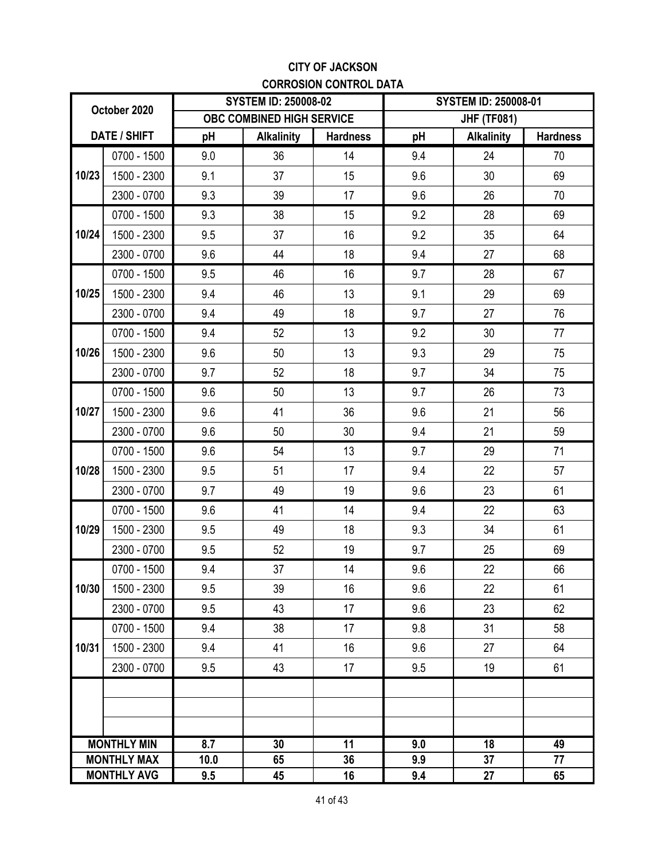### **CITY OF JACKSON CORROSION CONTROL DATA**

| October 2020       |                    | <b>SYSTEM ID: 250008-02</b> |                   |                    | <b>SYSTEM ID: 250008-01</b> |                   |                 |
|--------------------|--------------------|-----------------------------|-------------------|--------------------|-----------------------------|-------------------|-----------------|
|                    |                    | OBC COMBINED HIGH SERVICE   |                   | <b>JHF (TF081)</b> |                             |                   |                 |
| DATE / SHIFT       |                    | pH                          | <b>Alkalinity</b> | <b>Hardness</b>    | pH                          | <b>Alkalinity</b> | <b>Hardness</b> |
|                    | 0700 - 1500        | 9.0                         | 36                | 14                 | 9.4                         | 24                | 70              |
| 10/23              | 1500 - 2300        | 9.1                         | 37                | 15                 | 9.6                         | 30                | 69              |
|                    | 2300 - 0700        | 9.3                         | 39                | 17                 | 9.6                         | 26                | 70              |
|                    | 0700 - 1500        | 9.3                         | 38                | 15                 | 9.2                         | 28                | 69              |
| 10/24              | 1500 - 2300        | 9.5                         | 37                | 16                 | 9.2                         | 35                | 64              |
|                    | 2300 - 0700        | 9.6                         | 44                | 18                 | 9.4                         | 27                | 68              |
|                    | 0700 - 1500        | 9.5                         | 46                | 16                 | 9.7                         | 28                | 67              |
| 10/25              | 1500 - 2300        | 9.4                         | 46                | 13                 | 9.1                         | 29                | 69              |
|                    | 2300 - 0700        | 9.4                         | 49                | 18                 | 9.7                         | 27                | 76              |
|                    | 0700 - 1500        | 9.4                         | 52                | 13                 | 9.2                         | 30                | 77              |
| 10/26              | 1500 - 2300        | 9.6                         | 50                | 13                 | 9.3                         | 29                | 75              |
|                    | 2300 - 0700        | 9.7                         | 52                | 18                 | 9.7                         | 34                | 75              |
|                    | 0700 - 1500        | 9.6                         | 50                | 13                 | 9.7                         | 26                | 73              |
| 10/27              | 1500 - 2300        | 9.6                         | 41                | 36                 | 9.6                         | 21                | 56              |
|                    | 2300 - 0700        | 9.6                         | 50                | 30                 | 9.4                         | 21                | 59              |
|                    | 0700 - 1500        | 9.6                         | 54                | 13                 | 9.7                         | 29                | 71              |
| 10/28              | 1500 - 2300        | 9.5                         | 51                | 17                 | 9.4                         | 22                | 57              |
|                    | 2300 - 0700        | 9.7                         | 49                | 19                 | 9.6                         | 23                | 61              |
|                    | 0700 - 1500        | 9.6                         | 41                | 14                 | 9.4                         | 22                | 63              |
| 10/29              | 1500 - 2300        | 9.5                         | 49                | 18                 | 9.3                         | 34                | 61              |
|                    | 2300 - 0700        | 9.5                         | 52                | 19                 | 9.7                         | 25                | 69              |
|                    | 0700 - 1500        | 9.4                         | 37                | 14                 | 9.6                         | 22                | 66              |
| 10/30              | 1500 - 2300        | 9.5                         | 39                | 16                 | 9.6                         | 22                | 61              |
|                    | 2300 - 0700        | 9.5                         | 43                | 17                 | 9.6                         | 23                | 62              |
|                    | 0700 - 1500        | 9.4                         | 38                | 17                 | 9.8                         | 31                | 58              |
| 10/31              | 1500 - 2300        | 9.4                         | 41                | 16                 | 9.6                         | 27                | 64              |
|                    | 2300 - 0700        | 9.5                         | 43                | 17                 | 9.5                         | 19                | 61              |
|                    |                    |                             |                   |                    |                             |                   |                 |
|                    |                    |                             |                   |                    |                             |                   |                 |
|                    |                    |                             |                   |                    |                             |                   |                 |
|                    | <b>MONTHLY MIN</b> | 8.7                         | 30                | 11                 | 9.0                         | 18                | 49              |
| <b>MONTHLY MAX</b> |                    | 10.0                        | 65                | 36                 | 9.9                         | 37                | 77              |
| <b>MONTHLY AVG</b> |                    | 9.5                         | 45                | 16                 | 9.4                         | 27                | 65              |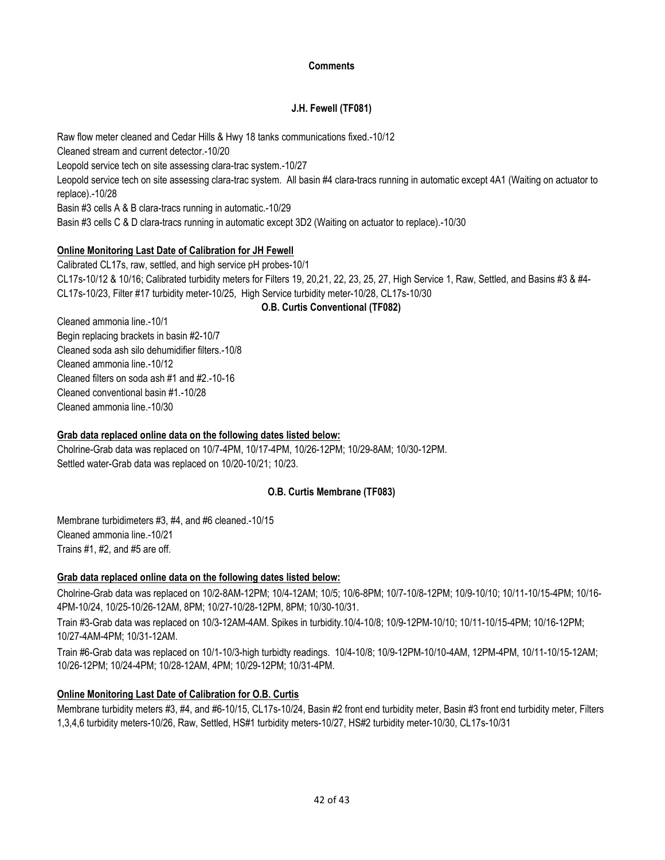#### **Comments**

#### **J.H. Fewell (TF081)**

Raw flow meter cleaned and Cedar Hills & Hwy 18 tanks communications fixed.-10/12 Cleaned stream and current detector.-10/20 Leopold service tech on site assessing clara-trac system.-10/27 Leopold service tech on site assessing clara-trac system. All basin #4 clara-tracs running in automatic except 4A1 (Waiting on actuator to replace).-10/28 Basin #3 cells A & B clara-tracs running in automatic.-10/29 Basin #3 cells C & D clara-tracs running in automatic except 3D2 (Waiting on actuator to replace).-10/30

#### **Online Monitoring Last Date of Calibration for JH Fewell**

CL17s-10/12 & 10/16; Calibrated turbidity meters for Filters 19, 20,21, 22, 23, 25, 27, High Service 1, Raw, Settled, and Basins #3 & #4- CL17s-10/23, Filter #17 turbidity meter-10/25, High Service turbidity meter-10/28, CL17s-10/30 Calibrated CL17s, raw, settled, and high service pH probes-10/1

#### **O.B. Curtis Conventional (TF082)**

Cleaned ammonia line.-10/12 Begin replacing brackets in basin #2-10/7 Cleaned filters on soda ash #1 and #2.-10-16 Cleaned conventional basin #1.-10/28 Cleaned ammonia line.-10/30 Cleaned ammonia line.-10/1 Cleaned soda ash silo dehumidifier filters.-10/8

#### **Grab data replaced online data on the following dates listed below:**

Settled water-Grab data was replaced on 10/20-10/21; 10/23. Cholrine-Grab data was replaced on 10/7-4PM, 10/17-4PM, 10/26-12PM; 10/29-8AM; 10/30-12PM.

#### **O.B. Curtis Membrane (TF083)**

Trains #1, #2, and #5 are off. Membrane turbidimeters #3, #4, and #6 cleaned.-10/15 Cleaned ammonia line.-10/21

#### **Grab data replaced online data on the following dates listed below:**

Cholrine-Grab data was replaced on 10/2-8AM-12PM; 10/4-12AM; 10/5; 10/6-8PM; 10/7-10/8-12PM; 10/9-10/10; 10/11-10/15-4PM; 10/16- 4PM-10/24, 10/25-10/26-12AM, 8PM; 10/27-10/28-12PM, 8PM; 10/30-10/31.

Train #3-Grab data was replaced on 10/3-12AM-4AM. Spikes in turbidity.10/4-10/8; 10/9-12PM-10/10; 10/11-10/15-4PM; 10/16-12PM; 10/27-4AM-4PM; 10/31-12AM.

Train #6-Grab data was replaced on 10/1-10/3-high turbidty readings. 10/4-10/8; 10/9-12PM-10/10-4AM, 12PM-4PM, 10/11-10/15-12AM; 10/26-12PM; 10/24-4PM; 10/28-12AM, 4PM; 10/29-12PM; 10/31-4PM.

#### **Online Monitoring Last Date of Calibration for O.B. Curtis**

Membrane turbidity meters #3, #4, and #6-10/15, CL17s-10/24, Basin #2 front end turbidity meter, Basin #3 front end turbidity meter, Filters 1,3,4,6 turbidity meters-10/26, Raw, Settled, HS#1 turbidity meters-10/27, HS#2 turbidity meter-10/30, CL17s-10/31